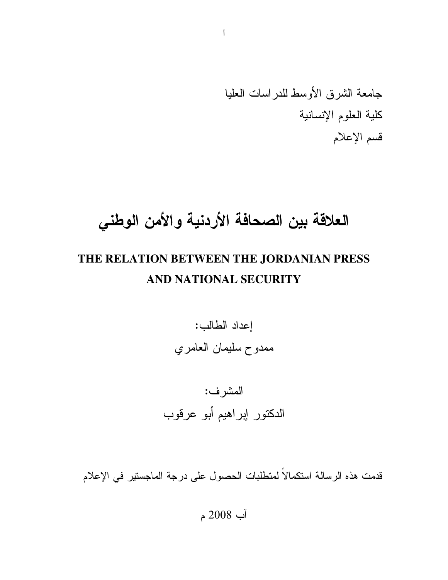# العلاقة بين الصحافة الأردنية والأمن الوطنى

### THE RELATION BETWEEN THE JORDANIAN PRESS AND NATIONAL SECURITY

إعداد الطالب: ممدوح سليمان العامري

# المشرف: الدكتور إبراهيم أبو عرقوب

قدمت هذه الرسالة استكمالاً لمتطلبات الحصول على درجة الماجستير في الإعلام

آب 2008 م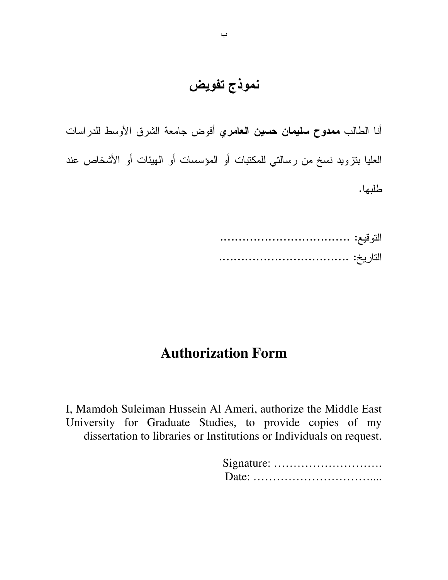نموذج تفويض

أنا الطالب **ممدوح سليمان حسين العامر**ي أفوض جامعة الشرق الأوسط للدراسات العليا بنزويد نسخ من رسالتي للمكتبات أو المؤسسات أو الـهيئات أو الأشخاص عند طلبها.

> ................................... ::-% ................................... :7- %

### **Authorization Form**

I, Mamdoh Suleiman Hussein Al Ameri, authorize the Middle East University for Graduate Studies, to provide copies of my dissertation to libraries or Institutions or Individuals on request.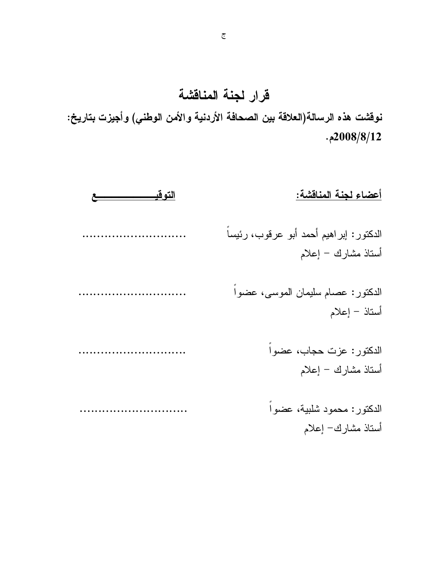قرار لجنة المناقشة

نوفشت هذه الرسالة(العلاقة بين الصحافة الأردنية والأمن الوطني) وأجيزت بتاريخ:  $.2008/8/12$ 

| أعضاء لجنة المناقشة:                                           |
|----------------------------------------------------------------|
| الدكتور: إبراهيم أحمد أبو عرقوب، رئيساً<br>أستاذ مشارك – إعلام |
| الدكتور: عصام سليمان الموسى، عضوا<br>أستاذ – إعلام             |
| الدكتور: عزت حجاب، عضواً<br>أستاذ مشارك – إعلام                |
| الدكتور: محمود شلبية، عضوا<br>أستاذ مشارك− إعلام               |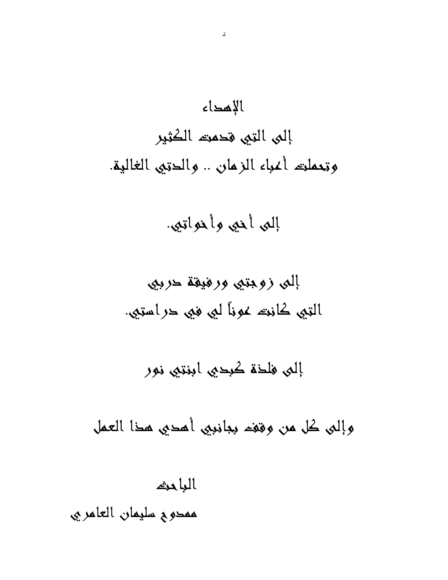# الإمداء إلىي التي قدمت الكثير وتعملته أعباء الزمان .. والدتيى الغالية.

إلىي أخيى وأخواتي.

إلىي فلخة كبحيى ابنتيى نور

وإلى كل من وقف ببانبي أمدي مذا العمل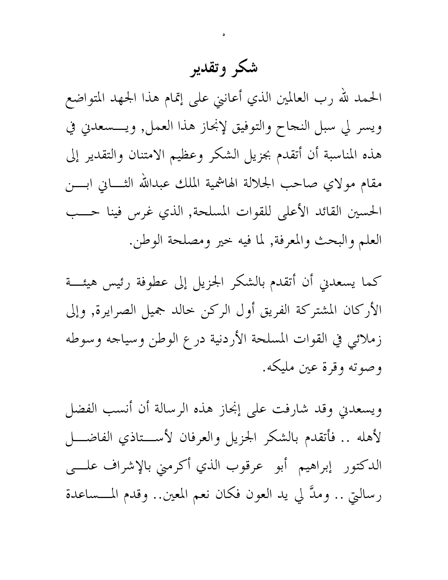# شكر وتقدير

الحمد لله رب العالمين الذي أعاننى على إتمام هذا الجهد المتواضع ويسر لي سبل النجاح والتوفيق لإنجاز هذا العمل, ويـــسعدني في هذه المناسبة أن أتقدم بجزيل الشكر وعظيم الامتنان والتقدير إلى مقام مولاي صاحب الجلالة الهاشمية الملك عبدالله الثــــانى ابــــن الحسين القائد الأعلى للقوات المسلحة, الذي غرس فينا حـــب العلم والبحث والمعرفة, لما فيه خير ومصلحة الوطن.

كما يسعدني أن أتقدم بالشكر الجزيل إلى عطوفة رئيس هيئـــة الأركان المشتركة الفريق أول الركن خالد جميل الصرايرة, وإلى زملائي في القوات المسلحة الأردنية درع الوطن وسياجه وسوطه وصوته وقرة عين مليكه.

ويسعدني وقد شارفت على إنجاز هذه الرسالة أن أنسب الفضل لأهله .. فأتقدم بالشكر الجزيل والعرفان لأســـتاذي الفاضــــل الدكتور إبراهيم أبو عرقوب الذي أكرمني بالإشراف علسى رسالتي .. وملَّ لي يد العون فكان نعم المعين.. وقدم المـــساعدة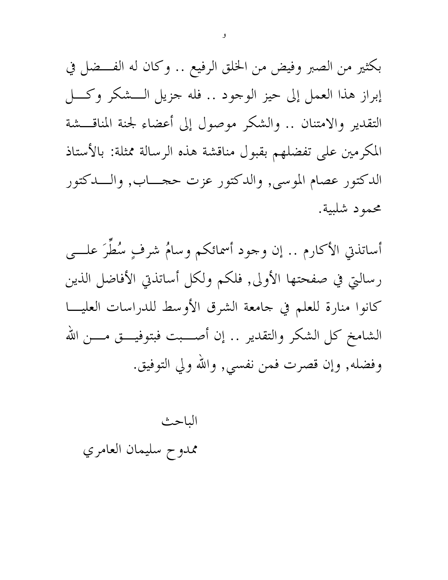بكثير من الصبر وفيض من الخلق الرفيع .. وكان له الفــضل في إبراز هذا العمل إلى حيز الوجود .. فله جزيل الـــشكر وكـــل التقدير والامتنان .. والشكر موصول إلى أعضاء لجنة المناقـــشة المكرمين على تفضلهم بقبول مناقشة هذه الرسالة ممثلة: بالأستاذ الدكتور عصام الموسى, والدكتور عزت حجـــاب, والـــدكتور محمود شلبية.

أساتذتي الأكارم .. إن وجود أسمائكم وسامٌ شرفٍ سُطَرَ علـــي رسالتي في صفحتها الأولى, فلكم ولكل أساتذتي الأفاضل الذين كانوا منارة للعلم في جامعة الشرق الأوسط للدراسات العليـــا الشامخ كل الشكر والتقدير .. إن أصــــبت فبتوفيــــق مــــن الله وفضله, وإن قصرت فمن نفسي, والله ولي التوفيق.

الباحث ممدوح سليمان العامري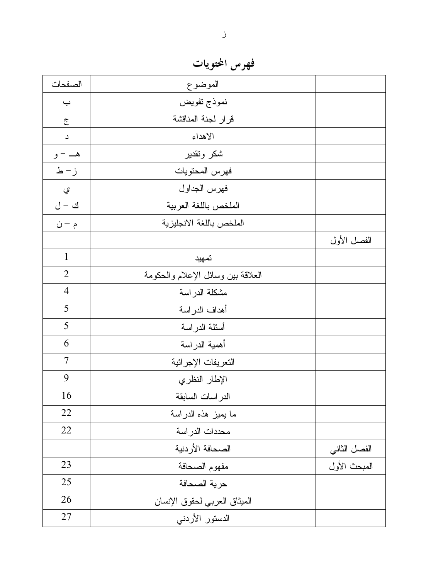فهرس المحتويات

| الصفحات                  | الموضوع                            |              |
|--------------------------|------------------------------------|--------------|
| $\overline{\phantom{0}}$ | نموذج تفويض                        |              |
| $\overline{\mathbb{C}}$  | قرار لجنة المناقشة                 |              |
| $\Delta$                 | الاهداء                            |              |
| هـــ – و                 | شكر وتقدير                         |              |
| ز- ط                     | فهرس المحتويات                     |              |
| ي                        | فهرس الجداول                       |              |
| ك - ل                    | الملخص باللغة العربية              |              |
| م – ن                    | الملخص باللغة الانجليزية           |              |
|                          |                                    | الفصل الأول  |
| $\mathbf{1}$             | تمهيد                              |              |
| $\overline{2}$           | العلاقة بين وسائل الإعلام والحكومة |              |
| $\overline{4}$           | مشكلة الدراسة                      |              |
| 5                        | أهداف الدراسة                      |              |
| 5                        | أسئلة الدراسة                      |              |
| 6                        | أهمية الدراسة                      |              |
| $\overline{7}$           | التعريفات الإجرائية                |              |
| 9                        | الإطار النظري                      |              |
| 16                       | الدر اسات السابقة                  |              |
| 22                       | ما يميز هذه الدراسة                |              |
| 22                       | محددات الدراسة                     |              |
|                          | الصحافة الأردنية                   | الفصل الثاني |
| 23                       | مفهوم الصحافة                      | المبحث الأول |
| 25                       | حرية الصحافة                       |              |
| 26                       | المبثاق العربي لحقوق الإنسان       |              |
| 27                       | الدستور الأردني                    |              |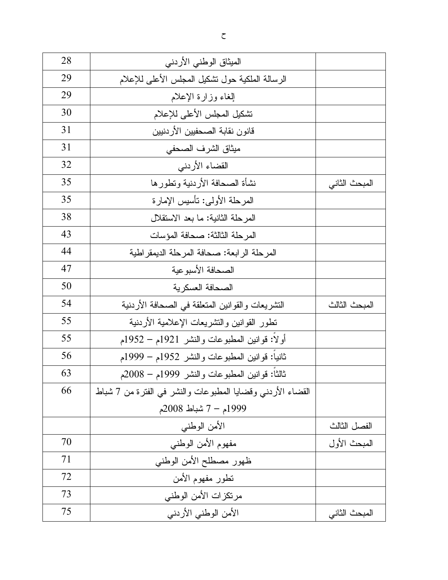| 28 | المبثاق الوطني الأردنبي                                          |               |
|----|------------------------------------------------------------------|---------------|
| 29 | الرسالة الملكية حول نشكيل المجلس الأعلى للإعلام                  |               |
| 29 | إلغاء وزارة الإعلام                                              |               |
| 30 | تشكيل المجلس الأعلى للإعلام                                      |               |
| 31 | قانون نقابة الصحفيين الأردنيين                                   |               |
| 31 | ميثاق الشرف الصحفى                                               |               |
| 32 | القضاء الأردني                                                   |               |
| 35 | نشأة الصحافة الأردنية ونطورها                                    | المبحث الثاني |
| 35 | المرحلة الأولى: نأسيس الإمارة                                    |               |
| 38 | المرحلة الثانية: ما بعد الاستقلال                                |               |
| 43 | المرحلة الثالثة: صحافة المؤسات                                   |               |
| 44 | المرحلة الرابعة: صحافة المرحلة الديمقراطية                       |               |
| 47 | الصحافة الأسبوعية                                                |               |
| 50 | الصحافة العسكرية                                                 |               |
| 54 | النشريعات والقوانين المنعلقة في الصحافة الأردنية                 | المبحث الثالث |
| 55 | نطور القوانين والنشريعات الإعلامية الأردنية                      |               |
| 55 | أو لا: قوانين المطبوعات والنشر 1921م – 1952م                     |               |
| 56 | ثانيا: قوانين المطبوعات والنشر 1952م – 1999م                     |               |
| 63 | ثالثا: قوانين المطبوعات والنشر 1999م – 2008م                     |               |
| 66 | القضـاء الأردنـي وقضـايـا المطبوعات والنشر فـي الفترة من 7 شبـاط |               |
|    | 1999م – 7 شباط 2008م                                             |               |
|    | الأمن الوطنبي                                                    | الفصل الثالث  |
| 70 | مفهوم الأمن الوطنبي                                              | المبحث الأول  |
| 71 | ظهور مصطلح الأمن الوطنبي                                         |               |
| 72 | نطور مفهوم الأمن                                                 |               |
| 73 | مرتكزات الأمن الوطنى                                             |               |
| 75 | الأمن الوطني الأردنبي                                            | المبحث الثاني |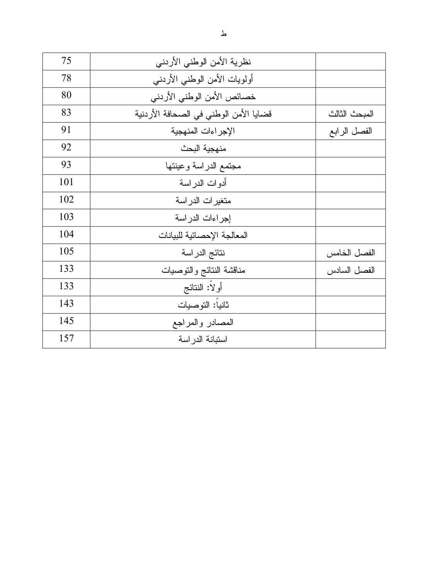| 75  | نظرية الأمن الوطني الأردنبي            |               |
|-----|----------------------------------------|---------------|
| 78  | أولويات الأمن الوطنبي الأردنبي         |               |
| 80  | خصائص الأمن الوطني الأردنبي            |               |
| 83  | قضايا الأمن الوطني في الصحافة الأردنية | المبحث الثالث |
| 91  | الإجراءات المنهجية                     | الفصل الرابع  |
| 92  | منهجية البحث                           |               |
| 93  | مجتمع الدراسة وعينتها                  |               |
| 101 | أدوات الدراسة                          |               |
| 102 | متغيرات الدراسة                        |               |
| 103 | إجراءات الدراسة                        |               |
| 104 | المعالجة الإحصائية للبيانات            |               |
| 105 | نتائج الدراسة                          | الفصل الخامس  |
| 133 | مناقشة النتائج والتوصيات               | الفصل السادس  |
| 133 | أولاً: النتائج                         |               |
| 143 | ثانيا: التوصيات                        |               |
| 145 | المصادر والمراجع                       |               |
| 157 | استبانة الدر اسة                       |               |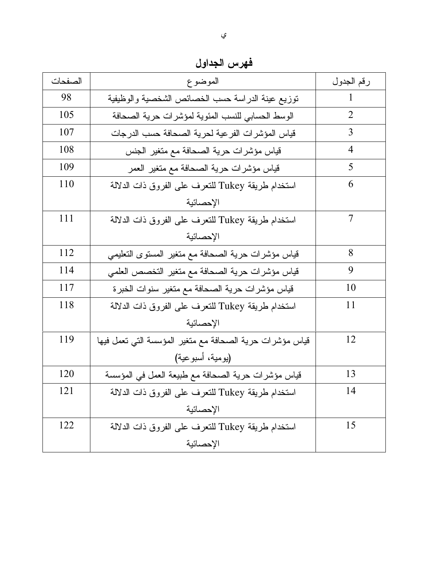| الصفحات | الموضوع                                                  | رقم الجدول     |
|---------|----------------------------------------------------------|----------------|
| 98      | نوزيع عينة الدراسة حسب الخصائص الشخصية والوظيفية         |                |
| 105     | الوسط الحسابي للنسب المئوية لمؤشرات حرية الصحافة         | $\overline{2}$ |
| 107     | قياس المؤشر ات الفر عية لحرية الصحافة حسب الدرجات        | 3              |
| 108     | قياس مؤشرات حرية الصحافة مع متغير الجنس                  | 4              |
| 109     | قياس مؤشرات حرية الصحافة مع متغير العمر                  | 5              |
| 110     | استخدام طريقة Tukey للتعرف على الفروق ذات الدلالة        | 6              |
|         | الإحصائية                                                |                |
| 111     | استخدام طريقة Tukey للتعرف على الفروق ذات الدلالة        | 7              |
|         | الإحصائية                                                |                |
| 112     | قياس مؤشرات حرية الصحافة مع متغير المستوى التعليمي       | 8              |
| 114     | قياس مؤشرات حرية الصحافة مع متغير التخصص العلمي          | 9              |
| 117     | قياس مؤشرات حرية الصحافة مع متغير سنوات الخبرة           | 10             |
| 118     | استخدام طريقة Tukey للتعرف على الفروق ذات الدلالة        | 11             |
|         | الإحصائية                                                |                |
| 119     | قياس مؤشرات حرية الصحافة مع متغير المؤسسة التي تعمل فيها | 12             |
|         | (يومية، أسبوعية)                                         |                |
| 120     | قياس مؤشرات حرية الصحافة مع طبيعة العمل في المؤسسة       | 13             |
| 121     | استخدام طريقة Tukey للتعرف على الفروق ذات الدلالة        | 14             |
|         | الإحصائية                                                |                |
| 122     | استخدام طريقة Tukey للتعرف على الفروق ذات الدلالة        | 15             |
|         | الإحصائية                                                |                |

فهرس الجداول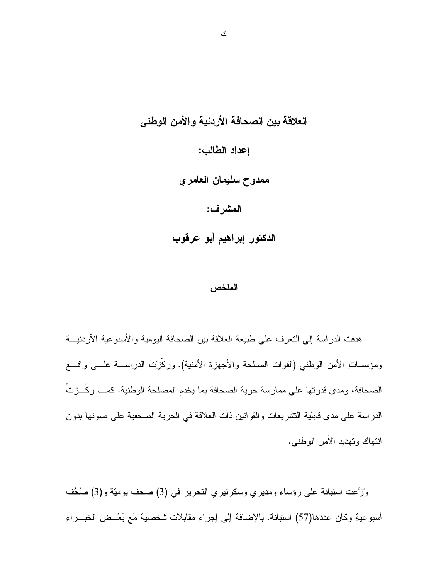العلاقة بين الصحافة الأردنية والأمن الوطني إعداد الطالب: ممدوح سليمان العامري المشرف: الدكتور إبراهيم أبو عرقوب

#### الملخص

هدفت الدراسة إلى النعرف على طبيعة العلاقة بين الصحافة اليومية والأسبوعية الأردنيـــة ومؤسساتِ الأمن الوطني (القوات المسلحة والأجهزة الأمنية). وركَزَت الدراســـة علــــى واقــــع الصحافة، ومدى قدرتها على ممارسة حرية الصحافة بما يخدم المصلحة الوطنية. كمـــا ركَّـــزتْ الدراسة على مدى قابلية التشريعات والقوانين ذات العلاقة في الحرية الصحفية على صونها بدون انتهاك وتَهديد الأمن الوطنبي.

وُرْحِت استبانة على رؤساء ومديري وسكرنيري النحرير في (3) صحف بوميّة و(3) صُحُف أسبوعيةِ وكان عددها(57) استبانة. بالإضافة إلى إجراء مقابلات شخصية مَع بَعْــض الخبـــراءِ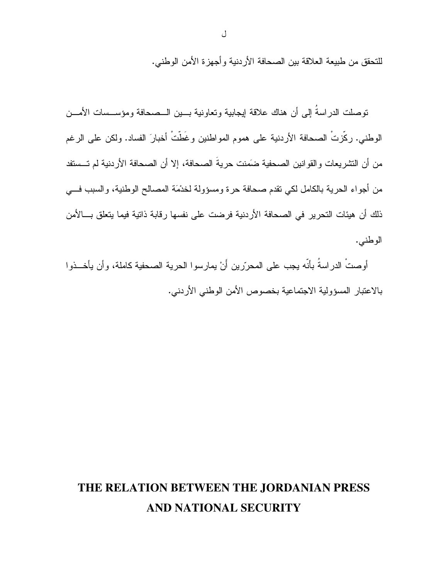للتحقق من طبيعة العلاقة بين الصحافة الأردنية و أجهز ة الأمن الوطني.

توصلت الدراسةُ إلى أن هناك علاقة إيجابية وتعاونية بسين السصحافة ومؤسسسات الأمسن الوطني. ركَّزتْ الصحافة الأردنية على هموم المواطنين وغَطَّتْ أخبارَ الفساد. ولكن على الرغم من أن التشريعات والقوانين الصحفية ضَمَنت حريةَ الصحافة، إلا أن الصحافة الأردنية لم تـــستفد من أجواء الحرية بالكامل لكي تقدم صحافة حرة ومسؤولة لخدْمَة المصالح الوطنية، والسبب في ذلك أن هيئات التحرير ً في الصحافة الأر دنية فر ضت على نفسها ر قابة ذاتية فيما يتعلق بـــالأمن الوطنبي.

أو صتْ الدر اسةُ بِأنّه بِجِب على المحرّر بن أَنْ يمار سو ا الحر ية الصبحفية كاملة، و أن يأخـــذو ا بالاعتبار المسؤولية الاجتماعية بخصوص الأمن الوطني الأردني.

### THE RELATION BETWEEN THE JORDANIAN PRESS AND NATIONAL SECURITY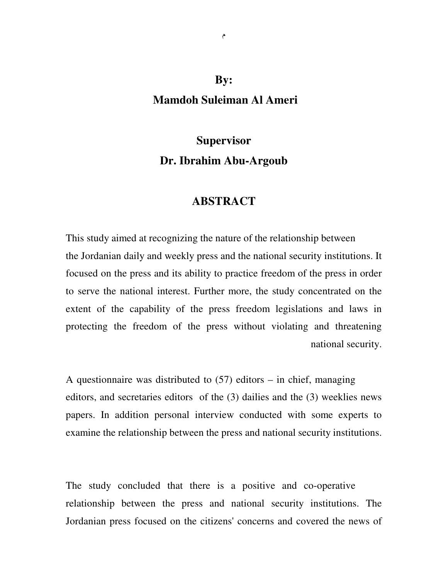### **By: Mamdoh Suleiman Al Ameri**

### **Supervisor Dr. Ibrahim Abu-Argoub**

#### **ABSTRACT**

This study aimed at recognizing the nature of the relationship between the Jordanian daily and weekly press and the national security institutions. It focused on the press and its ability to practice freedom of the press in order to serve the national interest. Further more, the study concentrated on the extent of the capability of the press freedom legislations and laws in protecting the freedom of the press without violating and threatening national security.

A questionnaire was distributed to  $(57)$  editors – in chief, managing editors, and secretaries editors of the (3) dailies and the (3) weeklies news papers. In addition personal interview conducted with some experts to examine the relationship between the press and national security institutions.

The study concluded that there is a positive and co-operative relationship between the press and national security institutions. The Jordanian press focused on the citizens' concerns and covered the news of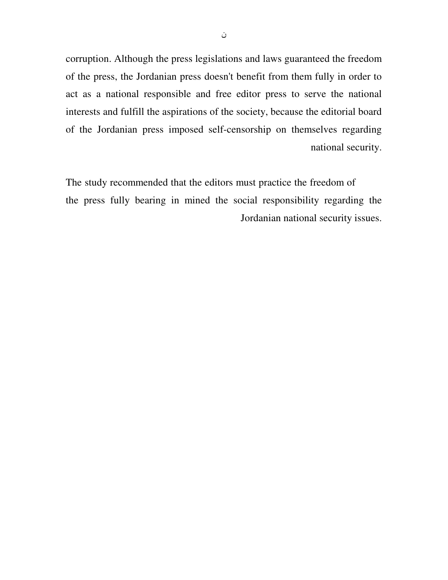corruption. Although the press legislations and laws guaranteed the freedom of the press, the Jordanian press doesn't benefit from them fully in order to act as a national responsible and free editor press to serve the national interests and fulfill the aspirations of the society, because the editorial board of the Jordanian press imposed self-censorship on themselves regarding national security.

The study recommended that the editors must practice the freedom of the press fully bearing in mined the social responsibility regarding the Jordanian national security issues.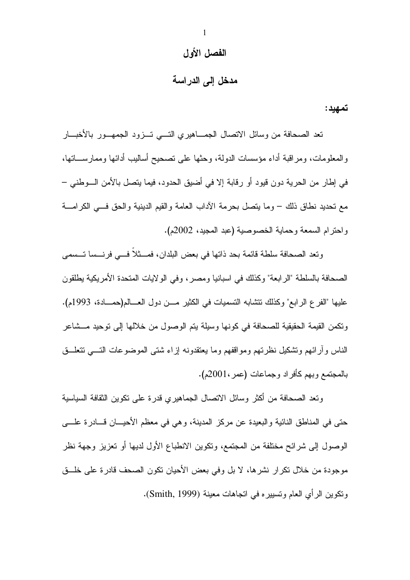#### الفصل الأول

### مدخل إلى الدراسة

تمهيد :

تعد الصحافة من وسائل الاتصال الجمـــاهيري التــــى تـــزود الجمهـــور بالأخبــــار والمعلومات، ومراقبة أداء مؤسسات الدولة، وحثها على نصحيح أساليب أدائها وممارســـاتها، في إطار من الحرية دون قيود أو رقابة إلا في أضبق الحدود، فيما يتصل بالأمن السوطني – مع نحديد نطاق ذلك – وما يتصل بحرمة الآداب العامة والقيم الدينية والحق فسى الكرامسة و احتر ام السمعة و حماية الخصوصية (عبد المجيد، 2002م).

وتعد الصحافة سلطة قائمة بحد ذاتها في بعض البلدان، فمـــثلاً فـــي فرنـــسا تــسمى الصحافة بالسلطة "الرابعة" وكذلك في اسبانيا ومصر ، وفي الولايات المتحدة الأمريكية بطلقون عليها "الفرع الرابع" وكذلك نتشابه التسميات في الكثير مـــن دول العـــالم(حمـــادة، 1993م). ونكمن القيمة الحقيقية للصحافة في كونها وسيلة يتم الوصول من خلالها إلى نوحيد مـــشاعر الناس وأرائهم وتشكيل نظرتهم ومواقفهم وما يعتقدونه إزاء شتبي الموضوعات التسبي تتعلسق بالمجتمع وبهم كأفراد وجماعات (عمر ،2001م).

ونعد الصحافة من أكثر وسائل الانصال الجماهيري قدرة على نكوين الثقافة السياسية حتى في المناطق النائية والبعيدة عن مركز المدينة، وهي في معظم الأحيـــان قـــادرة علــــي الوصول إلىي شرائح مختلفة من المجتمع، ونكوين الانطباع الأول لديها أو تعزيز وجهة نظر موجودة من خلال نكر ار نشر ها، لا بل وفي بعض الأحيان نكون الصحف قادرة على خلَّــق ونكوين الرأي العام وتسبيره في اتجاهات معينة (Smith, 1999).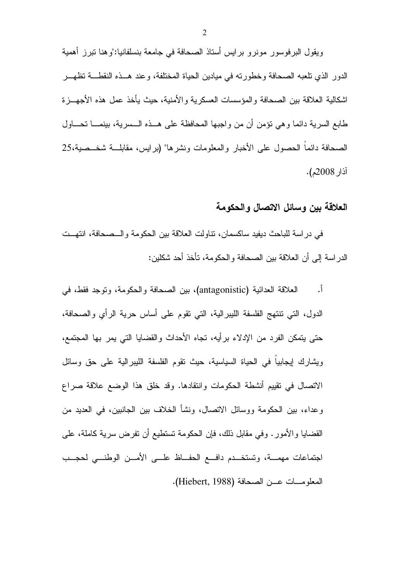ويقول البرفوسور مونرو برايس أستاذ الصحافة في جامعة بنسلفانيا:"وهنا تبرز أهمية الدور الذي تلعبه الصحافة وخطورته في ميادين الحياة المختلفة، وعند هــذه النقطـــة تظهـــر اشكالية العلاقة بين الصحافة والمؤسسات العسكرية والأمنية، حيث يأخذ عمل هذه الأجهـــزة طابع السرية دائما وهي نؤمن أن من واجبها المحافظة على هــذه الـــسرية، بينمــــا نحــــاول الصحافة دائما الحصول على الأخبار والمعلومات ونشر ها" (بر ابس، مقابلـــة شخـــصبة،25 آذار 2008م).

#### العلاقة بين وسائل الاتصال والحكومة

في دراسة للباحث ديفيد ساكسمان، نتاولت العلاقة بين الحكومة والسصحافة، انتهت الدراسة إلى أن العلاقة بين الصحافة والحكومة، تأخذ أحد شكلين:

العلاقة العدائية (antagonistic)، بين الصحافة والحكومة، ونوجد فقط، في أ. الدول، التي نتتهج الفلسفة الليبر الية، التي نقوم على أساس حرية الرأى والصحافة، حتى يتمكن الفرد من الإدلاء برأيه، تجاه الأحداث والقضايا التي يمر بها المجتمع، ويشارك إيجابيا في الحياة السياسية، حيث نقوم الفلسفة الليبرالية على حق وسائل الاتصال في تقييم أنشطة الحكومات وانتقادها. وقد خلق هذا الوضع علاقة صراع وعداء، بين الحكومة ووسائل الاتصال، ونشأ الخلاف بين الجانبين، في العديد من القضايا والأمور . وفي مقابل ذلك، فإن الحكومة تستطيع أن تفرض سرية كاملة، على اجتماعات مهمـــة، وتستخـــدم دافـــع الحفـــاظ علـــى الأمـــن الوطنـــى لحجـــب المعلومـات عــن الصحافة (Hiebert, 1988).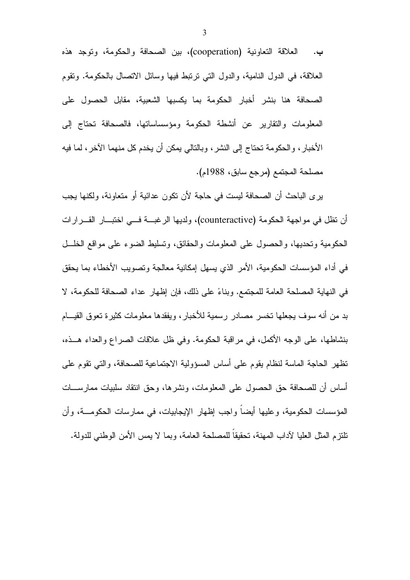العلاقة التعاونية (cooperation)، بين الصحافة والحكومة، وتوجد هذه ب. العلاقة، في الدول النامية، والدول التي نرتبط فيها وسائل الاتصال بالحكومة. وتقوم الصحافة هنا بنشر أخبار الحكومة بما يكسبها الشعبية، مقابل الحصول على المعلومات والنقارير عن أنشطة الحكومة ومؤسساسانها، فالصحافة تحتاج إلى الأخبار ، والحكومة تحتاج إلى النشر ، وبالتالي بمكن أن يخدم كل منهما الآخر ، لما فيه مصلحة المجتمع (مرجع سابق، 1988م).

ير ي الباحث أن الصحافة ليست في حاجة لأن نكون عدائية أو متعاونة، ولكنها يجب أن نظل في مواجهة الحكومة (counteractive)، ولديها الرغبــــة فــــي اختبــــار القـــــرارات الحكومية وتحديها، والحصول على المعلومات والحقائق، ونسليط الضوء على مواقع الخلـــل في أداء المؤسسات الحكومية، الأمر الذي يسهل إمكانية معالجة وتصويب الأخطاء بما يحقق في النهاية المصلحة العامة للمجتمع. وبناءً على ذلك، فإن إظهار عداء الصحافة للحكومة، لا بد من أنه سوف يجعلها تخسر مصادر رسمية للأخبار، ويفقدها معلومات كثيرة تعوق القيـــام بنشاطها، على الوجه الأكمل، في مراقبة الحكومة. وفي ظل علاقات الصراع والعداء هـــذه، تظهر الحاجة الماسة لنظام يقوم على أساس المسؤولية الاجتماعية للصحافة، والتبي نقوم على أساس أن للصحافة حق الحصول على المعلومات، ونشرها، وحق انتقاد سلبيات ممارســـات المؤسسات الحكومية، وعليها أيضاً واجب إظهار الإيجابيات، في ممارسات الحكومـــة، وأن تلتزم المثل العليا لآداب المهنة، تحقيقاً للمصلحة العامة، وبما لا يمس الأمن الوطني للدولة.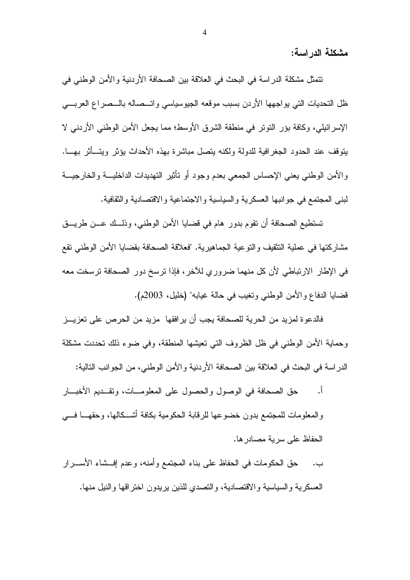مشكلة الدر اسة:

نتمثِّل مشكلة الدراسة في البحث في العلاقة بين الصحافة الأردنية والأمن الوطني في ظل التحديات التي يواجهها الأردن بسبب موقعه الجيوسياسي واتــصاله بالــصراع العربـــي الإسرائيلي، وكافة بؤر النَّوتر في منطقة الشرق الأوسط؛ مما يجعل الأمن الوطني الأردني لا يتوقف عند الحدود الجغرافية للدولة ولكنه يتصل مباشرة بهذه الأحداث يؤثر ويتسأثر بهسا. والأمن الوطني يعني الإحساس الجمعي بعدم وجود أو نأنثير التهديدات الداخليـــة والخارجيـــة لبنبي المجتمع في جوانبها العسكرية والسياسية والاجتماعية والاقتصادية والثقافية.

تستطيع الصحافة أن تقوم بدور هام في قضايا الأمن الوطني، وذلــك عـــن طريـــق مشاركتها في عملية النثقيف والنوعية الجماهيرية. "فعلاقة الصحافة بقضايا الأمن الوطني نقع في الإطار الارتباطي لأن كل منهما ضروري للآخر، فإذا ترسخ دور الصحافة ترسخت معه قضايا الدفاع والأمن الوطني وتغيب في حالة غيابه" (خليل، 2003م).

فالدعوة لمزيد من الحرية للصحافة يجب أن يرافقها مزيد من الحرص على تعزيـــز وحماية الأمن الوطني في ظل الظروف التي تعيشها المنطقة، وفي ضوء ذلك تحددت مشكلة الدر اسة في البحث في العلاقة بين الصحافة الأردنية والأمن الوطني، من الجوانب التالية:

- حق الصحافة في الوصول والحصول على المعلومـــات، وتقـــديم الأخبـــار  $\overline{\phantom{a}}$ والمعلومات للمجتمع بدون خضوعها للرقابة الحكومية بكافة أشكالها، وحقهــا فـــي الحفاظ على سرية مصادر ها.
- ب. حق الحكومات في الحفاظ على بناء المجتمع وأمنه، وعدم إفـــشاء الأســــرار العسكرية والسياسية والاقتصادية، والتصدي للذين يريدون اختراقها والنيل منها.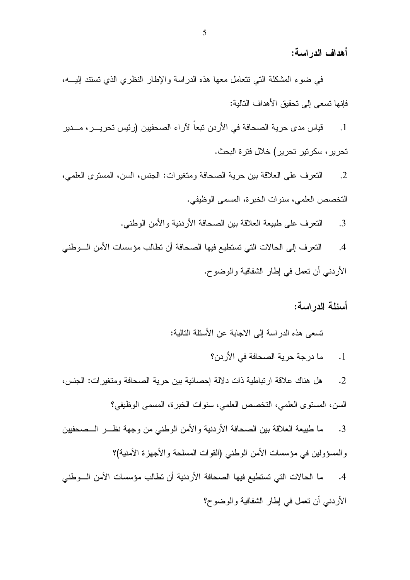أهداف الدر اسة:

في ضوء المشكلة التي نتعامل معها هذه الدراسة والإطار النظري الذي نستند إليسه، فإنها تسعى إلى تحقيق الأهداف التالية:

قياس مدى حرية الصحافة في الأردن تبعاً لآراء الصحفيين (رئيس تحريـــر ، مــــدير  $\cdot$ 1 تحرير ، سكرتير تحرير ) خلال فترة البحث.

النعرف على العلاقة بين حرية الصحافة ومنغيرات: الجنس، السن، المسنوى العلمي،  $\cdot$ .2 التخصص العلمي، سنوات الخبر ة، المسمى الوظيفي.

> النعرف على طبيعة العلاقة بين الصحافة الأردنية والأمن الوطني.  $\cdot$ .3

النعرف إلى الحالات التي تستطيع فيها الصحافة أن تطالب مؤسسات الأمن السوطني  $.4$ الأردني أن تعمل في إطار الشفافية والوضوح.

أسئلة الدر اسة:

تسعى هذه الدراسة إلى الاجابة عن الأسئلة التالية:

ما درجة حرية الصحافة في الأردن؟  $\ddot{\phantom{1}}$ 

هل هناك علاقة ارتباطية ذات دلالة إحصائية بين حرية الصحافة ومتغيرات: الجنس،  $\cdot$  2 السن، المستوى العلمي، التخصص العلمي، سنوات الخبرة، المسمى الوظيفي؟

ما طبيعة العلاقة بين الصحافة الأردنية والأمن الوطني من وجهة نظـــر الـــصحفيين  $\cdot$ 3 والمسؤولين في مؤسسات الأمن الوطني (القوات المسلحة والأجهزة الأمنية)؟

ما الحالات التي تستطيع فيها الصحافة الأردنية أن تطالب مؤسسات الأمن السوطني  $\cdot$ 4 الأردنبي أن تعمل في إطار الشفافية والوضوح؟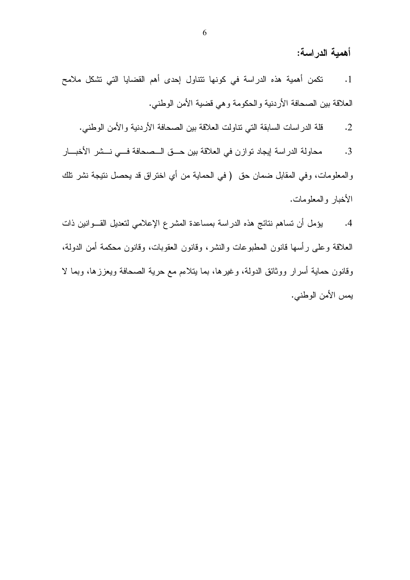أهمية الدراسة:

نكمن أهمية هذه الدراسة في كونها نتناول إحدى أهم القضايا التي نشكل ملامح  $\cdot$ 1 العلاقة بين الصحافة الأردنية والحكومة وهي قضية الأمن الوطني.

قلة الدراسات السابقة التي نتاولت العلاقة بين الصحافة الأردنية والأمن الوطني.  $\cdot$ .2

محاولة الدراسة إيجاد توازن في العلاقة بين حــق الــصحافة فــي نــشر الأخبـــار  $\cdot$ 3 والمعلومات، وفي المقابل ضمان حق ( في الحماية من أي اختراق قد يحصل نتيجة نشر نلك الأخبار والمعلومات.

يؤمل أن تساهم نتائج هذه الدراسة بمساعدة المشرع الإعلامي لتعديل القـوانين ذات  $.4$ العلاقة وعلى رأسها قانون المطبوعات والنشر، وقانون العقوبات، وقانون محكمة أمن الدولة، وفانون حماية أسرار ووثائق الدولة، وغيرها، بما بتلاءم مع حرية الصحافة ويعززها، وبما لا يمس الأمن الوطني.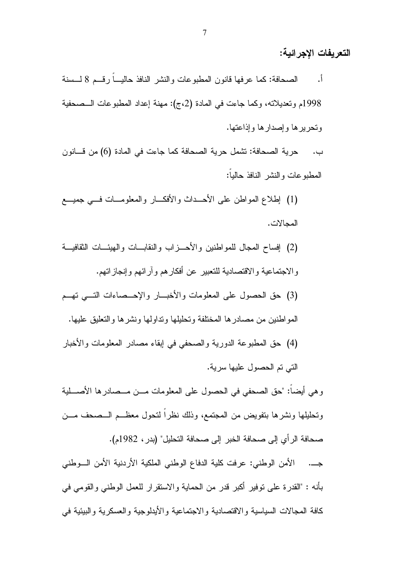التعريفات الإجرائية:

الصحافة: كما عرفها قانون المطبوعات والنشر النافذ حاليـــا رقـــم 8 لـــسنة  $\cdot$ , 1998م وتعديلاته، وكما جاءت في المادة (2،ج): مهنة إعداد المطبوعات الـمصحفية وتحريرها وإصدارها وإذاعتها.

حرية الصحافة: تشمل حرية الصحافة كما جاءت في المادة (6) من قـــانون ب. المطبو عات والنشر النافذ حالبا:

- (1) إطلاع المواطن على الأحــداث والأفكـــار والمعلومـــات فـــي جميــــع المجالات.
- (2) إفساح المعجال للمواطنين والأحـــزاب والنقابـــات والهيئـــات الثقافيـــة والاجتماعية والاقتصادية للتعبير عن أفكارهم وأرائهم وإنجازاتهم.
- (3) حق الحصول على المعلومات والأخبـــار والإحـــصاءات النســي نهـــم المواطنين من مصادر ها المختلفة وتحليلها ونداولها ونشرها والنعليق عليها.
- (4) حق المطبوعة الدورية والصحفي في إبقاء مصادر المعلومات والأخبار

التي تم الحصول عليها سرية.

و هي أيضاً: "حق الصحفي في الحصول على المعلومات مـــن مـــصـادر ها الأصــــلية ونحليلها ونشرها بتفويض من المجتمع، وذلك نظراً لنحول معظــم الـــصحف مـــن صحافة الرأي إلى صحافة الخبر إلى صحافة التحليل" (بدر ، 1982م).

جـــ. الأمن الوطني: عرفت كلية الدفاع الوطني الملكية الأردنية الأمن الـــوطني بأنه : "القدرة على توفير أكبر قدر من الحماية والاستقرار للعمل الوطني والقومي في كافة المجالات السياسية والاقتصادية والاجتماعية والأيدلوجية والعسكرية والبيئية في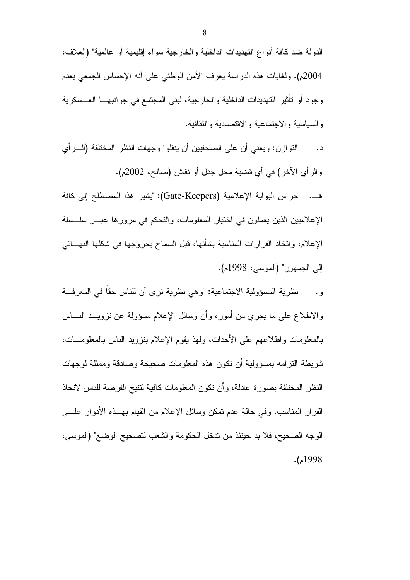الدولة ضد كافة أنواع التهديدات الداخلية والخارجية سواء إقليمية أو عالمية" (العلاف، 2004م). ولغايات هذه الدراسة يعرف الأمن الوطني على أنه الإحساس الجمعي بعدم وجود أو تأثير التهديدات الداخلية والخارجية، لبني المجتمع في جوانبهـــا العـــسكرية والسياسية والاجتماعية والاقتصادية والنقافية.

النَّوازن: ويعني أن علي الصحفيين أن ينقلوا وجهات النظر المختلفة (الـــرأى د. وِ الرَّايِ الآخرِ ) في أي قضية محل جدلٍ أو نقاشٍ (صالح، 2002م).

هــ. حراس البوابة الإعلامية (Gate-Keepers): "يشير هذا المصطلح إلى كافة الإعلاميين الذين يعملون في اختيار المعلومات، والتحكم في مرورها عبـــر سلــسلة الإعلام، واتخاذ القرارات المناسبة بشأنها، قبل السماح بخروجها في شكلها النهـــائـي إلى الجمهور " (الموسى، 1998م).

نظرية المسؤولية الاجتماعية: "وهي نظرية ترى أن للناس حقاً في المعرفة  $\cdot$  , والاطلاع على ما يجري من أمور، وأن وسائل الإعلام مسؤولة عن نزويـــد النـــــاس بالمعلومات واطلاعهم على الأحداث، ولهذ يقوم الإعلام بنزويد الناس بالمعلومـــات، شريطة النزامه بمسؤولية أن نكون هذه المعلومات صحيحة وصادقة وممثلة لوجهات النظر المختلفة بصورة عادلة، وأن نكون المعلومات كافية لنتيح الفرصة للناس لاتخاذ القرار المناسب. وفي حالة عدم تمكن وسائل الإعلام من القيام بهــذه الأدوار علــــي الوجه الصحيح، فلا بد حينئذ من ندخل الحكومة والشعب لتصحيح الوضع" (الموسى،  $.1998$ م).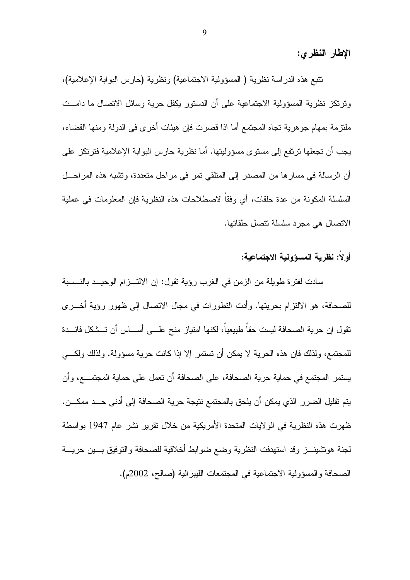الإطار النظرى:

نتبع هذه الدراسة نظرية ( المسؤولية الاجتماعية) ونظرية (حارس البوابة الإعلامية)، ونرنكز نظرية المسؤولية الاجتماعية على أن الدستور يكفل حرية وسائل الاتصال ما دامــت ملتزمة بمهام جو هرية تجاه المجتمع أما اذا قصرت فإن هيئات أخرى في الدولة ومنها القضاء، يجب أن تجعلها ترتفع إلى مستوى مسؤوليتها. أما نظرية حارس البوابة الإعلامية فترتكز على أن الرسالة في مسارها من المصدر إلى المتلقى نمر في مراحل متعددة، ونشبه هذه المراحـــل السلسلة المكونة من عدة حلقات، أي وفقاً لاصطلاحات هذه النظرية فإن المعلومات في عملية الاتصال هي مجرد سلسلة تتصل حلقاتها.

### أو لاً: نظر بـة المسوّ ولبـة الاجتماعيـة:

سادت لفترة طويلة من الزمن في الغرب رؤية تقول: إن الالتـــزام الوحيـــد بالنـــسبة للصحافة، هو الالتزام بحريتها. وأدت التطورات في مجال الاتصال إلى ظهور رؤية أخـــرى تقول إن حرية الصحافة ليست حقاً طبيعياً، لكنها امتياز منح علـــى أســــاس أن تـــشكل فائـــدة للمجتمع، ولذلك فإن هذه الحرية لا يمكن أن تستمر إلا إذا كانت حرية مسؤولة. ولذلك ولكـــى يستمر المجتمع في حماية حرية الصحافة، على الصحافة أن تعمل على حماية المجتمــــع، و أن يتم نقليل الضرر الذي يمكن أن يلحق بالمجتمع نتيجة حرية الصحافة إلى أدنى حـــد ممكـــن. ظهرت هذه النظرية في الولايات المتحدة الأمريكية من خلال تقرير نشر عام 1947 بواسطة لجنة هوتشينـــز وقد استهدفت النظرية وضع ضوابط أخلاقية للصحافة والتوفيق بـــين حريــــة الصحافة والمسؤولية الاجتماعية في المجتمعات الليبر الية (صالح، 2002م).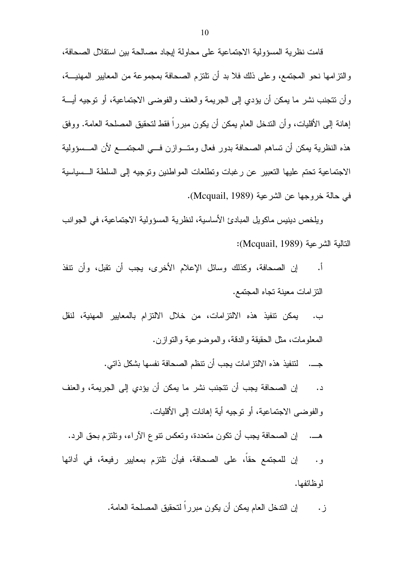قامت نظرية المسؤولية الاجتماعية على محاولة إيجاد مصالحة بين استقلال الصحافة، والنَّزامها نحو المجتمع، وعلى ذلك فلا بد أن تلتزم الصحافة بمجموعة من المعايير المهنيـــة، وأن تتجنب نشر ما يمكن أن يؤدي إلى الجريمة والعنف والفوضىي الاجتماعية، أو نوجيه أيـــة إهانـة إلـى الأقليات، و أن الندخل الـعام بمكن أن يكون مبر ر ا فقط لنحقيق المصلحـة الـعامـة. و و فق هذه النظر ية يمكن أن نساهم الصحافة بدور فعال ومنـــو از ن فـــى المجتمـــع لأن المـــسوَولية الاجتماعية تحتم عليها التعبير عن رغبات وتطلعات المواطنين وتوجيه إلى السلطة السسياسية في حالة خروجها عن الشرعية (Mcquail, 1989).

و يلخص دينيس ماكو يل المبادئ الأساسية، لنظرية المسؤولية الاجتماعية، في الجوانب النالية الشرعية (Mcquail, 1989):

إن الصحافة، وكذلك وسائل الإعلام الأخرى، يجب أن نقبل، وأن نتفذ أ. النز امات معينة تجاه المجتمع.

يمكن تتفيذ هذه الالتزامات، من خلال الالتزام بالمعايير المهنية، لنقل ب. المعلومات، مثل الحقيقة والدقة، والموضوعية والنوازن.

جـــ. لتنفيذ هذه الالتز امات يجب أن نتظم الصحافة نفسها بشكل ذاتي.

- إن الصحافة يجب أن نتجنب نشر ما يمكن أن يؤدي إلى الجريمة، والعنف  $\overline{\phantom{a}}$ . و الفوضبي الاجتماعية، أو توجيه أية إهانات إلى الأقليات.
	- إن الصحافة يجب أن تكون متعددة، وتعكس نتوع الآراء، وتلتزم بحق الرد.
- إن للمجتمع حقا، على الصحافة، فيأن تلتزم بمعايير رفيعة، في أدائها و . لو ظائفها.

ز . إن الندخل العام يمكن أن يكون مبررا لنحقيق المصلحة العامة.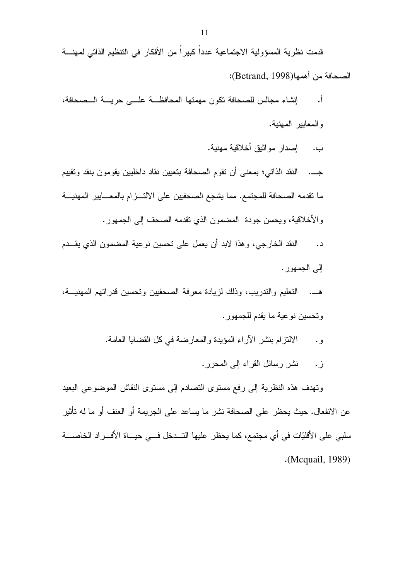قدمت نظرية المسؤولية الاجتماعية عدداً كبيراً من الأفكار في التنظيم الذاتي لمهنـــة الصحافة من أهمها(Betrand, 1998):

- أ. إنشاء مجالس للصحافة نكون مهمتها المحافظـــة علـــى حريـــة الـــصحافة، والمعايير المهنية.
	- ب. إصدار مو اثبق أخلاقية مهنية.

جـــ. النقد الذاتبي؛ بمعنى أن نقوم الصحافة بتعيين نقاد داخليين يقومون بنقد ونقييم ما نقدمه الصحافة للمجتمع. مما يشجع الصحفيين على الالتـــزام بالمعــــايير المهنيـــة والأخلاقية، ويحسن جودة المضمون الذي نقدمه الصحف إلى الجمهور .

النقد الخارجي، وهذا لابد أن يعمل على تحسين نوعية المضمون الذي يقــدم د. الی الجمهور .

هـــ. النعليم والندريب، وذلك لزيادة معرفة الصحفيين ونحسين قدراتهم المهنيـــة، وتحسين نوعية ما يقدم للجمهور .

- الالنزلم بنشر الأراء المؤيدة والمعارضة في كل القضايا العامة. و ٠
	- ز . نشر رسائل القراء إلى المحرر .

ونهدف هذه النظرية إلى رفع مسنوى النصادم إلى مسنوى النقاش الموضوعي البعيد عن الانفعال. حيث يحظر على الصحافة نشر ما يساعد على الجريمة أو العنف أو ما له تأثير سلبي على الأقليّات في أي مجتمع، كما يحظر عليها التـــدخل فـــي حيـــاة الأفـــراد الخاصــــة (Mcquail, 1989).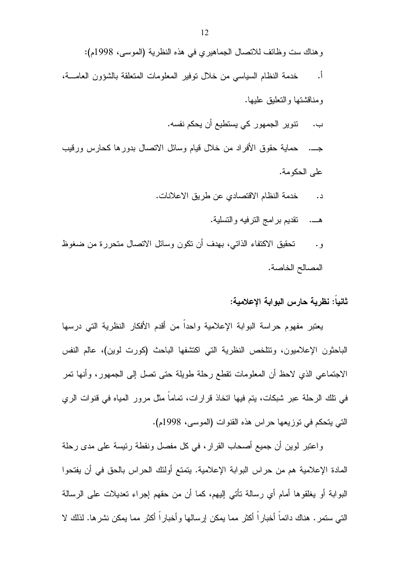وهناك ست وظائف للاتصال الجماهيري في هذه النظرية (الموسى، 1998م): <u>أ.</u> خدمة النظام السياسي من خلال نوفير المعلومات المتعلقة بالشؤون العامــــة، ومناقشتها والتعلبق علبها. تتوير الجمهور كي يستطيع أن يحكم نفسه. ب. جـــ. حماية حقوق الأفراد من خلال قيام وسائل الاتصال بدورها كحارس ورقيب على الحكومة. خدمة النظام الاقتصادي عن طريق الاعلانات.  $\overline{\phantom{a}}$ . هـــ. نقديم بر امج النرفيه والنسلية.

تحقيق الاكتفاء الذاتبي، بهدف أن تكون وسائل الاتصال متحررة من ضغوظ و . المصالح الخاصة.

ثانياً: نظرية حارس البوابة الإعلامية:

يعتبر مفهوم حراسة البوابة الإعلامية واحداً من أقدم الأفكار النظرية التي درسها الباحثون الإعلاميون، وتتلخص النظرية التي اكتشفها الباحث (كورت لوين)، عالم النفس الاجتماعي الذي لاحظ أن المعلومات نقطع رحلة طويلة حتى نصل إلى الجمهور، وأنها نمر في نلك الرحلة عبر شبكات، بنم فيها انخاذ قرارات، نماماً مثل مرور المياه في قنوات الري التي يتحكم في توزيعها حراس هذه القنوات (الموسى، 1998م).

واعتبر لوين أن جميع أصحاب القرار، في كل مفصل ونقطة رئيسة على مدى رحلة المادة الإعلامية هم من حراس البوابة الإعلامية. يتمتع أولئك الحراس بالحق في أن يفتحوا البوابة أو يغلقوها أمام أي رسالة نأنتي إليهم، كما أن من حقهم إجراء نعديلات على الرسالة النبي سنمر . هناك دائماً أخباراً أكثر مما يمكن إرسالها وأخباراً أكثر مما يمكن نشرها. لذلك لا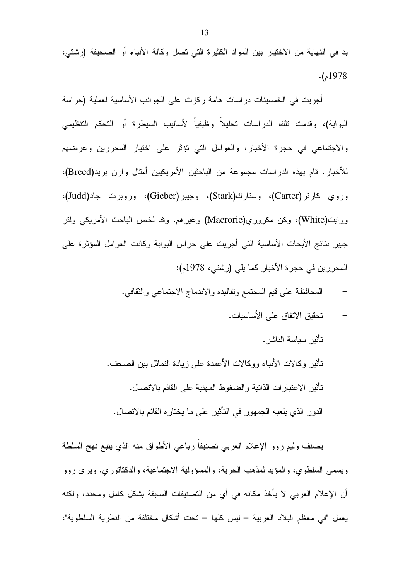بد في النهاية من الاختيار بين المواد الكثيرة التي تصل وكالة الأنباء أو الصحيفة (رشتي،  $.1978$ .

أجريت في الخمسينات دراسات هامة ركزت على الجوانب الأساسية لعملية (حراسة البوابة)، وقدمت نلك الدراسات تحليلا وظيفيا لأساليب السيطرة أو التحكم التنظيمي والاجتماعي في حجرة الأخبار، والعوامل التي نؤثر على اختيار المحررين وعرضهم للأخبار. قام بهذه الدراسات مجموعة من الباحثين الأمريكيين أمثال وارن بريد(Breed)، وروي كارنر(Carter)، وستارك(Stark)، وجيبر(Gieber)، وروبرت جاد(Judd)، ووايت(White)، وكن مكروري(Macrorie) وغيرهم. وقد لخص الباحث الأمريكي ولتر جيبر نتائج الأبحاث الأساسية التي أجريت على حراس البوابة وكانت العوامل المؤثرة على المحررين في حجرة الأخبار كما يلي (رشتي، 1978م):

- المحافظة على قيم المجتمع ونقاليده والاندماج الاجتماعي والثقافي.
	- تحقيق الاتفاق على الأساسيات.
		- تأثير سياسة الناشر .
- نَأْتُيْرِ وَكَالَاتَ الأَنْبَاءَ وَوَكَالَاتَ الأَعْمَدَةُ عَلَى زِيادَةِ النَّمَاتُلُ بَيْنِ الصَّحْف.
	- تأثير الاعتبار ات الذاتبة و الضغوط المهنبة على القائم بالاتصال.
	- الدور الذي يلعبه الجمهور في التأثير على ما يختاره القائم بالاتصال.

بصنف وليم روو الإعلام العربي تصنيفا رباعي الأطواق منه الذي يتبع نهج السلطة ويسمى السلطوي، والمؤيد لمذهب الحرية، والمسؤولية الاجتماعية، والدكتاتوري. ويرى روو أن الإعلام العربي لا يأخذ مكانه في أي من النصنيفات السابقة بشكل كامل ومحدد، ولكنه يعمل "في معظم البلاد العربية – ليس كلها – تحت أشكال مختلفة من النظرية السلطوية"،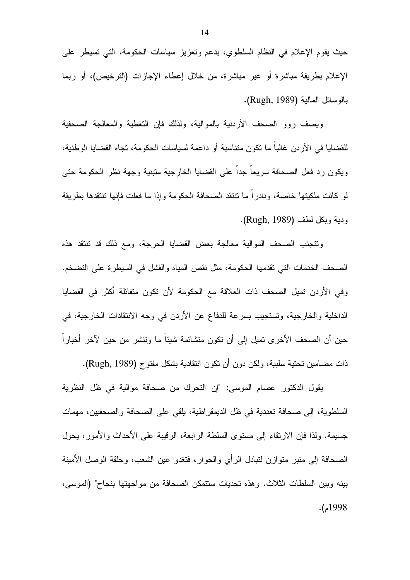حيث يقوم الإعلام في النظام السلطوي، بدعم وتعزيز سياسات الحكومة، التي تسيطر على الإعلام بطريقة مباشرة أو غير مباشرة، من خلال إعطاء الإجازات (الترخيص)، أو ربما بالوسائل المالية (Rugh, 1989).

ويصف روو الصحف الأردنية بالموالية، ولذلك فإن التغطية والمعالجة الصحفية للقضايا في الأر دن غالبا ما تكون متناسبة أو داعمة لسياسات الحكومة، تجاه القضايا الوطنية، ويكون رد فعل الصحافة سريعاً جداً على القضايا الخارجية متبنية وجهة نظر الحكومة حتى لو كانت ملكيتها خاصة، ونادر ا ما تتتقد الصحافة الحكومة وإذا ما فعلت فإنها تتتقدها بطريقة ودية وبكل لطف (Rugh, 1989).

ونتجنب الصحف الموالية معالجة بعض القضايا الحرجة، ومع ذلك قد نتنقد هذه الصـحف الـخدمات التـى تقدمها الـحكومة، مثل نقص المياه والفشل فـى السيطر ة علـى التضـخم. وفي الأردن تميل الصحف ذات العلاقة مع الحكومة لأن تكون متفائلة أكثر في القضايا الداخلية والخارجية، وتستجيب بسرعة للدفاع عن الأردن في وجه الانتقادات الخارجية، في حين أن الصحف الأخرى تميل إلى أن تكون متشائمة شيئا ما وتتشر من حين لآخر أخبارا ذات مضـامين تحتية سلبية، ولكن دون أن تكون انتقادية بشكل مفتوح (Rugh, 1989).

بقول الدكتور عصام الموسى: "إن التحرك من صحافة موالية في ظل النظرية السلطوية، إلى صحافة تعددية في ظل الديمقراطية، يلقى على الصحافة والصحفيين، مهمات جسيمة. ولذا فإن الارنقاء إلى مسنوى السلطة الرابعة، الرقيبة على الأحداث والأمور، بحول الصحافة إلى منبر منوازن لننبادل الرأي والحوار، فتغدو عين الشعب، وحلقة الوصل الأمينة بينه وبين السلطات الثلاث. وهذه تحديات ستتمكن الصحافة من مواجهتها بنجاح" (الموسى،  $.1998$ م).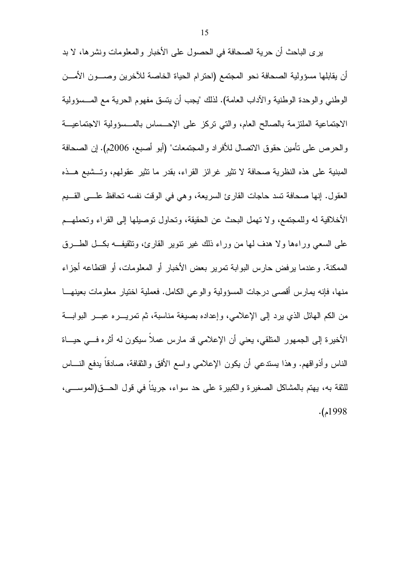يرى الباحث أن حرية الصحافة في الحصول على الأخبار والمعلومات ونشرها، لا بد أن يقابلها مسؤولية الصحافة نحو المجتمع (احترام الحياة الخاصة للأخرين وصـــون الأمـــن الوطني والوحدة الوطنية والآداب العامة). لذلك "يجب أن يتسق مفهوم الحرية مع المـــسؤولية الاجتماعية الملتزمة بالصالح العام، والتبي نركز على الإحـــساس بالمـــسؤولية الاجتماعيـــة والحرص على نأمين حقوق الاتصال للأفراد والمجتمعات" (أبو أصبع، 2006م). إن الصحافة المبنية على هذه النظرية صحافة لا تثير غرائز القراء، بقدر ما تثير عقولهم، وتستبع هــذه العقول. إنها صحافة نسد حاجات القارئ السريعة، وهي في الوقت نفسه تحافظ علمي القسيم الأخلاقية له وللمجتمع، ولا تهمل البحث عن الحقيقة، وتحاول توصيلها إلى القراء وتحملهــم على السعي وراءها ولا هدف لها من وراء ذلك غير نتوير القارئ، ونتقيف بكــل الطـــرق الممكنة. وعندما يرفض حارس البوابة نمرير بعض الأخبار أو المعلومات، أو اقتطاعه أجزاء منها، فإنه بمارس أقصبي درجات المسؤولية والوعبي الكامل. فعملية اختيار معلومات بعينهـــا من الكم المهائل الذي يرد إلى الإعلامي، وإعداده بصيغة مناسبة، ثم تمريــــره عبــــر البوابــــة الأخيرة إلى الجمهور المنلقى، يعني أن الإعلامي قد مارس عملا سيكون له أثره فـــي حيـــاة الناس وأذواقهم. وهذا بسندعي أن يكون الإعلامي واسع الأفق والثقافة، صادقاً بدفع النـــاس للثقة به، بهتم بالمشاكل الصغير ة والكبير ة على حد سواء، جربئا في قول الحــــق(الموســـــي،  $.1998$ م).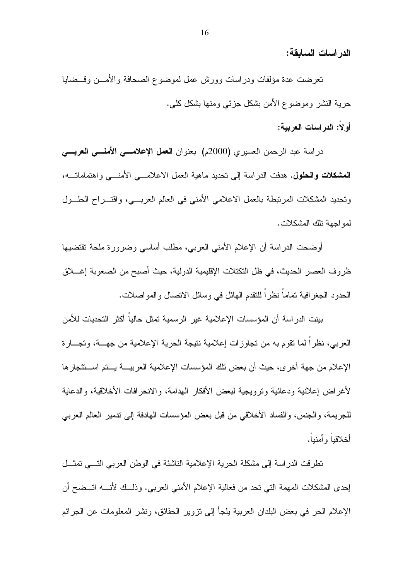الدر اسات السابقة:

نعرضت عدة مؤلفات ودراسات وورش عمل لموضوع الصحافة والأمـــن وقـــضايا حرية النشر وموضوع الأمن بشكل جزئي ومنها بشكل كلي.

أو لا: الدر اسات العربية:

دراسة عبد الرحمن العسيري (2000م) بعنوان العمل الإعلامسي الأمنسي العربسي **المشكلات والحلول.** هدفت الدراسة إلى نحديد ماهية العمل الاعلامــــى الأمنــــى واهتماماتــــه، وتحديد المشكلات المرتبطة بالعمل الاعلامي الأمنى في العالم العربي، واقتـــراح الحلـــول لمو اجهة تلك المشكلات.

أوضحت الدراسة أن الإعلام الأمنى العربي، مطلب أساسى وضرورة ملحة تقتضبها ظروف العصر الحديث، في ظل التكتلات الإقليمية الدولية، حيث أصبح من الصعوبة إغــــلاق الحدود الجغرافية تماماً نظراً للتقدم الهائل في وسائل الاتصال والمواصلات.

بينت الدراسة أن المؤسسات الإعلامية غير الرسمية تمثل حالياً أكثر التحديات للأمن العربي، نظراً لما نقوم به من نجاوزات إعلامية نتيجة الحرية الإعلامية من جهـــة، وتجـــارة الإعلام من جهة أخر ي، حيث أن بعض نلك المؤسسات الإعلامية العربيــــة يــــتم اســـنئجار ها لأغراض إعلانية ودعائية وترويجية لبعض الأفكار الهدامة، والانحرافات الأخلاقية، والدعاية للجريمة، والجنس، والفساد الأخلاقي من قبل بعض المؤسسات الهادفة إلى ندمير العالم العربي أخلاقياً وأمنباً.

نطرفت الدراسة إلى مشكلة الحرية الإعلامية الناشئة في الوطن العربي التسي نمثــل إحدى المشكلات المهمة التي تحد من فعالية الإعلام الأمني العربي. وذلــك لأنــــه اتـــضح أن الإعلام الحر في بعض البلدان العربية يلجأ إلى نزوير الحقائق، ونشر المعلومات عن الجرائم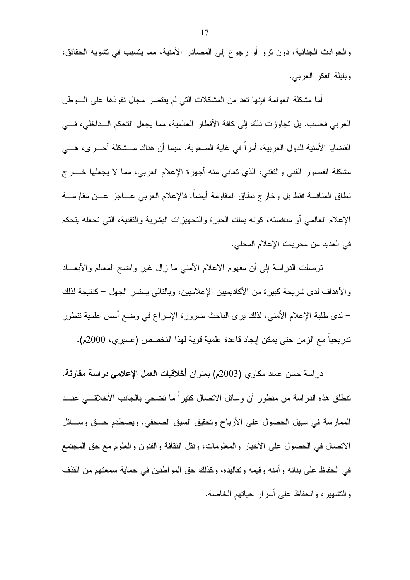والحوادث الجنائية، دون نرو أو رجوع إلى المصادر الأمنية، مما يتسبب في نشويه الحقائق، وبلبلة الفكر العربي.

أما مشكلة العولمة فإنها نعد من المشكلات التي لم يقتصر مجال نفوذها على السوطن العربي فحسب. بل تجاوزت ذلك إلى كافة الأقطار العالمية، مما يجعل التحكم الـــداخلي، فـــي القضايا الأمنية للدول العربية، أمرا في غاية الصعوبة. سيما أن هناك مـــشكلة أخــــرى، هــــي مشكلة القصور الفني والنقني، الذي نعاني منه أجهزة الإعلام العربي، مما لا يجعلها خـــار ج نطاق المنافسة فقط بل وخارج نطاق المقاومة أيضا. فالإعلام العرببي عـــاجز عـــن مقاومــــة الإعلام العالمي أو منافسته، كونه بملك الخبرة والتجهيزات البشرية والنقنية، التي تجعله بتحكم في العديد من مجريات الإعلام المحلي.

نوصلت الدراسة إلى أن مفهوم الاعلام الأمنى ما زال غير واضح المعالم والأبعـــاد والأهداف لدى شريحة كبيرة من الأكاديميين الإعلاميين، وبالنالي يستمر الجهل – كنتيجة لذلك – لدى طلبة الإعلام الأمني، لذلك يرى الباحث ضرورة الإسراع في وضع أسس علمية نتطور تدريجيا مع الزمن حتى يمكن إيجاد قاعدة علمية قوية لهذا التخصص (عسير ي، 2000م).

در اسة حسن عماد مكاوى (2003م) بعنو ان أ**خلاقيات العمل الإعلامي در اسة مقارنة.** نتطلق هذه الدراسة من منظور أن وسائل الاتصال كثيراً ما نضحى بالجانب الأخلاقـــى عنـــد الممارسة في سبيل الحصول على الأرباح وتحقيق السبق الصحفي. ويصطدم حــق وســـائل الاتصال في الحصول على الأخبار والمعلومات، ونقل الثقافة والفنون والعلوم مع حق المجتمع في الحفاظ على بنائه وأمنه وقيمه وتقاليده، وكذلك حق المواطنين في حماية سمعتهم من القذف و التشهير ، و الحفاظ على أسر ار حياتهم الخاصبة.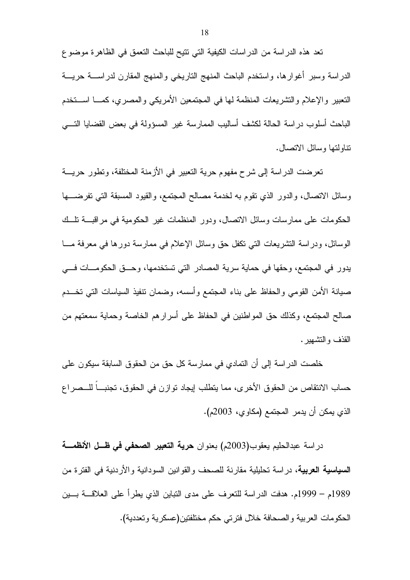تعد هذه الدراسة من الدراسات الكيفية التي نتيح للباحث التعمق في الظاهرة موضوع الدراسة وسبر أغوارها، واستخدم الباحث المنهج التاريخي والمنهج المقارن لدراســــة حريــــة النعبير والإعلام والنشريعات المنظمة لها في المجتمعين الأمريكي والمصري، كمـــا اســـنخدم الباحث أسلوب در اسة الحالة لكشف أساليب الممارسة غير المسؤولة في بعض القضايا النسي نتاولتها وسائل الاتصال.

تعرضت الدراسة إلى شرح مفهوم حرية التعبير في الأزمنة المختلفة، وتطور حريسة وسائل الانصال، والدور الذي نقوم به لخدمة مصالح المجتمع، والقيود المسبقة التبي نفرضــــها الحكومات على ممارسات وسائل الاتصال، ودور المنظمات غير الحكومية في مراقبـــة تلـــك الوسائل، ودراسة التشريعات التبي نكفل حق وسائل الإعلام في ممارسة دورها في معرفة مـــا يدور في المجتمع، وحقها في حماية سرية المصادر التي تستخدمها، وحـــق الحكومـــات فـــي صبيانة الأمن القومي والحفاظ علىي بناء المجتمع وأسسه، وضمان نتفيذ السياسات التبي تخـــدم صـالـح المـجتمـع، وكذلك حق المواطنين فـي الـحفاظ علـي أسرار هم الـخاصـة وحمايـة سمعتهم من القذف والتشهير .

خلصت الدراسة إلى أن التمادي في ممارسة كل حق من الحقوق السابقة سيكون على حساب الانتقاص من الحقوق الأخرى، مما يتطلب إيجاد توازن في الحقوق، تجنبـــا للـــصر اع الذي يمكن أن يدمر المجتمع (مكاوي، 2003م).

دراسة عبدالحليم يعقوب(2003م) بعنوان حرية التعبير الصحفى في ظـل الأنظمــــة **السياسية العربية**، دراسة تحليلية مقارنة للصحف والقوانين السودانية والأردنية في الفترة من 1989م – 1999م. هدفت الدر اسة للتعرف على مدى النباين الذي يطر أ على العلاقـــة بـــين الحكومات العربية والصحافة خلال فترتي حكم مختلفتين(عسكرية وتعددية).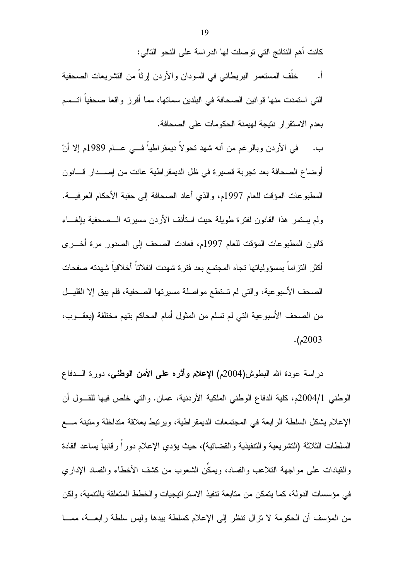كانت أهم النتائج التي توصلت لها الدراسة على النحو التالي:

خلَّف المستعمر البريطاني في السودان والأردن إرثاً من التشريعات الصحفية  $\cdot$   $\frac{1}{2}$ النّي استمدت منها قوانين الصحافة في البلدين سماتها، مما أفرز واقعا صحفياً اتـــسم بعدم الاستقرار نتيجة لهيمنة الحكومات على الصحافة.

في الأردن وبالرغم من أنه شهد تحو لا ديمقر اطياً فـــي عـــام 1989م إلا أنّ  $\overline{\phantom{a}}$ أو ضاع الصحافة بعد تجربة قصيرة في ظل الديمقر اطية عانت من إصـــدار قـــانون المطبوعات المؤقت للعام 1997م، والذي أعاد الصحافة إلى حقبة الأحكام العرفيـــة. ولم يستمر هذا القانون لفترة طويلة حيث استأنف الأردن مسيرته السصحفية بالغساء قانون المطبوعات المؤقت للعام 1997م، فعادت الصحف إلى الصدور مرة أخــرى أكثر النتزاما بمسؤولياتها نجاه المجتمع بعد فترة شهدت انفلانناً أخلاقياً شهدته صفحات الصحف الأسبوعية، والتبي لم تستطع مواصلة مسيرتها الصحفية، فلم يبق إلا القليـــل من الصحف الأسبوعية التي لم تسلم من المثول أمام المحاكم بتهم مختلفة (يعقـــوب،  $. (2003)$ 

دراسة عودة الله البطوش(2004م) **الإعلام وأثره على الأمن الوطني**، دورة الــــدفاع الوطني 2004/1م، كلية الدفاع الوطني الملكية الأردنية، عمان. والتي خلص فيها للقـول أن الإعلام يشكل السلطة الرابعة في المجتمعات الديمقر اطية، ويرتبط بعلاقة متداخلة ومتينة مـــع السلطات الثلاثة (التشريعية والتنفيذية والقضائية)، حيث يؤدي الإعلام دورا رقابيا بساعد القادة والقيادات على مواجهة التلاعب والفساد، ويمكِّن الشعوب من كشف الأخطاء والفساد الإدار ي في مؤسسات الدولة، كما يتمكن من متابعة نتفيذ الاستر انيجيات والخطط المتعلقة بالتتمية، ولكن من المؤسف أن الحكومة لا نزال نتظر إلى الإعلام كسلطة ببدها وليس سلطة رابعـــة، ممـــا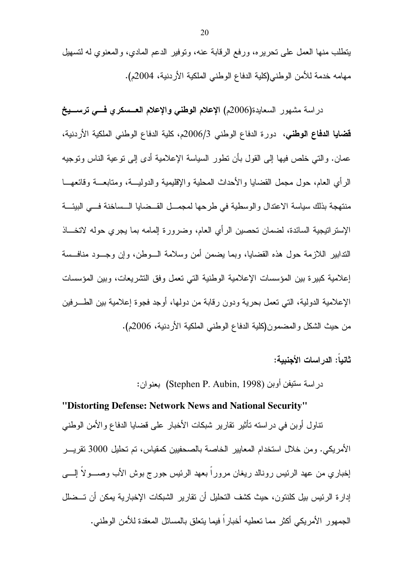يتطلب منها العمل على تحريره، ورفع الرقابة عنه، ونوفير الدعم المادي، والمعنوي له لتسهيل مهامه خدمة للأمن الوطني(كلية الدفاع الوطني الملكية الأردنية، 2004م).

دراسة مشهور السعايدة(2006م) الإعلام الوطني والإعلام العسمكري فسي ترسسيخ قضايا الدفاع الوطني، دورة الدفاع الوطني 2006/3م، كلية الدفاع الوطني الملكية الأردنية، عمان. والتي خلص فيها إلى القول بأن نطور السياسة الإعلامية أدى إلى نوعية الناس ونوجيه الرأي العام، حول مجمل القضايا والأحداث المحلية والإقليمية والدوليـــة، ومنابعـــة وقائعهـــا منتهجة بذلك سياسة الاعتدال والوسطية في طرحها لمجمـــل القـــضايا الـــساخنة فـــي البيئـــة الإستراتيجية السائدة، لضمان تحصين الرأي العام، وضرورة إلمامه بما يجري حوله لاتخـــاذ الندابير اللازمة حول هذه القضايا، وبما يضمن أمن وسلامة الـــوطن، وإن وجـــود منافـــسة إعلامية كبيرة بين المؤسسات الإعلامية الوطنية التي نعمل وفق التشريعات، وبين المؤسسات الإعلامية الدولية، التي تعمل بحرية ودون رقابة من دولها، أوجد فجوة إعلامية بين الطـــرفين من حيث الشكل والمضمون(كلية الدفاع الوطني الملكية الأردنية، 2006م).

ثانياً: الدر اسات الأحنيية:

در اسة سنيفن أوبن (Stephen P. Aubin, 1998) بعنو ان:

### "Distorting Defense: Network News and National Security"

نتاول أوبن في دراسته نأثير نقارير شبكات الأخبار على قضايا الدفاع والأمن الوطني الأمريكي. ومن خلال استخدام المعايير الخاصة بالصحفيين كمقياس، تم تحليل 3000 تقريـــر إخباري من عهد الرئيس رونالد ريغان مرورًا بعهد الرئيس جورج بوش الأب وصـــولا إلــــي إدار ة الرئيس بيل كلنتون، حيث كشف التحليل أن تقارير الشبكات الإخبارية يمكن أن تـــضلل الجمهور الأمريكي أكثر مما تعطيه أخباراً فيما يتعلق بالمسائل المعقدة للأمن الوطنبي.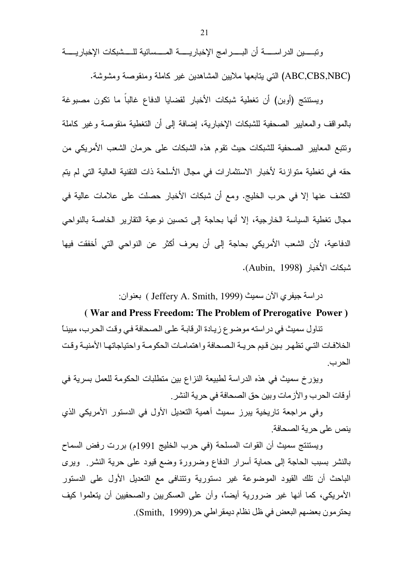وتبسين الدراسسة أن البسرامج الإخباريسة المسسائية للسشبكات الإخباريسة (ABC,CBS,NBC) التبي يتابعها ملايين المشاهدين غير كاملة ومنقوصة ومشوشة.

ويستتتج (أوبن) أن تغطية شبكات الأخبار لقضايا الدفاع غالباً ما تكون مصبوغة بالمواقف والمعابير الصحفية للشبكات الإخبارية، إضافة إلى أن التغطية منقوصة وغير كاملة ونتبع المعايير الصحفية للشبكات حيث نقوم هذه الشبكات على حرمان الشعب الأمريكي من حقه في تغطية متوازنة لأخبار الاستثمارات في مجال الأسلحة ذات التقنية العالية التي لم يتم الكشف عنها إلا في حرب الخليج. ومع أن شبكات الأخبار حصلت على علامات عالية في مجال تغطية السياسة الخارجية، إلا أنها بحاجة إلى تحسين نوعية التقارير الخاصة بالنواحي الدفاعية، لأن الشعب الأمريكي بحاجة إلى أن يعرف أكثر عن النواحي التي أخفقت فيها شبكات الأخبار (Aubin, 1998).

دراسة جيفري الآن سميث (Jeffery A. Smith, 1999 ) بعنوان:

#### (War and Press Freedom: The Problem of Prerogative Power)

تناول سميث في در استه موضوع زيادة الرقابة على الصحافة في وقت الحرب، مبينـًا الخلافات التي تظهر بين قيم حريبة الصحافة واهتمامات الحكومية واحتياجاتها الأمنيية وقت الحرب

ويؤرخ سميث في هذه الدراسة لطبيعة النزاع بين متطلبات الحكومة للعمل بسرية في أوقات الحرب والأز مات وبين حق الصحافة في حرية النشر .

وفي مراجعة تاريخية يبرز سميث أهمية التعديل الأول في الدستور الأمريكي الذي بنص على حربة الصحافة

ويستنتج سميث أن القوات المسلحة (في حرب الخليج 1991م) بررت رفض السماح بالنشر بسبب الحاجة إلى حماية أسرار الدفاع وضرورة وضع قيود على حرية النشر ويرى الباحث أن تلك القيود الموضوعة غير دستورية وتتنافى مع التعديل الأول على الدستور الأمريكي، كما أنها غير ضرورية أيضاً، وأن على العسكريين والصحفيين أن يتعلموا كيف يحترمون بعضهم البعض في ظل نظام ديمقراطي حر(Smith, 1999).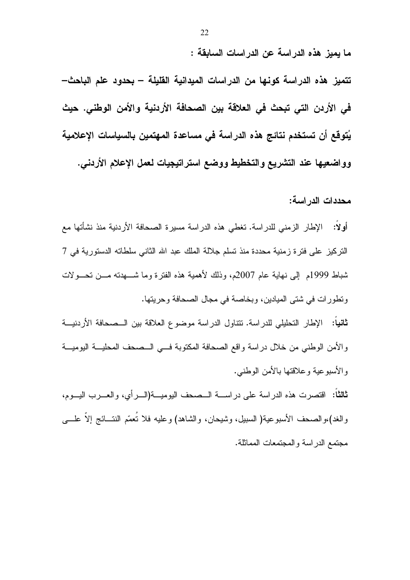ما يميز هذه الدراسة عن الدراسات السابقة :

تتميز هذه الدراسة كونـها من الدراسات الميدانية القليلة – بحدود علم الباحث– في الأردن التي تبحث في العلاقة بين الصحافة الأردنية والأمن الوطني. حيث يُتوقع أن تستخدم نتائج هذه الدراسة في مساعدة المهتمين بالسياسات الإعلامية وواضعيها عند التشريع والتخطيط ووضع استراتيجيات لعمل الاعلام الأردني.

محددات الدر اسة:

أولا: الإطار الزمني للدراسة. تغطي هذه الدراسة مسيرة الصحافة الأردنية منذ نشأتها مع التركيز على فترة زمنية محددة منذ تسلم جلالة الملك عبد الله الثاني سلطاته الدستورية في 7 شباط 1999م ۖ إلى نهاية عام 2007م، وذلك لأهمية هذه الفترة وما شــــهدته مــــن تـحـــولات ونطورات في شتى الميادين، وبخاصة في مجال الصحافة وحريتها. ثانياً: الإطار التحليلي للدراسة. تتناول الدراسة موضوع العلاقة بين الــصحافة الأردنيـــة والأمن الوطني من خلال دراسة واقع الصحافة المكتوبة فسي السصحف المحليسة اليوميسة والأسبوعية وعلاقتها بالأمن الوطني. **ثالثا:** اقتصرت هذه الدراسة على دراســـة الــصحف اليوميـــة(الـــرأى، والعـــرب اليـــوم،

والغد)،والصحف الأسبوعية( السبيل، وشيحان، والشاهد) وعليه فلا نُعمَّم النتـــائج إلاَّ علــــي مجتمع الدراسة والمجتمعات المماثلة.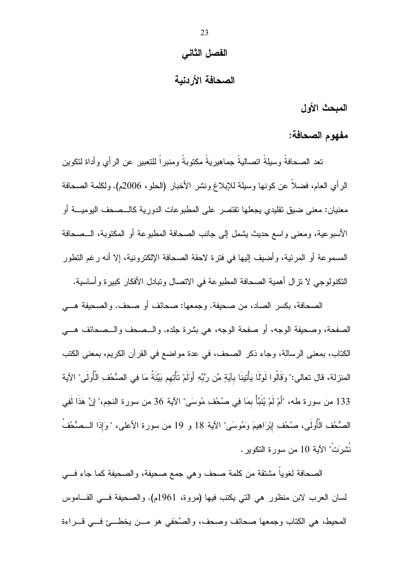#### الفصل الثاني

## الصحافة الأردنية

المبحث الأول

مفهوم الصحافة:

تعد الصـحافةُ وسبلةً اتصـالبةً جماهبر بـةً مكتوبةً ومنبر أ للتعبير عن الر أي و أداة لتكوين الرأي العام، فضلا عن كونها وسيلة للإبلاغ ونشر الأخبار (الحلو، 2006م). ولكلمة الصحافة معنيان: معنى ضيق تقليدي يجعلها تقتصر ً على المطبو عات الدور ية كالـــصـحف اليوميـــة أو الأسبوعية، ومعنى واسع حديث يشمل إلى جانب الصحافة المطبوعة أو المكتوبة، الـــصحافة المسموعة أو المرئية، وأضيف إليها في فترة لاحقة الصحافة الإلكترونية، إلا أنه رغم التطور النكنولوجي لا تزال أهمية الصحافة المطبوعة في الاتصال وتبادل الأفكار كبيرة وأساسية.

الصحافة، بكسر الصاد، من صحيفة. وجمعها: صحائف أو صحف. والصحيفة هــــى الصفحة، وصحيفة الوجه، أو صفحة الوجه، هي بشرة جلده. والــصحف والــصحائف هـــي الكتاب، بمعنى الرسالة، وجاء ذكر الصحف، في عدة مواضع في القرآن الكريم، بمعنى الكتب المنزلة، قال تعالى:" وَقَالُوا لَوْلَا يَأْتِينَا بِآيَةٍ مِّن رَّبِّهِ أَوَلَمْ تَأْتِهم بَيِّنَةُ مَا فِي الصُّحُفِ الْأُولَى" الآية 133 من سورة طه، "أَمْ لَمْ يُنَبَّأْ بِمَا فِي صُحُفِ مُوسَى" الآية 36 من سورة النجم،" إنَّ هَذَا لَفِي الصُّحُفِ الْأُولَى، صُحُفِ إبْرَاهِيمَ وَمُوسَى" الآية 18 و 19 من سورة الأعلى، "وَإِذَا الــصُحُفَ نُشرَتْ" الآية 10 من سورة النكوير.

الصحافة لغوياً مشتقة من كلمة صحف وهي جمع صحيفة، والصحيفة كما جاء فـــي لسان العرب لابن منظور هي التي يكتب فيها (مروة، 1961م). والصحيفة فسي القــاموس المحيط، هي الكتاب وجمعها صحائف وصحف، والصَّحَفي هو مـــن يخطـــئ فـــي قـــراءة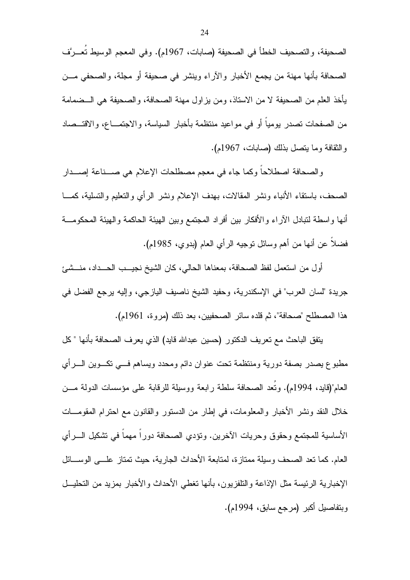الصحيفة، والتصحيف الخطأ في الصحيفة (صابات، 1967م). وفي المعجم الوسيط تُعــرَّف الصحافة بأنها مهنة من يجمع الأخبار والآراء وينشر في صحيفة أو مجلة، والصحفي مـــن يأخذ العلم من الصحيفة لا من الاستاذ، ومن يزاول مهنة الصحافة، والصحيفة هي الــضمامة من الصفحات تصدر يوميا أو في مواعيد منتظمة بأخبار السياسة، والاجتمـــاع، والاقتـــصـاد والنقافة وما يتصل بذلك (صابات، 1967م).

والصحافة اصطلاحاً وكما جاء في معجم مصطلحات الإعلام هي صـــناعة إصـــدار الصحف، باستقاء الأنباء ونشر المقالات، بهدف الإعلام ونشر الرأي والتعليم والتسلية، كمـــا أنها واسطة لنبادل الآراء والأفكار ببن أفراد المجتمع وببن الهبئة الحاكمة والهبئة المحكومـــة فضلاً عن أنها من أهم وسائل نوجيه الرأى العام (بدوى، 1985م).

أول من استعمل لفظ الصحافة، بمعناها الحالي، كان الشيخ نجيــب الحـــداد، منـــشـيَّ جريدة "لسان العرب" في الإسكندرية، وحفيد الشيخ ناصيف اليازجي، وإليه يرجع الفضل في هذا المصطلح "صحافة"، ثم قلده سائر الصحفيين، بعد ذلك (مروة، 1961م).

يتفق الباحث مع تعريف الدكتور (حسين عبدالله قايد) الذي يعرف الصحافة بأنها " كل مطبوع يصدر بصفة دورية ومنتظمة تحت عنوان دائم ومحدد ويساهم فسي تكسوين السرأي العام"(قايد، 1994م). وتُعدُّ الصحافة سلطة رابعة ووسيلة للرقابة على مؤسسات الدولة مـــن خلال النقد ونشر الأخبار والمعلومات، في إطار من الدستور والقانون مع احترام المقومـــات الأساسية للمجتمع وحقوق وحريات الأخرين. ونؤدي الصحافة دوراً مهماً في تشكيل السرأي العام. كما نعد الصحف وسيلة ممتازة، لمتابعة الأحداث الجارية، حيث نمتاز علـــي الوســـائل الإخبارية الرئيسة مثل الإذاعة والنلفزيون، بأنها تغطي الأحداث والأخبار بمزيد من التحليــل وبتفاصيل أكبر (مرجع سابق، 1994م).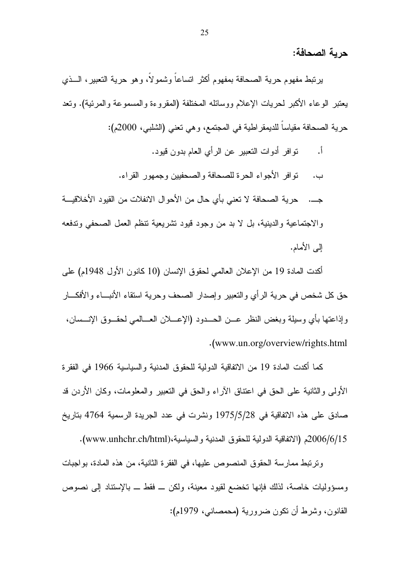حربة الصحافة:

يرنبط مفهوم حرية الصحافة بمفهوم أكثر انساعا وشمولا، وهو حرية النعبير، الـــذي يعتبر الوعاء الأكبر لحريات الإعلام ووسائله المختلفة (المقروءة والمسموعة والمرئية). وتعد حرية الصحافة مقياسا للديمقر اطية في المجتمع، و هي تعني (الشلبي، 2000م):

أ. توافر أدوات النعبير عن الرأي العام بدون قيود. ب. نوافر الأجواء الحرة للصحافة والصحفيين وجمهور القراء. جـــ. حرية الصحافة لا تعني بأي حال من الأحوال الانفلات من القيود الأخلاقيـــة والاجتماعية والدينية، بل لا بد من وجود قيود تشريعية نتظم العمل الصحفي وندفعه البي الأمام.

أكدت المادة 19 من الإعلان العالمي لحقوق الإنسان (10 كانون الأول 1948م) على حق كل شخص في حرية الرأي والتعبير وإصدار الصحف وحرية استقاء الأنبـــاء والأفكـــار وإذاعتها بأي وسيلة وبغض النظر عـــن الحـــدود (الإعــــلان العـــالمـي لـحقـــوق الإنـــسان، ( . www.un.org/overview/rights.html

كما أكدت المادة 19 من الاتفاقية الدولية للحقوق المدنية والسياسية 1966 في الفقرة الأولى والثانية على الحق في اعتناق الأراء والحق في النعبير والمعلومات، وكان الأردن قد صادق على هذه الاتفاقية في 1975/5/28 ونشرت في عدد الجريدة الرسمية 4764 بتاريخ 2006/6/15م (الاتفاقية الدولية للحقوق المدنية والسياسية،(www.unhchr.ch/html).

ونزنتبط ممارسة الحقوق المنصوص عليها، في الفقرة الثانية، من هذه المادة، بواجبات ومسؤوليات خاصة، لذلك فإنها تخضع لقيود معينة، ولكن ـــ فقط ـــ بالإستناد إلىي نصوص القانون، وشرط أن نكون ضرورية (محمصاني، 1979م):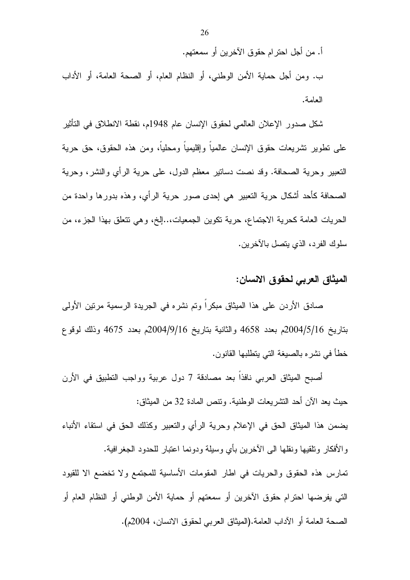أ. من أجل احترام حقوق الآخرين أو سمعتهم. ب. ومن أجل حماية الأمن الوطني، أو النظام العام، أو الصحة العامة، أو الأداب العامة.

شكل صدور الإعلان العالمي لحقوق الإنسان عام 1948م، نقطة الانطلاق في التأثير علي تطوير تشريعات حقوق الإنسان عالمياً وإقليمياً ومحلياً، ومن هذه الحقوق، حق حرية النعبير وحرية الصحافة. وقد نصت دسانير معظم الدول، على حرية الرأى والنشر، وحرية الصحافة كأحد أشكال حرية النعبير هي إحدى صور حرية الرأي، وهذه بدورها واحدة من الحريات العامة كحرية الاجتماع، حرية تكوين الجمعيات،..إلخ، وهي نتعلق بهذا الجزء، من سلوك الفرد، الذي يتصل بالآخرين.

### الميثاق العربي لحقوق الانسان:

صادق الأردن على هذا الميثاق مبكر ا وتم نشر ه في الجريدة الرسمية مرتين الأولى بتاريخ 2004/5/16م بعدد 4658 والثانية بتاريخ 2004/9/16م بعدد 4675 وذلك لوقوع خطأ في نشره بالصبغة التي بتطلبها القانون.

أصبح الميثاق العربي نافذا بعد مصادقة 7 دول عربية وواجب التطبيق في الأرن حيث يعد الآن أحد النشريعات الوطنية. ونتص المادة 32 من الميثاق:

يضمن هذا الميثاق الحق في الإعلام وحرية الرأي والنعبير وكذلك الحق في استقاء الأنباء والأفكار ونلقيها ونقلها الى الآخرين بأي وسيلة ودونما اعتبار للحدود الجغرافية.

تمارس هذه الحقوق والحريات في اطار المقومات الأساسية للمجتمع ولا تخضع الا للقيود التي يفرضها احترام حقوق الأخرين أو سمعتهم أو حماية الأمن الوطني أو النظام العام أو الصحة العامة أو الآداب العامة.(الميثاق العربي لحقوق الانسان، 2004م).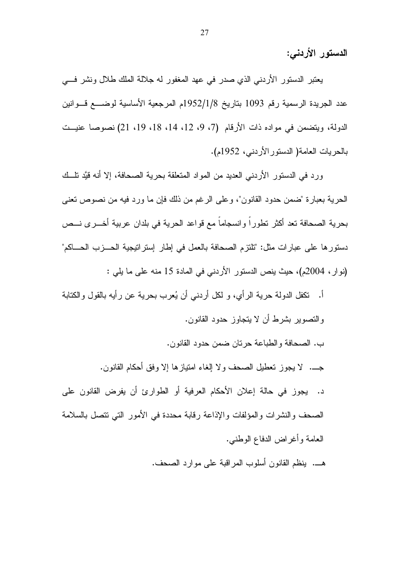الدستور الأردني:

يعتبر الدستور الأردنبي الذي صدر في عهد المغفور له جلالة الملك طلال ونشر فسي عدد الجريدة الرسمية رقم 1093 بتاريخ 1952/1/8م المرجعية الأساسية لوضــــع قـــوانين الدولة، ويتضمن في مواده ذات الأرقام (7، 9، 12، 14، 18، 19، 21) نصوصا عنيــت بالحريات العامة( الدستور الأردني، 1952م).

ورد في الدستور الأردني العديد من المواد المتعلقة بحرية الصحافة، إلا أنه قيَّد نلَّــك الحرية بعبارة "ضمن حدود القانون"، وعلى الرغم من ذلك فإن ما ورد فيه من نصوص نعني بحرية الصحافة تعد أكثر تطوراً وانسجاماً مع قواعد الحرية في بلدان عربية أخـــرى نـــص دستورها على عبارات مثل: "تلتزم الصحافة بالعمل في إطار إستراتيجية الحـــزب الحـــاكم" (نوار، 2004م)، حيث ينص الدستور الأردني في المادة 15 منه على ما يلي :

أ. تكفل الدولة حرية الرأى، و لكل أردنبي أن يُعرب بحرية عن رأيه بالقول والكتابة والنصوير بشرط أن لا بتجاوز حدود القانون. ب. الصحافة والطباعة حر تان ضمن حدود القانون.

جـــ. لا يجوز تعطيل الصحف ولا الغاء امتياز ها الا وفق أحكام القانون.

د. يجوز في حالة إعلان الأحكام العرفية أو الطوارئ أن يفرض القانون على الصحف والنشرات والمؤلفات والإذاعة رقابة محددة في الأمور التي نتصل بالسلامة العامة وأغراض الدفاع الوطنبي.

هـــ. ينظم القانون أسلوب المراقبة على موارد الصحف.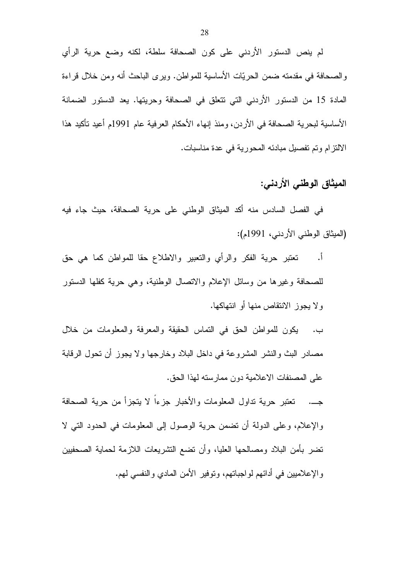لم ينص الدستور الأردني على كون الصحافة سلطة، لكنه وضع حرية الرأي والصحافة في مقدمته ضمن الحريّات الأساسية للمواطن. ويرى الباحث أنه ومن خلال قراءة المادة 15 من الدستور الأردني التي تتعلق في الصحافة وحريتها. يعد الدستور الضمانة الأساسية لبحرية الصحافة في الأردن، ومنذ إنهاء الأحكام العرفية عام 1991م أعيد تأكيد هذا الالتزام وتم تفصيل مبادئه المحورية في عدة مناسبات.

# الميثاق الوطني الأردني:

في الفصل السادس منه أكد الميثاق الوطني على حرية الصحافة، حيث جاء فيه (الميثاق الوطني الأردني، 1991م):

تعتبر حرية الفكر والرأي والنعبير والاطلاع حقا للمواطن كما هي حق  $\cdot$ . للصحافة وغيرها من وسائل الإعلام والاتصال الوطنية، وهي حرية كفلها الدستور ولا يجوز الانتقاص منها أو انتهاكها.

ب. يكون للمواطن الحق في النماس الحقيقة والمعرفة والمعلومات من خلال مصادر البث والنشر المشروعة في داخل البلاد وخارجها ولا يجوز أن نحول الرقابة على المصنفات الاعلامية دون ممارسته لهذا الحق.

جــ. تعتبر حرية تداول المعلومات والأخبار جزءا لا يتجزأ من حرية الصحافة والإعلام، وعلى الدولة أن نضمن حرية الوصول إلى المعلومات في الحدود التي لا نضر بأمن البلاد ومصالحها العليا، وأن نضع النشريعات اللازمة لحماية الصحفيين والإعلاميين في أدائهم لواجباتهم، ونوفير الأمن المادي والنفسي لهم.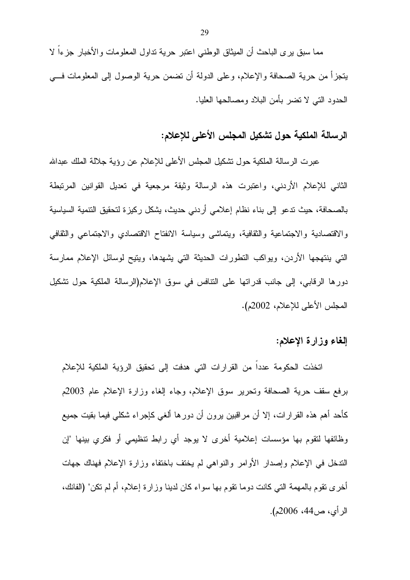مما سبق بر ي الباحث أن المبثاق الوطني اعتبر حرية نداول المعلومات والأخبار جزءا لا يتجزأ من حرية الصحافة والإعلام، وعلى الدولة أن نضمن حرية الوصول إلى المعلومات فـــي الحدود التبي لا تضر بأمن البلاد ومصالحها العليا.

# الرسالة الملكية حول تشكيل المجلس الأعلى للإعلام:

عبرت الرسالة الملكية حول تشكيل المجلس الأعلى للإعلام عن رؤية جلالة الملك عبدالله الثاني للإعلام الأردني، واعتبرت هذه الرسالة وثيقة مرجعية في تعديل القوانين المرتبطة بالصحافة، حيث تدعو إلى بناء نظام إعلامي أردني حديث، يشكل ركيزة لتحقيق التنمية السياسية والاقتصادية والاجتماعية والثقافية، ويتماشى وسياسة الانفتاح الاقتصادي والاجتماعى والثقافى التبي ينتهجها الأردن، ويواكب النطورات الحديثة التبي يشهدها، ويتيح لوسائل الإعلام ممارسة دورها الرقابي، إلى جانب قدراتها على النتافس في سوق الإعلام(الرسالة الملكية حول تشكيل المجلس الأعلى للإعلام، 2002م).

## إلغاء وزارة الإعلام:

اتخذت الحكومة عددا من القرارات التي هدفت إلى تحقيق الرؤية الملكية للإعلام برفع سقف حرية الصحافة ونحرير سوق الإعلام، وجاء إلغاء وزارة الإعلام عام 2003م كأحد أهم هذه القرارات، إلا أن مراقبين يرون أن دورها ألغي كإجراء شكلي فيما بقيت جميع وظائفها لنقوم بها مؤسسات إعلامية أخرى لا يوجد أي رابط نتظيمي أو فكري بينها "إن الندخل في الإعلام وإصدار الأوامر والنواهي لم يخنف باختفاء وزارة الإعلام فهناك جهات أخر ي نقوم بالمهمة التي كانت دوما نقوم بها سواء كان لدينا وزارة إعلام، أم لم نكن" (الفانك، الرأى، ص44، 2006م).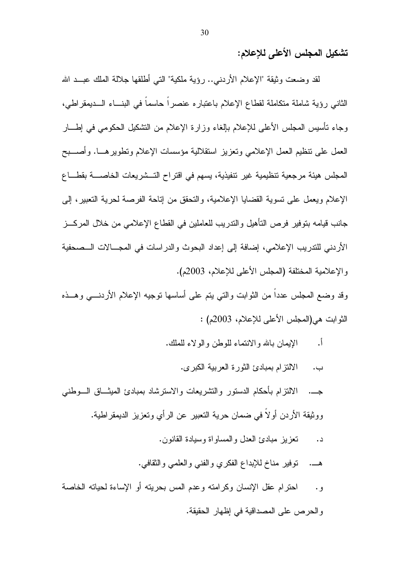تشكيل المجلس الأعلى للإعلام:

لقد وضعت وثيقة "الإعلام الأردنبي.. رؤية ملكية" التي أطلقها جلالة الملك عبــد الله الثاني رؤية شاملة متكاملة لقطاع الإعلام باعتباره عنصراً حاسماً في البنساء السديمقراطي، وجاء نأسيس المجلس الأعلى للإعلام بإلغاء وزارة الإعلام من النشكيل الحكومي في إطــــار العمل على تنظيم العمل الإعلامي وتعزيز استقلالية مؤسسات الإعلام ونطوير هـــا. وأصــــبح المجلس هيئة مرجعية تنظيمية غير نتفيذية، يسهم في اقتراح التــشريعات الخاصــــة بقطــــاع الإعلام ويعمل على نسوية القضايا الإعلامية، والنحقق من إناحة الفرصة لحرية النعبير ، إلى جانب قيامه بتوفير فرص التأهيل والتدريب للعاملين في القطاع الإعلامي من خلال المركـــز الأردني للتدريب الإعلامي، إضافة إلى إعداد البحوث والدراسات في المجــالات الــصحفية و الإعلامية المختلفة (المجلس الأعلى للإعلام، 2003م).

وقد وضع المجلس عدداً من الثوابت والتي يتم على أساسها نوجيه الإعلام الأردنـــي وهــذه النوابت هي(المجلس الأعلى للإعلام، 2003م) :

- الإيمان بالله والانتماء للوطن والولاء للملك. أ.
	- الالتزام بمبادئ الثورة العربية الكبرى. ب.
- الالتزام بأحكام الدستور والتشريعات والاسترشاد بمبادئ الميثــاق الـــوطنبي  $\rightarrow$ ووثيقة الأردن أولا في ضمان حرية التعبير عن الرأي وتعزيز الديمقراطية.
	- نعزيز مبادئ العدل والمساواة وسيادة القانون. د.
	- نوفير مناخ للإبداع الفكري والفني والعلمي والثقافي.
- احترام عقل الإنسان وكرامته وعدم المس بحريته أو الإساءة لحياته الخاصة  $\cdot$  , , والحرص على المصداقية في إظهار الحقيقة.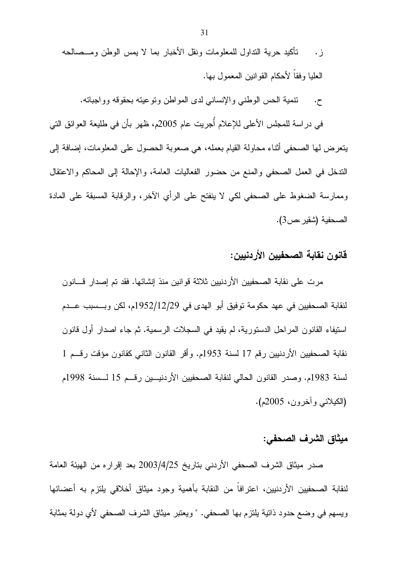تنمية الحس الوطني والإنساني لدى المواطن ونوعيته بحقوقه وواجباته.  $\cdot$ 

في دراسة للمجلس الأعلى للإعلام أُجريت عام 2005م، ظهر بأن في طليعة العوائق التي يتعرض لها الصحفي أثناء محاولة القيام بعمله، هي صعوبة الحصول على المعلومات، إضافة إلى الندخل في العمل الصحفي والمنع من حضور الفعاليات العامة، والإحالة إلى المحاكم والاعتقال وممارسة الضغوط على الصحفى لكي لا ينفتح على الرأي الآخر، والرقابة المسبقة على المادة الصحفية (شقير ،ص3).

## قانون نقابة الصحفيين الأردنيين:

مرت على نقابة الصحفيين الأردنيين ثلاثة قوانين منذ إنشائها. فقد تم إصدار قسانون لنقابة الصحفيين في عهد حكومة توفيق أبو الهدى في 1952/12/29م، لكن وبـــسبب عـــدم استيفاء القانون المراحل الدستورية، لم يقيد في السجلات الرسمية. ثم جاء اصدار أول قانون نقابة الصحفيين الأردنيين رقم 17 لسنة 1953م. وأقر القانون الثاني كقانون مؤقت رقــم 1 لسنة 1983م. وصدر القانون الحالي لنقابة الصحفيين الأردنيـــين رقـــم 15 لـــسنة 1998م (الكيلاني وأخرون، 2005م).

## ميثاق الشرف الصحفي:

صدر ميثاق الشرف الصحفي الأردني بتاريخ 2003/4/25 بعد إقراره من الهيئة العامة لنقابة الصحفيين الأردنيين، اعترافاً من النقابة بأهمية وجود ميثاق أخلاقي يلتزم به أعضائها ويسهم في وضع حدود ذاتية يلتزم بها الصحفي. " ويعتبر ميثاق الشرف الصحفي لأي دولة بمثابة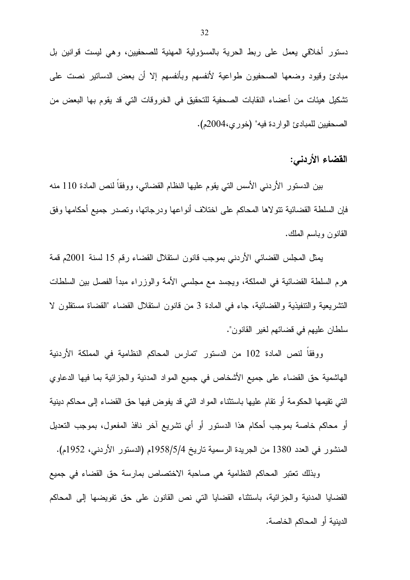دستور أخلاقي يعمل على ربط الحرية بالمسؤولية المهنية للصحفيين، وهي ليست قوانين بل مبادئ وقيود وضعها الصحفيون طواعية لأنفسهم وبأنفسهم إلا أن بعض الدساتير نصت على تشكيل هيئات من أعضاء النقابات الصحفية للتحقيق في الخروقات التي قد يقوم بها البعض من الصحفيين للمبادئ الواردة فيه" (خور ي،2004م).

القضاء الأردنبي:

بين الدستور الأردنبي الأسس التبي يقوم عليها النظام القضائبي، ووفقاً لنص المادة 110 منه فإن السلطة القضائية نتولاها المحاكم على اختلاف أنواعها ودرجاتها، ونصدر جميع أحكامها وفق القانون وباسم الملك.

يمثل المجلس القضائي الأردني بموجب قانون استقلال القضاء رقم 15 لسنة 2001م قمة هرم السلطة القضائية في المملكة، ويجسد مع مجلسي الأمة والوزراء مبدأ الفصل بين السلطات التشريعية والتتفيذية والقضائية، جاء في المادة 3 من قانون استقلال القضاء "القضاة مستقلون لا سلطان عليهم في قضائهم لغير القانون".

ووفقاً لنص المادة 102 من الدستور "تمارس المحاكم النظامية في المملكة الأردنية الْمَاشْمِية حقَّ القضاء على جميع الأشخاص في جميع المواد المدنية والجزائية بما فيها الدعاوي التبي نقيمها الحكومة أو نقام عليها باستثناء المواد التبي قد يفوض فيها حق القضاء إلى محاكم دينية أو محاكم خاصة بموجب أحكام هذا الدستور أو أي تشريع آخر نافذ المفعول، بموجب التعديل المنشور في العدد 1380 من الجريدة الرسمية تاريخ 1958/5/4م (الدستور الأردني، 1952م).

وبذلك تعتبر المحاكم النظامية هي صاحبة الاختصاص بمارسة حق القضاء في جميع القضايا المدنية والجزائية، باستثناء القضايا التي نص القانون على حق تفويضها إلى المحاكم الدينية أو المحاكم الخاصة.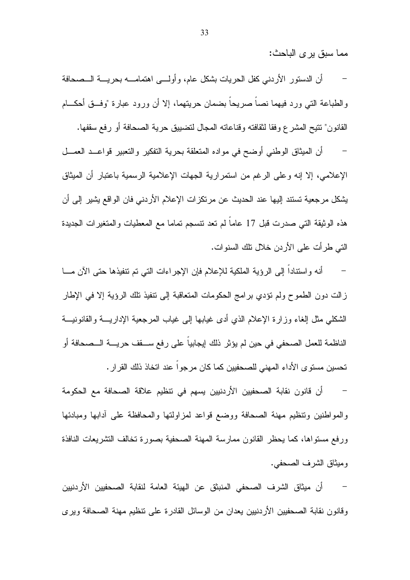مما سبق پر ي الباحث:

أن الدستور الأردني كفل الحريات بشكل عام، وأولـــي اهتمامــــه بحريــــة الـــصحافة والطباعة التي ورد فيهما نصاً صريحاً بضمان حريتهما، إلا أن ورود عبارة "وفــق أحكـــام

القانون" تتيح المشرع وفقا لثقافته وقناعاته المجال لتضبيق حرية الصحافة أو رفع سقفها.

أن الميثاق الوطني أوضح في مواده المتعلقة بحرية التفكير والتعبير قواعــد العمـــل الإعلامـي، إلا إنه وعلـي الرغم من استمرارية الـجهات الإعلامية الرسمية باعتبار أن الميثاق يشكل مرجعية تستند إليها عند الحديث عن مرتكز ات الإعلام الأردني فان الواقع يشير إلى أن هذه الوثيقة التي صدرت قبل 17 عاماً لم تعد نتسجم تماما مع المعطيات والمتغيرات الجديدة التي طر أت على الأردن خلال تلك السنوات.

أنه واستناداً إلى الرؤية الملكية للإعلام فإن الإجراءات التي تم نتفيذها حتى الآن مـــا زالت دون الطموح ولم نؤدي برامج الحكومات المتعاقبة إلى نتفيذ نلك الرؤية إلا في الإطار الشكلبي مثل إلغاء وزارة الإعلام الذي أدى غيابها إلىي غياب المرجعية الإداريسة والقانونيسة الناظمة للعمل الصحفي في حين لم يؤثر ذلك إيجابيا على رفع ســـقف حريــــة الـــصـحافة أو تحسين مستوى الأداء المهنى للصحفيين كما كان مرجوا عند اتخاذ ذلك القرار .

أن قانون نقابة الصـحفيين الأردنيين يسهم في نتظيم علاقة الصـحافة مـع الـحكومة والمواطنين ونتظيم مهنة الصحافة ووضع قواعد لمزاولتها والمحافظة علىي أدابها ومبادئها ورفع مستواها، كما يحظر القانون ممارسة المهنة الصحفية بصورة تخالف التشريعات النافذة ومبثَّاق الشَّر ف الصحفي.

أن ميثاق الشرف الصحفى المنبثق عن الهيئة العامة لنقابة الصحفيين الأردنيين وفانون نقابة الصحفيين الأردنيين يعدان من الوسائل القادرة على تنظيم مهنة الصحافة ويرى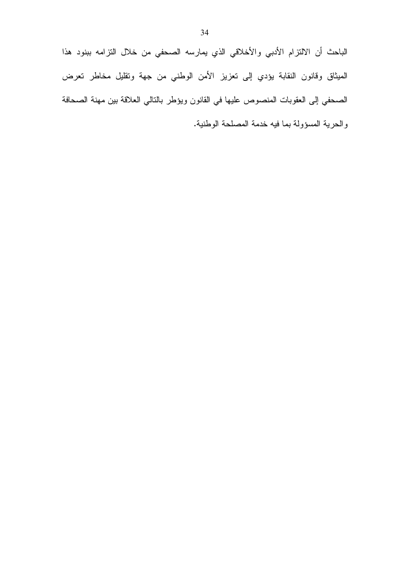الباحث أن الالتزام الأدبي والأخلاقي الذي يمارسه الصحفي من خلال التزامه ببنود هذا الميثاق وقانون النقابة يؤدي إلى نعزيز الأمن الوطني من جهة وتقليل مخاطر تعرض الصحفي إلى العقوبات المنصوص عليها في القانون ويؤطر بالتالي العلاقة بين مهنة الصحافة والحرية المسؤولة بما فيه خدمة المصلحة الوطنية.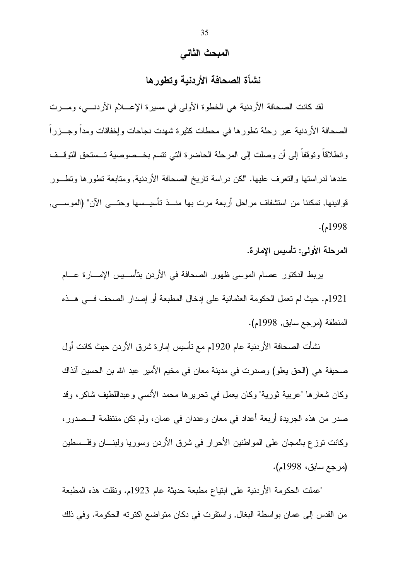#### المبحث الثاني

## نشأة الصحافة الأردنبة وتطور ها

لقد كانت الصحافة الأردنية هي الخطوة الأولى في مسيرة الإعــــلام الأردنــــي، ومــــرت الصحافة الأردنية عبر رحلة تطورها في محطات كثيرة شهدت نجاحات وإخفاقات ومدا وجـــزراً وانطلاقاً ونوقفاً إلى أن وصلت إلى المرحلة الحاضرة التي نتسم بخـــصوصية تـــستحق التوقـــف عندها لدراستها والتعرف عليها. "لكن دراسة تاريخ الصحافة الأردنية, ومتابعة تطورها وتطــور قوانينها, تمكننا من استثنفاف مراحل أربعة مرت بها منـــذ تأسيـــسها وحتـــى الآن" (الموســــى,  $.1998$ م).

المرحلة الأولى: تأسيس الإمارة.

يربط الدكتور عصام الموسى ظهور الصحافة في الأردن بتأســـيس الإمـــارة عـــام 1921م. حيث لم تعمل الحكومة العثمانية على إدخال المطبعة أو إصدار الصحف فسي هــذه المنطقة (مرجع سابق, 1998م).

نشأت الصحافة الأردنية عام 1920م مع تأسيس إمارة شرق الأردن حيث كانت أول صحيفة هي (الحق يعلو) وصدرت في مدينة معان في مخيم الأمير عبد الله بن الحسين أنذاك وكان شعارها "عربية ثورية" وكان يعمل في نحريرها محمد الأنسى وعبداللطيف شاكر، وقد صدر من هذه الجريدة أربعة أعداد في معان وعددان في عمان، ولم نكن منتظمة الـــصدور ، وكانت نوزع بالمجان على المواطنين الأحرار في شرق الأردن وسوريا ولبنـــان وفلـــسطين (مرجع سابق، 1998م).

"عملت الحكومة الأردنية على ابتياع مطبعة حديثة عام 1923م. ونقلت هذه المطبعة من القدس إلى عمان بواسطة البغال, واستقرت في دكان متواضع اكترته الحكومة. وفي ذلك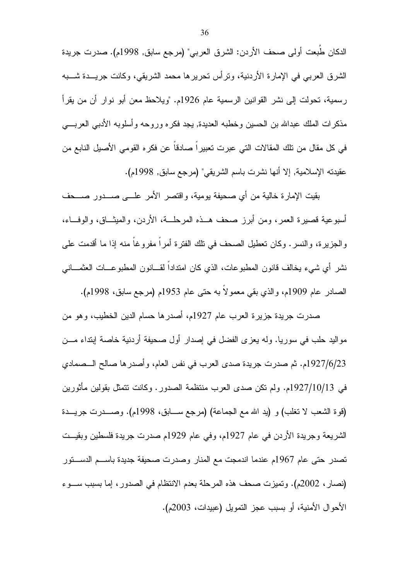الدكان طُبعت أولى صحف الأردن: الشرق العربي" (مرجع سابق, 1998م). صدرت جريدة الشرق العربي في الإمارة الأردنية، ونرأس نحريرها محمد الشريقي، وكانت جريـــدة شــــبه رسمية، تحولت إلى نشر القوانين الرسمية عام 1926م. "ويلاحظ معن أبو نوار أن من يقرأ مذكرات الملك عبدالله بن الحسين وخطبه العديدة, يجد فكره وروحه وأسلوبه الأدبى العربسي في كل مقال من نلك المقالات التي عبرت تعبيراً صـادقاً عن فكره القومي الأصبل النابع من عقيدته الإسلامية, إلا أنها نشرت باسم الشريقي" (مرجع سابق, 1998م).

بقيت الإمارة خالية من أي صحيفة يومية، واقتصر الأمر علـــي صــــدور صــــحف أسبوعية قصيرة العمر، ومن أبرز صحف هــذه المرحلـــة، الأردن، والمبثـــاق، والوفـــاء، والجزيرة، والنسر . وكان تعطيل الصحف في نلك الفترة أمراً مفروغاً منه إذا ما أقدمت علي نشر ِ أي شيء يخالف قانون المطبوعات، الذي كان امتدادا لقـــانون المطبوعـــات العثمـــانـي الصادر عام 1909م، والذي بقى معمولا به حتى عام 1953م (مرجع سابق، 1998م).

صدرت جريدة جزيرة العرب عام 1927م، أصدرها حسام الدين الخطيب، وهو من مواليد حلب في سوريا. وله يعزى الفضل في إصدار أول صحيفة أردنية خاصة إبتداء مـــن 1927/6/23م. ثم صدرت جريدة صدى العرب في نفس العام، وأصدر ها صالح الـــصمادي في 1927/10/13م. ولم نكن صدى العرب منتظمة الصدور . وكانت نتمثل بقولين مأثورين (قوة الشعب لا نغلب) و (يد الله مع الجماعة) (مرجع ســـابق، 1998م). وصــــدرت جريــــدة الشريعة وجريدة الأردن في عام 1927م، وفي عام 1929م صدرت جريدة فلسطين وبقيــت تصدر حتى عام 1967م عندما اندمجت مع المنار وصدرت صحيفة جديدة باســم الدســـنور (نصار، 2002م). وتميزت صحف هذه المرحلة بعدم الانتظام في الصدور، إما بسبب ســـوء الأحوال الأمنية، أو بسبب عجز النمويل (عبيدات، 2003م).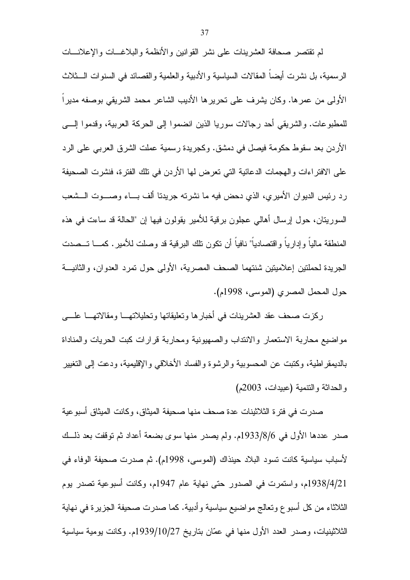لم نقتصر صحافة العشرينات على نشر القوانين والأنظمة والبلاغـــات والإعلانـــات الرسمية، بل نشرت أيضا المقالات السياسية والأدبية والعلمية والقصائد في السنوات الـــثلاث الأولى من عمرها. وكان بِشرف على نحريرها الأديب الشاعر محمد الشريقي بوصفه مديراً للمطبوعات. والشريقي أحد رجالات سوريا الذين انضموا إلى الحركة العربية، وقدموا إلـــي الأردن بعد سقوط حكومة فيصل في دمشق. وكجريدة رسمية عملت الشرق العربي على الرد على الافتر اءات و الهجمات الدعائية التي تعرض لها الأردن في تلك الفترة، فنشرت الصحيفة رد رئيس الديوان الأميري، الذي دحض فيه ما نشرته جريدنا ألف بـــاء وصــــوت الـــشعب السوريتان، حول إرسال أهالي عجلون برقية للأمير يقولون فيها إن "الحالة قد ساءت في هذه المنطقة مالياً وإدارياً واقتصادياً" نافياً أن تكون تلك البرقية قد وصلت للأمير . كمـــا تـــصدت الجر بدة لحملتين إعلاميتين شنتهما الصحف المصرية، الأولى حول تمرد العدوان، والثانيـــة حول المحمل المصري (الموسى، 1998م).

ركزت صحف عقد العشرينات في أخبارها وتعليقاتها وتحليلاتهـــا ومقالاتهـــا علــــي مواضيع محاربة الاستعمار والانتداب والصهيونية ومحاربة قرارات كبت الحريات والمناداة بالديمقر اطية، وكتبت عن المحسوبية والرشوة والفساد الأخلاقي والإقليمية، ودعت إلىي التغيير والحداثة والنتمية (عبيدات، 2003م)

صدرت في فتر ة الثلاثينات عدة صحف منها صحيفة الميثاق، وكانت الميثاق أسبو عية صدر عددها الأول في 933/8/6م. ولم يصدر منها سوى بضعة أعداد ثم توقفت بعد ذلــك لأسباب سياسية كانت تسود البلاد حينذاك (الموسى، 1998م). ثم صدرت صحيفة الوفاء في 1938/4/21م، واستمرت في الصدور حتى نهاية عام 1947م، وكانت أسبوعية تصدر بوم الثلاثاء من كل أسبو ع وتعالج مواضيع سياسية وأدبية. كما صدرت صحيفة الجزيرة في نهاية الثلاثينيات، وصدر العدد الأول منها في عمّان بتاريخ 1939/10/27م. وكانت يومية سياسية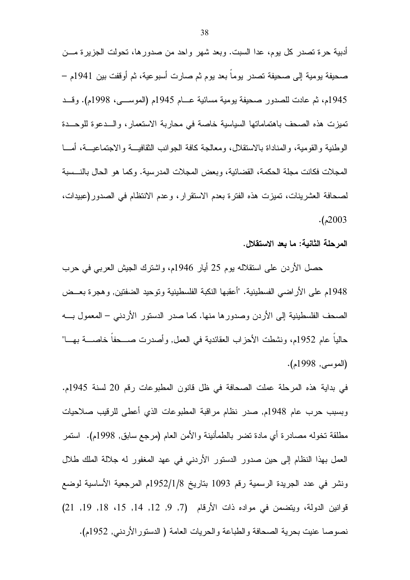أدبية حرة تصدر كل يوم، عدا السبت. وبعد شهر واحد من صدورها، تحولت الجزيرة مـــن صحيفة يومية إلى صحيفة تصدر يوما بعد يوم ثم صارت أسبوعية، ثم أوقفت بين 1941م – 1945م، ثم عادت للصدور صحيفة يومية مسائية عـــام 1945م (الموســـي، 1998م). وقـــد تميزت هذه الصحف باهتماماتها السياسية خاصة في محاربة الاستعمار ، والـــدعوة للوحـــدة الوطنية والقومية، والمناداة بالاستقلال، ومعالجة كافة الجوانب الثقافيـــة والاجتماعيـــة، أمـــا المجلات فكانت مجلة الحكمة، القضائية، وبعض المجلات المدرسية. وكما هو الحال بالنسسبة لصحافة العشرينات، تميزت هذه الفترة بعدم الاستقرار، وعدم الانتظام في الصدور(عبيدات،  $. (2003$ 

المرحلة الثانية: ما بعد الاستقلال.

حصل الأردن على استقلاله بوم 25 أيار 1946م، واشترك الجيش العربي في حرب 1948م على الأراضي الفسطينية. "أعقبها النكبة الفلسطينية ونوحيد الضفتين, وهجرة بعــض الصحف الفلسطينية إلى الأردن وصدورها منها. كما صدر الدستور الأردنبي – المعمول بــــه حاليا عام 1952م، ونشطت الأحزاب العقائدية في العمل, وأصدرت صــــحفا خاصـــــة بهــــا" (الموسى, 1998م).

في بداية هذه المرحلة عملت الصحافة في ظل قانون المطبوعات رقم 20 لسنة 1945م. وبسبب حرب عام 1948م, صدر نظام مراقبة المطبوعات الذي أعطي للرقيب صلاحيات مطلقة تخوله مصادرة أي مادة تضر بالطمأنينة والأمن العام (مرجع سابق, 1998م). استمر العمل بهذا النظام إلى حين صدور الدستور الأردني في عهد المغفور له جلالة الملك طلال ونشر في عدد الجريدة الرسمية رقم 1093 بتاريخ 1/1/252/1م المرجعية الأساسية لوضع قوانين الدولة، ويتضمن في مواده ذات الأرقام (7, 9, 12, 14, 15، 18, 19, 19) نصوصا عنيت بحرية الصحافة والطباعة والحريات العامة ( الدستور الأردني, 1952م).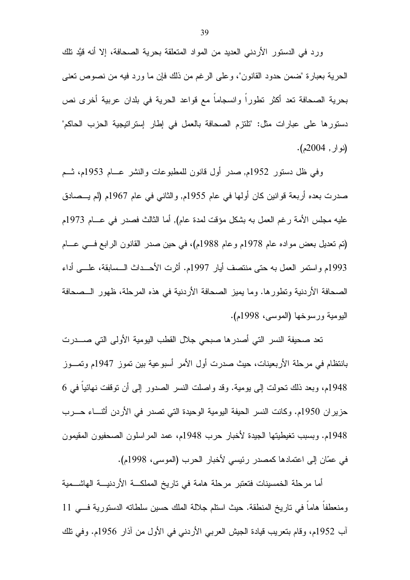ورد في الدستور الأردني العديد من المواد المتعلقة بحرية الصحافة، إلا أنه قيَّد نلك الحرية بعبارة "ضمن حدود القانون"، وعلى الرغم من ذلك فإن ما ورد فيه من نصوص نعني بحرية الصحافة تعد أكثر تطوراً وانسجاماً مع قواعد الحرية في بلدان عربية أخرى نص دستورها على عبارات مثل: "تلتزم الصحافة بالعمل في إطار إستراتيجية الحزب الحاكم"  $(2004, 4)$ 

وفي ظل دستور 1952م, صدر أول قانون للمطبوعات والنشر عــام 1953م، شــم صدرت بعده أربعة قوانين كان أولمها في عام 1955م, والثاني في عام 1967م (لم يـــصـادق عليه مجلس الأمة رغم العمل به بشكل مؤقت لمدة عام), أما الثالث فصدر في عـــام 1973م (تم تعديل بعض مواده عام 1978م وعام 1988م)، في حين صدر القانون الرابع فسي عسام 1993م واستمر العمل به حتى منتصف أيار 1997م. أثرت الأحــداث الــسابقة، علـــي أداء الصحافة الأردنية ونطورها. وما يميز الصحافة الأردنية في هذه المرحلة، ظهور الــصحافة اليومية ورسوخها (الموسى، 1998م).

تعد صحيفة النسر التي أصدرها صبحي جلال القطب اليومية الأولى التي صــــدرت بانتظام في مرحلة الأربعينات، حيث صدرت أول الأمر أسبوعية بين تموز 1947م وتمـــوز 1948م، وبعد ذلك تحولت إلى يومية. وقد واصلت النسر الصدور إلى أن توقفت نهائيا في 6 حزير ان 1950م. وكانت النسر الحيفة اليومية الوحيدة التي تصدر في الأردن أثنساء حسرب 1948م. وبسبب تغيطيتها الجيدة لأخبار حرب 1948م، عمد المراسلون الصحفيون المقيمون في عمّان إلى اعتمادها كمصدر رئيسي لأخبار الحرب (الموسى، 1998م).

أما مرحلة الخمسينات فتعتبر مرحلة هامة في تاريخ المملكـــة الأردنيـــة الهاشـــمية ومنعطفا هاما في تاريخ المنطقة. حيث استلم جلالة الملك حسين سلطاته الدستورية فـــي 11 آب 1952م، وقام بنعريب قيادة الجيش العربي الأردني في الأول من أذار 1956م. وفي نلك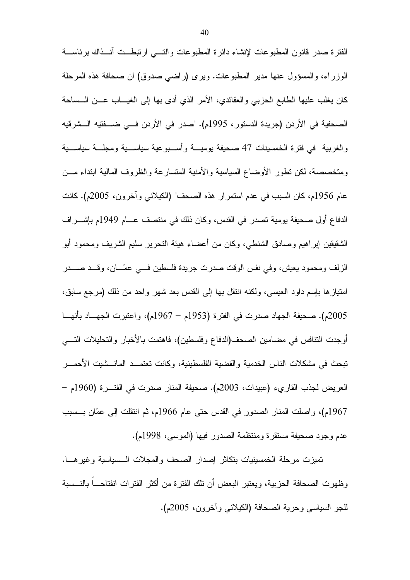الفترة صدر قانون المطبوعات لإنشاء دائرة المطبوعات والتسى ارتبطــت أنــذاك برئاســـة الوزراء، والمسؤول عنها مدير المطبوعات. ويرى (راضي صدوق) ان صحافة هذه المرحلة كان يغلب عليها الطابع الحزبي والعقائدي، الأمر الذي أدى بها إلى الغيـــاب عـــن الـــساحة الصحفية في الأردن (جريدة الدستور ، 1995م). "صدر في الأردن فـــي ضــــفتيه الـــشرقيه والغربية في فترة الخمسينات 47 صحيفة بوميسة وأسب وعية سياسبية ومجلسة سياسبية ومتخصصة، لكن نطور الأوضاع السياسية والأمنية المتسارعة والظروف المالية ابتداء مـــن عام 1956م، كان السبب في عدم استمرار هذه الصحف" (الكيلانـي وأخرون، 2005م). كانت الدفاع أول صحيفة يومية تصدر في القدس، وكان ذلك في منتصف عـــام 1949م بإشــــراف الشقيقين لِبراهيم وصادق الشنطي، وكان من أعضاء هيئة التحرير سليم الشريف ومحمود أبو الزلف ومحمود يعيش، وفي نفس الوقت صدرت جريدة فلسطين فسي عمّـــان، وقـــد صــــدر امتياز ها بإسم داود العيسى، ولكنه انتقل بـها إلـى القدس بـعد شـهر واحد من ذلك (مرجـع سـابق، 2005م). صحيفة الجهاد صدرت في الفترة (1953م – 1967م)، واعتبرت الجهـــاد بأنهـــا أوجدت التنافس في مضامين الصحف(الدفاع وفلسطين)، فاهتمت بالأخبار والتحليلات التسبي تبحث في مشكلات الناس الخدمية والقضية الفلسطينية، وكانت تعتمــد المانـــشيت الأحمـــر العريض لجذب القارىء (عبيدات، 2003م). صحيفة المنار صدرت في الفتــرة (1960م – 1967م)، واصلت المنار الصدور في القدس حتى عام 1966م، ثم انتقلت إلى عمّان بـــسبب عدم وجود صحيفة مستقرة ومنتظمة الصدور فيها (الموسى، 1998م).

نميزت مرحلة الخمسينيات بتكاثر إصدار الصحف والمجلات السسياسية وغيرهـــا. وظهرت الصحافة الحزبية، ويعتبر البعض أن نلك الفترة من أكثر الفترات انفتاحـــا بالنـــسبة للجو السياسي وحرية الصحافة (الكيلاني وأخرون، 2005م).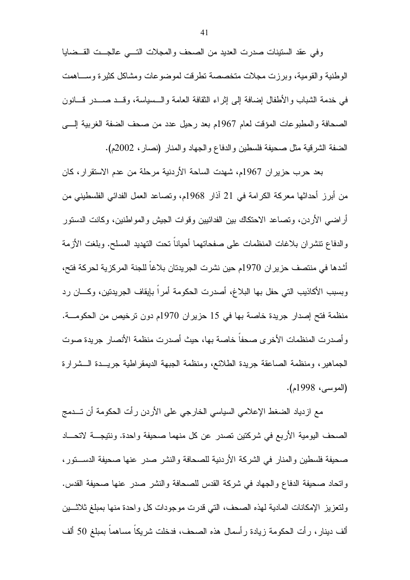وفي عقد الستينات صدرت العديد من الصحف والمجلات التسى عالجست القسضايا الوطنية والقومية، وبرزت مجلات متخصصة تطرقت لموضوعات ومشاكل كثيرة وســـاهمت في خدمة الشباب والأطفال إضافة إلى إثراء النقافة العامة والسسياسة، وقـــد صـــدر قـــانون الصحافة والمطبوعات المؤقت لعام 1967م بعد رحيل عدد من صحف الضفة الغربية إلـــي الضفة الشرقية مثل صحيفة فلسطين والدفاع والجهاد والمنار (نصار، 2002م).

بعد حرب حزير ان 1967م، شهدت الساحة الأردنية مرحلة من عدم الاستقرار ، كان من أبرز أحداثها معركة الكرامة في 21 آذار 1968م، ونصاعد العمل الفدائي الفلسطيني من أراضـي الأردن، ونصـاعد الاحتكاك بين الفدائيين وقوات الـجيش والمواطنين، وكانت الدستور والدفاع نتشران بلاغات المنظمات على صفحاتهما أحيانا نحت التهديد المسلح. وبلغت الأزمة أشدها في منتصف حزير ان 1970م حين نشرت الجريدتان بلاغا للجنة المركزية لحركة فتح، وبسبب الأكاذيب التي حفل بها البلاغ، أصدرت الحكومة أمراً بإيقاف الجريدتين، وكـــان رد منظمة فتح إصدار جريدة خاصة بها في 15 حزيران 1970م دون ترخيص من الحكومـــة. وأصدرت المنظمات الأخرى صحفا خاصة بها، حيث أصدرت منظمة الأنصار جريدة صوت الجماهير، ومنظمة الصاعقة جريدة الطلائع، ومنظمة الجبهة الديمقراطية جريــدة الـــشرارة (الموسى، 1998م).

مع ازدياد الضغط الإعلامي السياسي الخارجي على الأردن رأت الحكومة أن تـــدمج الصحف اليومية الأربع في شركتين تصدر عن كل منهما صحيفة واحدة. ونتيجــــة لاتحــــاد صحيفة فلسطين والمنار في الشركة الأردنية للصحافة والنشر صدر عنها صحيفة الدســـتور، واتحاد صحيفة الدفاع والجهاد في شركة القدس للصحافة والنشر صدر عنها صحيفة القدس. ولنعزيز الإمكانات المادية لهذه الصحف، التي قدرت موجودات كل واحدة منها بمبلغ ثلاثسين ألَّف دينار ، ر أت الحكومة زيادة ر أسمال هذه الصـحف، فدخلت شريكا مساهما بمبلغ 50 ألف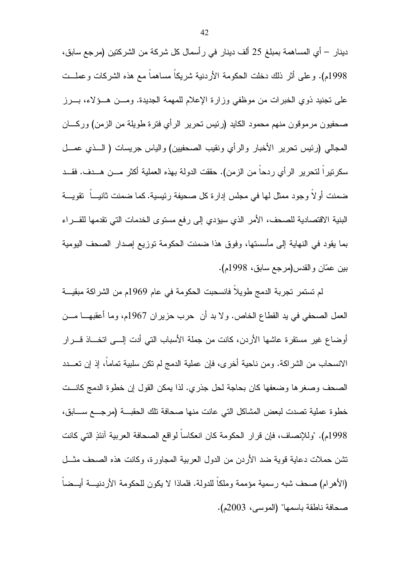دينار — أي المساهمة بمبلغ 25 ألف دينار في رأسمال كل شركة من الشركتين (مرجع سابق، 1998م). وعلى أثر ذلك دخلت الحكومة الأردنية شريكاً مساهماً مع هذه الشركات وعملــت على نجنيد ذوي الخبرات من موظفي وزارة الإعلام للمهمة الجديدة. ومـــن هـــؤلاء، بـــرز صحفيون مرموقون منهم محمود الكايد (رئيس نحرير الرأي فترة طويلة من الزمن) وركــــان المجالي (رئيس تحرير الأخبار والرأى ونقيب الصحفيين) والياس جريسات ( الــذى عمـــل سكرنيراً لتحرير الرأي ردحاً من الزمن). حققت الدولة بهذه العملية أكثر مـــن هـــدف. فقـــد ضمنت أولا وجود ممثل لها في مجلس إدارة كل صحيفة رئيسية. كما ضمنت ثانيـــا تقويـــة البنية الاقتصادية للصحف، الأمر الذي سيؤدي إلى رفع مستوى الخدمات التي تقدمها للقـــراء بما يقود في النهاية إلى مأسستها، وفوق هذا ضمنت الحكومة توزيع إصدار الصحف اليومية بين عمّان والقدس(مرجع سابق، 1998م).

لم تستمر تجربة الدمج طويلاً فانسحبت الحكومة في عام 1969م من الشراكة مبقيـــة العمل الصحفي في يد القطاع الخاص. ولا بد أن حرب حزير ان 1967م، وما أعقبهــــا مــــن أوضاع غير مستقرة عاشها الأردن، كانت من جملة الأسباب التي أدت إلـــي اتخـــاذ قــــرار الانسحاب من الشراكة. ومن ناحية أخرى، فإن عملية الدمج لم نكن سلبية تماما، إذ إن تعـــدد الصحف وصغرها وضعفها كان بحاجة لحل جذري. لذا يمكن القول إن خطوة الدمج كانست خطوة عملية تصدت لبعض المشاكل التي عانت منها صحافة تلك الحقبـــة (مرجـــع ســــابق، 1998م). "وللإنصاف، فإن قرار الحكومة كان انعكاساً لواقع الصحافة العربية آنئذِ التي كانت تشن حملات دعاية قوية ضد الأردن من الدول العربية المجاورة، وكانت هذه الصحف مثــل (الأهرام) صحف شبه رسمية مؤممة وملكا للدولة. فلماذا لا يكون للحكومة الأردنيــــة أيـــضا صحافة ناطقة باسمها" (الموسى، 2003م).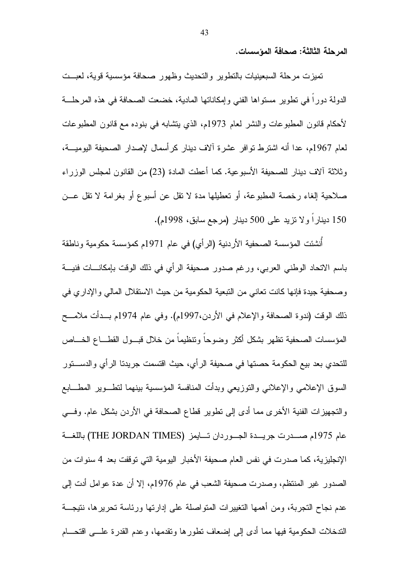المرحلة الثالثة: صحافة المؤسسات.

تميزت مرحلة السبعينيات بالنطوير والنحديث وظهور صحافة مؤسسية قوية، لعبــت الدولة دورا في نطوير مستواها الفني وإمكاناتها المادية، خضعت الصحافة في هذه المرحلة لأحكام قانون المطبو عات والنشر العام 1973م، الذي يتشابه في بنوده مع قانون المطبو عات لعام 1967م، عدا أنه اشترط تو افر عشر ة آلاف دينار كر أسمال لإصدار الصحيفة اليوميـــة، وثلاثة ألاف دينار للصحيفة الأسبوعية. كما أعطت المادة (23) من القانون لمجلس الوزراء صلاحية إلغاء رخصة المطبوعة، أو تعطيلها مدة لا نقل عن أسبوع أو بغرامة لا نقل عـــن 150 ديناراً ولا نزيد على 500 دينار (مرجع سابق، 1998م).

أُنشئت المؤسسة الصحفية الأردنية (الرأي) في عام 1971م كمؤسسة حكومية وناطقة باسم الاتحاد الوطني العربي، ورغم صدور صحيفة الرأى في ذلك الوفت بإمكانـــات فنيـــة وصحفية جيدة فإنها كانت تعانى من التبعية الحكومية من حيث الاستقلال المالي والإداري في ذلك الوقت (ندوة الصحافة والإعلام في الأردن،1997م). وفي عام 1974م بــدأت ملامـــح المؤسسات الصحفية تظهر بشكل أكثر وضوحا ونتظيما من خلال قبسول القطساع الخساص للتحدي بعد بيع الحكومة حصتها في صحيفة الرأي، حيث اقتسمت جريدتا الرأي والدســــتور السوق الإعلامي والإعلاني والنوزيعي وبدأت المنافسة المؤسسية بينهما لنطــوير المطـــابـع والتجهيزات الفنية الأخرى مما أدى إلى تطوير قطاع الصحافة في الأردن بشكل عام. وفسى عام 1975م صدرت جريسدة الجسوردان تسابمز (THE JORDAN TIMES) باللغسة الإنجليزية، كما صدرت في نفس العام صحيفة الأخبار اليومية التي توقفت بعد 4 سنوات من الصدور غير المنتظم، وصدرت صحيفة الشعب في عام 1976م، إلا أن عدة عوامل أدت إلى عدم نجاح النجر بة، ومن أهمها النغيير ات المنو اصلة على إدار نها ور ئاسة نحر بر ها، نتيجـــة الندخلات الحكومية فيها مما أدى إلى إضعاف نطورها ونقدمها، وعدم القدرة علـــي اقتحــــام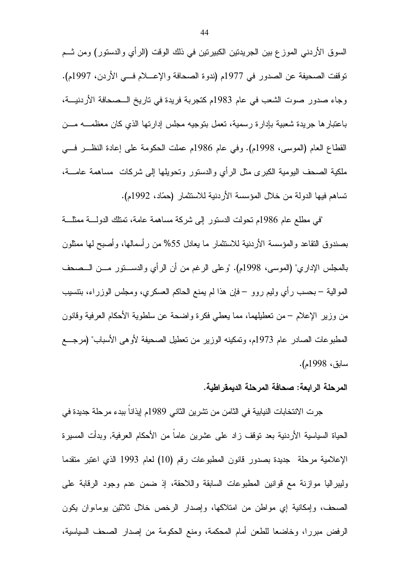السوق الأردنـي الموز ع بين الـجريدتين الكبيرتين فـي ذلك الوقت (الرأي والدستور) ومن ثـــم نوقفت الصحيفة عن الصدور في 1977م (ندوة الصحافة والإعسلام فسي الأردن، 1997م). وجاء صدور صوت الشعب في عام 1983م كتجربة فريدة في تاريخ الــصحافة الأردنيـــة، باعتبار ها جريدة شعبية بإدارة رسمية، تعمل بتوجيه مجلس إدارتها الذي كان معظمــــه مـــن القطاع العام (الموسى، 1998م). وفي عام 1986م عملت الحكومة على إعادة النظــر فـــي ملكية الصحف اليومية الكبرى مثل الرأي والدستور ونحويلها إلىي شركات مساهمة عامــــة، تساهم فيها الدولة من خلال المؤسسة الأردنية للاستثمار (حمّاد، 1992م).

"في مطلع عام 1986م نحولت الدستور إلى شركة مساهمة عامة، نمتلك الدولـــة ممثلـــة بصندوق النقاعد والمؤسسة الأردنية للاستثمار ما بعادل 55% من رأسمالها، وأصبح لها ممثلون بالمجلس الإدار ي" (الموسى، 1998م). "وعلى الرغم من أن الرأى والدســـــنور مــــن الـــصـحف الموالَّية – بحسب رأي وليم روو – فإن هذا لم يمنع الحاكم العسكري، ومجلس الوزراء، بنتسيب من وزير الإعلام – من تعطيلهما، مما يعطي فكرة واضحة عن سلطوية الأحكام العرفية وقانون المطبوعات الصادر عام 1973م، وتمكينه الوزير من تعطيل الصحيفة لأوهى الأسباب" (مرجـــع سابق، 1998م).

#### المرحلة الرابعة: صحافة المرحلة الديمقراطية.

جرت الانتخابات النيابية في الثامن من تشرين الثاني 1989م إيذاناً ببدء مرحلة جديدة في الحياة السياسية الأردنية بعد نوقف زاد على عشرين عاماً من الأحكام العرفية, وبدأت المسيرة الإعلامية مرحلة جديدة بصدور قانون المطبوعات رقم (10) لعام 1993 الذي اعتبر منقدما وليبراليا موازنة مع قوانين المطبوعات السابقة واللاحقة، إذ ضمن عدم وجود الرقابة على الصحف، وإمكانية إي مواطن من امتلاكها، وإصدار الرخص خلال ثلاثين بوما،وإن يكون الرفض مبررا، وخاضعا للطعن أمام المحكمة، ومنع الحكومة من إصدار الصحف السياسية،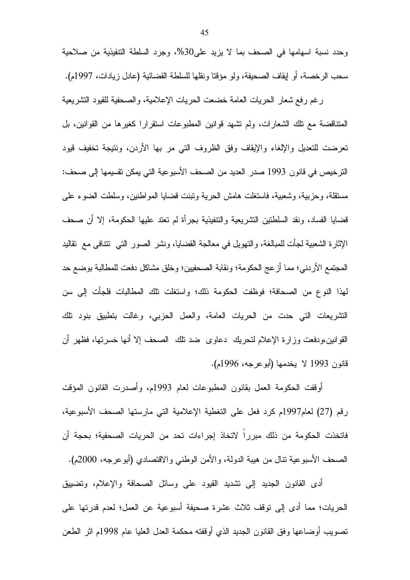وحدد نسبة اسهامها في الصحف بما لا يزيد على30%، وجرد السلطة التتفيذية من صلاحية سحب الرخصة، أو إيقاف الصحيفة، ولو مؤقتا ونقلها للسلطة القضائية (عادل زيادات، 1997م).

رغم رفع شعار الحريات العامة خضعت الحريات الإعلامية، والصحفية للقيود التشريعية المتناقضة مع نلك الشعارات، ولم تشهد قوانين المطبوعات استقرارا كغيرها من القوانين، بل تعرضت للتعديل والإلغاء والإيقاف وفق الظروف التبي مر بها الأردن، ونتيجة تخفيف قيود الترخيص في قانون 1993 صدر العديد من الصحف الأسبوعية التي يمكن نقسيمها إلى صحف: مستقلة، وحزبية، وشعبية، فاستغلت هامش الحرية ونبنت قضايا المواطنين، وسلطت الضوء على قضايا الفساد، ونقد السلطنين النشريعية والنتفيذية بجرأة لم نعتد عليها الحكومة، إلا أن صحف الإثارة الشعبية لجأت للمبالغة، والتهويل في معالجة القضايا، ونشر الصور التبي نتنافى مع نقاليد المجتمع الأردني؛ مما أزعج الحكومة؛ ونقابة الصحفيين؛ وخلق مشاكل دفعت للمطالبة بوضع حد لمهذا النوع من الصحافة؛ فوظفت الحكومة ذلك؛ واستغلت تلك المطالبات فلجأت إلى سن التشريعات التي حدت من الحريات العامة، والعمل الحزبي، وغالت بتطبيق بنود نلك القوانين،ودفعت وزارة الإعلام لنحريك دعاوى ضد نلك الصحف إلا أنها خسرتها، فظهر أن قانون 1993 لا يخدمها (أبوعرجه، 1996م).

أوقفت الحكومة العمل بقانون المطبوعات لعام 1993م، وأصدرت القانون المؤقت رقم (27) لعام1997م كرد فعل على التغطية الإعلامية التي مارستها الصحف الأسبوعية، فاتخذت الحكومة من ذلك مبرراً لاتخاذ إجراءات تحد من الحريات الصحفية؛ بحجة أن الصحف الأسبوعية نتال من هيبة الدولة، والأمن الوطني والاقتصادي (أبوعرجه، 2000م).

أدى القانون الجديد إلى نشديد القيود على وسائل الصحافة والإعلام، ونضبيق الحريات؛ مما أدى إلى نوقف ثلاث عشرة صحيفة أسبوعية عن العمل؛ لعدم قدرتها على تصويب أوضاعها وفق القانون الجديد الذي أوقفته محكمة العدل العليا عام 1998م اثر الطعن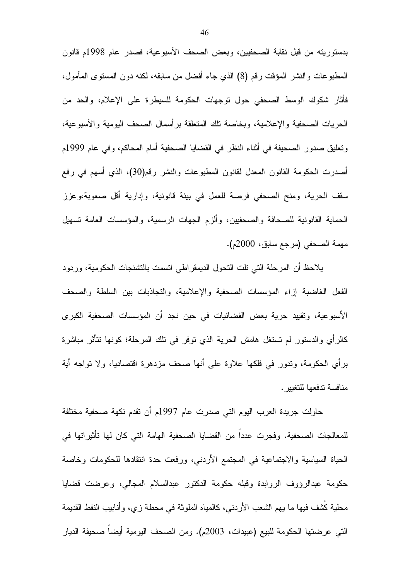بدستوريته من قبل نقابة الصحفيين، وبعض الصحف الأسبوعية، فصدر عام 1998م قانون المطبوعات والنشر المؤقت رقم (8) الذي جاء أفضل من سابقه، لكنه دون المسنوى المأمول، فأثار شكوك الوسط الصحفى حول نوجهات الحكومة للسيطرة على الإعلام، والحد من الحريات الصحفية والإعلامية، وبخاصة تلك المتعلقة برأسمال الصحف اليومية والأسبوعية، وتعليق صدور الصحيفة في أثناء النظر في القضايا الصحفية أمام المحاكم، وفي عام 1999م أصدرت الحكومة القانون المعدل لقانون المطبوعات والنشر رقم(30)، الذي أسهم في رفع سقف الحرية، ومنح الصحفي فرصة للعمل في بيئة قانونية، وإدارية أقل صعوبة،وعزز الحماية القانونية للصحافة والصحفيين، وألزم الجهات الرسمية، والمؤسسات العامة نسهيل مهمة الصحفي (مرجع سابق، 2000م).

يلاحظ أن المرحلة التي نلت النحول الديمقراطي انسمت بالتشنجات الحكومية، وردود الفعل الغاضبة إزاء المؤسسات الصحفية والإعلامية، والتجاذبات بين السلطة والصحف الأسبوعية، وتقييد حرية بعض الفضائيات في حين نجد أن المؤسسات الصحفية الكبرى كالرأي والدستور لم تستغل هامش الحرية الذي توفر في تلك المرحلة؛ كونها نتأثر مباشرة برأي الحكومة، وندور في فلكها علاوة على أنها صحف مزدهرة اقتصاديا، ولا نواجه أية منافسة تدفعها للتغبير .

حاولت جريدة العرب اليوم التي صدرت عام 1997م أن نقدم نكهة صحفية مختلفة للمعالجات الصحفية. وفجرت عددا من القضايا الصحفية الهامة التي كان لها تأثيراتها في الحياة السياسية والاجتماعية في المجتمع الأردنبي، ورفعت حدة انتقادها للحكومات وخاصة حكومة عبدالرؤوف الروابدة وقبله حكومة الدكتور عبدالسلام المجالي، وعرضت قضايا محلية كشف فيها ما يهم الشعب الأردنبي، كالمياه الملوثة في محطة زي، وأنابيب النفط القديمة التي عرضتها الحكومة للبيع (عبيدات، 2003م). ومن الصحف اليومية أيضاً صحيفة الديار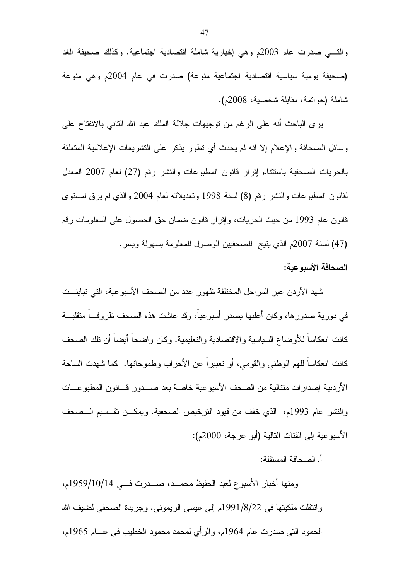والتسي صدرت عام 2003م وهي إخبارية شاملة اقتصادية اجتماعية. وكذلك صحيفة الغد (صحيفة بومية سياسية اقتصادية اجتماعية منوعة) صدرت في عام 2004م وهي منوعة شاملة (حواتمة، مقابلة شخصبة، 2008م).

ير ي الباحث أنه على الرغم من نوجيهات جلالة الملك عبد الله الثاني بالانفتاح على وسائل الصحافة والإعلام إلا انه لم يحدث أى نطور بذكر على التشريعات الإعلامية المتعلقة بالحريات الصحفية باستثناء إقرار قانون المطبوعات والنشر رقم (27) لعام 2007 المعدل لْقَانُونَ الْمُطْبُوعَاتِ وَالنَّشْرِ رَقْمَ (8) لسنة 1998 وتَعْدِيلاتَه لعام 2004 والذي لم يرق لمستوى قانون عام 1993 من حيث الحريات، وإقرار قانون ضمان حق الحصول على المعلومات رقم (47) لسنة 2007م الذي يتيح للصحفيين الوصول للمعلومة بسهولة ويسر .

### الصحافة الأسبوعية:

شهد الأردن عبر المراحل المختلفة ظهور عدد من الصحف الأسبوعية، التي تباينـــت في دورية صدورها، وكان أغلبها بصدر أسبوعياً، وقد عاشت هذه الصحف ظروف ٌمتقلبة كانت انعكاسا للأوضاع السياسية والاقتصادية والتعليمية. وكان واضحا أيضا أن نلك الصحف كانت انعكاساً للهم الوطني والقومي، أو نعبيراً عن الأحزاب وطموحاتها. كما شهدت الساحة الأردنية إصدارات متتالية من الصحف الأسبوعية خاصة بعد صــــدور قــــانون المطبوعــــات والنشر عام 1993م، الذي خفف من فيود الترخيص الصحفية. ويمكـــن نقـــسيم الـــصحف الأسبو عية إلى الفئات التالية (أبو عرجة، 2000م):

#### أ. الصحافة المستقلة:

ومنها أخبار الأسبوع لعبد الحفيظ محمــد، صـــدرت فـــي 1959/10/14م، وانتقلت ملكيتها في 22/8/1991م إلى عيسى الريموني. وجريدة الصحفي لضيف الله الحمود التي صدرت عام 1964م، والرأى لمحمد محمود الخطيب في عـــام 1965م،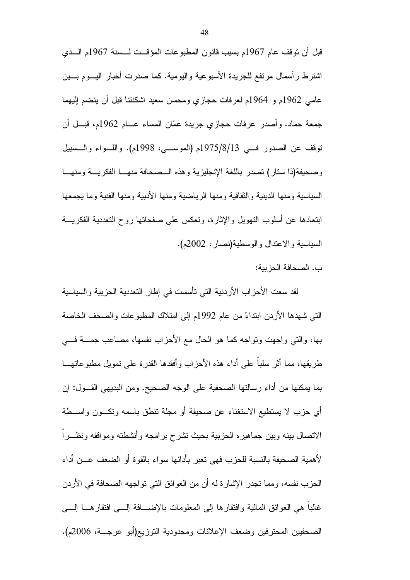قبل أن توقف عام 1967م بسبب قانون المطبوعات المؤقــت لــسنة 1967م الـــذي اشترط رأسمال مرتفع للجريدة الأسبوعية واليومية. كما صدرت أخبار اليسوم بسين عامي 1962م و 1964م لعرفات حجازي ومحسن سعيد اشكنتنا قبل أن ينضم اليهما جمعة حماد. وأصدر عرفات حجازي جريدة عمّان المساء عـــام 1962م، قبـــل أن توقف عن الصدور فسي 1975/8/13م (الموسي، 1998م). واللَّــواء والــسبيل وصحيفة(ذا ستار) تصدر باللغة الإنجليزية وهذه السصحافة منهسا الفكريسة ومنهسا السياسية ومنها الدينية والثقافية ومنها الرياضية ومنها الأدبية ومنها الفنية وما يجمعها ابتعادها عن أسلوب النهويل والإثارة، وتعكس على صفحاتها روح التعددية الفكريسة السياسية والاعتدال والوسطية(نصار، 2002م).

ب. الصحافة الحز بية:

لقد سعت الأحزاب الأردنية التي تأسست في إطار التعددية الحزبية والسياسية الَّتِي شهدها الأردن ابتداءً من عام 1992م إلى امتلاك المطبوعات والصـحف الخاصـة بها، والتي واجهت ونواجه كما هو الحال مع الأحزاب نفسها، مصاعب جمــــة فــــي طريقها، مما أثر سلباً على أداء هذه الأحزاب وأفقدها القدرة على تمويل مطبوعاتهـــا بما يمكنها من أداء رسالتها الصحفية على الوجه الصحيح. ومن البديهي القـــول: إن أى حزب لا يستطيع الاستغناء عن صحيفة أو مجلة نتطق باسمه ونكـــون واســـطة الاتصال بينه وبين جماهير ه الحزبية بحيث تشرح بر امجه وأنشطته ومواقفه ونظــرا لأهمية الصحيفة بالنسبة للحزب فهي تعبر بأدائها سواء بالقوة أو الضعف عــن أداء الحزب نفسه، ومما تجدر الإشارة له أن من العوائق التي تواجهه الصحافة في الأردن غالبًا هي العوائق المالية وافتقارها إلى المعلومات بالإضـــافة إلــــى افتقارهـــا إلـــــى الصحفيين المحترفين وضعف الإعلانات ومحدودية التوزيع(أبو عرجـــة، 2006م).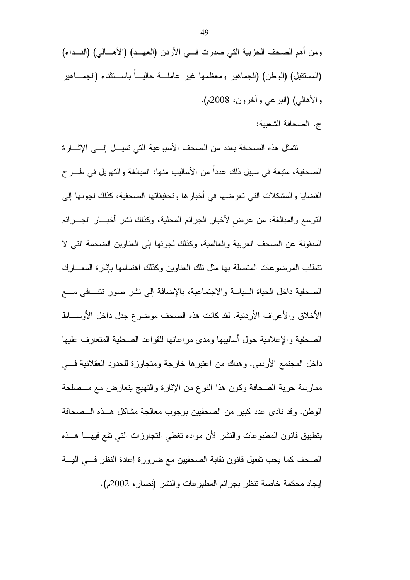تتمثّل هذه الصحافة بعدد من الصحف الأسبوعية التي تميـــل إلـــي الإثــــارة الصحفية، متبعة في سبيل ذلك عدداً من الأساليب منها: المبالغة والتهويل في طـــرح القضايا والمشكلات التي تعرضها في أخبارها وتحقيقاتها الصحفية، كذلك لجوئها إلى النوسع والمبالغة، من عرض لأخبار الجرائم المحلية، وكذلك نشر أخبـــار الجــــرائم المنقولة عن الصحف العربية والعالمية، وكذلك لجوئها إلى العناوين الضخمة التي لا تتطلب الموضوعات المتصلة بها مثل تلك العناوين وكذلك اهتمامها بإثار ة المعسارك الصحفية داخل الحياة السياسة والاجتماعية، بالإضافة إلى نشر صور نتتسافى مسع الأخلاق والأعراف الأردنية. لقد كانت هذه الصحف موضوع جدل داخل الأوســـاط الصحفية والإعلامية حول أساليبها ومدى مراعاتها للقواعد الصحفية المتعارف عليها داخل المجتمع الأردنبي. وهناك من اعتبرها خارجة ومتجاوزة للحدود العقلانية فـــي ممارسة حرية الصحافة وكون هذا النوع من الإثارة والنهيج يتعارض مع مـــصلحة الوطن. وقد نادي عدد كبير من الصحفيين بوجوب معالجة مشاكل هــذه الــصحافة بتطبيق قانون المطبوعات والنشر لأن مواده نغطي النجاوزات التي نقع فيهـــا هـــذه الصحف كما يجب تفعيل قانون نقابة الصحفيين مع ضرورة إعادة النظر فسى أليسة لِيجاد محكمة خاصة نتظر بجرائم المطبوعات والنشر (نصار، 2002م).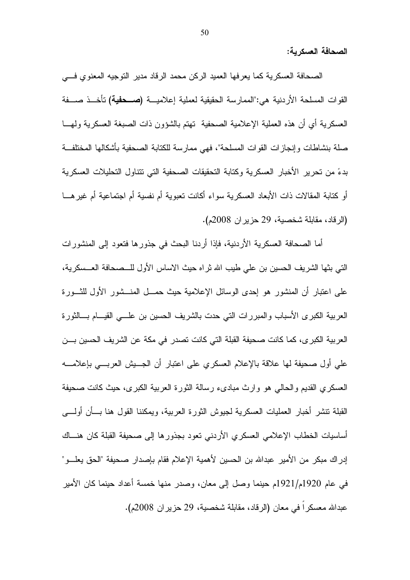الصحافة العسكر بة:

الصحافة العسكرية كما يعرفها العميد الركن محمد الرقاد مدير التوجيه المعنوي فسي القوات المسلحة الأردنية هي:"الممارسة الحقيقية لعملية إعلاميـــة **(صـــحفية)** تأخـــذ صـــفة العسكر بة أي أن هذه العملية الإعلامية الصحفية تهتم بالشؤون ذات الصبغة العسكر بة ولمهـــا صلة بنشاطات وإنجازات القوات المسلحة"، فهي ممارسة للكتابة الصحفية بأشكالها المختلفة بدءً من تحرير الأخبار العسكر بـة وكتابة التحقيقات الصـحفية التي تتناول التحليلات العسكر بـة أو كتابة المقالات ذات الأبعاد العسكرية سواء أكانت نعبوية أم نفسية أم اجتماعية أم غير هـــا (الرقاد، مقابلة شخصية، 29 حزير ان 2008م).

أما الصحافة العسكرية الأردنية، فإذا أردنا البحث في جذورها فتعود إلى المنشورات الني بثها الشريف الحسين بن علي طيب الله ثراه حيث الاساس الأول للـــصـحافة العـــسكرية، على اعتبار أن المنشور هو إحدى الوسائل الإعلامية حيث حمـــل المنـــشور الأول للثـــورة العربية الكبرى الأسباب والمبررات التي حدت بالشريف الحسين بن علـــي القيــــام بــــالثورة العربية الكبرى، كما كانت صحيفة القبلة التي كانت تصدر في مكة عن الشريف الحسين بـــن على أول صحيفة لها علاقة بالإعلام العسكري على اعتبار أن الجـــبش العربـــي بإعلامــــه العسكري القديم والحالبي هو وارث مبادىء رسالة الثورة العربية الكبرى، حيث كانت صحيفة القبلة نتشر أخبار العمليات العسكرية لجيوش الثورة العربية، ويمكننا القول هنا بسأن أولسي أساسيات الخطاب الإعلامي العسكري الأردني نعود بجذورها إلى صحيفة القبلة كان هنساك إدراك مبكر من الأمير عبدالله بن الحسين لأهمية الإعلام فقام بإصدار صحيفة "الحق يعلـــو" في عام 1920م/1921م حينما وصل إلى معان، وصدر منها خمسة أعداد حينما كان الأمير عبدالله معسكر ا في معان (الر فاد، مقابلة شخصية، 29 حز بر ان 2008م).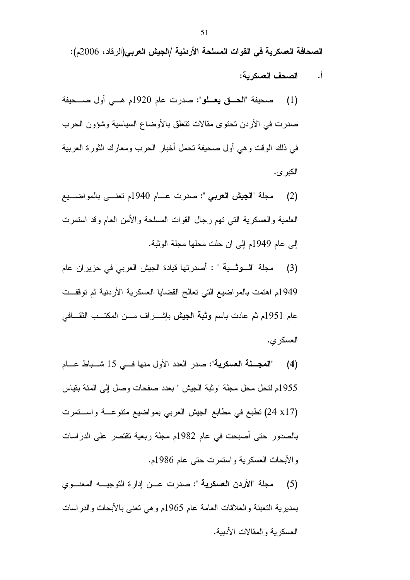الصحافة العسكرية في القوات المسلحة الأردنية /الجيش العربي(الرقاد، 2006م):

- الصحف العسكر بـة: <u>أ.</u>
- صحيفة "العاق يعلو": صدرت عام 1920م هــي أول صــحيفة  $(1)$ صدر ت في الأر دن تحتو ي مقالات تتعلق بالأو ضاع السياسية وشؤون الحر ب في ذلك الوقت وهي أول صحيفة تحمل أخبار الحرب ومعارك الثورة العربية الكبر ى.
- مجلة "الجيش العربي ": صدرت عـــام 1940م تعنـــي بالمواضـــبع  $(2)$ العلمية والعسكرية التبي تهم رجال القوات المسلحة والأمن العام وقد استمرت إلى عام 1949م إلى ان حلت محلها مجلة الوثبة.
- مجلة "السوتسبة " : أصدرتها فيادة الجيش العربي في حزيران عام  $(3)$ 1949م اهتمت بالمواضيع التي تعالج القضايا العسكرية الأردنية ثم توقفــت عام 1951م ثم عادت باسم **وثبة الجيش** بإشــــراف مــــن المكتـــب الثقـــافي العسكري.
- "المجلة العسكرية": صدر العدد الأول منها فــي 15 شــباط عــام  $(4)$ 1955م لتحل محل مجلة "وثبة الجيش " بعدد صفحات وصل إلى المئة بقياس (24 x17) نطبع في مطابع الجيش العربي بمواضيع متنوعـــة واســـنمرت بالصدور حتى أصبحت في عام 1982م مجلة ربعية تقتصر على الدراسات والأبحاث العسكرية واستمرت حتى عام 1986م.
- مجلة "الأردن العسكرية ": صدرت عـــن إدارة التوجيـــه المعنـــوى  $(5)$ بمديرية التعبئة والعلاقات العامة عام 1965م وهي نعني بالأبحاث والدراسات العسكر بة والمقالات الأدببة.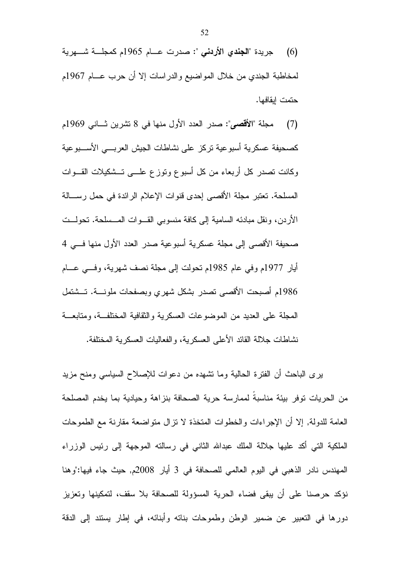جريدة "**الجندي الأردني** ": صدرت عـــام 1965م كمجلـــة شــــهرية  $(6)$ لمخاطبة الجندي من خلال المواضيع والدراسات إلا أن حرب عـــام 1967م حتمت ابقافها.

ً مجلَّة "الأقصى": صدر العدد الأول منها في 8 تشرين ثـــانـي 1969م  $(7)$ كصحبفة عسكرية أسبو عبة تركز على نشاطات الجبش العريسي الأسب عبة وكانت تصدر كل أربعاء من كل أسبوع ونوزع علـــي نـــشكيلات القـــوات المسلحة. نعتبر مجلة الأقصىي إحدى قنوات الإعلام الرائدة في حمل رســالة الأردن، ونقل مبادئه السامية إلى كافة منسوبي القـــوات المـــسلحة. تحولـــت صحيفة الأقصى إلى مجلة عسكرية أسبوعية صدر العدد الأول منها فسي 4 أيار 1977م وفي عام 1985م تحولت إلى مجلة نصف شهرية، وفسى عـــام 1986م أصبحت الأقصىي تصدر بشكل شهري وبصفحات ملونسة. تسشتمل المجلة على العديد من الموضوعات العسكرية والثقافية المختلفــة، ومتابعـــة نشاطات جلالة القائد الأعلى العسكرية، والفعاليات العسكرية المختلفة.

برى الباحث أن الفترة الحالية وما تشهده من دعوات للإصلاح السياسي ومنح مزيد من الحريات توفر بيئة مناسبة لممارسة حرية الصحافة بنزاهة وحيادية بما يخدم المصلحة العامة للدولة, إلا أن الإجراءات والخطوات المتخذة لا نزال متواضعة مقارنة مع الطموحات الْمَلَّكِيَّة الَّتَّـى أَكَد عليها جلالة الْمَلْك عبدالله الثَّاني في رسالته الموجهة إلى رئيس الوزراء المهندس نادر الذهبي في اليوم العالمي للصحافة في 3 أيار 2008م, حيث جاء فيها:"وهنا نؤكد حرصنا على أن يبقى فضاء الحرية المسؤولة للصحافة بلا سقف، لتمكينها وتعزيز دورها في التعبير عن ضمير الوطن وطموحات بناته وأبنائه، في إطار يستند إلى الدقة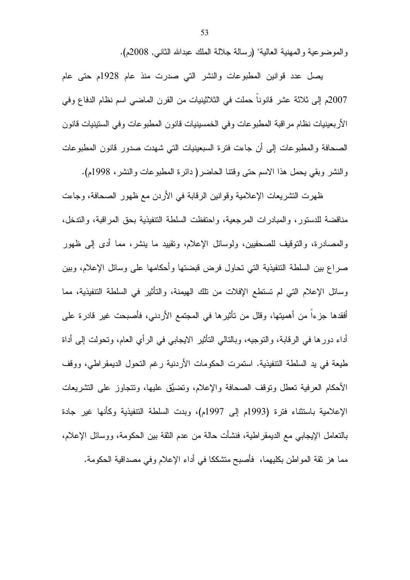والموضوعية والمهنية العالية" (رسالة جلالة الملك عبدالله الثاني, 2008م).

يصل عدد قوانين المطبوعات والنشر التي صدرت منذ عام 1928م حتى عام 2007م إلى ثلاثة عشر قانوناً حملت في الثلاثينيات من القرن الماضي اسم نظام الدفاع وفي الأربعينيات نظام مراقبة المطبوعات وفي الخمسينيات قانون المطبوعات وفي الستينيات قانون الصحافة والمطبوعات إلى أن جاءت فترة السبعينيات التي شهدت صدور قانون المطبوعات والنشر وبقى يحمل هذا الاسم حتى وقتنا الحاضر( دائرة المطبوعات والنشر، 1998م).

ظهرت التشريعات الإعلامية وقوانين الرقابة في الأردن مع ظهور الصحافة، وجاءت مناقضة للدستور، والمبادرات المرجعية، واحتفظت السلطة التنفيذية بحق المراقبة، والتدخل، والمصادرة، والتوقيف للصحفيين، ولوسائل الإعلام، وتقييد ما ينشر، مما أدى إلى ظهور صراع بين السلطة التنفيذية التي تحاول فرض قبضتها وأحكامها على وسائل الإعلام، وبين وسائل الإعلام التبي لم تستطع الإفلات من نلك الهيمنة، والتأثير في السلطة التتفيذية، مما أفقدها جزءا من أهميتها، وقلل من تأثيرها في المجتمع الأردنبي، فأصبحت غير قادرة على أداء دورها في الرقابة، والنوجيه، وبالنالي النَّاثير الايجابي في الرأي العام، ونحولت إلى أداة طيعة في يد السلطة التنفيذية. استمرت الحكومات الأردنية رغم التحول الديمقراطي، ووقف الأحكام العرفية نعطل ونوقف الصحافة والإعلام، ونضبِّق عليها، ونتجاوز على النشريعات الإعلامية باستثناء فترة (1993م إلى 1997م)، وبدت السلطة التتفيذية وكأنها غير جادة بالتعامل الإيجابي مع الديمقر اطية، فنشأت حالة من عدم الثقة بين الحكومة، ووسائل الإعلام، مما هز ثقة المواطن بكليهما، فأصبح متشككا في أداء الإعلام وفي مصداقية الحكومة.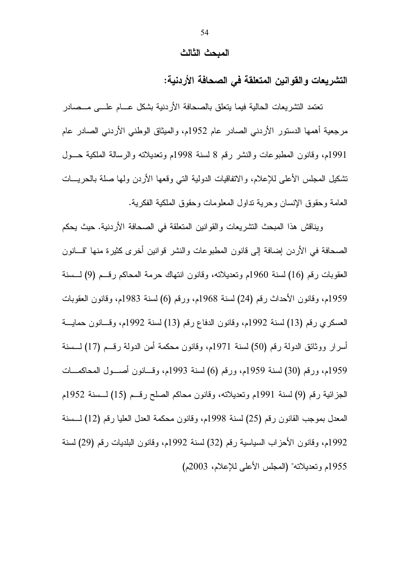#### المبحث الثالث

التشريعات والقوانين المتعلقة فى الصحافة الأردنية:

نعتمد النشريعات الحالية فيما يتعلق بالصحافة الأردنية بشكل عسام علسى مسصادر مرجعية أهمها الدستور الأردنبي الصادر عام 1952م، والميثاق الوطنبي الأردنبي الصادر عام 1991م، وقانون المطبوعات والنشر رقم 8 لسنة 1998م وتعديلاته والرسالة الملكية حــول تشكيل المجلس الأعلى للإعلام، والاتفاقيات الدولية النبي وقعها الأردن ولها صلة بالحريسات العامة وحقوق الإنسان وحرية نداول المعلومات وحقوق الملكية الفكرية.

ويناقش هذا المبحث التشريعات والقوانين المتعلقة في الصحافة الأردنية. حيث يحكم الصحافة في الأردن إضافة إلى قانون المطبوعات والنشر قوانين أخرى كثيرة منها "قـــانون العقوبات رقم (16) لسنة 1960م وتعديلاته، وقانون انتهاك حرمة المحاكم رقــم (9) لـــسنة 1959م، وقانون الأحداث رقم (24) لسنة 1968م، ورقم (6) لسنة 1983م، وقانون العقوبات العسكري رقم (13) لسنة 1992م، وقانون الدفاع رقم (13) لسنة 1992م، وقسانون حمايـــة أسرار ووثائق الدولة رقم (50) لسنة 1971م، وقانون محكمة أمن الدولة رقـــم (17) لــــسنة 1959م، ورقم (30) لسنة 1959م، ورقم (6) لسنة 1993م، وقسانون أصـــول المحاكمـــات الجزائية رقم (9) لسنة 1991م وتعديلاته، وقانون محاكم الصلح رقــم (15) لـــسنة 1952م المعدل بموجب القانون رقم (25) لسنة 1998م، وقانون محكمة العدل العليا رقم (12) لـــسنة 1992م، وقانون الأحزاب السياسية رقم (32) لسنة 1992م، وقانون البلديات رقم (29) لسنة 1955م وتعديلاته" (المجلس الأعلى للإعلام، 2003م)

54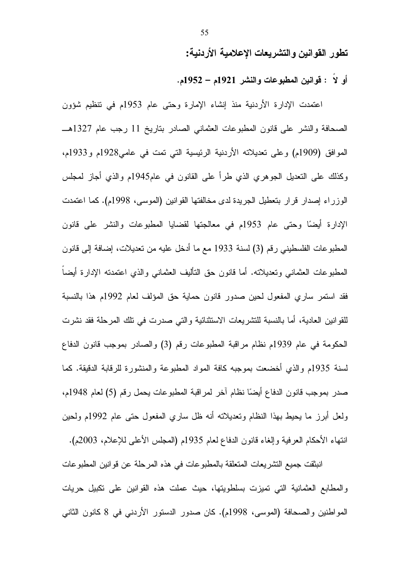تطور القوانين والتشريعات الإعلامية الأردنية:

أو لا : قوانين المطبوعات والنشر 1921م – 1952م.

اعتمدت الإدارة الأردنية منذ إنشاء الإمارة وحتى عام 1953م في نتظيم شؤون الصحافة والنشر على قانون المطبوعات العثماني الصادر بناريخ 11 رجب عام 1327هـــ الموافق (1909م) وعلى تعديلاته الأردنية الرئيسية التي تمت في عامي1928م و1933م، وكذلك على النعديل الجوهري الذي طرأ على القانون في عام1945م والذي أجاز لمجلس الوزراء إصدار قرار بتعطيل الجريدة لدى مخالفتها القوانين (الموسى، 1998م). كما اعتمدت الإدارة أيضًا وحتى عام 1953م في معالجتها لقضايا المطبوعات والنشر على قانون المطبوعات الفلسطيني رقم (3) لسنة 1933 مع ما أدخل عليه من تعديلات، إضافة إلى قانون المطبوعات العثماني وتعديلاته. أما قانون حق التأليف العثماني والذي اعتمدته الإدارة أيضاً فقد استمر ساري المفعول لحين صدور قانون حماية حق المؤلف لعام 1992م هذا بالنسبة للقوانين العادية، أما بالنسبة للتشريعات الاستثنائية والتي صدرت في تلك المرحلة فقد نشرت الحكومة في عام 1939م نظام مراقبة المطبوعات رقم (3) والصادر بموجب قانون الدفاع لسنة 1935م والذي أخضعت بموجبه كافة المواد المطبوعة والمنشورة للرقابة الدقيقة. كما صدر بموجب قانون الدفاع أيضًا نظام أخر لمراقبة المطبوعات يحمل رقم (5) لعام 1948م، ولعل أبرز ما يحيط بهذا النظام وتعديلاته أنه ظل ساري المفعول حتى عام 1992م ولحين انتهاء الأحكام العرفية وإلغاء قانون الدفاع لعام 1935م (المجلس الأعلمي للإعلام، 2003م).

انبثقت جميع التشريعات المتعلقة بالمطبوعات في هذه المرحلة عن قوانين المطبوعات والمطابع العثمانية التي تميزت بسلطويتها، حيث عملت هذه القوانين على تكبيل حريات المواطنين والصحافة (الموسى، 1998م). كان صدور الدستور الأردني في 8 كانون الثاني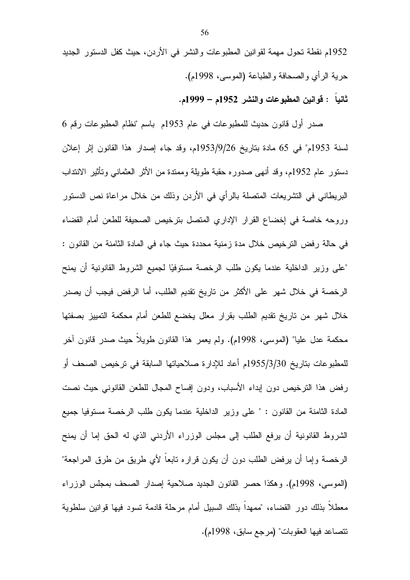1952م نقطة تحول مهمة لقوانين المطبوعات والنشر في الأردن، حيث كفل الدستور الجديد حرية الرأي والصحافة والطباعة (الموسى، 1998م). ثانيا : قوانين المطبوعات والنشر 1952م – 1999م.

صدر أول قانون حديث للمطبوعات في عام 1953م باسم "نظام المطبوعات رقم 6 لسنة 1953م" في 65 مادة بتاريخ 1953/9/26م، وقد جاء إصدار هذا القانون إثر إعلان دستور عام 1952م، وقد أنهى صدوره حقبة طويلة وممندة من الأثر العثماني وتأثير الانتداب البريطاني في التشريعات المتصلة بالرأي في الأردن وذلك من خلال مراعاة نص الدستور وروحه خاصة في إخضاع القرار الإداري المتصل بترخيص الصحيفة للطعن أمام القضاء في حالة رفض الترخيص خلال مدة زمنية محددة حيث جاء في المادة الثامنة من القانون : "على وزير الداخلية عندما يكون طلب الرخصة مستوفيًا لجميع الشروط القانونية أن يمنح الرخصة في خلال شهر على الأكثر من تاريخ تقديم الطلب، أما الرفض فيجب أن يصدر خلال شهر من تاريخ تقديم الطلب بقرار معلل يخضع للطعن أمام محكمة التمييز بصفتها محكمة عدل عليا" (الموسى، 1998م). ولم يعمر هذا القانون طويلا حيث صدر قانون أخر للمطبوعات بتاريخ 1955/3/30م أعاد للإدارة صلاحياتها السابقة في ترخيص الصحف أو رفض هذا الترخيص دون إبداء الأسباب، ودون إفساح المجال للطعن القانوني حيث نصت المادة الثامنة من القانون : " على وزير الداخلية عندما يكون طلب الرخصة مستوفيا جميع الشروط القانونية أن يرفع الطلب إلى مجلس الوزراء الأردني الذي له الحق إما أن يمنح الرخصة وإما أن يرفض الطلب دون أن يكون قراره نابعا لأي طريق من طرق المراجعة" (الموسى، 1998م). وهكذا حصر القانون الجديد صلاحية إصدار الصحف بمجلس الوزراء معطلا بذلك دور القضاء، "ممهدا بذلك السبيل أمام مرحلة قادمة نسود فيها قوانين سلطوية نتصاعد فيها العقوبات" (مرجع سابق، 1998م).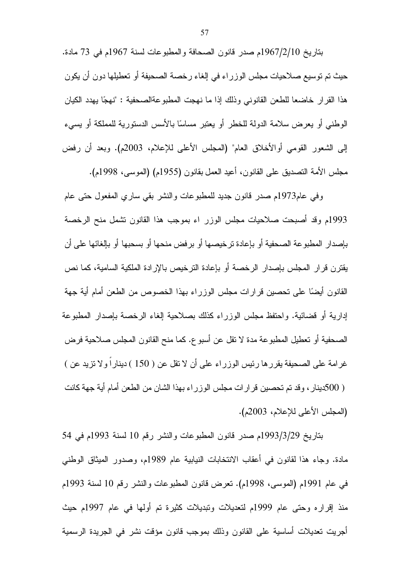بتاريخ 1967/2/10م صدر قانون الصحافة والمطبوعات لسنة 1967م في 73 مادة. حيث تم توسيع صلاحيات مجلس الوزراء في إلغاء رخصة الصحيفة أو تعطيلها دون أن يكون هذا القرار خاضعا للطعن القانوني وذلك إذا ما نهجت المطبوعةالصحفية : "نهجًا يهدد الكيان الوطني أو يعرض سلامة الدولة للخطر أو يعتبر مساسًا بالأسس الدستورية للمملكة أو يسيء إلى الشعور القومي أوالأخلاق العام" (المجلس الأعلى للإعلام، 2003م). وبعد أن رفض مجلس الأمة التصديق على القانون، أعيد العمل بقانون (1955م) (الموسى، 1998م).

وفي عام1973م صدر قانون جديد للمطبوعات والنشر بقي ساري المفعول حتى عام 1993م وقد أصبحت صلاحيات مجلس الوزر اء بموجب هذا القانون تشمل منح الرخصة بإصدار المطبوعة الصحفية أو بإعادة ترخيصها أو برفض منحها أو بسحبها أو بإلغائها على أن يقترن قرار المجلس بإصدار الرخصة أو بإعادة النرخيص بالإرادة الملكية السامية، كما نص القانون أيضًا على تحصين قرارات مجلس الوزراء بهذا الخصوص من الطعن أمام أية جهة إدارية أو قضائية. واحتفظ مجلس الوزراء كذلك بصلاحية إلغاء الرخصة بإصدار المطبوعة الصحفية أو تعطيل المطبوعة مدة لا نقل عن أسبو ع. كما منح القانون المجلس صىلاحية فرض غرامة على الصحيفة يقررها رئيس الوزراء على أن لا نقل عن ( 150 ) دينارا ولا نزيد عن ) ( 500دينار ، وقد تم تحصين قرارات مجلس الوزراء بهذا الشان من الطعن أمام أية جهة كانت (المجلس الأعلى للإعلام، 2003م).

بتاريخ 1993/3/29م صدر قانون المطبوعات والنشر رقم 10 لسنة 1993م في 54 مادة. وجاء هذا لقانون في أعقاب الانتخابات النيابية عام 1989م، وصدور الميثاق الوطني في عام 1991م (الموسى، 1998م). تعرض قانون المطبوعات والنشر رقم 10 لسنة 1993م منذ إقراره وحتى عام 1999م لتعديلات وتبديلات كثيرة تم أولمها في عام 1997م حيث أجريت تعديلات أساسية على القانون وذلك بموجب قانون مؤقت نشر في الجريدة الرسمية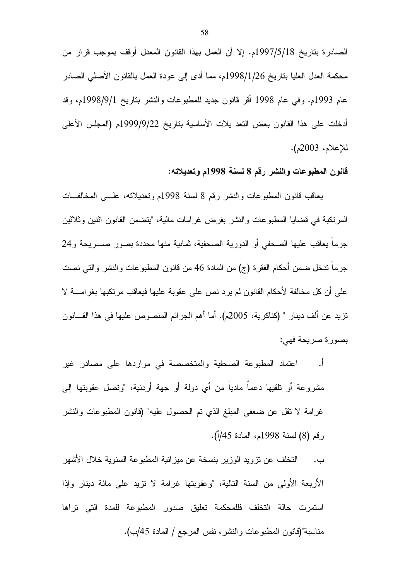الصـادرة بتاريخ 1997/5/18م. إلا أن العمل بهذا القانون المعدل أوقف بموجب قرار من محكمة العدل العليا بتاريخ 1998/1/26م، مما أدى إلى عودة العمل بالقانون الأصلي الصادر عام 1993م. وفي عام 1998 أقر قانون جديد للمطبوعات والنشر بتاريخ 1998/9/1م، وقد أدخلت على هذا القانون بعض النعد يلات الأساسية بتاريخ 1999/9/22م (المجلس الأعلى للإعلام، 2003م).

#### قانون المطبوعات والنشر رقم 8 لسنة 1998م وتعديلاته:

يعاقب قانون المطبوعات والنشر رقم 8 لسنة 1998م وتعديلاته، علـــي المخالفـــات المرتكبة في قضايا المطبوعات والنشر بفرض غرامات مالية، "ينضمن القانون اثنين وثلاثين جرما يعاقب عليها الصحفي أو الدورية الصحفية، ثمانية منها محددة بصور صــــريحة و24 جرما ندخل ضمن أحكام الفقرة (ج) من المادة 46 من قانون المطبوعات والنشر والتي نصت على أن كل مخالفة لأحكام القانون لم يرد نص على عقوبة عليها فيعاقب مرتكبها بغرامــــة لا تزيد عن ألف دينار " (كناكرية، 2005م). أما أهم الجرائم المنصوص عليها في هذا القـــانون بصورة صريحة فهي:

ا. اعتماد المطبوعة الصحفية والمتخصصة في مواردها على مصادر غير مشروعة أو نلقيها دعما ماديا من أي دولة أو جهة أردنية، "ونصل عقوبتها إلى غرامة لا نقل عن ضعفي المبلغ الذي تم الحصول عليه" (قانون المطبوعات والنشر رقم (8) لسنة 1998م، المادة 45/أ).

ب. التخلف عن نزويد الوزير بنسخة عن ميزانية المطبوعة السنوية خلال الأشهر الأربعة الأولى من السنة التالية، "وعقوبتها غرامة لا نزيد على مائة دينار وإذا استمرت حالة التخلف فللمحكمة تعليق صدور المطبوعة للمدة التي تراها مناسبة"(قانون المطبوعات والنشر ، نفس المرجع / المادة 45/ب).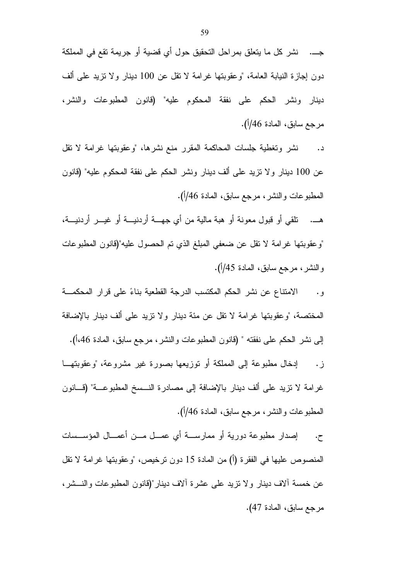جـــ. نشر كل ما يتعلق بمراحل التحقيق حول أي قضية أو جريمة تقع في المملكة دون إجازة النيابة العامة، "وعقوبتها غرامة لا نقل عن 100 دينار ولا نزيد على ألف دينار ونشر الحكم على نفقة المحكوم عليه" (قانون المطبوعات والنشر، مرجع سابق، المادة 46/أ).

نشر وتغطية جلسات المحاكمة المقرر منع نشرها، "وعقوبتها غرامة لا نقل د. عن 100 دينار ولا نزيد على ألف دينار ونشر الحكم على نفقة المحكوم عليه" (قانون المطبوعات والنشر، مرجع سابق، المادة 46/أ).

هـــ. تلقي أو قبول معونة أو هبة مالية من أي جهـــة أردنيـــة أو غيـــر أردنيـــة، "وعقوبتها غرامة لا نقل عن ضعفي المبلغ الذي تم الحصول عليه"(قانون المطبوعات و النشر ، مرجع سابق، المادة 45/أ).

الامتناع عن نشر الحكم المكتسب الدرجة القطعية بناءً على قرار المحكمـــة  $\cdot$  , , المختصة، "وعقوبتها غرامة لا نقل عن مئة دينار ولا نزيد على ألف دينار بالإضافة

إلى نشر الحكم على نفقته " (قانون المطبوعات والنشر ، مرجع سابق، المادة 46،أ). إدخال مطبوعة إلى المملكة أو نوزيعها بصورة غير مشروعة، "وعقوبتهــا ز. غرامة لا نزيد على ألف دينار بالإضافة إلى مصادرة النـــسخ المطبوعـــة" (قـــانون المطبوعات والنشر، مرجع سابق، المادة 46/أ).

إصدار مطبوعة دورية أو ممارســـة أي عمـــل مـــن أعمـــال المؤســسات  $\cdot$ ح. المنصوص عليها في الفقرة (أ) من المادة 15 دون ترخيص، "وعقوبتها غرامة لا تقل عن خمسة ألاف دينار ولا نزيد على عشرة ألاف دينار "(قانون المطبوعات والنــــشر ، مرجع سابق، المادة 47).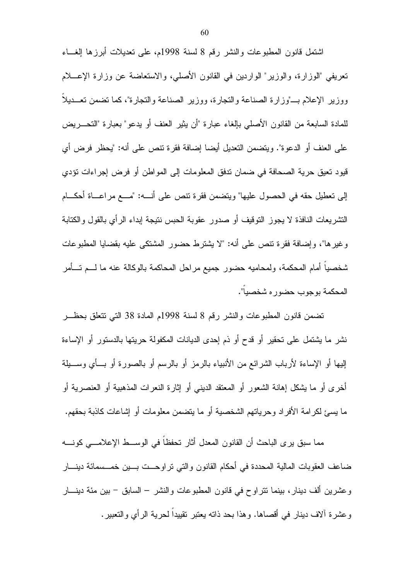اشتمل قانون المطبوعات والنشر رقم 8 لسنة 1998م، على تعديلات أبرزها إلغــاء نعريفي "الوزارة، والوزير" الواردين في القانون الأصلي، والاستعاضة عن وزارة الإعــــلام ووزير الإعلام بـــ"وزارة الصناعة والتجارة، ووزير الصناعة والتجارة"، كما تضمن تعــديلا للمادة السابعة من القانون الأصلبي بالغاء عبارة "أن يثير العنف أو يدعو" بعبارة "التحـــريض على العنف أو الدعوة". ويتضمن التعديل أيضا إضافة فقرة نتص على أنه: "يحظر فرض أي قيود تعيق حرية الصحافة في ضمان تدفق المعلومات إلى المواطن أو فرض إجراءات تؤدي إلى نعطيل حقه في الحصول عليها" وينضمن فقرة نتص على أنــــه: "مــــع مراعــــاة أحكــــام النشريعات النافذة لا يجوز النوقيف أو صدور عقوبة الحبس نتيجة إبداء الرأي بالقول والكتابة وغيرها"، وإضافة فقرة تنص على أنه: "لا يشترط حضور المشتكي عليه بقضايا المطبوعات شخصيا أمام المحكمة، ولمحاميه حضور جميع مراحل المحاكمة بالوكالة عنه ما لــــم تــــأمر المحكمة بوجوب حضوره شخصيا".

تضمن قانون المطبوعات والنشر رقم 8 لسنة 1998م المادة 38 التبي نتعلق بحظـــر نشر ما يشتمل على نحقير أو قدح أو ذم إحدى الديانات المكفولة حريتها بالدستور أو الإساءة إليها أو الإساءة لأرباب الشرائع من الأنبياء بالرمز أو بالرسم أو بالصورة أو بـــأي وســـيلة أخرى أو ما بِشكل إهانة الشعور أو المعتقد الدينبي أو إثارة النعرات المذهبية أو العنصرية أو ما يسئ لكرامة الأفراد وحرياتهم الشخصية أو ما يتضمن معلومات أو إشاعات كاذبة بحقهم.

مما سبق يرى الباحث أن القانون المعدل أثار تحفظا في الوســـط الإعلامـــي كونــــه ضاعف العقوبات المالية المحددة في أحكام القانون والتي تراوحــت بـــين خمـــسمائة دينــــار وعشرين ألف دينار ، بينما نتراوح في قانون المطبوعات والنشر – السابق – بين مئة دينــــار وعشرة ألاف دينار في أقصاها. وهذا بحد ذاته يعتبر نقييداً لحرية الرأى والتعبير .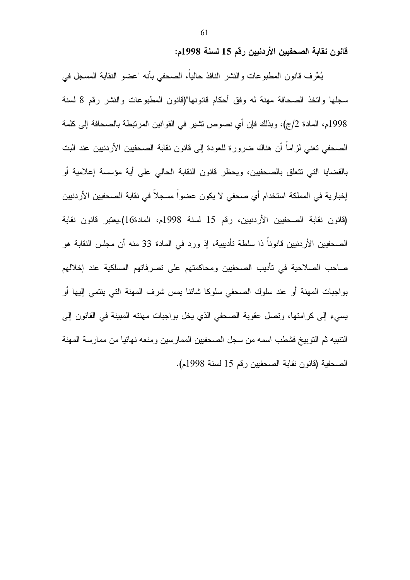قانون نقابة الصحفيين الأردنيين رقم 15 لسنة 1998م:

يُعِّرف قانون المطبوعات والنشر النافذ حالياً، الصحفي بأنه "عضو النقابة المسجل في سجلها واتخذ الصحافة مهنة له وفق أحكام قانونها"(قانون المطبوعات والنشر رقم 8 لسنة 1998م، المادة 2/ج)، وبذلك فإن أي نصوص نشير في القوانين المرتبطة بالصحافة إلى كلمة الصحفي تعني لزاماً أن هناك ضرورة للعودة إلى قانون نقابة الصحفيين الأردنيين عند البت بالقضايا التي نتعلق بالصحفيين، ويحظر قانون النقابة الحالي على أية مؤسسة إعلامية أو إخبارية في المملكة استخدام أي صحفي لا يكون عضوا مسجلا في نقابة الصحفيين الأردنيين (قانون نقابة الصحفيين الأردنيين، رقم 15 لسنة 1998م، المادة16).يعتبر قانون نقابة الصحفيين الأردنيين قانوناً ذا سلطة تأديبية، إذ ورد في المادة 33 منه أن مجلس النقابة هو صاحب الصلاحية في تأديب الصحفيين ومحاكمتهم على نصرفاتهم المسلكية عند إخلالهم بواجبات المهنة أو عند سلوك الصحفى سلوكا شائنا بمس شرف المهنة التي بنتمي إليها أو يسيء إلى كرامتها، وتصل عقوبة الصحفي الذي يخل بواجبات مهنته المبينة في القانون إلى التتبيه ثم التوبيخ فشطب اسمه من سجل الصحفيين الممارسين ومنعه نهائيا من ممارسة المهنة الصحفية (قانون نقابة الصحفيين رقم 15 لسنة 1998م).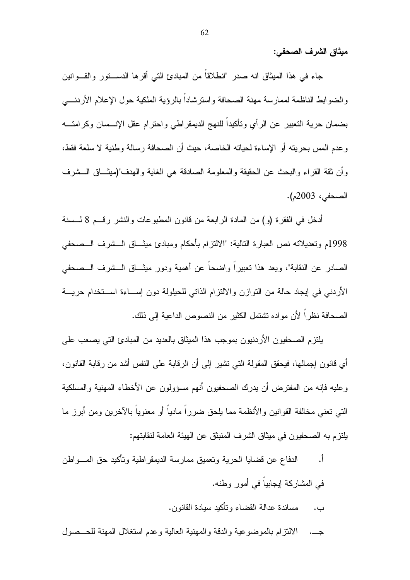ميثاق الشرف الصحفى:

جاء في هذا الميثاق انه صدر "انطلاقاً من المبادئ التي أقرها الدســــتور والقــــوانين والضوابط الناظمة لممارسة مهنة الصحافة واسترشادا بالرؤية الملكية حول الإعلام الأردنسي بضمان حرية التعبير عن الرأي ونأكيداً للنهج الديمقراطي واحترام عقل الإنـــسان وكرامتــــه و عدم المس بحر بنه أو الإساءة لحياته الخاصة، حيث أن الصحافة ر سالة و طنية لا سلعة فقط، وأن ثقة القراء والبحث عن الحقيقة والمعلومة الصادقة هي الغاية والهدف"(ميثـــاق الـــشرف الصحفى، 2003م).

أدخل في الفقرة (و) من المادة الرابعة من قانون المطبوعات والنشر رقــم 8 لـــسنة 1998م وتعديلاته نص العبارة التالية: "الالتزام بأحكام ومبادئ ميثـــاق الـــشرف الـــصـحفي الصادر عن النقابة"، ويعد هذا نعبيراً واضحاً عن أهمية ودور ميثــاق الـــشرف الـــصـحفي الأردنبي في إيجاد حالة من النوازن والالنزام الذاتي للحيلولة دون إســـاءة اســـنخدام حريــــة الصحافة نظر ا لأن مو اده نشتمل الكثير من النصوص الداعية إلى ذلك.

بلتزم الصحفيون الاردنيون بموجب هذا الميثاق بالعديد من المبادئ التي يصعب على أي قانون إجمالها، فيحقق المقولة التي تشير إلى أن الرقابة على النفس أشد من رقابة القانون، وعليه فإنه من المفترض أن يدرك الصحفيون أنهم مسؤولون عن الأخطاء المهنية والمسلكية التي تعني مخالفة القوانين والأنظمة مما يلحق ضرراً مادياً أو معنوياً بالآخرين ومن أبرز ما يلتز م به الصحفيون في ميثاق الشرف المنبثق عن الهيئة العامة لنقابتهم:

- الدفاع عن قضايا الحرية وتعميق ممارسة الديمقراطية وتأكيد حق المسواطن أ. في المشاركة إيجابياً في أمور وطنه.
	- مساندة عدالة القضاء وتأكيد سيادة القانون. ب.
- الالتزام بالموضوعية والدقة والمهنية العالية وعدم استغلال المهنة للحــصول جـــ.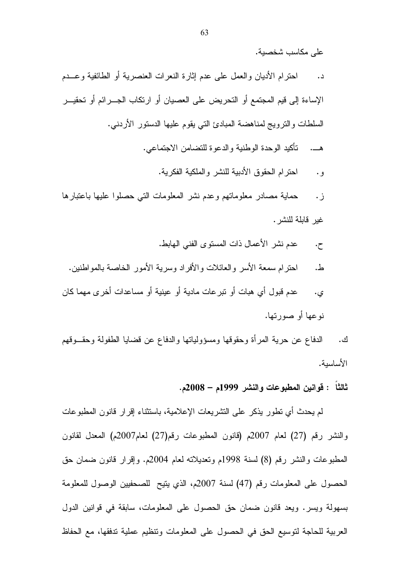على مكاسب شخصبة.

احترام الأديان والعمل على عدم إثارة النعرات العنصرية أو الطائفية وعـــدم  $\overline{\phantom{a}}$ الإساءة إلى قيم المجتمع أو التحريض على العصبيان أو ارتكاب الجـــر ائم أو تحقيـــر السلطات والترويج لمناهضة المبادئ التي يقوم عليها الدستور الأردنبي. تأكيد الوحدة الوطنية والدعوة للتضامن الاجتماعي. 

> احتر ام الحقوق الأدبية للنشر والملكية الفكرية.  $\ddot{\cdot}$

حماية مصادر معلوماتهم وعدم نشر المعلومات التبي حصلوا عليها باعتبارها ز . غبر قابلة للنشر .

- عدم نشر الأعمال ذات المستوى الفني الهابط.  $\cdot$ ح.
- احتر ام سمعة الأسر والعائلات و الأفر اد و سر يـة الأمور الـخـاصـة بـالمو اطنين. ط.
- عدم قبول أي هبات أو نبرعات مادية أو عينية أو مساعدات أخرى مهما كان ي. نو عها أو صورتها.
- الدفاع عن حرية المرأة وحقوقها ومسؤولياتها والدفاع عن قضايا الطفولة وحقــوقهم ك . الأساسية.

### ثالثاً : قوانين المطبوعات والنشر 1999م – 2008م.

لم يحدث أي تطور يذكر على التشريعات الإعلامية، باستثناء إقرار قانون المطبوعات والنشر رقم (27) لعام 2007م (قانون المطبوعات رقم(27) لعام2007م) المعدل لقانون المطبوعات والنشر رقم (8) لسنة 1998م وتعديلاته لعام 2004م. وإقرار قانون ضمان حق الحصول على المعلومات رقم (47) لسنة 2007م، الذي يتيح للصحفيين الوصول للمعلومة بسهولة ويسر. ويعد قانون ضمان حق الحصول على المعلومات، سابقة في قوانين الدول العربية للحاجة لتوسيع الحق في الحصول على المعلومات وتتظيم عملية تدفقها، مع الحفاظ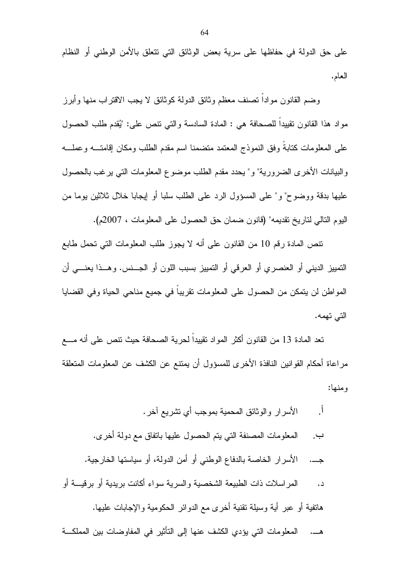على حق الدولة في حفاظها على سرية بعض الوثائق التي نتعلق بالأمن الوطني أو النظام العام.

وضم القانون موادا تصنف معظم وثائق الدولة كوثائق لا يجب الاقتراب منها وأبرز مو إد هذا القانون نقيبدا للصحافة هي : المادة السادسة والتي تنص على: "يُقدم طلب الحصول على المعلومات كتابة وفق النموذج المعتمد متضمنا اسم مقدم الطلب ومكان إقامتـــه وعملـــه والبيانات الأخرى الضرورية" و" يحدد مقدم الطلب موضوع المعلومات التي يرغب بالحصول عليها بدقة ووضوح" و" على المسؤول الرد على الطلب سلبا أو إيجابا خلال ثلاثين بوما من اليوم النالي لناريخ نقديمه" (قانون ضمان حق الحصول على المعلومات ، 2007م).

نتص المادة رقم 10 من القانون على أنه لا يجوز طلب المعلومات التي تحمل طابع التمييز الديني أو العنصر ي أو العرقي أو التمييز بسبب اللون أو الجـــنس. و هـــذا يعنــــي أن المواطن لن يتمكن من الحصول على المعلومات نقريبا في جميع مناحي الحياة وفي القضايا التي تهمه.

تعد المادة 13 من القانون أكثر المواد نقييدا لحرية الصحافة حيث نتص على أنه مــــع مراعاة أحكام القوانين النافذة الأخرى للمسؤول أن يمتنع عن الكشف عن المعلومات المتعلقة و منها:

 $\overline{1}$ الأسرار والوثائق المحمية بموجب أى نشريع أخر . المعلومات المصنفة التي يتم الحصول عليها بانفاق مع دولة أخرى. ب. جـــ. الأسرار الخاصة بالدفاع الوطني أو أمن الدولة، أو سياستها الخارجية. المراسلات ذات الطبيعة الشخصية والسرية سواء أكانت بريدية أو برقيسة أو  $\overline{\phantom{a}}$ . هاتفية أو عبر أية وسيلة تقنية أخرى مع الدوائر الحكومية والإجابات عليها.

المعلومات التي يؤدي الكشف عنها إلى التأثير في المفاوضات بين المملكـــة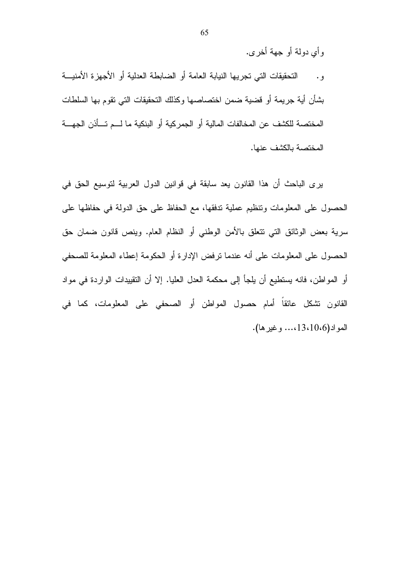وأي دولة أو جهة أخرى.

التحقيقات التي تجريها النيابة العامة أو الضابطة العدلية أو الأجهزة الأمنيـــة  $\cdot$  ,  $\cdot$ بشأن أية جريمة أو فضية ضمن اختصاصها وكذلك التحقيقات التي تقوم بها السلطات المختصة للكشف عن المخالفات المالية أو الجمركية أو البنكية ما لـــم تـــأذن الجهـــة المختصة بالكشف عنها.

يرى الباحث أن هذا القانون يعد سابقة في قوانين الدول العربية لتوسيع الحق في الحصول على المعلومات ونتظيم عملية ندفقها، مع الحفاظ على حق الدولة في حفاظها على سرية بعض الوثائق التي نتعلق بالأمن الوطني أو النظام العام. وينص قانون ضمان حق الحصول على المعلومات على أنه عندما نرفض الإدارة أو الحكومة إعطاء المعلومة للصحفى أو المواطن، فانه يستطيع أن يلجأ إلى محكمة العدل العليا. إلا أن التقييدات الواردة في مواد القانون نتشكل عائقاً أمام حصول المواطن أو الصحفى على المعلومات، كما في المو اد (10،6) 13،10... وغير ها).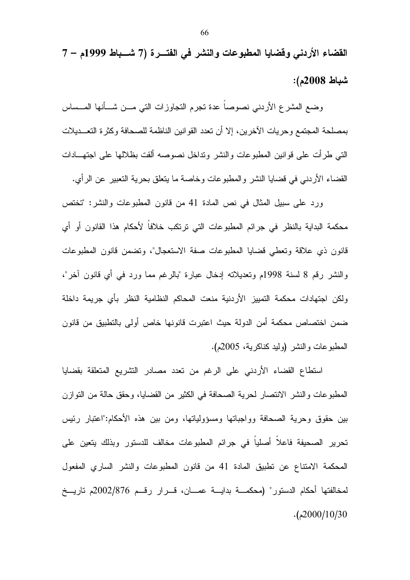القضاء الأردني وقضايا المطبوعات والنشر في الفتـــرة (7 شـــباط 1999م – 7 شباط 2008م):

وضع المشرع الأردنبي نصوصا عدة نجرم النجاوزات التبي مـــن شـــأنها المـــساس بمصلحة المجتمع وحريات الآخرين، إلا أن تعدد القوانين الناظمة للصحافة وكثرة التعـــديلات التبي طرأت على قوانين المطبوعات والنشر ونداخل نصوصه ألقت بظلالها على اجتهـــادات القضاء الأردني في قضايا النشر والمطبوعات وخاصة ما يتعلق بحرية التعبير عن الرأي.

ورد على سبيل المثال في نص المادة 41 من قانون المطبوعات والنشر: "تختص محكمة البداية بالنظر في جرائم المطبوعات التي ترتكب خلافاً لأحكام هذا القانون أو أي قانون ذي علاقة وتعطي قضايا المطبوعات صفة الاستعجال"، وتضمن قانون المطبوعات والنشر رقم 8 لسنة 1998م وتعديلاته إدخال عبارة "بالرغم مما ورد في أي قانون أخر"، ولكن اجتهادات محكمة التمييز الأردنية منعت المحاكم النظامية النظر بأى جريمة داخلة ضمن اختصاص محكمة أمن الدولة حيث اعتبرت فانونها خاص أولى بالتطبيق من فانون المطبوعات والنشر (وليد كناكرية، 2005م).

استطاع القضاء الأردني على الرغم من تعدد مصادر التشريع المتعلقة بقضايا المطبوعات والنشر الانتصار لحرية الصحافة في الكثير من القضايا، وحقق حالة من النوازن بين حقوق وحرية الصحافة وواجباتها ومسؤولياتها، ومن بين هذه الأحكام:"اعتبار رئيس تحرير الصحيفة فاعلا أصليا في جرائم المطبوعات مخالف للدستور وبذلك يتعين على المحكمة الامتناع عن نطبيق المادة 41 من قانون المطبوعات والنشر الساري المفعول لمخالفتها أحكام الدستور" (محكمـــة بدايـــة عمـــان، قـــرار رقــم 2002/876م تاريــخ  $. (2000/10/30)$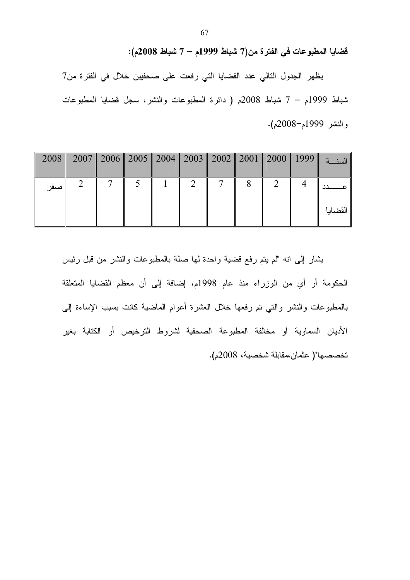فَضايا المطبوعات في الفترة من(7 شباط 1999م – 7 شباط 2008م):

يظهر الجدول التالي عدد القضايا التي رفعت على صحفيين خلال في الفترة من7 شباط 1999م – 7 شباط 2008م ( دائرة المطبوعات والنشر، سجل قضايا المطبوعات والنشر 1999م-2008م).

| 2008 |  |  |  |  | 2007    2006    2005    2004    2003    2002    2001    2000    1999    تلبيذية    2007    200 |
|------|--|--|--|--|------------------------------------------------------------------------------------------------|
| صفر  |  |  |  |  | القضايا                                                                                        |

يشار إلى انه "لم يتم رفع فضية واحدة لها صلة بالمطبوعات والنشر من قبل رئيس الحكومة أو أي من الوزراء منذ عام 1998م، إضافة إلى أن معظم القضايا المتعلقة بالمطبوعات والنشر والتي تم رفعها خلال العشرة أعوام الماضية كانت بسبب الإساءة إلىي الأديان السماوية أو مخالفة المطبوعة الصحفية لشروط الترخيص أو الكتابة بغير تخصصها"( عثمان،مقابلة شخصية، 2008م).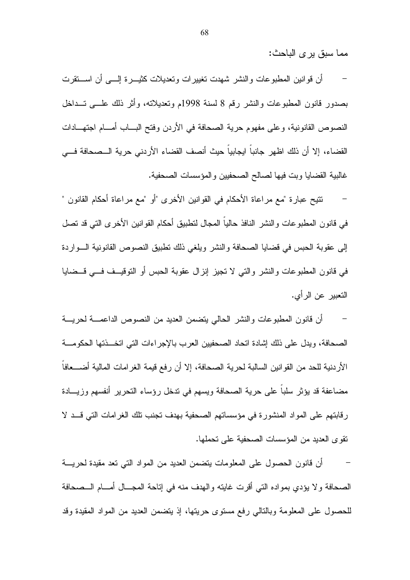مما سبق پر ي الباحث:

أن قوانين المطبوعات والنشر شهدت تغييرات وتعديلات كثيـــرة إلــــى أن اســـنقرت بصدور فانون المطبوعات والنشر رقم 8 لسنة 1998م وتعديلاته، وأثر ذلك علـــي تـــداخل النصوص القانونية، وعلى مفهوم حرية الصحافة في الأردن وفتح البساب أمسام اجتهسادات القضاء، إلا أن ذلك اظهر جانباً ابجابياً حيث أنصف القضاء الأردني حرية الـــصحافة فـــي غالبية القضايا وبت فيها لصالح الصحفيين والمؤسسات الصحفية.

نتيح عبارة "مع مراعاة الأحكام في القوانين الأخرى "أو "مع مراعاة أحكام القانون " في قانون المطبوعات والنشر النافذ حالياً المجال لنطبيق أحكام القوانين الأخرى التي قد تصل إلى عقوبة الحبس في قضايا الصحافة والنشر ويلغي ذلك نطبيق النصوص القانونية السواردة في قانون المطبوعات والنشر والتبي لا تجيز إنزال عقوبة الحبس أو التوقيــف فـــي قـــضايا التعبير عن الرأي.

أن قانون المطبوعات والنشر الحالي يتضمن العديد من النصوص الداعمـــة لحريـــة الصحافة، ويدل على ذلك إشادة اتحاد الصحفيين العرب بالإجراءات التي اتخـــذتها الحكومـــة الأردنية للحد من القوانين السالبة لحرية الصحافة، إلا أن رفع قيمة الغرامات المالية أضــــعافا مضاعفة قد يؤثر سلبا على حرية الصحافة ويسهم في ندخل رؤساء النحرير أنفسهم وزيـــادة رقابتهم على المواد المنشورة في مؤسساتهم الصحفية بهدف تجنب نلك الغرامات التي قــد لا نقوى العديد من المؤسسات الصحفية على تحملها.

أن قانون الحصول على المعلومات يتضمن العديد من المواد التي تعد مقيدة لحريسة  $\sim$   $-$ الصحافة ولا يؤدي بمواده التي أقرت غايته والهدف منه في إتاحة المجـــال أمــــام الـــصحافة للحصول على المعلومة وبالتالي رفع مستوى حريتها، إذ يتضمن العديد من المواد المقيدة وقد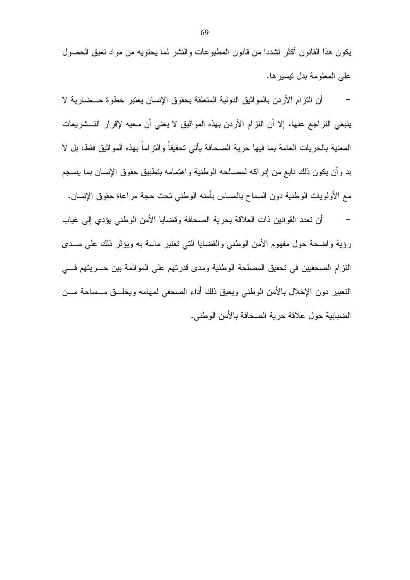يكون هذا القانون أكثر نشددا من قانون المطبوعات والنشر لما يحتويه من مواد نعيق الحصول على المعلومة بدل نيسير ها.

أن النزام الأردن بالمواثيق الدولية المتعلقة بحقوق الإنسان يعتبر خطوة حـــضارية لا ينبغي النراجع عنها، إلا أن النزام الأردن بهذه المواثيق لا يعني أن سعيه لإقرار التـــشريعات المعنية بالحريات العامة بما فيها حرية الصحافة يأتي تحقيقاً والنز اماً بهذه المواثيق فقط، بل لا بد وأن يكون ذلك نابع من إدراكه لمصالحه الوطنية واهتمامه بتطبيق حقوق الإنسان بما ينسجم مع الأولويات الوطنية دون السماح بالمساس بأمنه الوطني نحت حجة مراعاة حقوق الإنسان. أن تعدد القوانين ذات العلاقة بحرية الصحافة وقضايا الأمن الوطني يؤدي إلى غياب رؤية واضحة حول مفهوم الأمن الوطني والقضايا التبي نعتبر ماسة به ويؤثر ذلك على مـــدى النزام الصحفيين في تحقيق المصلحة الوطنية ومدى قدرتهم على الموائمة بين حـــريتهم فــــى النعبير دون الإخلال بالأمن الوطني ويعيق ذلك أداء الصحفي لمهامه ويخلــق مـــساحة مـــن الضبابية حول علاقة حرية الصحافة بالأمن الوطني.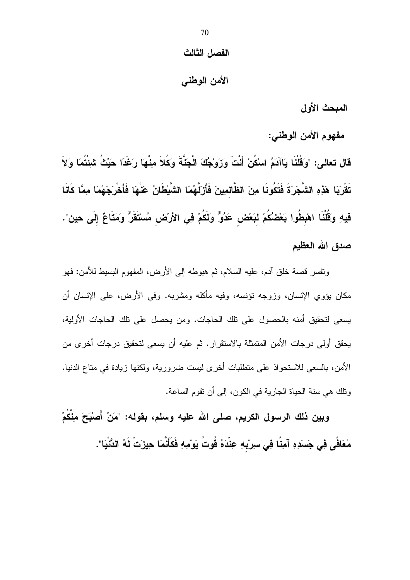## الفصل الثالث

# الأمن الوطنبي

المبحث الأول

مفهوم الأمن الوطني:

قَال تعالى: "وَقُلْنَا يَاآدَمُ اسْكُنْ أَنْتَ وَزَوَجُكَ الْجَنَّةَ وَكُلاَ مِنْهَا رَغَدًا حَيْثُ شئْتُمَا وَلاَ تَقْرِيَا هَذِهِ الشَّجَرَةَ فَتَكُونَا مِنَ الظَّالمِينَ فَأَرْلَّهُمَا الشَّيْطَانُ عَنْهَا فَأَخْرَجَهُمَا مِمَّا كَانَا فِيهِ وَقُلْنَا اهْبِطُوا بَعْضُكُمْ لبَعْض عَدُوٌّ وَلَكُمْ فِى الأرْض مُسْتَقَرٌّ وَمَتَاعٌ إِلَى حِين". صدق الله العظيم

ونفسر قصة خلق أدم، عليه السلام، ثم هبوطه إلى الأرض، المفهوم البسيط للأمن: فهو مكان يؤوي الإنسان، وزوجه نؤنسه، وفيه مأكله ومشربه. وفي الأرض، على الإنسان أن يسعى لتحقيق أمنه بالحصول على نلك الحاجات. ومن يحصل على نلك الحاجات الأولية، يحقق أولى درجات الأمن المتمثلة بالاستقرار . ثم عليه أن يسعى لتحقيق درجات أخرى من الأمن، بالسعى للاستحواذ على متطلبات أخرى ليست ضرورية، ولكنها زيادة في مناع الدنيا. ونلك هي سنة الحياة الجارية في الكون، إلى أن نقوم الساعة.

وبين ذلك الرسول الكريم، صلى الله عليه وسلم، بقوله: "مَنْ أَصبْحَ مِنْكُمْ مُعَافَى فِي جَسَدِهِ آمِنًا فِي سرِبْهِ عِنْدَهُ قُوتُ يَوْمِهِ فَكَأَنَّمَا حِيزَتْ لَهُ الدُّنْيَا".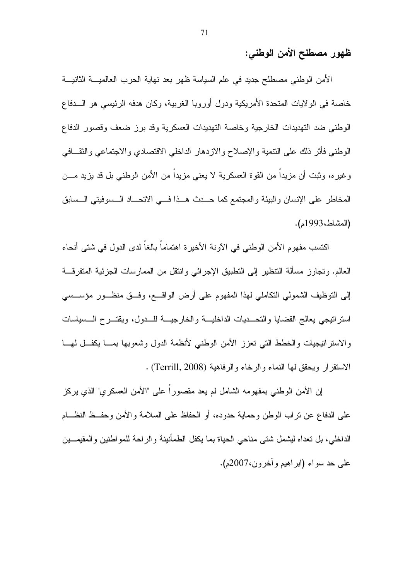ظهور مصطلح الأمن الوطني:

الأمن الوطني مصطلح جديد في علم السياسة ظهر بعد نهاية الحرب العالميـــة الثانيـــة خاصة في الولايات المتحدة الأمريكية ودول أوروبا الغربية، وكان هدفه الرئيسي هو السدفاع الوطني ضد التهديدات الخارجية وخاصة التهديدات العسكرية وقد برز ضعف وقصور الدفاع الوطنبي فأثر ذلك على النتمية والإصلاح والازدهار الداخلي الاقتصادي والاجتماعي والثقــافي وغيره، وثبت أن مزيدًا من القوة العسكرية لا يعني مزيدًا من الأمن الوطني بل قد يزيد مـــن المخاطر على الإنسان والبيئة والمجتمع كما حــدث هــذا فـــى الاتحـــاد الــسوفيتي الــسابق (المشاط، 1993م).

اكتسب مفهوم الأمن الوطني في الآونة الأخيرة اهتماماً بالغاً لدى الدول في شتى أنحاء العالم. وتجاوز مسألة النتظير إلى النطبيق الإجرائي وانتقل من الممارسات الجزئية المتفرقـــة إلى النوظيف الشمولي النكاملي لهذا المفهوم على أرض الواقـــع، وفــق منظـــور مؤســـسي استراتيجي يعالج القضايا والتحــديات الداخليـــة والخارجيـــة للـــدول، ويقتـــرح الـــسياسات والاستراتيجيات والخطط التبي تعزز الأمن الوطنبي لأنظمة الدول وشعوبها بمسا يكفسل لمهسا الاستقرار ويحقق لمها النماء والرخاء والرفاهية (Terrill, 2008) .

إن الأمن الوطني بمفهومه الشامل لم يعد مقصور أ على "الأمن العسكري" الذي يركز على الدفاع عن نراب الوطن وحماية حدوده، أو الحفاظ على السلامة والأمن وحفــظ النظـــام الداخلي، بل تعداه ليشمل شتى مناحى الحياة بما يكفل الطمأنينة والراحة للمواطنين والمقيمـــين على حد سواء (ابراهيم وأخرون،2007م).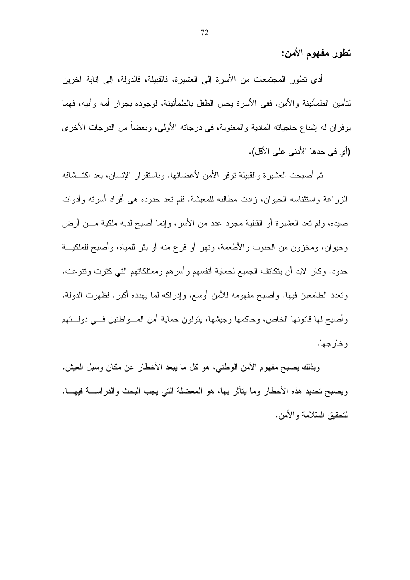تطور مفهوم الأمن:

أدى نطور المجتمعات من الأسرة إلى العشيرة، فالقبيلة، فالدولة، إلى إنابة آخرين لتأمين الطمأنينة والأمن. ففي الأسرة يحس الطفل بالطمأنينة، لوجوده بجوار أمه وأبيه، فهما يوفران له إشباع حاجياته المادية والمعنوية، في درجاته الأولى، وبعضاً من الدرجات الأخرى (أي في حدها الأدني على الأقل).

ثم أصبحت العشيرة والقبيلة توفر الأمن لأعضائها. وباستقرار الإنسان، بعد اكتــشافه الزراعة واستئناسه الحيوان، زادت مطالبه للمعيشة. فلم نعد حدوده هي أفراد أسرته وأدوات صيده، ولم تعد العشيرة أو القبلية مجرد عدد من الأسر، وإنما أصبح لديه ملكية مـــن أرض وحيوان، ومخزون من الحبوب والأطعمة، ونهر أو فرع منه أو بئر للمياه، وأصبح للملكيـــة حدود. وكان لابد أن يتكانف الجميع لحماية أنفسهم وأسرهم وممتلكاتهم التي كثرت ونتوعت، وتعدد الطامعين فيها. وأصبح مفهومه للأمن أوسع، وإدراكه لما يهدده أكبر . فظهرت الدولة، وأصبح لها قانونها الخاص، وحاكمها وجيشها، بتولون حماية أمن المسواطنين فسي دولستهم و خار حها.

وبذلك يصبح مفهوم الأمن الوطنبي، هو كل ما يبعد الأخطار عن مكان وسبل العيش، ويصبح تحديد هذه الأخطار وما يتأثر بها، هو المعضلة التي يجب البحث والدراســـة فيهـــا، لتحقبق السّلامة و الأمن.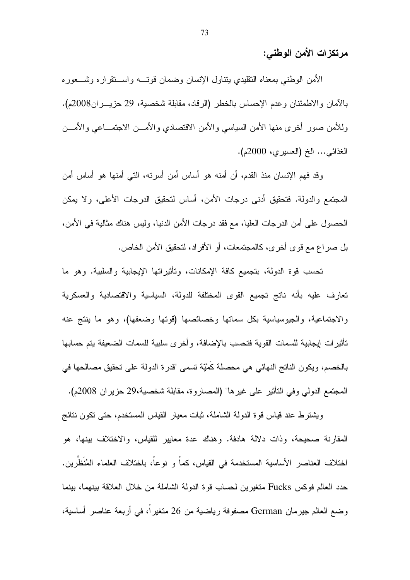مرتكزات الأمن الوطني:

الأمن الوطنبي بمعناه النقليدي ينتاول الإنسان وضمان قونسه واسستقراره وشسعوره بالأمان والاطمئنان وعدم الإحساس بالخطر (الرقاد، مقابلة شخصية، 29 حزيــــران2008م). وللأمن صور أخرى منها الأمن السياسي والأمن الاقتصادي والأمـــن الاجتمـــاعبي والأمـــن الغذائبي... الخ (العسيري، 2000م).

وقد فهم الإنسان منذ القدم، أن أمنه هو أساس أمن أسرته، التي أمنها هو أساس أمن المجتمع والدولة. فتحقيق أدنى درجات الأمن، أساس لتحقيق الدرجات الأعلى، ولا يمكن الحصول على أمن الدرجات العليا، مع فقد درجات الأمن الدنيا، وليس هناك مثالية في الأمن، بل صراع مع قوى أخرى، كالمجتمعات، أو الأفراد، لتحقيق الأمن الخاص.

تحسب فوة الدولة، بتجميع كافة الإمكانات، وتأثيراتها الإيجابية والسلبية. وهو ما تعارف عليه بأنه ناتج تجميع القوى المختلفة للدولة، السياسية والاقتصادية والعسكرية والاجتماعية، والجيوسياسية بكل سماتها وخصائصها (قوتها وضعفها)، وهو ما بنتج عنه تأثير ات ايجابية للسمات القوية فتحسب بالإضافة، و أخر ي سلبية للسمات الضعيفة يتم حسابها بالخصم، ويكون الناتج النهائي هي محصلة كَمْيّة تسمى "قدرة الدولة على تحقيق مصالحها في المجتمع الدولي وفي التأثير على غير ها" (المصاروة، مقابلة شخصية،29 حزير إن 2008م).

ويشترط عند قياس قوة الدولة الشاملة، ثبات معيار القياس المستخدم، حتى تكون نتائج المقارنة صحيحة، وذات دلالة هادفة. وهناك عدة معايير للقياس، والاختلاف بينها، هو اختلاف العناصر الأساسية المستخدمة في القياس، كما و نوعا، باختلاف العلماء المُنظِّرين. حدد العالم فوكس Fucks متغيرين لحساب قوة الدولة الشاملة من خلال العلاقة بينهما، بينما وضع العالم جيرمان German مصفوفة رياضية من 26 متغير أ، في أربعة عناصر أساسية،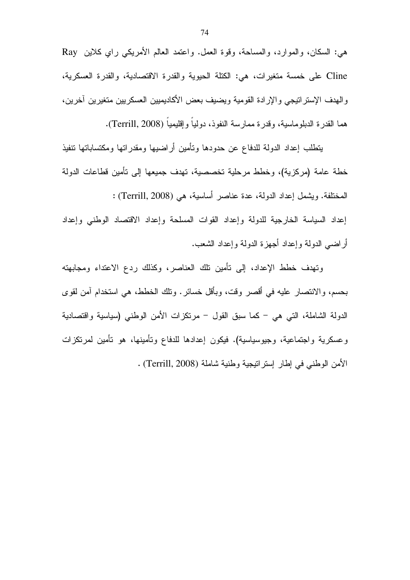هي: السكان، والموارد، والمساحة، وقوة العمل. واعتمد العالم الأمريكي راي كلاين Ray Cline على خمسة متغيرات، هي: الكتلة الحيوية والقدرة الاقتصادية، والقدرة العسكرية، والهدف الإستر انتيجي والإرادة القومية ويضيف بعض الأكاديميين العسكريين متغيرين آخرين، هما القدرة الدبلوماسية، وقدرة ممارسة النفوذ، دوليا وإقليميا (Terrill, 2008).

يتطلب إعداد الدولة للدفاع عن حدودها وتأمين أر اضبيها ومقدر اتها ومكتساباتها تتفيذ خطة عامة (مركزية)، وخطط مرحلية تخصصية، تهدف جميعها إلى تأمين قطاعات الدولة المختلفة. ويشمل إعداد الدولة، عدة عناصر أساسية، هي (Terrill, 2008) : إعداد السياسة الخارجية للدولة وإعداد القوات المسلحة وإعداد الاقتصاد الوطنى وإعداد أراضبي الدولة وإعداد أجهزة الدولة وإعداد الشعب.

وتهدف خطط الإعداد، إلى تأمين نلك العناصر، وكذلك ردع الاعتداء ومجابهته بحسم، والانتصار عليه في أقصر وقت، وبأقل خسائر . ونلك الخطط، هي استخدام آمن لقوى الدولة الشاملة، التبي هي – كما سبق القول – مرتكزات الأمن الوطنبي (سياسية واقتصادية وعسكرية واجتماعية، وجيوسياسية). فيكون إعدادها للدفاع وتأمينها، هو تأمين لمرتكزات الأمن الوطني في إطار إستراتيجية وطنية شاملة (Terrill, 2008) .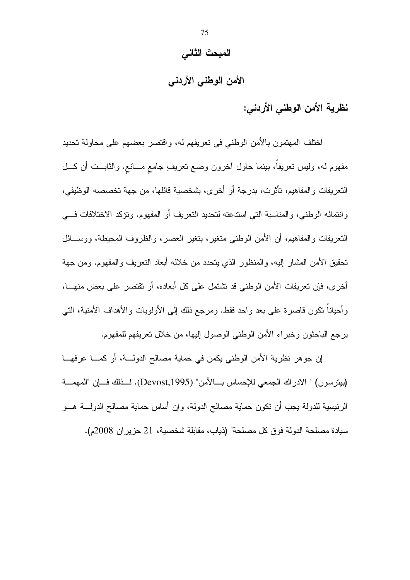## المبحث الثاني

# الأمن الوطنى الأردنى

نظرية الأمن الوطني الأردني:

اختلف المهتمون بالأمن الوطني في تعريفهم له، واقتصر بعضهم على محاولة تحديد مفهوم له، وليس نعريفًا، بينما حاول أخرون وضع نعريفٍ جامع مـــانـع. والثابـــت أن كـــل النعريفات والمفاهيم، تأثرت، بدرجة أو أخرى، بشخصية قائلها، من جهة تخصصه الوظيفي، و انتمائه الوطني، و المناسبة التي استدعته لتحديد التعريف أو المفهوم. وتؤكد الاختلافات في النَّعر بفات و المفاهيم، أن الأمن الوطني منغير ، بنغير العصر ، و الظر و ف المحيطة، و و ســـائل تحقيق الأمن المشار إليه، والمنظور الذي يتحدد من خلاله أبعاد التعريف والمفهوم. ومن جهة أخر ي، فإن تعريفات الأمن الوطني قد نشتمل على كل أبعاده، أو نقتصر على بعض منهـــا، وأحياناً نكون قاصرة على بعد واحد فقط. ومرجع ذلك إلى الأولويات والأهداف الأمنية، التي يرجع الباحثون وخبراء الأمن الوطني الوصول إليها، من خلال نعريفهم للمفهوم.

إن جوهر نظرية الأمن الوطني يكمن في حماية مصالح الدولـــة، أو كمـــا عرفهـــا (بيترسون) " الادر اك الجمعي للإحساس بـــالأمن" (Devost,1995). لـــذلك فـــان "المهمـــة الرئيسية للدولة يجب أن نكون حماية مصـالـح الدولـة، وإن أساس حمايـة مصـالـح الدولــــة هــــو سيادة مصلحة الدولة فوق كل مصلحة" (ذياب، مقابلة شخصية، 21 حزير إن 2008م).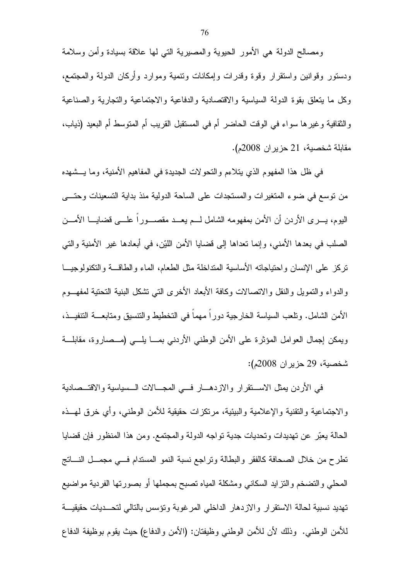ومصالح الدولة هي الأمور الحيوية والمصيرية الني لها علاقة بسيادة وأمن وسلامة ودستور وقوانين واستقرار وقوة وقدرات وإمكانات ونتمية وموارد وأركان الدولة والمجتمع، وكل ما يتعلق بقوة الدولة السياسية والاقتصادية والدفاعية والاجتماعية والتجارية والصناعية والنقافية وغيرها سواء في الوقت الحاضر أم في المستقبل القريب أم المنوسط أم البعيد (ذياب، مقابلة شخصية، 21 حزير ان 2008م).

في ظل هذا المفهوم الذي يتلاءم والنحو لات الجديدة في المفاهيم الأمنية، وما يـــشهده من نوسع في ضوء المتغيرات والمستجدات على الساحة الدولية منذ بداية التسعينات وحتـــي اليوم، يــــرى الأردن أن الأمن بمفهومه الشامل لــــم يعـــد مقصـــــورا علــــي قضـايــــا الأمــــن الصلب في بعدها الأمني، وإنما نعداها إلى قضايا الأمن اللَّيْن، في أبعادها غير الأمنية والَّتي نزكز علمي الإنسان واحتياجاته الأساسية المنداخلة مثل الطعام، الماء والطاقسة والتكنولوجيــا والدواء والنمويل والنقل والانصالات وكافة الأبعاد الأخرى النبي نشكل البنبة النحنية لمفهــوم الأمن الشامل. ونلعب السياسة الخارجية دورا مهما في التخطيط والنتسيق ومتابعـــة النتفيـــذ، ويمكن إجمال العوامل المؤثرة على الأمن الوطني الأردني بمـــا يلـــي (مــصاروة، مقابلـــة شخصية، 29 حزير ان 2008م):

في الأردن بمثل الاســـنقرار والازدهـــار فـــي المجـــالات الـــسياسية والاقتـــصادية والاجتماعية والنقنية والإعلامية والبيئية، مرتكزات حقيقية للأمن الوطنبي، وأي خرق لمهــذه الحالة يعبّر عن تهديدات وتحديات جدية نواجه الدولة والمجتمع. ومن هذا المنظور فإن قضايا نطرح من خلال الصحافة كالفقر والبطالة ونراجع نسبة النمو المستدام فسي مجمــل النـــانـج المحلي والنضخم والنزايد السكاني ومشكلة المياه نصبح بمجملها أو بصورتها الفردية مواضيع تهديد نسبية لحالة الاستقرار والازدهار الداخلي المرغوبة وتؤسس بالتالي لتحسديات حقيقيسة للأمن الوطني. وذلك لأن للأمن الوطني وظيفتان: (الأمن والدفاع) حيث يقوم بوظيفة الدفاع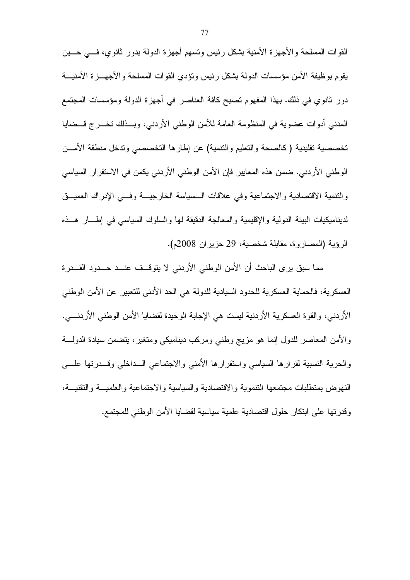القوات المسلحة والأجهزة الأمنية بشكل رئيس ونسهم أجهزة الدولة بدور ثانوي، فسي حسين بقوم بوظيفة الأمن مؤسسات الدولة بشكل رئيس ونؤدي القوات المسلحة والأجهـــزة الأمنيــــة دور ثانوي في ذلك. بهذا المفهوم تصبح كافة العناصر في أجهزة الدولة ومؤسسات المجتمع المدنى أدوات عضوية في المنظومة العامة للأمن الوطني الأردني، وبــذلك تخـــرج قــضايا تخصصية نقليدية (كالصحة والتعليم والنتمية) عن إطارها التخصصبي وندخل منطقة الأمـــن الوطني الأردني. ضمن هذه المعايير فإن الأمن الوطني الأردني يكمن في الاستقرار السياسي والنتمية الاقتصادية والاجتماعية وفي علاقات السسياسة الخارجيــة وفـــي الإدراك العميــق لديناميكيات البيئة الدولية والإقليمية والمعالجة الدقيقة لمها والسلوك السياسي في إطسار هــذه الرؤية (المصاروة، مقابلة شخصية، 29 حزير ان 2008م).

مما سبق ير ي الباحث أن الأمن الوطني الأردني لا يتوقــف عنــد حــدود القــدر ة العسكرية، فالحماية العسكرية للحدود السيادية للدولة هي الحد الأدنى للتعبير عن الأمن الوطني الأردنـي، والقوة الـعسكرية الأردنية ليست هي الإجابة الوحيدة لقضـايا الأمن الوطنـي الأردنــــي. والأمن المعاصر للدول إنما هو مزيج وطني ومركب ديناميكي ومنغير، يتضمن سيادة الدولــــة والحرية النسبية لقرارها السياسي واستقرارها الأمنبي والاجتماعي السداخلبي وقسدرتها علسي النهوض بمنطلبات مجتمعها التتموبة والاقتصادية والسباسبة والاجتماعية والعلميسة والتقنيسة، وقدر نها على ابتكار حلول اقتصادية علمية سياسية لقضايا الأمن الوطني للمجتمع.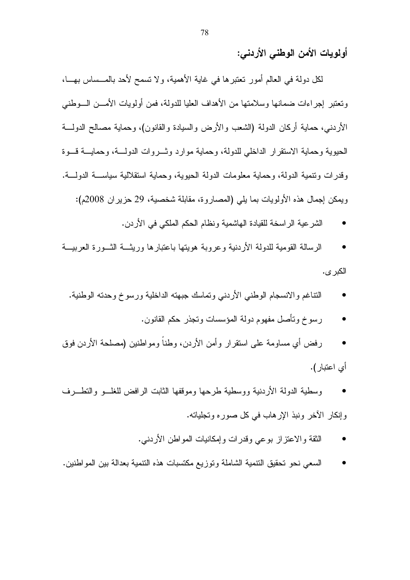# أولويات الأمن الوطنى الأردني:

لكل دولة في العالم أمور تعتبرها في غاية الأهمية، ولا تسمح لأحد بالمـــساس بهـــا، ونعتبر إجراءات ضمانها وسلامتها من الأهداف العليا للدولة، فمن أولويات الأمـــن الـــوطنبي الأردنبي، حماية أركان الدولة (الشعب والأرض والسيادة والقانون)، وحماية مصالح الدولــــة الحيوية وحماية الاستقرار الداخلي للدولة، وحماية موارد وشـروات الدولـــة، وحمايـــة قــوة وقدر ات وتتمية الدولة، وحماية معلومات الدولة الحيوية، وحماية استقلالية سياســـة الدولـــة. ويمكن إجمال هذه الأولويات بما يلي (المصاروة، مقابلة شخصية، 29 حزير إن 2008م):

- الشرعية الرياسخة للقيادة الهاشمية ونظام الحكم الملكي في الأردن.
- الرسالة القومية للدولة الأردنية وعروبة هويتها باعتبارها وريثـــة الشــورة العربيـــة الكبر ي.
	- النتاغم والانسجام الوطني الأردني وتماسك جبهته الداخلية ورسوخ وحدته الوطنية.
		- رسوخ ونأصل مفهوم دولة المؤسسات ونجذر حكم القانون.
- رفض أي مساومة على استقرار وأمن الأردن، وطناً ومواطنين (مصلحة الأردن فوق أى اعتبار).
- وسطبة الدولة الأردنية ووسطبة طرحها وموقفها الثابت الرافض للغلسو والتطسرف وإنكار الأخر ونبذ الإرهاب في كل صوره وتجلياته.
	- النقة والاعتزاز بوعي وقدرات وإمكانيات المواطن الأردنبي.
- السعى نحو تحقيق النتمية الشاملة وتوزيع مكتسبات هذه النتمية بعدالة بين المواطنين.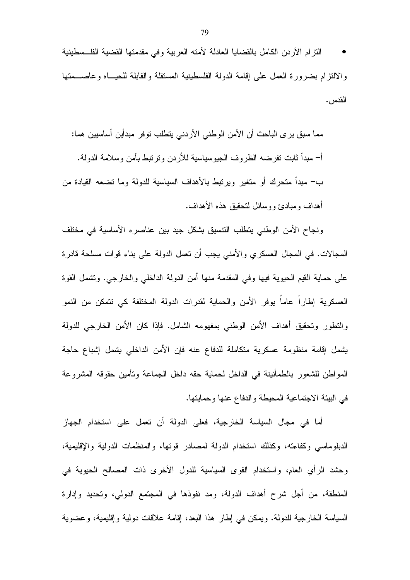النزام الأردن الكامل بالقضايا العادلة لأمته العربية وفي مقدمتها القضية الفلسطينية والالنزام بضرورة العمل علىي إقامة الدولة الفلسطينية المستقلة والقابلة للحيـــاه وعاصــــمتها القدس.

مما سبق ير ي الباحث أن الأمن الوطني الأردني يتطلب توفر مبدأين أساسيين هما: أ– مبدأ ثابت نفرضه الظروف الجيوسياسية للأردن ونرنبط بأمن وسلامة الدولة. ب– مبدأ متحرك أو متغير ويرتبط بالأهداف السياسية للدولة وما تضعه القيادة من أهداف ومبادئ ووسائل لنحقيق هذه الأهداف.

ونجاح الأمن الوطني يتطلب التتسيق بشكل جيد بين عناصره الأساسية في مختلف المجالات. في المجال العسكري والأمني يجب أن نعمل الدولة على بناء قوات مسلحة قادرة على حماية القيم الحيوية فيها وفي المقدمة منها أمن الدولة الداخلي والخارجي. وتشمل القوة العسكرية إطارا عاما يوفر الأمن والحماية لقدرات الدولة المختلفة كي نتمكن من النمو والنطور وتحقيق أهداف الأمن الوطني بمفهومه الشامل. فإذا كان الأمن الخارجي للدولة يشمل إقامة منظومة عسكرية متكاملة للدفاع عنه فإن الأمن الداخلي يشمل إشباع حاجة المواطن للشعور بالطمأنينة في الداخل لحماية حقه داخل الجماعة وتأمين حقوقه المشروعة في البيئة الاجتماعية المحيطة والدفاع عنها وحمايتها.

أما في مجال السياسة الخارجية، فعلى الدولة أن تعمل على استخدام الجهاز الدبلوماسي وكفاءته، وكذلك استخدام الدولة لمصادر قوتها، والمنظمات الدولية والإقليمية، وحشد الرأي العام، واستخدام القوى السياسية للدول الأخرى ذات المصىالح الحيوية في المنطقة، من أجل شرح أهداف الدولة، ومد نفوذها في المجتمع الدولي، وتحديد وإدارة السياسة الخارجية للدولة. ويمكن في إطار هذا البعد، إقامة علاقات دولية وإقليمية، وعضوية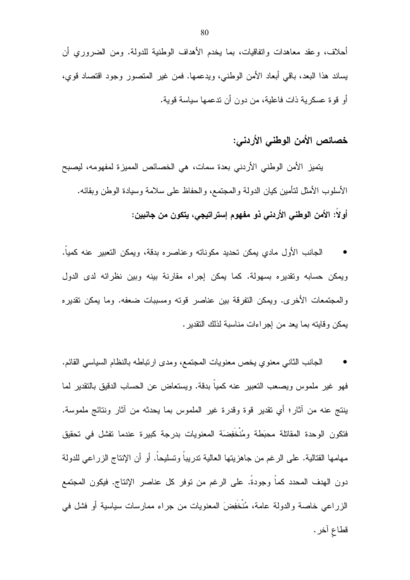أحلاف، وعقد معاهدات واتفاقيات، بما يخدم الأهداف الوطنية للدولة. ومن الضروري أن يساند هذا البعد، باقي أبعاد الأمن الوطنبي، ويدعمها. فمن غير المتصور وجود اقتصاد قوي، أو قوة عسكرية ذات فاعلية، من دون أن ندعمها سياسة قوية.

# خصائص الأمن الوطني الأردني:

يتميز الأمن الوطني الأردني بعدة سمات، هي الخصائص المميزة لمفهومه، ليصبح الأسلوب الأمثل لتأمين كيان الدولة والمجتمع، والحفاظ على سلامة وسيادة الوطن وبقائه. أولا: الأمن الوطني الأردني ذو مفهوم إستراتيجي، يتكون من جانبين:

الجانب الأول مادي يمكن تحديد مكوناته وعناصره بدقة، ويمكن التعبير عنه كميا. ويمكن حسابه وتقديره بسهولة. كما يمكن إجراء مقارنة بينه وبين نظرائه لدى الدول والمجتمعات الأخرى. ويمكن النفرقة بين عناصر قوته ومسببات ضعفه. وما يمكن تقديره يمكن وقايته بما يعد من إجراءات مناسبة لذلك التقدير .

الْجَانَبِ النَّانِي مَعْنُوي يَخْصُ مَعْنُويَاتِ الْمَجْتَمَعِ، ومَدَّى ارْتَبَاطَهُ بِالنَّظَامِ السياسي القائم. فهو غير ملموس ويصعب النعبير عنه كميا بدقة. ويستعاض عن الحساب الدقيق بالنقدير لما ينتج عنه من أثار؛ أي نقدير قوة وقدرة غير الملموس بما يحدثه من أثار ونتائج ملموسة. فتكون الوحدة المقاتلة محبَطة ومُنْخَفِضَة المعنويات بدرجة كبيرة عندما نفشل في تحقيق مهامها القتالية. على الرغم من جاهزيتها العالية ندريباً وتسليحاً. أو أن الإنتاج الزراعي للدولة دون الهدف المحدد كما وجودة. على الرغم من نوفر كل عناصر الإنتاج. فيكون المجتمع الزراعي خاصة والدولة عامة، مُنْخَفِضَ المعنويات من جراء ممارسات سياسية أو فشل في قطاع آخر .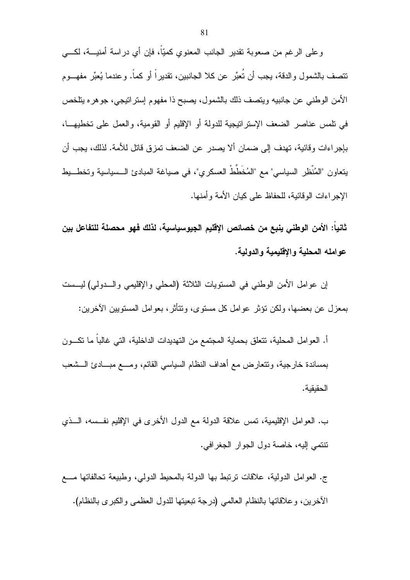وعلى الرغم من صعوبة نقدير الجانب المعنوى كميّاً، فإن أي دراسة أمنيـــة، لكـــي نتصف بالشمول والدقة، يجب أن نُعبِّر عن كلا الجانبين، نقديراً أو كماً. وعندما يُعبِّر مفهـــوم الأمن الوطني عن جانبيه ويتصف ذلك بالشمول، يصبح ذا مفهوم إسترانيجي، جوهره يتلخص في تلمس عناصر الضعف الإستراتيجية للدولة أو الإقليم أو القومية، والعمل على تخطيهـــا، بإجر اءات و قائية، تهدف إلى ضمان ألا يصدر ٍ عن الضعف تمز ق قاتل للأمة. لذلك، يجب أن يتعاون "المُنْظِرِ السياسي" مع "المُخَطِّطْ العسكرِ ي"، في صياغة المبادئ الـسياسية وتخط يط الإجر اءات الو قائية، للحفاظ على كيان الأمة و أمنها.

ثانياً: الأمن الوطني ينبع من خصائص الإقليم الجيوسياسية، لذلك فهو محصلة للتفاعل بين عو امله المحلبة و الاقليمية و الدو لبـة.

إن عوامل الأمن الوطني في المستويات الثلاثة (المحلي والإقليمي والسدولي) ليسست بمعزل عن بعضها، ولكن نؤثر عوامل كل مستوى، ونتأثر، بعوامل المستويين الآخرين:

أ. العوامل المحلية، نتعلَّق بحماية المجتمع من التهديدات الداخلية، التبي غالبا ما نكـــون بمساندة خارجية، ونتعارض مع أهداف النظام السياسي القائم، ومسع مبـــادئ الـــشعب الحقبقبة.

ب. العوامل الإقليمية، نَمس علاقة الدولة مع الدول الأخرى في الإقليم نفـــسه، الـــذي نتنمي إليه، خاصة دول الجوار الجغرافي.

ج. العوامل الدولية، علاقات نرتبط بها الدولة بالمحيط الدولبي، وطبيعة تحالفاتها مـــع الأخرين، وعلاقاتها بالنظام العالمي (درجة نبعيتها للدول العظمى والكبرى بالنظام).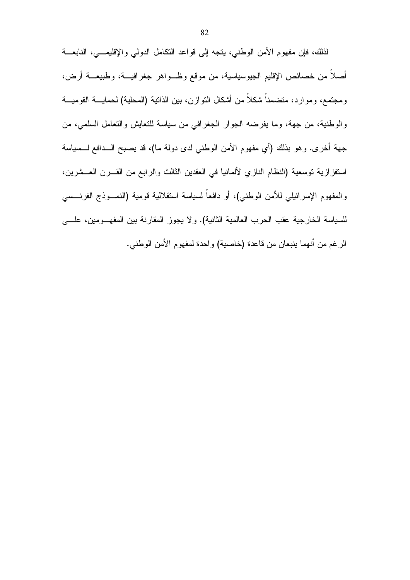لذلك، فإن مفهوم الأمن الوطني، يتجه إلى قواعد النكامل الدولي والإقليمـــي، النابعـــة أصلاً من خصائص الإقليم الجيوسياسية، من موقع وظـواهر جغرافيـــة، وطبيعـــة أرض، ومجتمع، وموارد، متضمناً شكلاً من أشكال النوازن، بين الذانية (المحلية) لحمايــــة القوميــــة والوطنية، من جهة، وما يفرضه الجوار الجغرافي من سياسة للنعايش والنعامل السلمي، من جهة أخرى. وهو بذلك (أي مفهوم الأمن الوطني لدى دولة ما)، قد يصبح الــدافع لـــسياسة استفزازية نوسعية (النظام النازي لألمانيا في العقدين الثالث والرابع من القـــرن العـــشرين، والمفهوم الإسرائيلي للأمن الوطني)، أو دافعاً لسياسة استقلالية قومية (النمـــوذج الفرنـــسي للسياسة الخارجية عقب الحرب العالمية الثانية). ولا يجوز المقارنة بين المفهــومين، علـــي الرغم من أنهما ينبعان من قاعدة (خاصية) واحدة لمفهوم الأمن الوطني.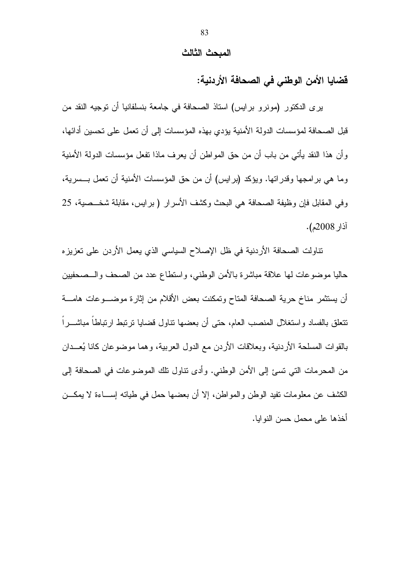#### المبحث الثالث

فضايا الأمن الوطني في الصحافة الأردنية:

يرى الدكتور (مونرو برايس) استاذ الصحافة في جامعة بنسلفانيا أن توجيه النقد من قبل الصحافة لمؤسسات الدولة الأمنية يؤدي بهذه المؤسسات إلى أن تعمل على تحسين أدائها، وأن هذا النقد يأتي من باب أن من حق المواطن أن يعرف ماذا نفعل مؤسسات الدولة الأمنية وما هي برامجها وقدراتها. ويؤكد (برايس) أن من حق المؤسسات الأمنية أن تعمل بـــسرية، وفي المقابل فإن وظيفة الصحافة هي البحث وكشف الأسرار (برايس، مقابلة شخــصية، 25 آذار 2008م).

نتاولت الصحافة الأردنية في ظل الإصلاح السياسي الذي يعمل الأردن على تعزيزه حاليا موضوعات لمها علاقة مباشرة بالأمن الوطنبي، واستطاع عدد من الصحف والـــصحفيين أن يستثمر مناخ حرية الصحافة المتاح وتمكنت بعض الأقلام من إثارة موضـــوعات هامـــة تتعلق بالفساد واستغلال المنصب العام، حتى أن بعضها نتاول قضايا نرنبط ارنباطا مباشـــرا بالقوات المسلحة الأردنية، وبعلاقات الأردن مع الدول العربية، وهما موضوعان كانا يُعــدان من المحرمات التي تسئ إلى الأمن الوطني. وأدى نتاول نلك الموضوعات في الصحافة إلى الكشف عن معلومات نفيد الوطن والمواطن، إلا أن بعضها حمل في طيانه إســـاءة لا يمكـــن أخذها على محمل حسن النوابا.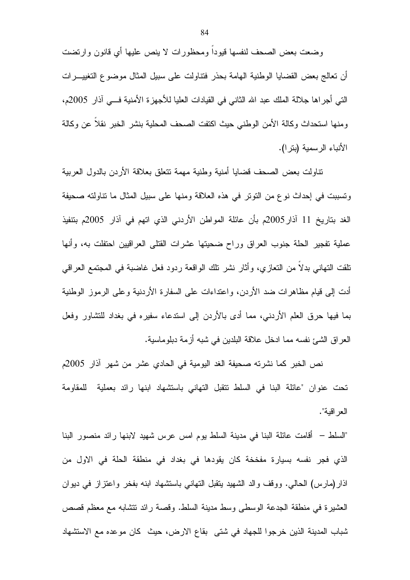وضعت بعض الصحف لنفسها قيودا ومحظورات لا ينص عليها أي قانون وارتضت أن نعالج بعض القضايا الوطنية الهامة بحذر فتناولت على سبيل المثال موضوع التغييـــرات التي أجراها جلالة الملك عبد الله الثاني في القيادات العليا للأجهزة الأمنية فــي آذار 2005م، ومنها استحداث وكالة الأمن الوطني حيث اكتفت الصحف المحلية بنشر الخبر نقلا عن وكالة الأنباء الرسمية (بتر ا).

نتاولت بعض الصحف قضايا أمنية وطنية مهمة نتعلق بعلاقة الأردن بالدول العربية ونسببت في إحداث نوع من النوتر في هذه العلاقة ومنها على سبيل المثال ما نتاولته صحيفة الغد بتاريخ 11 آذار 2005م بأن عائلة المواطن الأردني الذي اتهم في آذار 2005م بتنفيذ عملية تفجير الحلة جنوب العراق وراح ضحيتها عشرات القتلى العراقيين احتفلت به، وأنها نلقت التهاني بدلا من النعازي، وأثار نشر نلك الواقعة ردود فعل غاضبة في المجتمع العراقي أدت إلى قيام مظاهرات ضد الأردن، واعتداءات على السفارة الأردنية وعلى الرموز الوطنية بما فيها حرق العلم الأردنبي، مما أدى بالأردن إلى استدعاء سفيره في بغداد للتشاور وفعل العراق الشيئ نفسه مما ادخل علاقة البلدين في شبه أزمة دبلوماسية.

نص الخبر كما نشرته صحيفة الغد اليومية في الحادي عشر من شهر آذار 2005م تحت عنوان "عائلة البنا في السلط تتقبل التهاني باستشهاد ابنها رائد بعملية للمقاومة العر اقبة".

"السلط – أقامت عائلة البنا في مدينة السلط يوم امس عرس شهيد لابنها رائد منصور البنا الذي فجر نفسه بسيارة مفخخة كان يقودها في بغداد في منطقة الحلة في الاول من اذار(مارس) الحالبي. ووقف والد الشهيد بنقبل النهاني باستشهاد ابنه بفخر واعتزاز في ديوان العشيرة في منطقة الجدعة الوسطى وسط مدينة السلط. وقصة رائد نتشابه مع معظم قصص شباب المدينة الذين خرجوا للجهاد في شتى بقاع الارض، حيث كان موعده مع الاستشهاد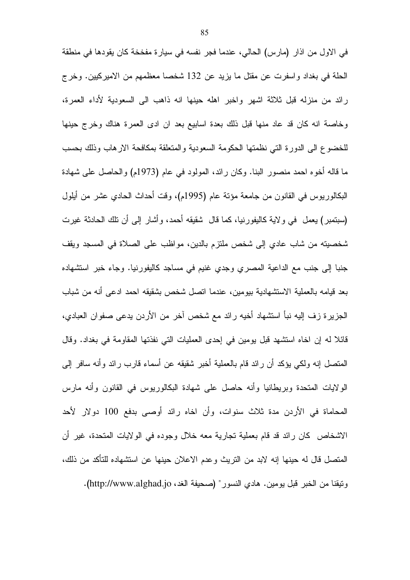في الاول من اذار (مارس) الحالي، عندما فجر نفسه في سيارة مفخخة كان يقودها في منطقة الحلة في بغداد واسفرت عن مقتل ما يزيد عن 132 شخصا معظمهم من الاميركيين. وخرج رائد من منزله قبل ثلاثة اشهر واخبر اهله حينها انه ذاهب الى السعودية لأداء العمرة، وخاصة انه كان قد عاد منها قبل ذلك بعدة اسابيع بعد ان ادى العمرة هناك وخرج حينها للخضبوع الى الدورة التي نظمتها الحكومة السعودية والمتعلقة بمكافحة الار هاب وذلك بحسب ما قاله أخوه احمد منصور البنا. وكان رائد، المولود في عام (1973م) والحاصل على شهادة البكالوريوس في القانون من جامعة مؤنَّة عام (1995م)، وقت أحداث الحادي عشر من أيلول (سبنَمبر) يعمل في و لاية كاليفورنيا، كما قال شقيقه أحمد، وأشار إلى أن نلك الحادثة غيرت شخصيته من شاب عادي إلى شخص ملتزم بالدين، مواظب على الصلاة في المسجد ويقف جنبا إلى جنب مع الداعية المصري وجدي غنيم في مساجد كاليفورنيا. وجاء خبر استشهاده بعد قيامه بالعملية الاستشهادية بيومين، عندما اتصل شخص بشقيقه احمد ادعى أنه من شباب الجزيرة زف إليه نبأ استشهاد أخيه رائد مع شخص آخر من الأردن يدعى صفوان العبادي، قائلاً له إن اخاه استشهد قبل يومين في إحدى العمليات التي نفذتها المقاومة في بغداد. وقال المنصل إنه ولكي يؤكد أن رائد قام بالعملية أخبر شقيقه عن أسماء قارب رائد وأنه سافر إلى الولايات المتحدة وبريطانيا وأنه حاصل على شهادة البكالوريوس في القانون وأنه مارس المحاماة في الأردن مدة ثلاث سنوات، وأن اخاه رائد أوصبي بدفع 100 دولار لأحد الاشخاص كان رائد قد قام بعملية تجارية معه خلال وجوده في الولايات المتحدة، غير أن المتصل قال له حينها إنه لابد من النريث وعدم الاعلان حينها عن استشهاده للتأكد من ذلك، ونيقنا من الخبر قبل يومين. هادي النسور" (صحيفة الغد، http://www.alghad.jo).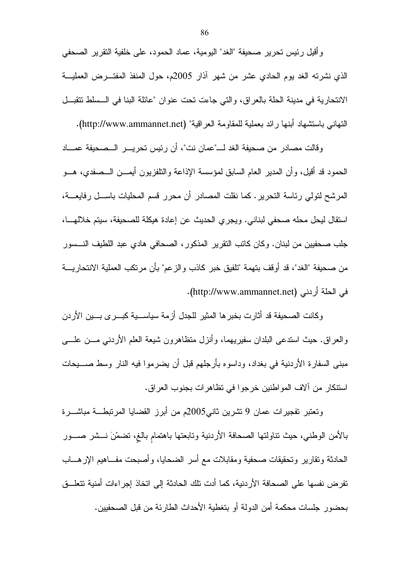و أُقيل رئيس تحرير صحيفة "الغد" اليومية، عماد الحمود، على خلفية النقرير الصحفي الذي نشرته الغد بوم الحادي عشر من شهر أذار 2005م، حول المنفذ المفتـــرض العمليــــة الانتحارية في مدينة الحلة بالعراق، والتي جاءت تحت عنوان "عائلة البنا في السسلط نتقبـل النهاني باستشهاد أبنها رائد بعملية للمقاومة العراقية" (http://www.ammannet.net).

وقالت مصادر من صحيفة الغد لــــ"عمان نت"، أن رئيس تحريـــر الـــصحيفة عمــــاد الحمود قد أقيل، وأن المدير العام السابق لمؤسسة الإذاعة والنلفزيون أيمـــن الـــصفدي، هـــو المرشح لنولي رئاسة النحرير . كما نقلت المصادر أن محرر قسم المحليات باســـل رفايعـــة، استقال ليحل محله صحفي لبناني. ويجري الحديث عن إعادة هيكلة للصحيفة، سبتم خلالهــا، جلب صحفيين من لبنان. وكان كاتب التقرير المذكور ، الصحافي هادي عبد اللطيف النـــسور من صحيفة "الغد"، قد أوقف بتهمة "تلفيق خبر كاذب والز عم" بأن مر تكب العملية الانتحار بِـــة في الحلة أردني (http://www.ammannet.net).

وكانت الصحيفة قد أثارت بخبر ها المثير للجدل أزمة سياســـية كبـــرى بـــين الأردن والعراق. حيث استدعى البلدان سفيريهما، وأنزل متظاهرون شيعة العلم الأردنـي مـــن علــــي مبني السفارة الأردنية في بغداد، وداسوه بأرجلهم قبل أن يضرموا فيه النار وسط صـــــيحات استنكار ٍ من آلاف المو اطنين خر جو ا في نظاهر ات بجنوب العر اق .

ونعتبر تفجيرات عمان 9 تشرين ثاني2005م من أبرز القضايا المرتبطــة مباشـــرة بالأمن الوطني، حيث نناولتها الصحافة الأردنية ونابعتها باهتمام بالغ، تضمَّنَ نـــشر صـــور الحادثة وتقارير وتحقيقات صحفية ومقابلات مع أسر الضحايا، وأصبحت مفــاهيم الإرهـــاب تفرض نفسها على الصحافة الأردنية، كما أدت تلك الحادثة إلى اتخاذ إجراءات أمنية تتعلـــق بحضور ِ جلسات محكمة أمن الدولة أو بتغطية الأحداث الطارئة من قبل الصحفيين.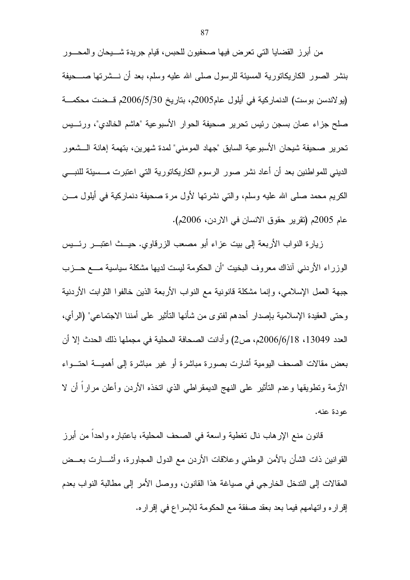من أبرز القضايا التي نعرض فيها صحفيون للحبس، قيام جريدة شــــيحان والمحـــور بنشر الصور الكاريكانورية المسيئة للرسول صلبي الله عليه وسلم، بعد أن نــــشرتها صـــــحيفة (يو لاندسن بوست) الدنماركية في أيلول عام2005م، بتاريخ 2006/5/30م قــضت محكمـــة صلح جزاء عمان بسجن رئيس تحرير صحيفة الحوار الأسبوعية "هاشم الخالدي"، ورئـــيس تحرير صحيفة شيحان الأسبوعية السابق "جهاد المومني" لمدة شهرين، بتهمة إهانة الـــشعور الديني للمواطنين بعد أن أعاد نشر صور الرسوم الكاريكاتورية التي اعتبرت مــسيئة للنبـــي الكريم محمد صلَّى الله عليه وسلَّم، والَّتي نشرتها لأول مرة صحيفة دنماركية في أيلول مـــن عام 2005م (تقرير حقوق الانسان في الاردن، 2006م).

زيارة النواب الأربعة إلى بيت عزاء أبو مصعب الزرقاوي. حيــث اعتبـــر رئـــيس الوزراء الأردنبي أنذاك معروف البخيت "أن الحكومة ليست لديها مشكلة سياسية مـــع حـــزب جبهة العمل الإسلامي، وإنما مشكلة قانونية مع النواب الأربعة الذين خالفوا الثوابت الأردنية وحتى العقيدة الإسلامية بإصدار أحدهم لفتوى من شأنها التأثير على أمننا الاجتماعي" (الرأي، العدد 13049، 2006/6/18م، ص2) وأدانت الصحافة المحلية في مجملها ذلك الحدث إلا أن بعض مقالات الصحف البومية أشارت بصورة مباشرة أو غير مباشرة إلى أهميـــة احتـــواء الأزمة وتطويقها وعدم التأثير على النهج الديمقراطي الذي اتخذه الأردن وأعلن مرارا أن لا عودة عنه.

قانون منع الإرهاب نال نغطية واسعة في الصحف المحلية، باعتباره واحدا من أبرز القوانين ذات الشأن بالأمن الوطنبي وعلاقات الأردن مع الدول المجاورة، وأشــــارت بعـــض المقالات إلى الندخل الخارجي في صياغة هذا القانون، ووصل الأمر إلى مطالبة النواب بعدم إقراره واتهامهم فيما بعد بعقد صفقة مع الحكومة للإسراع في إقراره.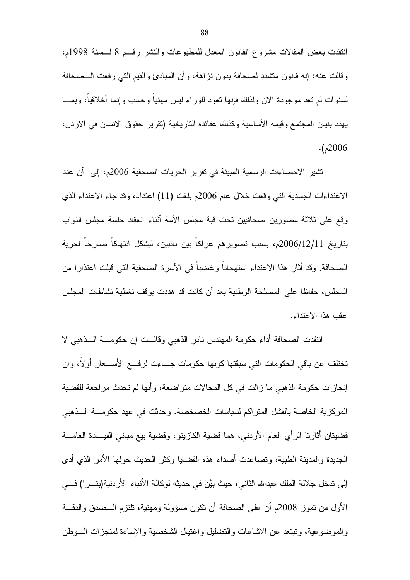انتقدت بعض المقالات مشروع القانون المعدل للمطبوعات والنشر رقسم 8 لسسنة 1998م، وقالت عنه: إنه قانون منشدد لصحافة بدون نزاهة، وأن المبادئ والقيم التي رفعت الـــصـحافة لسنوات لم نعد موجودة الآن ولذلك فإنها نعود للوراء لبس مهنيا وحسب وإنما أخلاقيا، وبمـــا يهدد بنيان المجتمع وقيمه الأساسية وكذلك عقائده التاريخية (تقرير حقوق الانسان في الاردن،  $. (2006)$ 

نشير الاحصاءات الرسمية المبينة في نقرير الحريات الصحفية 2006م، إلى أن عدد الاعتداءات الجسدية التبي وقعت خلال عام 2006م بلغت (11) اعتداء، وقد جاء الاعتداء الذي وقع على ثلاثة مصورين صحافيين تحت قبة مجلس الأمة أنثاء انعقاد جلسة مجلس النواب بتاريخ 2006/12/11م، بسبب تصويرهم عراكا بين نائبين، ليشكل انتهاكا صارخاً لحرية الصحافة. وقد أثار هذا الاعتداء استهجانا و غضبا في الأسر ة الصحفية التي قبلت اعتذار ا من المجلس، حفاظا على المصلحة الوطنية بعد أن كانت قد هددت بوقف تغطية نشاطات المجلس عقب هذا الاعتداء.

انتقدت الصحافة أداء حكومة المهندس نادر الذهبي وقالــت إن حكومـــة الـــذهبي لا تختلف عن باقي الحكومات التي سبقتها كونها حكومات جـــاءت لرفــــع الأســـعار أولا، وان إنجازات حكومة الذهبي ما زالت في كل المجالات متواضعة، وأنها لم تحدث مراجعة للقضية المركزية الخاصة بالفشل المتراكم لسياسات الخصخصة. وحدثت في عهد حكومــــة الــــذهبي قضيتان أثارتا الرأي العام الأردنبي، هما قضية الكازينو، وقضية بيع مباني القيـــادة العامــــة الجديدة والمدينة الطبية، وتصاعدت أصداء هذه القضايا وكثر الحديث حولها الأمر الذي أدى إلى تدخل جلالة الملك عبدالله الثاني، حيث بيَّنَ في حديثه لوكالة الأنباء الأردنية(بتـــرا) فـــي الأول من نموز 2008م أن على الصحافة أن نكون مسؤولة ومهنية، تلتزم الـــصدق والدقـــة والموضوعية، ونبتعد عن الاشاعات والتضليل واغتيال الشخصية والإساءة لمنجزات السوطن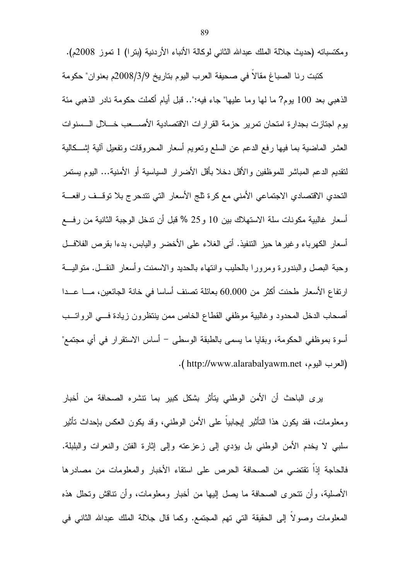ومكتسباته (حديث جلالة الملك عبدالله الثاني لوكالة الأنباء الأردنية (بترا) 1 تموز 2008م).

كتبت رنا الصباغ مقالاً في صحيفة العرب اليوم بتاريخ 2008/3/9م بعنوان" حكومة الذهبي بعد 100 يوم? ما لها وما عليها" جاء فيه:".. قبل أيام أكملت حكومة نادر الذهبي مئة يوم لجنازت بجدار ة امتحان تمرير حزمة القرارات الاقتصادية الأصـــعب خــــلال الـــسنوات العشر الماضية بما فيها رفع الدعم عن السلع ونعويم أسعار المحروفات ونفعيل ألية إشـــكالية لتقديم الدعم المباشر للموظفين والأقل دخلا بأقل الأضرار السياسية أو الأمنية... اليوم يستمر النحدي الاقتصادي الاجتماعي الأمنى مع كرة ثلج الأسعار التي تتدحرج بلا توقــف رافعـــة أسعار غالبية مكونات سلة الاستهلاك بين 10 و25 % قبل أن ندخل الوجبة الثانية من رفسع أسعار الكهرباء وغيرها حيز النتفيذ. أتبي الغلاء على الأخضر واليابس، بدءا بقرص الفلافــل وحبة البصل والبندورة ومرورا بالحليب وانتهاء بالحديد والاسمنت وأسعار النقــل. منواليـــة ارتفاع الأسعار طحنت أكثر من 60.000 بعائلة تصنف أساسا في خانة الجائعين، مــــا عـــدا أصحاب الدخل المحدود وغالبية موظفي القطاع الخاص ممن ينتظرون زيادة فسى الرواتــب أسوة بموظفى الحكومة، وبقايا ما يسمى بالطبقة الوسطى – أساس الاستقرار في أي مجتمع" (العرب اليوم، http://www.alarabalyawm.net ).

يرى الباحث أن الأمن الوطني يتأثر بشكل كبير بما تتشره الصحافة من أخبار ومعلومات، فقد يكون هذا النَّاثير إيجابياً على الأمن الوطني، وقد يكون العكس بإحداث نأثير سلبـي لا يخدم الأمن الوطنـي بل يؤدي إلـى زعزعته وإلـى إثارة الفتن والنعرات والبلبلة. فالحاجة إذا نقتضيي من الصحافة الحرص على استقاء الأخبار والمعلومات من مصادرها الأصلية، وأن نتحرى الصحافة ما يصل إليها من أخبار ومعلومات، وأن نتاقش وتحلل هذه المعلومات وصولا إلى الحقيقة التي تهم المجتمع. وكما قال جلالة الملك عبدالله الثاني في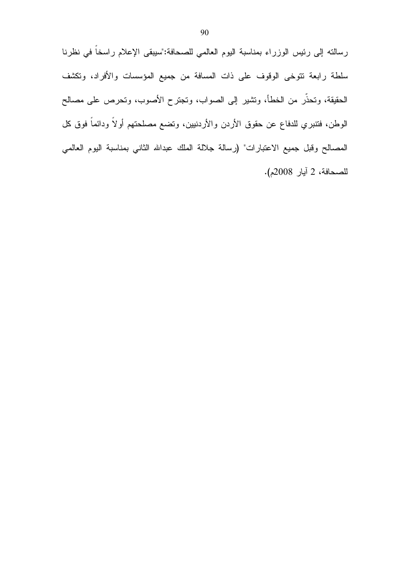رسالته إلى رئيس الوزراء بمناسبة اليوم العالمي للصحافة:"سيبقى الإعلام راسخاً في نظرنا سلطة رابعة نتوخى الوقوف على ذات المسافة من جميع المؤسسات والأفراد، وتكشف الحقيقة، وتحذَّر من الخطأ، ونتثبير إلى الصواب، وتجترح الأصوب، وتحرص على مصالح الوطن، فتتبري للدفاع عن حقوق الأردن والأردنيين، وتضع مصلحتهم أولاً ودائماً فوق كل المصـالح وقبل جميع الاعتبارات" (رسالة جلالة الملك عبدالله الثاني بمناسبة اليوم العالمي للصحافة، 2 آيار 2008م).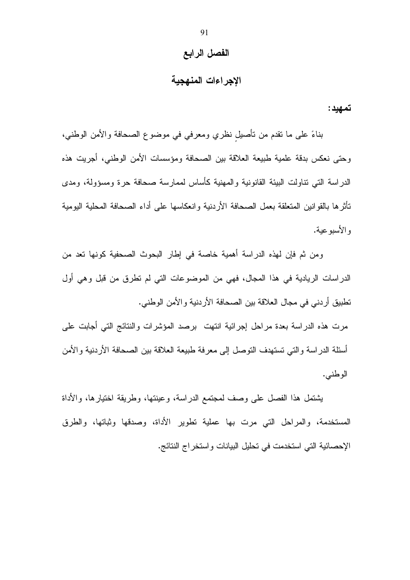## الفصل الرابع

## الإجراءات المنهجية

تمهيد:

بناءً على ما نقدم من نأصيل نظري ومعرفي في موضوع الصحافة والأمن الوطني، وحتى نعكس بدقة علمية طبيعة العلاقة بين الصحافة ومؤسسات الأمن الوطني، أجريت هذه الدراسة التي نتاولت البيئة القانونية والمهنية كأساس لممارسة صحافة حرة ومسؤولة، ومدى تأثرها بالقوانين المتعلقة بعمل الصحافة الأردنية وانعكاسها على أداء الصحافة المحلية اليومية و الأسبو عبة.

ومن ثم فإن لهذه الدراسة أهمية خاصة في إطار البحوث الصحفية كونها تعد من الدراسات الريادية في هذا المجال، فهي من الموضوعات التي لم نطرق من قبل وهي أول تطبيق أردني في مجال العلاقة بين الصحافة الأردنية والأمن الوطني.

مرت هذه الدراسة بعدة مراحل إجرائية انتهت برصد المؤشرات والنتائج التبي أجابت على أسئلة الدر اسة و التي تستهدف التوصل إلى معر فة طبيعة العلاقة بين الصحافة الأر دنية و الأمن الوطني.

يشتمل هذا الفصل على وصف لمجتمع الدراسة، وعينتها، وطريقة اختيارها، والأداة المستخدمة، والمراحل التي مرت بها عملية نطوير الأداة، وصدقها وثباتها، والطرق الإحصائية التي استخدمت في تحليل البيانات واستخراج النتائج.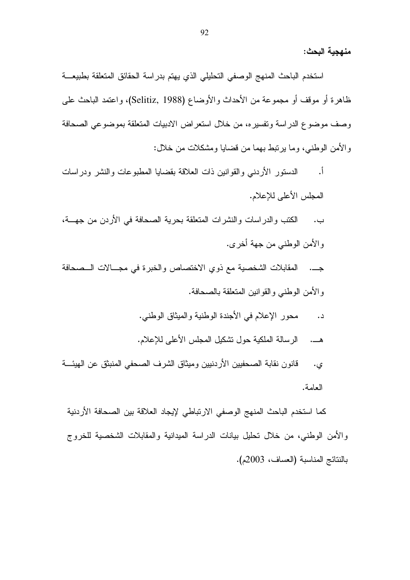منهجبة البحث:

استخدم الباحث المنهج الوصفى التحليلي الذي يهتم بدراسة الحقائق المتعلقة بطبيعة ظاهرة أو موقف أو مجموعة من الأحداث والأوضاع (Selitiz, 1988)، واعتمد الباحث على وصف موضوع الدر اسة وتفسير ه، من خلال استعر اض الادبيات المتعلقة بموضوعي الصحافة و الأمن الوطني، وما ير نبط بهما من قضايا ومشكلات من خلال:

الدستور الأردنبي والقوانين ذات العلاقة بقضايا المطبوعات والنشر ودراسات <u>أ.</u> المجلس الأعلى للإعلام.

الكتب والدر اسات والنشرات المتعلقة بحرية الصحافة في الأردن من جهسة، ب . والأمن الوطني من جهة أخرى.

المقابلات الشخصية مع ذوى الاختصاص والخبرة في مجــالات الــصحافة والأمن الوطنبي والقوانين المنعلقة بالصحافة.

- محور الإعلام في الأجندة الوطنية والميثاق الوطني. د.
- الرسالة الملكية حول نشكيل المجلس الأعلى للإعلام.

قانون نقابة الصحفيين الأردنيين وميثاق الشرف الصحفى المنبثق عن الهيئـــة ي. العامة.

كما استخدم الباحث المنهج الوصفي الارتباطي لإيجاد العلاقة بين الصحافة الأردنية والأمن الوطني، من خلال تحليل بيانات الدراسة الميدانية والمقابلات الشخصية للخروج بالنتائج المناسبة (العساف، 2003م).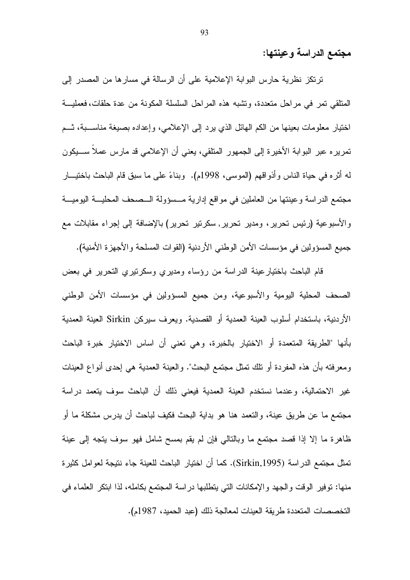مجتمع الدراسة وعينتها:

ترتكز نظرية حارس البوابة الإعلامية على أن الرسالة في مسارها من المصدر إلى المتلقى تمر في مراحل متعددة، وتشبه هذه المراحل السلسلة المكونة من عدة حلقات، فعمليـــة اختيار معلومات بعينها من الكم الـهائل الذي يرد إلى الإعلامـي، وإعداده بصبغة مناســـبة، ثـــم نمريره عبر البوابة الأخيرة إلى الجمهور المتلقى، يعني أن الإعلامي قد مارس عملاً ســـيكون له أثَّره في حياة الناس وأذواقهم (الموسى، 1998م). وبناءً على ما سبق قام الباحث باختيـــار مجتمع الدراسة وعينتها من العاملين في مواقع إدارية مــسؤولة الــصحف المحليـــة اليوميـــة والأسبوعية (رئيس تحرير، ومدير تحرير, سكرتير تحرير) بالإضافة إلى إجراء مقابلات مع جميع المسؤولين في مؤسسات الأمن الوطني الأردنية (القوات المسلحة والأجهزة الأمنية).

قام الباحث باختيار عينة الدراسة من رؤساء ومديري وسكرنيري التحرير في بعض الصحف المحلية اليومية والأسبوعية، ومن جميع المسؤولين في مؤسسات الأمن الوطني الأردنية، باستخدام أسلوب العينة العمدية أو القصدية. ويعرف سيركن Sirkin العينة العمدية بأنها "الطريقة المتعمدة أو الاختيار بالخبرة، وهي تعني أن اساس الاختيار خبرة الباحث ومعرفته بأن هذه المفردة أو نلك نمثل مجتمع البحث". والعينة العمدية هي إحدى أنواع العينات غير الاحتمالية، وعندما نستخدم العينة العمدية فيعنى ذلك أن الباحث سوف يتعمد دراسة مجتمع ما عن طريق عينة، والتعمد هنا هو بداية البحث فكيف لباحث أن يدرس مشكلة ما أو ظاهرة ما إلا إذا قصد مجتمع ما وبالتالي فإن لم يقم بمسح شامل فهو سوف يتجه إلى عينة تمثِّل مجتمع الدراسة (Sirkin,1995). كما أن اختيار الباحث للعينة جاء نتيجة لعوامل كثيرة منها: نوفير الوفت والجهد والإمكانات التي يتطلبها دراسة المجتمع بكامله، لذا ابتكر العلماء في التخصصات المتعددة طريقة العينات لمعالجة ذلك (عبد الحميد، 1987م).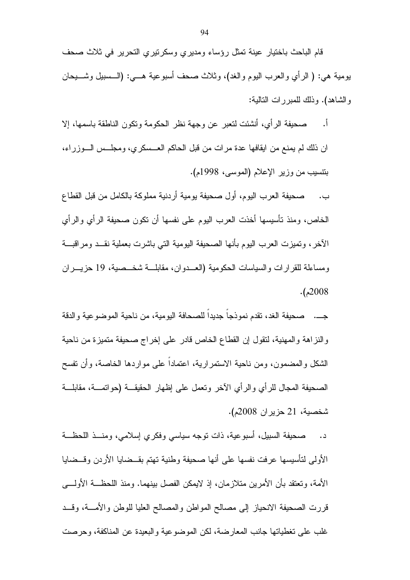قام الباحث باختيار عينة تمثل رؤساء ومديري وسكرتيري التحرير في ثلاث صحف بومية هي: ( الرأي والعرب اليوم والغد)، وثلاث صحف أسبوعية هـــي: (الـــسبيل وشــــيحان والشاهد). وذلك للمبررات النالية:

 $\cdot$ , صحيفة الرأى، أنشئت لتعبر عن وجهة نظر الحكومة وتكون الناطقة باسمها، إلا ان ذلك لم يمنع من ابقافها عدة مر ات من قبل الحاكم العــسكر ي، ومجلــس الــوزر اء، بتتسيب من وزير الإعلام (الموسى، 1998م).

صحيفة العرب اليوم، أول صحيفة يومية أردنية مملوكة بالكامل من قبل القطاع ب. الخاص، ومنذ تأسيسها أخذت العرب اليوم على نفسها أن نكون صحيفة الرأي والرأي الآخر، وتميزت العرب اليوم بأنها الصحيفة اليومية التي باشرت بعملية نقــد ومراقبـــة ومساءلة للقر ار ات و السياسات الحكومية (العبدوان، مقابلة شخبصية، 19 حزيي ران  $. (2008$ 

جـــ. صحيفة الغد، نقدم نموذجا جديدا للصحافة اليومية، من ناحية الموضوعية والدقة والنزاهة والمهنية، لنقول إن القطاع الخاص قادر على إخراج صحيفة متميزة من ناحية الشكل والمضمون، ومن ناحية الاستمرارية، اعتمادا على مواردها الخاصة، وأن نفسح الصحيفة المجال للرأى والرأى الآخر ونعمل على إظهار الحقيقـــة (حواتمــــة، مقابلــــة شخصية، 21 حزير ان 2008م).

صحيفة السبيل، أسبوعية، ذات نوجه سياسي وفكري إسلامي، ومنـــذ اللحظـــة  $\overline{\phantom{a}}$ الأولى لتأسيسها عرفت نفسها على أنها صحيفة وطنية تهتم بقــضايا الأردن وقــضايا الأمة، وتعتقد بأن الأمرين متلازمان، إذ لايمكن الفصل بينهما. ومنذ اللحظـــة الأولــــي قررت الصحيفة الانحياز إلىي مصالح المواطن والمصالح العليا للوطن والامسة، وقسد غلب على نغطياتها جانب المعارضة، لكن الموضوعية والبعيدة عن المناكفة، وحرصت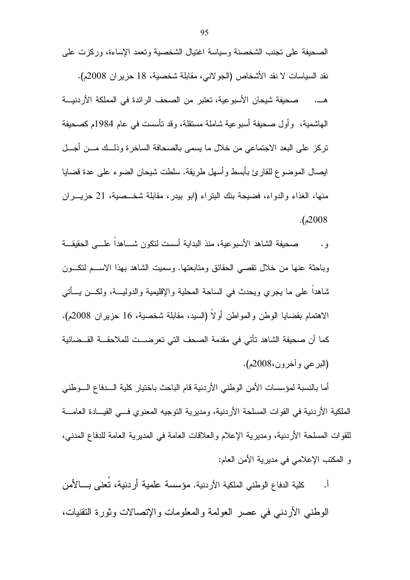الصحيفة على تجنب الشخصنة وسياسة اغتيال الشخصية وتعمد الإساءة، وركزت على

نقد السياسات لا نقد الأشخاص (الجولاني، مقابلة شخصية، 18 حزير ان 2008م). صحيفة شيحان الأسبو عية، تعتبر ٍ من الصحف الرائدة في المملكة الأر دنيــــة الْهَاشْمِيةْ، ۖ وَأُولَ صَحْيِفَةَ أَسْبَوْ عِيَّةٌ شَامِلَةٌ مَسْتَقَلَّةٌ، وَقَدْ تَأْسَسْتَ فَي عام 1984م كصحيفة تركز على البعد الاجتماعي من خلال ما يسمى بالصحافة الساخرة وذلــك مـــن أجـــل ايصال الموضوع للقارئ بأبسط وأسهل طريقة. سلطت شيحان الضوء على عدة قضايا منها، الغذاء والدواء، فضيحة بنك البتراء (ابو بيدر، مقابلة شخــصية، 21 حزيـــران  $. (2008$ 

صحيفة الشاهد الأسبوعية، منذ البداية أسست لتكون شــــاهدا علــــي الحقيقـــة و . وباحثة عنها من خلال تقصبي الحقائق ومتابعتها. وسميت الشاهد بهذا الاســـم لتكـــون شاهدًا على ما يُجرِّي ويُحدِّث في الساحة المُعلِّبة واﻹقليمية والدوليـــة، ولكـــن يـــأتـي الاهتمام بقضايا الوطن والمواطن أولا (السيد، مقابلة شخصية، 16 حزيران 2008م). كما أن صحيفة الشاهد تأتي في مقدمة الصحف التي تعرضـــت للملاحقـــة القـــضائية (البرعي وأخرون،2008م).

أما بالنسبة لمؤسسات الأمن الوطني الأر دنبة قام الباحث باختبار كلبة الـــدفاع الـــوطني الملكية الأردنية في القوات المسلحة الأردنية، ومديرية التوجيه المعنوى فسي القيسادة العامسة للقوات المسلحة الأردنية، ومديرية الإعلام والعلاقات العامة في المديرية العامة للدفاع المدني، و المكتب الإعلامي في مديرية الأمن العام:

كلية الدفاع الوطني الملكية الأردنية. مؤسسة علمية أردنية، تُعنى بـــالأمن <u>أ.</u>

الوطني الأردني في عصر العولمة والمعلومات والإنصالات وثورة النقنيات،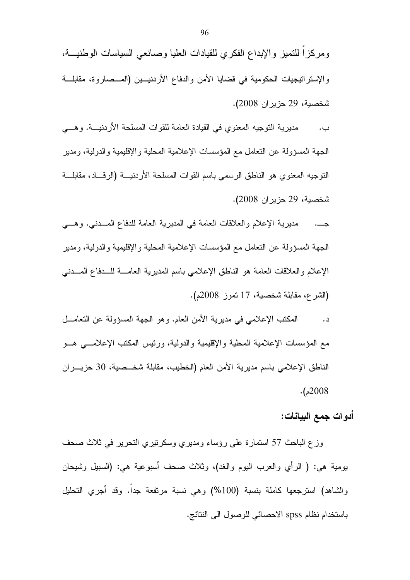مديرية النوجيه المعنوي في القيادة العامة للقوات المسلحة الأردنيـــة. وهـــي ب. الجهة المسؤولة عن النعامل مع المؤسسات الإعلامية المحلية والإقليمية والدولية، ومدير النوجيه المعنوي هو الناطق الرسمي باسم القوات المسلحة الأردنيـــة (الرفـــاد، مقابلـــة شخصية، 29 حزير ان 2008).

مديرية الإعلام والعلاقات العامة في المديرية العامة للدفاع المسدني. وهــي الجهة المسؤولة عن النعامل مع المؤسسات الإعلامية المحلية والإقليمية والدولية، ومدير الإعلام والعلاقات العامة هو الناطق الإعلامي باسم المديرية العامـــة للـــدفاع المـــدنبي (الشرع، مقابلة شخصية، 17 تموز 2008م).

المكتب الإعلامي في مديرية الأمن العام. وهو الجهة المسؤولة عن النعامـــل د. مع المؤسسات الإعلامية المحلية والإقليمية والدولية، ورئيس المكتب الإعلامـــي هـــو الناطق الإعلامي باسم مديرية الأمن العام (الخطيب، مقابلة شخــصية، 30 حزيـــران  $. (2008)$ 

أدوات جمع البيانات:

وزع الباحث 57 استمارة على رؤساء ومديري وسكرنيري التحرير في ثلاث صحف يومية هي: ( الرأي والعرب اليوم والغد)، وثلاث صحف أسبوعية هي: (السبيل وشيحان والشاهد) استرجعها كاملة بنسبة (100%) وهي نسبة مرتفعة جدا. وقد أجري التحليل باستخدام نظام spss الاحصائي للوصول الى النتائج.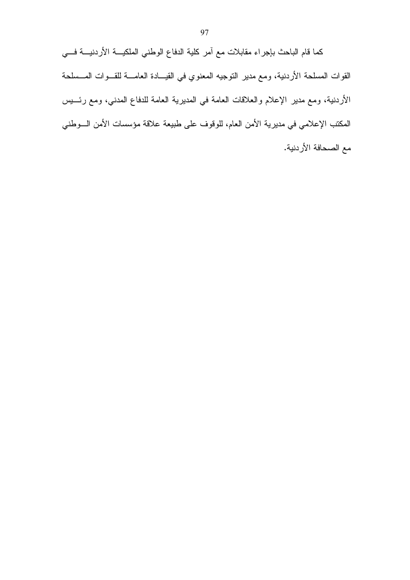كما قام الباحث بإجراء مقابلات مع أمر كلية الدفاع الوطني الملكيـــة الأردنيـــة فـــي القوات المسلحة الأردنية، ومع مدير النوجيه المعنوي في القيـــادة العامــــة للقـــوات المـــسلحة الأردنية، ومع مدير الإعلام والعلاقات العامة في المديرية العامة للدفاع المدني، ومع رئـــيس المكتب الإعلامي في مديرية الأمن العام، للوقوف على طبيعة علاقة مؤسسات الأمن السوطني مع الصحافة الأردنية.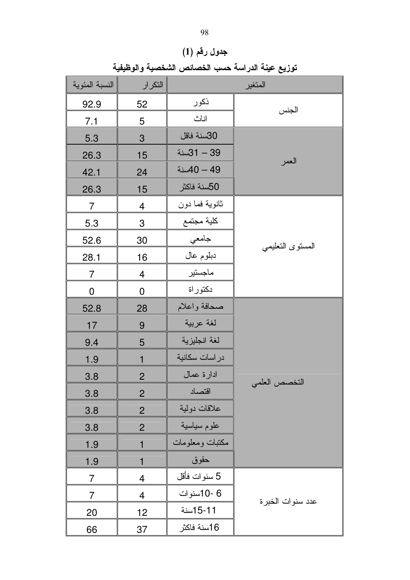النسبة المئوية التكرار المتغير ذكور 92.9 52 الجنس اناث 5  $7.1$ 30سنة فاقل 5.3  $\mathbf{3}$ 39 - 31سنة 26.3 15 العمر 49 - 40 سنة  $42.1$ 24 50سنة فاكثر 26.3 15 ثانوية فما دون  $\overline{7}$  $\overline{4}$ كلية مجتمع  $\overline{3}$ 5.3 جامعي 52.6 30 المسنوى النعليمي دبلوم عال  $28.1$ 16 ماجستير  $\overline{4}$  $\overline{7}$ دكتور اة  $\mathbf 0$  $\mathbf 0$ صحافة واعلام 52.8 28 لغة عربية 9  $17$ لغة انجليزية 5 9.4 در اسات سكانية 1.9  $\mathbf{1}$ ادارة عمال  $\mathbf{2}$  $3.8$ التخصص العلمى اقتصاد  $3.8$  $\overline{c}$ علاقات دولية 3.8  $\overline{2}$ علوم سياسية  $\overline{2}$ 3.8 مكتبات ومعلومات 1.9  $\mathbf{1}$ حقوق 1.9  $\mathbf{1}$ 5 سنوات فأقل  $\overline{7}$  $\overline{4}$ 6 -10سنوات  $\overline{4}$  $\overline{7}$ عدد سنو ات الخبر ة 15-11سنة 20  $12$ 16سنة فاكثر

37

66

جدول رقم (1) توزيع عينة الدراسة حسب الخصائص الشخصية والوظيفية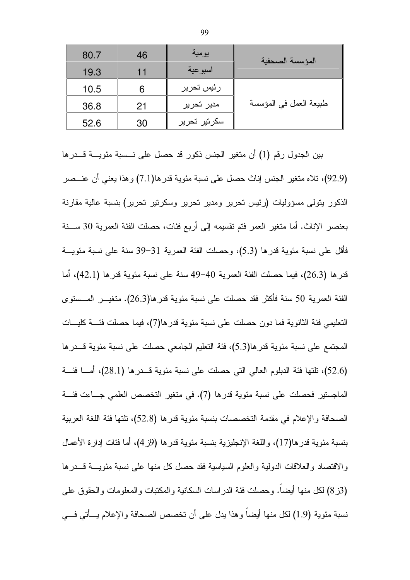| 80.7 | 46 | يومية        | المؤسسة الصحفية        |
|------|----|--------------|------------------------|
| 19.3 | 11 | اسبوعية      |                        |
| 10.5 | 6  | رئيس تحرير   |                        |
| 36.8 | 21 | مدير تحرير   | طبيعة العمل في المؤسسة |
| 52.6 | 30 | سكرتير تحرير |                        |

بين الجدول رقم (1) أن متغير الجنس ذكور قد حصل على نـــسبة مئويــــة قـــدرها (92.9)، تلاه متغير الجنس إناث حصل على نسبة مئوية قدرها(7.1) وهذا يعني أن عنـــصر الذكور يتولَّى مسؤوليات (رئيس تحرير ومدير تحرير وسكرتير تحرير) بنسبة عالية مقارنة بعنصر الإناث. أما متغير العمر فتم تقسيمه إلى أربع فئات، حصلت الفئة العمرية 30 ســـنة فأقل على نسبة مئوية قدرها (5.3)، وحصلت الفئة العمرية 31–39 سنة على نسبة مئويـــة قدر ها (26.3)، فيما حصلت الفئة العمرية 40–49 سنة على نسبة مئوية قدر ها (42.1)، أما الفئة العمرية 50 سنة فأكثر فقد حصلت على نسبة مئوية قدرها(26.3). منغيـــر المـــستوى النعليمي فئة الثانوية فما دون حصلت على نسبة مئوية قدرها(7)، فيما حصلت فئــــة كليــــات المجتمع على نسبة مئوية قدر ها(5.3)، فئة التعليم الجامعي حصلت على نسبة مئوية قـــدر ها (52.6)، تلتها فئة الدبلوم العالي التي حصلت على نسبة مئوية قـــدرها (28.1)، أمــــا فئـــة الماجستير فحصلت على نسبة مئوية قدرها (7). في متغير التخصص العلمي جـــاءت فئـــة الصحافة والإعلام في مقدمة التخصصات بنسبة مئوية قدرها (52.8)، تلتها فئة اللغة العربية بنسبة مئوية قدر ها(17)، واللغة الإنجليزية بنسبة مئوية قدر ها (9ز 4)، أما فئات إدارة الأعمال والاقتصاد والعلاقات الدولية والعلوم السياسية فقد حصل كل منها على نسبة مئويــــة قــــدرها (3ز 8) لكل منها أيضا. وحصلت فئة الدراسات السكانية والمكتبات والمعلومات والحقوق على نسبة مئوية (1.9) لكل منها أيضا وهذا يدل على أن تخصص الصحافة والإعلام يـــأتي فـــي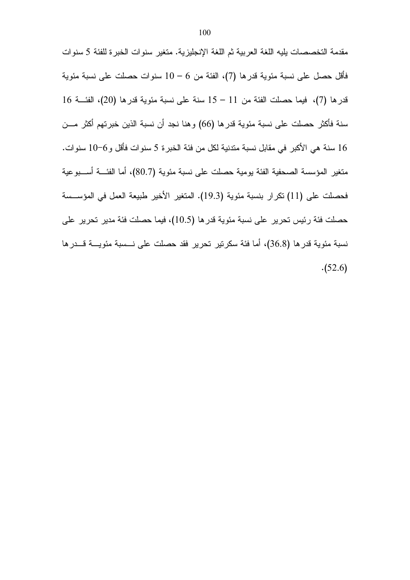مقدمة التخصصات يليه اللغة العربية ثم اللغة الإنجليزية. متغير سنوات الخبرة للفئة 5 سنوات فأقل حصل على نسبة مئوية قدر ها (7)، الفئة من 6 – 10 سنوات حصلت على نسبة مئوية  $16$  فيما حصلت الفئة من  $11\, -11$  سنة على نسبة مئوية قدر ها  $(20)$ ، الفئــــة  $16$ سنة فأكثر حصلت على نسبة مئوية قدرها (66) وهنا نجد أن نسبة الذين خبرتهم أكثر مـــن 16 سنة هي الأكبر في مقابل نسبة متدنية لكل من فئة الخبر ة 5 سنوات فأقل و 6–10 سنوات. منغير المؤسسة الصحفية الفئة يومية حصلت على نسبة مئوية (80.7)، أما الفئـــة أســــبوعية فحصلت على (11) تكرار بنسبة مئوية (19.3). المتغير الأخير طبيعة العمل في المؤســسة حصلت فئة رئيس تحرير على نسبة مئوية قدرها (10.5)، فيما حصلت فئة مدير تحرير على نسبة مئوية قدرها (36.8)، أما فئة سكرتير تحرير فقد حصلت على نـــسبة مئويــــة قـــدرها  $(52.6)$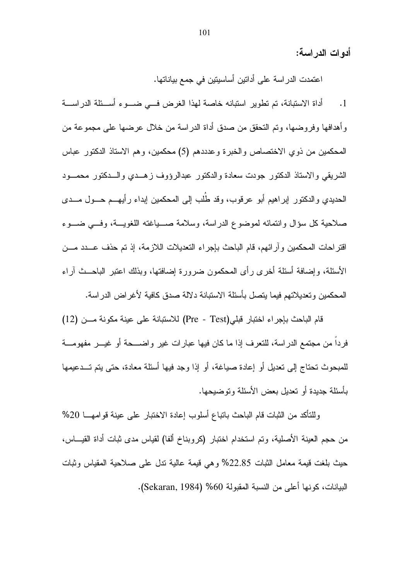أدوات الدراسة:

اعتمدت الدراسة على أداتين أساسيتين في جمع بياناتها.

أداة الاستبانة، تم تطوير استبانه خاصة لهذا الغرض في ضــوء أســئلة الدراســة  $\cdot$ 1 وأهدافها وفروضها، وتم التحقق من صدق أداة الدراسة من خلال عرضها على مجموعة من المحكمين من ذوى الاختصاص والخبرة وعدددهم (5) محكمين، وهم الاستاذ الدكتور عباس الشريقي والاستاذ الدكتور جودت سعادة والدكتور عبدالرؤوف زهــدي والـــدكتور محمـــود الحديدي والدكتور إبراهيم أبو عرفوب، وقد طُلب إلى المحكمين إبداء رأيهــم حــول مــدي صلاحية كل سؤال وانتمائه لموضوع الدراسة، وسلامة صـــياغته اللغويـــة، وفـــي ضـــوء اقتراحات المحكمين وأرائهم، قام الباحث بإجراء التعديلات اللازمة، إذ تم حذف عـــدد مـــن الأسئلة، وإضافة أسئلة أخرى رأى المحكمون ضرورة إضافتها، وبذلك اعتبر الباحــث أراء المحكمين وتعديلاتهم فيما يتصل بأسئلة الاستبانة دلالة صدق كافية لأغراض الدراسة.

قام الباحث بإجراء اختبار قبلي(Pre - Test) للاستبانة على عينة مكونة مـــن (12) فردا من مجتمع الدراسة، للتعرف إذا ما كان فيها عبارات غير واضـــحة أو غيـــر مفهومـــة للمبحوث تحتاج إلى تعديل أو إعادة صياغة، أو إذا وجد فيها أسئلة معادة، حتى يتم تـــدعيمها بِأَسِئلَة جِدِيدة أَو تَعْدِيلٍ بِعِض الأَسِئلَةِ وِ تَوضِيحِهَا.

وللتأكد من الثبات قام الباحث بانباع أسلوب إعادة الاختبار على عينة قوامهـــا 20% من حجم العينة الأصلية، وتم استخدام اختبار (كروبناخ ألفا) لقياس مدى ثبات أداة القيـــاس، حيث بلغت قيمة معامل الثبات 22.85% وهي قيمة عالية ندل على صلاحية المقياس وثبات البيانات، كونها أعلى من النسبة المقبولة 60% (Sekaran, 1984).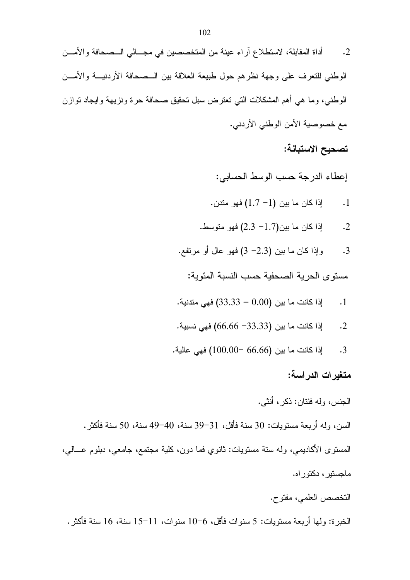- أداة المقابلة، لاستطلاع آراء عينة من المتخصصين في مجـــالي الــصحافة والأمـــن  $\cdot$ .2 الوطني للتعرف على وجهة نظرهم حول طبيعة العلاقة بين الــصحافة الأردنيـــة والأمـــن الوطني، وما هي أهم المشكلات التي تعترض سبل تحقيق صحافة حرة ونزيهة وايجاد توازن مع خصوصية الأمن الوطني الأردني.
	- تصحيح الاستبانة:

إعطاء الدرجة حسب الوسط الحسابي:

- اذا كان ما بين (1– 1.7) فهو مندن.  $\cdot$ 1
- اذا كان ما بين(1.7 2.3) فهو متوسط.  $\cdot$ .2
- وإذا كان ما بين (2.3- 3) فهو عال أو مرتفع. .3

مستوى الحرية الصحفية حسب النسبة المئوية:

- إذا كانت ما بين (0.00 33.33) فهي متدنية.  $\cdot$ 1
- إذا كانت ما بين (33.33– 66.66) فهي نسبية.  $\cdot$ 2
- إذا كانت ما بين (66.66 −100.00) فهي عالية.  $\cdot$ 3

متغيرات الدراسة:

الجنس، وله فئتان: ذكر ، أنثى.

السن، وله أربعة مستويات: 30 سنة فأقل، 31–39 سنة، 40–49 سنة، 50 سنة فأكثر . المستوى الأكاديمي، وله ستة مستويات: ثانوي فما دون، كلية مجتمع، جامعي، دبلوم عـــالـي، ماحستير ، دکتور اه.

التخصص العلمي، مفتوح.

الخبرة: ولـها أربعة مستويات: 5 سنوات فأقل، 6–10 سنوات، 11–15 سنة، 16 سنة فأكثر .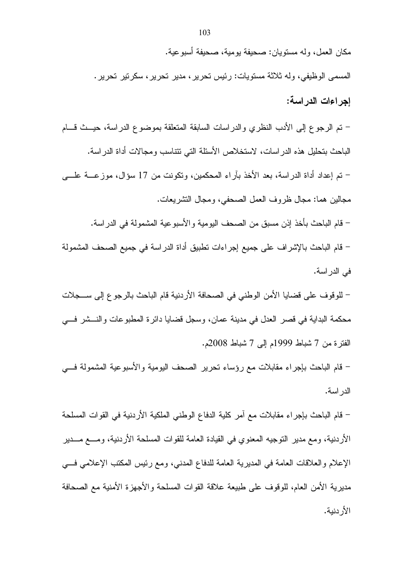مكان العمل، وله مستويان: صحيفة يومية، صحيفة أسبوعية. المسمى الوظيفي، وله ثلاثة مستويات: رئيس نحرير ، مدير نحرير ، سكرتير نحرير . اجر اءات الدر اسبة: – تم الرجوع إلى الأدب النظري والدراسات السابقة المتعلقة بموضوع الدراسة، حيـــث قــــام الباحث بتحليل هذه الدراسات، لاستخلاص الأسئلة التي نتتاسب ومجالات أداة الدراسة. – تم إعداد أداة الدراسة، بعد الأخذ بآراء المحكمين، ونكونت من 17 سؤال، موزعــــة علــــي مجالين هما: مجال ظروف العمل الصحفي، ومجال التشريعات. – قام الباحث بأخذ إذن مسبق من الصحف اليومية والأسبوعية المشمولة في الدراسة.

– قام الباحث بالإشراف على جميع إجراءات نطبيق أداة الدراسة في جميع الصحف المشمولة في الدر اسة.

– للوقوف على قضايا الأمن الوطني في الصحافة الأردنية قام الباحث بالرجوع إلى ســـجلات محكمة البداية في قصر العدل في مدينة عمان، وسجل قضايا دائرة المطبوعات والنـــشر فـــي الفترة من 7 شباط 1999م إلى 7 شباط 2008م.

– قام الباحث بإجراء مقابلات مع رؤساء تحرير الصحف اليومية والأسبوعية المشمولة فسي الدر اسة.

– قام الباحث بإجراء مقابلات مع أمر كلية الدفاع الوطني الملكية الأردنية في القوات المسلحة الأردنية، ومع مدير النوجيه المعنوي في القيادة العامة للقوات المسلحة الأردنية، ومـــع مـــدير الإعلام والعلاقات العامة في المديرية العامة للدفاع المدنى، ومع رئيس المكتب الإعلامي فسي مديرية الأمن العام، للوقوف على طبيعة علاقة القوات المسلحة والأجهزة الأمنية مع الصحافة الأر دنية.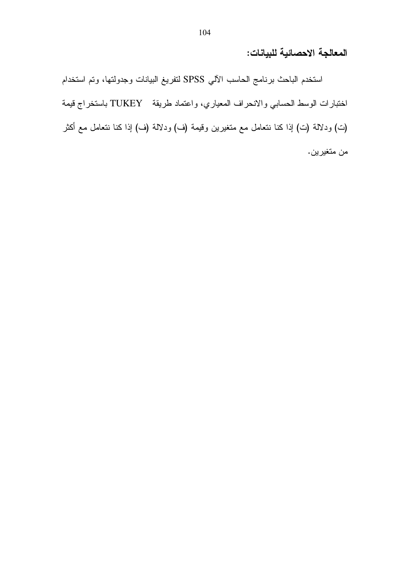## المعالجة الاحصائية للبيانات:

استخدم الباحث برنامج الحاسب الآلي SPSS لتفريغ البيانات وجدولتها، وتم استخدام اختبارات الوسط الحسابي والانحراف المعياري، واعتماد طريقة TUKEY باستخراج قيمة (ت) ودلالة (ت) إذا كنا نتعامل مع متغيرين وقيمة (ف) ودلالة (ف) إذا كنا نتعامل مع أكثر من متغيرين.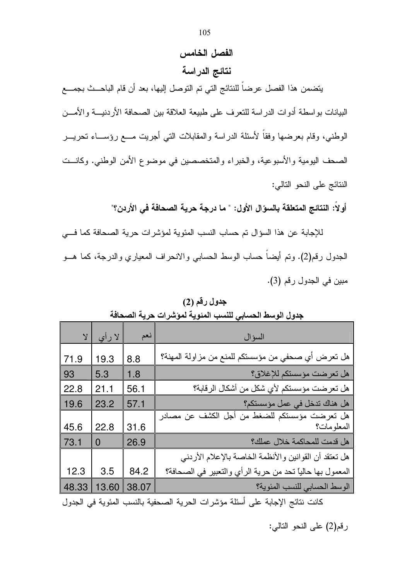## الفصل الخامس

نتائج الدراسة

يتضمن هذا الفصل عرضاً للنتائج التي تم التوصل إليها، بعد أن قام الباحـــث بجمــــع البيانات بواسطة أدوات الدراسة للتعرف على طبيعة العلاقة بين الصحافة الأردنيـــة والأمـــن الوطني، وقام بعرضها وفقاً لأسئلة الدراسة والمقابلات التي أجريت مـــع رؤســـاء تحريـــر الصحف اليومية والأسبوعية، والخبراء والمتخصصين في موضوع الأمن الوطني. وكانــت النتائج على النحو التالي:

أولاً: النتائج المتعلقة بالسوّال الأول: " ما درجة حرية الصحافة في الأردن؟"

للإجابة عن هذا السؤال تم حساب النسب المئوية لمؤشرات حرية الصحافة كما في الجدول رقم(2). وتم أيضاً حساب الوسط الحسابي والانحراف المعياري والدرجة، كما هـــو مبين في الجدول رقم (3).

| جدول رقم (2) |  |
|--------------|--|
|--------------|--|

| $\lambda$ | لا رأي         | نعم   | السؤال                                                      |
|-----------|----------------|-------|-------------------------------------------------------------|
| 71.9      | 19.3           | 8.8   | هل تعرض أي صحفي من مؤسستكم للمنع من مزاولة المهنة؟          |
| 93        | 5.3            | 1.8   | هل تعرضت مؤسستكم للإغلاق؟                                   |
| 22.8      | 21.1           | 56.1  | هل تعرضت مؤسستكم لأي شكل من أشكال الرقابة؟                  |
| 19.6      | 23.2           | 57.1  | هل هناك تدخل في عمل مؤسستكم؟                                |
| 45.6      | 22.8           | 31.6  | هل تعرضت مؤسستكم للضغط من أجل الكشف عن مصادر<br> المعلومات؟ |
| 73.1      | $\overline{0}$ | 26.9  | هل قدمت للمحاكمة خلال عملك؟                                 |
|           |                |       | هل تعتقد أن القوانين والأنظمة الخاصة بالإعلام الأردني       |
| 12.3      | 3.5            | 84.2  | المعمول بها حالياً تحد من حرية الرأي والتعبير في الصحافة؟   |
| 48.33     | 13.60          | 38.07 | الوسط الحسابي للنسب المئوية؟                                |
|           |                |       | أشراه والمساوية والمحافية أكاملا والمحاول والمحافظ          |

جدول الوسط الحسابي للنسب المئوية لمؤشرات حرية الصحافة

كانت نتائج الإجابة على أسئلة مؤشرات الحرية الصحفية بالنسب المئوية في الجدول

رقم(2) على النحو التالي: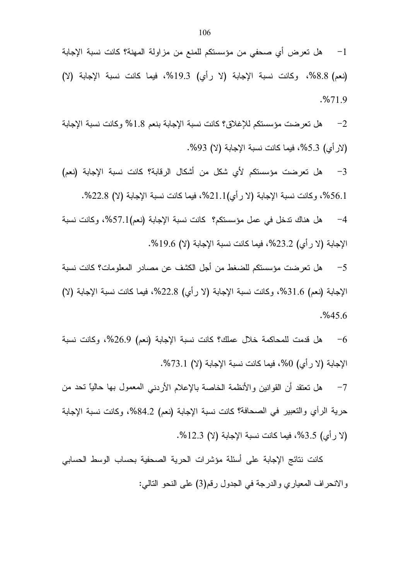هل تعرضت مؤسستكم للإغلاق؟ كانت نسبة الإجابة بنعم 1.8% وكانت نسبة الإجابة  $-2$ (لار أي) 5.3%، فيما كانت نسبة الإجابة (لا) 93%.

هل تعرضت مؤسستكم لأى شكل من أشكال الرقابة؟ كانت نسبة الإجابة (نعم)  $-3$ 56.1%، وكانت نسبة الإجابة (لا رأي)21.1%، فيما كانت نسبة الإجابة (لا) 22.8%.

هل هناك ندخل في عمل مؤسستكم؟ كانت نسبة الإجابة (نعم)57.1%، وكانت نسبة  $-4$ الإجابة (لا رأى) 23.2%، فيما كانت نسبة الإجابة (لا) 19.6%.

هل تعر ضت مؤسستكم للضغط من أجل الكشف عن مصادر المعلومات؟ كانت نسبة  $-5$ الإجابة (نعم) 31.6%، وكانت نسبة الإجابة (لا رأي) 22.8%، فيما كانت نسبة الإجابة (لا)  $. \%45.6$ 

هل قدمت للمحاكمة خلال عملك؟ كانت نسبة الإجابة (نعم) 26.9%، وكانت نسبة  $-6$ الإجابة (لا رأي) 0%، فيما كانت نسبة الإجابة (لا) 73.1%.

هل نعتقد أن القوانين والأنظمة الخاصة بالإعلام الأردني المعمول بها حاليًا تحد من  $-7$ حرية الرأي والتعبير في الصحافة؟ كانت نسبة الإجابة (نعم) 84.2%، وكانت نسبة الإجابة (لا رأى) 3.5%، فيما كانت نسبة الإجابة (لا) 12.3%.

كانت نتائج الإجابة على أسئلة مؤشرات الحرية الصحفية بحساب الوسط الحسابي والانحراف المعباري والدرجة في الجدول رقم(3) على النحو النالي: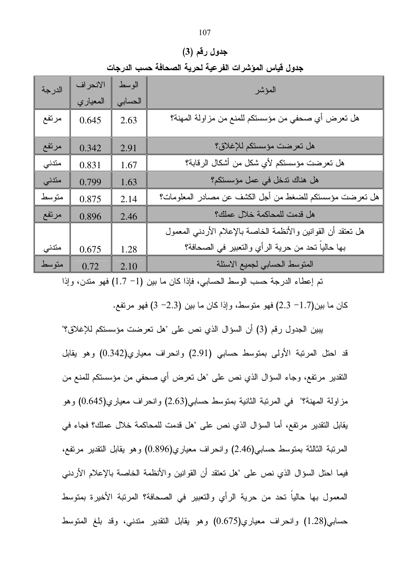جدول رقم (3) جدول قياس المؤشرات الفرعية لحرية الصحافة حسب الدرجات

| الدرجة | الانحراف | الوسط   | المؤشر                                                         |
|--------|----------|---------|----------------------------------------------------------------|
|        | المعياري | الحسابى |                                                                |
| مرتفع  | 0.645    | 2.63    | هل تعرض أي صحفي من مؤسستكم للمنع من مزاولة المهنة؟             |
| مرتفع  | 0.342    | 2.91    | هل تعرضت مؤسستكم للإغلاق؟                                      |
| متدنى  | 0.831    | 1.67    | هل تعرضت مؤسستكم لأي شكل من أشكال الرقابة؟                     |
| متدنى  | 0.799    | 1.63    | هل هناك ندخل في عمل مؤسستكم؟                                   |
| متوسط  | 0.875    | 2.14    | هل تعرضت مؤسستكم للضغط من أجل الكشف عن مصادر المعلومات؟        |
| مرتفع  | 0.896    | 2.46    | هل قدمت للمحاكمة خلال عملك؟                                    |
|        |          |         | هل نعتقد أن القوانين والأنظمة الخاصة بالإعلام الأردنبي المعمول |
| متدنى  | 0.675    | 1.28    | بها حالياً تحد من حرية الرأي والتعبير في الصحافة؟              |
| متوسط  | 0.72     | 2.10    | المنوسط الحسابي لجميع الاسئلة                                  |
|        |          |         |                                                                |

تم إعطاء الدرجة حسب الوسط الحسابي، فإذا كان ما بين (1− 1.7) فهو مندن، وإذا

كان ما بين(1.7– 2.3) فهو متوسط، وإذا كان ما بين (2.3– 3) فهو مرتفع.

بِبِينِ الْجِدْوِلِ رِقْمِ (3) أن السؤالِ الذي نص على "هل تعرِضت مؤسستكم للإغلاقِ؟" قد احتل المرتبة الأولى بمتوسط حسابي (2.91) وانحراف معياري(0.342) وهو يقابل النقدير مرتفع، وجاء السؤال الذي نص على "هل تعرض أي صحفي من مؤسستكم للمنع من مزاولة المهنة؟" في المرتبة الثانية بمتوسط حسابي(2.63) وانحراف معياري(0.645) وهو يقابل التقدير مرتفع، أما السؤال الذي نص على "هل قدمت للمحاكمة خلال عملك؟ فجاء في المرتبة الثالثة بمتوسط حسابي(2.46) وانحراف معياري(0.896) وهو يقابل التقدير مرتفع، فيما احتل السؤال الذي نص على "هل تعتقد أن القوانين والأنظمة الخاصة بالإعلام الأردنبي المعمول بها حالياً تحد من حرية الرأي والتعبير في الصحافة؟ المرتبة الأخيرة بمتوسط حسابي(1.28) وانحراف معياري(0.675) وهو يقابل النقدير مندني، وقد بلغ المنوسط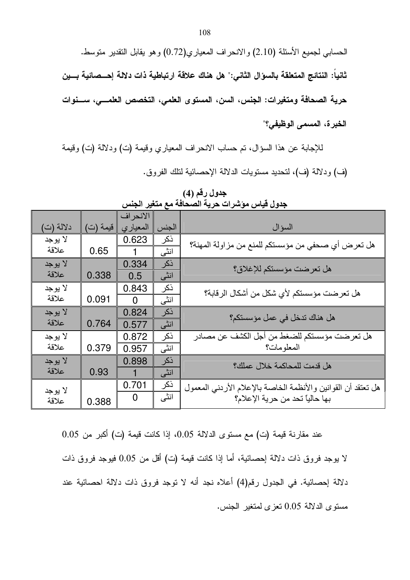الحسابي لجميع الأسئلة (2.10) والانحراف المعياري(0.72) وهو يقابل النقدير منوسط. ثانياً: النتائج المتعلقة بالسوّال الثانى:" هل هناك علاقة ارتباطية ذات دلالة إحـــصائية بـــين حرية الصحافة ومتغيرات: الجنس، السن، المستوى العلمي، التخصص العلمـــي، ســـنوات الخبرة، المسمى الوظيفي؟"

للإجابة عن هذا السؤال، تم حساب الانحراف المعياري وقيمة (ت) ودلالة (ت) وقيمة (ف) ودلالة (ف)، لتحديد مستويات الدلالة الإحصائية لتلك الفروق.

|           |          | الانحراف       |       |                                                               |
|-----------|----------|----------------|-------|---------------------------------------------------------------|
| دلالة (ت) | قيمة (ت) | المعياري       | الجنس | السؤال                                                        |
| لا يوجد   |          | 0.623          | ذكر   | هل تعرض أي صحفي من مؤسستكم للمنع من مزاولة المهنة؟            |
| علاقة     | 0.65     |                | انٹی  |                                                               |
| لا يوجد   |          | 0.334          | ذكر   | هل تعرضت مؤسستكم للإغلاق؟                                     |
| علاقة     | 0.338    | 0.5            | انٹی  |                                                               |
| لا يوجد   |          | 0.843          | ذكر   | هل تعرضت مؤسستكم لأي شكل من أشكال الرقابة؟                    |
| علاقة     | 0.091    | $\Omega$       | انٹی  |                                                               |
| لا يوجد   |          | 0.824          | ذكر   | هل هناك تدخل في عمل مؤسستكم؟                                  |
| علاقة     | 0.764    | 0.577          | انڈی  |                                                               |
| لا يوجد   |          | 0.872          | ذكر   | هل تعرضت مؤسستكم للضغط من أجل الكشف عن مصادر                  |
| علاقة     | 0.379    | 0.957          | انٹی  | المعلومات؟                                                    |
| لا يوجد   |          | 0.898          | نكر   | هل قدمت للمحاكمة خلال عملك؟                                   |
| علاقة     | 0.93     | 1              | انٹی  |                                                               |
| لا يوجد   |          | 0.701          | ذكر   | هل تعتقد أن القوانين والأنظمة الخاصة بالإعلام الأردني المعمول |
| علاقة     | 0.388    | $\overline{0}$ | انٹی  | بها حالياً تحد من حرية الإعلام؟                               |

جدول رقم (4)<br>جدول قياس مؤشرات حرية الصحافة مع متغير الجنس

عند مقارنة قيمة (ت) مع مستوى الدلالة 0.05، إذا كانت قيمة (ت) أكبر من 0.05 لا بوجد فروق ذات دلالة احصائية، أما إذا كانت قيمة (ت) أقل من 0.05 فيوجد فروق ذات دلالة إحصائية. في الجدول رقم(4) أعلاه نجد أنه لا نوجد فروق ذات دلالة احصائية عند مستوى الدلالة 0.05 تعزى لمتغير الجنس.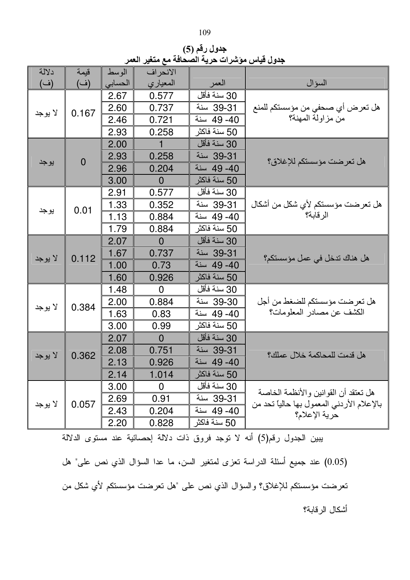| I<br>۰.<br>I |
|--------------|
| ٠<br>۰.<br>× |

جدول رقم (5) جدول قياس مؤشرات حرية الصحافة مع متغير العمر

| دلالة   | قيمة        | الوسط          | الانحراف       |              |                                            |
|---------|-------------|----------------|----------------|--------------|--------------------------------------------|
| (ف)     | (ف)         | الحسابى        | المعياري       | العمر        | السؤال                                     |
|         | 2.67        | 0.577          | 30 سنة فأقل    |              |                                            |
| لا يوجد | 0.167       | 2.60           | 0.737          | 39-31 سنة    | هل تعرض أي صحفي من مؤسستكم للمنع           |
|         |             | 2.46           | 0.721          | 40- 49 سنة   | من مزاولة المهنة؟                          |
|         |             | 2.93           | 0.258          | 50 سنة فاكثر |                                            |
|         |             | 2.00           |                | 30 سنة فأقل  |                                            |
|         | $\mathbf 0$ | 2.93           | 0.258          | 39-31 سنة    | هل تعرضت مؤسستكم للإغلاق؟                  |
| يوجد    |             | 2.96           | 0.204          | 40- 49 سنة   |                                            |
|         |             | 3.00           | $\overline{0}$ | 50 سنة فاكثر |                                            |
|         |             | 2.91           | 0.577          | 30 سنة فأقل  |                                            |
|         | 0.01        | 1.33           | 0.352          | 39-31 سنة    | هل تعرضت مؤسستكم لأي شكل من أشكال          |
| يوجد    |             | 1.13           | 0.884          | 40- 49 سنة   | الر قابة؟                                  |
|         |             | 1.79           | 0.884          | 50 سنة فاكثر |                                            |
|         |             | 2.07           | $\overline{0}$ | 30 سنة فأقل  |                                            |
| لا يوجد | 0.112       | 1.67           | 0.737          | 39-31 سنة    | هل هناك تدخل في عمل مؤسستكم؟               |
|         |             | 1.00           | 0.73           | 40- 49 سنة   |                                            |
|         |             | 1.60           | 0.926          | 50 سنة فاكثر |                                            |
|         |             | 1.48           | $\mathbf 0$    | 30 سنة فأقل  |                                            |
| لا يوجد | 0.384       | 2.00           | 0.884          | 39-30 سنة    | هل تعرضت مؤسستكم للضغط من أجل              |
|         |             | 1.63           | 0.83           | 40- 49 سنة   | الكشف عن مصـادر المعلومات؟                 |
|         |             | 3.00           | 0.99           | 50 سنة فاكثر |                                            |
|         | 2.07        | $\overline{0}$ | 30 سنة فأقل    |              |                                            |
| لا يوجد | 0.362       | 2.08           | 0.751          | 39-31 سنة    | هل قدمت للمحاكمة خلال عملك؟                |
|         |             | 2.13           | 0.926          | 40- 49 سنة   |                                            |
|         |             | 2.14           | 1.014          | 50 سنة فاكثر |                                            |
|         |             | 3.00           | $\mathbf 0$    | 30 سنة فأقل  | هل تعتقد أن القوانين والأنظمة الخاصة       |
| لا يوجد | 0.057       | 2.69           | 0.91           | 39-31 سنة    | بالإعلام الأردني المعمول بها حالياً تحد من |
|         |             | 2.43           | 0.204          | 40- 49 سنة   | حرية الإعلام؟                              |
|         |             | 2.20           | 0.828          | 50 سنة فاكثر |                                            |

يبين الجدول رقم(5) أنه لا نوجد فروق ذات دلالة إحصائية عند مستوى الدلالة

(0.05) عند جميع أسئلة الدراسة تعزى لمتغير السن، ما عدا السؤال الذي نص على" هل تعرضت مؤسستكم للإغلاق؟ والسؤال الذي نص على "هل تعرضت مؤسستكم لأي شكل من أشكال الرقابة؟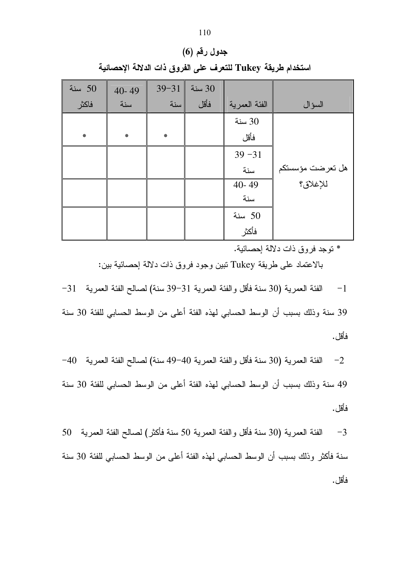|  | جدول رقم (6)                                                |  |
|--|-------------------------------------------------------------|--|
|  | استخدام طريقة Tukey للتعرف على الفروق ذات الدلالة الإحصائية |  |

| سنة $50$ | $40 - 49$ | $39 - 31$ | 30 سنة |               |                  |
|----------|-----------|-----------|--------|---------------|------------------|
| فاكثر    | سنة       | سنة       | فأقل   | الفئة العمرية | السؤال           |
|          |           |           |        | 30 سنة        |                  |
| $\ast$   | ₩         | ₩         |        | فأقل          |                  |
|          |           |           |        | $39 - 31$     |                  |
|          |           |           |        | سنة           | هل تعرضت مؤسستكم |
|          |           |           |        | 40-49         | للإغلاق؟         |
|          |           |           |        | سنة           |                  |
|          |           |           |        | سنة $50$      |                  |
|          |           |           |        | فأكثر         |                  |

\* توجد فروق ذات دلالة إحصائية.

بالاعتماد على طريقة Tukey تبين وجود فروق ذات دلالة إحصائية بين:

 $-31$  - الفئة العمرية (30 سنة فأقل والفئة العمرية 31 $-39$  سنة) لصالح الفئة العمرية  $-1$ 

39 سنة وذلك بسبب أن الوسط الحسابي لهذه الفئة أعلى من الوسط الحسابي للفئة 30 سنة فأقل .

−2 الفئة العمرية (30 سنة فأقل والفئة العمرية 40−49 سنة) لصـالح الفئة العمرية 40− 49 سنة وذلك بسبب أن الوسط الحسابي لهذه الفئة أعلى من الوسط الحسابي للفئة 30 سنة فأقل.

3− الفئة العمرية (30 سنة فأقل والفئة العمرية 50 سنة فأكثر) لصىالح الفئة العمرية 50 سنة فأكثر وذلك بسبب أن الوسط الحسابي لهذه الفئة أعلى من الوسط الحسابي للفئة 30 سنة فأقل .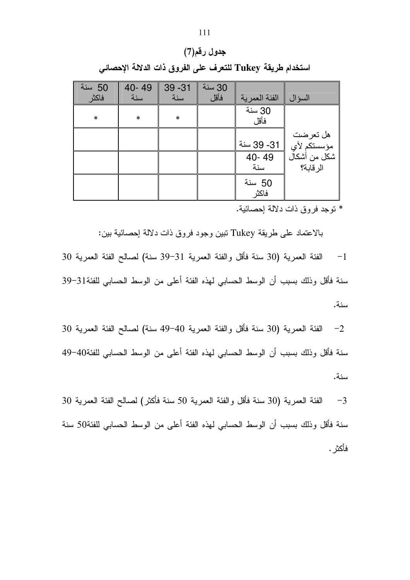| جدول رقم(7)                                                |  |
|------------------------------------------------------------|--|
| استخدام طريقة Tukey للتعرف على الفروق ذات الدلالة الإحصائي |  |

| 50 سنة<br>فاكثر | 40-49<br>سنة | $39 - 31$<br>سنة | 30 سنة<br>فأقل | الفئة العمر ية  | السو ال                   |
|-----------------|--------------|------------------|----------------|-----------------|---------------------------|
| ₩               | ☀            | ₩                |                | 30 سنة<br>فأقل  |                           |
|                 |              |                  |                | 31- 39 سنة      | هل تعرضت<br>مؤسستكم لأي   |
|                 |              |                  |                | 40-49<br>سنة    | شكل من أشكال<br>الر قابة؟ |
|                 |              |                  |                | 50 سنة<br>فاكثر |                           |

\* توجد فروق ذات دلالة إحصائية.

بالاعتماد على طريقة Tukey تبين وجود فروق ذات دلالة إحصائية بين:

1− الفئة العمرية (30 سنة فأقل والفئة العمرية 31−39 سنة) لصـالح الفئة العمرية 30 سنة فأقل وذلك بسبب أن الوسط الحسابي لهذه الفئة أعلى من الوسط الحسابي للفئة31-39 سنة.

2− الفئة العمرية (30 سنة فأقل والفئة العمرية 40−49 سنة) لصـالح الفئة العمرية 30 سنة فأقل وذلك بسبب أن الوسط الحسابي لهذه الفئة أعلى من الوسط الحسابي للفئة40–49 سنة.

30 – الفئة العمرية (30 سنة فأقل والفئة العمرية 50 سنة فأكثر) لصـالح الفئة الـعمرية 30  $\,$ سنة فأقل وذلك بسبب أن الوسط الحسابي لهذه الفئة أعلى من الوسط الحسابي للفئة50 سنة فأكثر .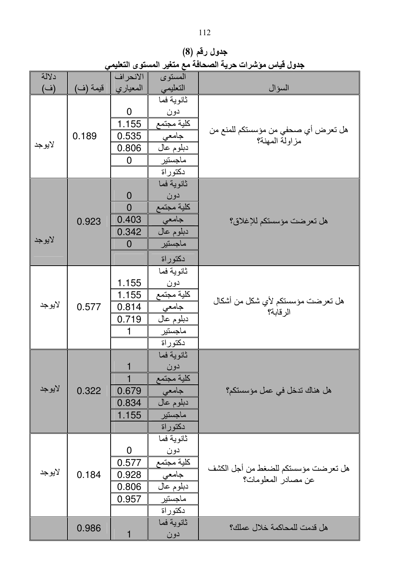جدول رقم (8) جدول قياس موشرات حرية الصحافة مع متغير المستوى التعليمي

| دلالة<br>(ف) | قيمة (ف) | الانحراف<br>المعياري                                       | المستوى<br>التعليمي                                                                | السؤال                                                     |
|--------------|----------|------------------------------------------------------------|------------------------------------------------------------------------------------|------------------------------------------------------------|
| لايوجد       | 0.189    | $\boldsymbol{0}$<br>1.155<br>0.535<br>0.806<br>$\mathbf 0$ | ثانوية فما<br>دون<br>كلية مجتمع<br>۔<br>جامعی<br>دبلوم عال<br>ماجستير<br>دكتوراة   | هل تعرض أي صحفي من مؤسستكم للمنع من<br>مزاولة المهنة؟      |
| لايوجد       | 0.923    | $\mathbf 0$<br>$\overline{0}$<br>0.403<br>0.342<br>0       | ثانوية فما<br>دون<br>كلية مجتمع<br>جامعی<br>دبلوم عال<br>ماجستير<br>دكتوراة        | هل تعرضت مؤسستكم للإغلاق؟                                  |
| لايوجد       | 0.577    | 1.155<br>1.155<br>0.814<br>0.719<br>1                      | ثانوية فما<br>دون<br>كلية مجتمع<br>جامعى<br>دبلوم عال<br>ماجستير<br>دكتوراة        | هل تعرضت مؤسستكم لأي شكل من أشكال<br>الرقابة؟              |
| لايوجد       | 0.322    | $\mathbf{1}$<br>0.679<br>0.834<br>1.155                    | ثانوية فما<br><u>دون</u><br>كلية مجتمع<br>جامعى<br>دبلوم عال<br>ماجستير<br>دكتوراة | هل هناك تدخل في عمل مؤسستكم؟                               |
| لايوجد       | 0.184    | $\mathbf 0$<br>0.577<br>0.928<br>0.806<br>0.957            | ثانوية فما<br>دون<br>كلية مجتمع<br>جامعي<br>دبلوم عال<br>ماجستير<br>دكتوراة        | هل تعرضت مؤسستكم للضغط من أجل الكشف<br>عن مصادر المعلومات؟ |
|              | 0.986    | $\overline{1}$                                             | ثانوية فما<br>دون                                                                  | هل قدمت للمحاكمة خلال عملك؟                                |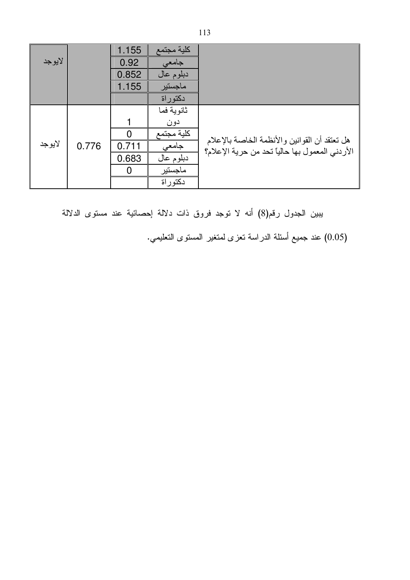|        |       | 1.155 | كلية مجتمع |                                                                                                  |
|--------|-------|-------|------------|--------------------------------------------------------------------------------------------------|
| لايوجد |       | 0.92  | جامعى      |                                                                                                  |
|        |       | 0.852 | دبلوم عال  |                                                                                                  |
|        |       | 1.155 | ماجستير    |                                                                                                  |
|        |       |       | دكتوراة    |                                                                                                  |
|        |       |       | ثانوية فما |                                                                                                  |
|        |       |       | دون        |                                                                                                  |
|        |       |       | كلية مجتمع |                                                                                                  |
| لايوجد | 0.776 | 0.711 | جامعى      | هل تعتقد أن القوانين والأنظمة الخاصة بالإعلام<br>الأردني المعمول بها حالياً تحد من حرية الإعلام؟ |
|        |       | 0.683 | دبلوم عال  |                                                                                                  |
|        |       |       | ماجستير    |                                                                                                  |
|        |       |       | دکتو ر اة  |                                                                                                  |

يبين الجدول رقم(8) أنه لا نوجد فروق ذات دلالة إحصائية عند مستوى الدلالة

(0.05) عند جميع أسئلة الدراسة نعزى لمتغير المستوى التعليمي.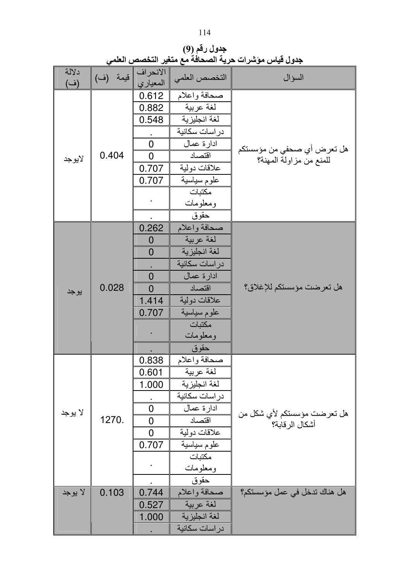جدول رقم (9) جدول قياس موَشرات حرية الصحافة مع متغير التخصص العل*مي* 

| دلالة<br>(ف) | قيمة (ف) | الانحراف<br>المعياري | التخصص العلمي  | السؤال                                                |
|--------------|----------|----------------------|----------------|-------------------------------------------------------|
|              |          | 0.612                | صحافة واعلام   |                                                       |
|              |          | 0.882                | لغة عربية      |                                                       |
|              |          | 0.548                | لغة انجليزية   |                                                       |
|              |          |                      | در اسات سكانية |                                                       |
|              |          | $\overline{0}$       | ادارة عمال     |                                                       |
| لايوجد       | 0.404    | $\overline{0}$       | اقتصاد         | هل تعرض أي صحفي من مؤسستكم<br>للمنع من مزاولة المهنة؟ |
|              |          | 0.707                | علاقات دولية   |                                                       |
|              |          | 0.707                | علوم سياسية    |                                                       |
|              |          |                      | مكتبات         |                                                       |
|              |          |                      | ومعلومات       |                                                       |
|              |          |                      | حقوق           |                                                       |
|              |          | 0.262                | صحافة واعلام   |                                                       |
|              |          | $\overline{0}$       | لغة عربية      |                                                       |
|              |          | $\overline{0}$       | لغة انجليزية   |                                                       |
|              | 0.028    |                      | در اسات سكانية |                                                       |
|              |          | $\overline{0}$       | ادارة عمال     |                                                       |
| يوجد         |          | $\overline{0}$       | اقتصاد         | هل تعرضت مؤسستكم للإغلاق؟                             |
|              |          | 1.414                | علاقات دولية   |                                                       |
|              |          | 0.707                | علوم سياسية    |                                                       |
|              |          |                      | مكتبات         |                                                       |
|              |          |                      | ومعلومات       |                                                       |
|              |          |                      | حقوق           |                                                       |
|              |          | 0.838                | صحافة واعلام   |                                                       |
|              |          | 0.601                | لغة عربية      |                                                       |
|              |          | 1.000                | لغة انجليزية   |                                                       |
|              |          |                      | در اسات سكانية |                                                       |
| لا يوجد      |          | $\overline{0}$       | ادارة عمال     | هل تعرضت مؤسستكم لأي شكل من                           |
|              | 1270.    | $\overline{0}$       | اقتصاد         | أشكال الر قابة؟                                       |
|              |          | 0                    | علاقات دولية   |                                                       |
|              |          | 0.707                | علوم سياسية    |                                                       |
|              |          |                      | مكتبات         |                                                       |
|              |          |                      | ومعلومات       |                                                       |
|              |          |                      | حقوق           |                                                       |
| لا يوجد      | 0.103    | 0.744                | صحافة واعلام   | هل هناك تدخل في عمل مؤسستكم؟                          |
|              |          | 0.527                | الغة عربية     |                                                       |
|              |          | 1.000                | لغة انجليزية   |                                                       |
|              |          |                      | در اسات سكانية |                                                       |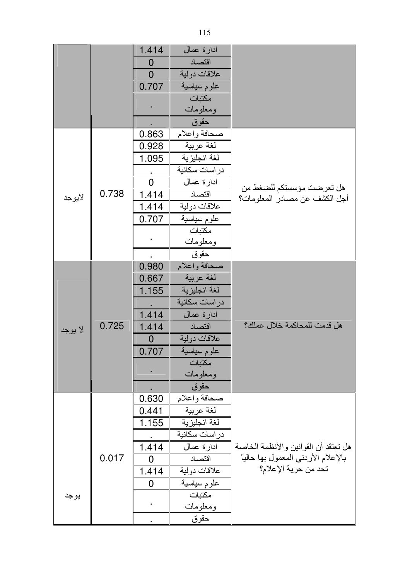|         |       | 1.414          | ادارة عمال     |                                                             |
|---------|-------|----------------|----------------|-------------------------------------------------------------|
|         |       | 0              | اقتصاد         |                                                             |
|         |       | $\overline{0}$ | علاقات دولية   |                                                             |
|         |       | 0.707          | علوم سياسية    |                                                             |
|         |       |                | مكتبات         |                                                             |
|         |       |                | ومعلومات       |                                                             |
|         |       |                | حقوق           |                                                             |
|         |       | 0.863          | صحافة واعلام   |                                                             |
|         |       | 0.928          | لغة عربية      |                                                             |
|         |       | 1.095          | لغة انجليزية   |                                                             |
|         |       |                | در اسات سكانية |                                                             |
|         |       | $\overline{0}$ | ادار ة عمال    |                                                             |
| لايوجد  | 0.738 | 1.414          | اقتصاد         | هل تعرضت مؤسستكم للضغط من<br>أجل الكشف عن مصـادر المعلومات؟ |
|         |       | 1.414          | علاقات دولية   |                                                             |
|         |       | 0.707          | علوم سياسية    |                                                             |
|         |       |                | مكتبات         |                                                             |
|         |       |                | ومعلومات       |                                                             |
|         |       |                | حقوق           |                                                             |
|         |       | 0.980          | صحافة واعلام   |                                                             |
|         |       | 0.667          | لغة عربية      |                                                             |
|         |       | 1.155          | لغة انجليزية   |                                                             |
|         |       |                | در اسات سكانية |                                                             |
|         |       | 1.414          | ادارة عمال     |                                                             |
| لا يوجد | 0.725 | 1.414          | اقتصاد         | هل قدمت للمحاكمة خلال عملك؟                                 |
|         |       | 0              | علاقات دولية   |                                                             |
|         |       | 0.707          | علوم سياسية    |                                                             |
|         |       |                | مكتبات         |                                                             |
|         |       |                | ومعلومات       |                                                             |
|         |       |                | حقوق           |                                                             |
|         |       | 0.630          | صحافة واعلام   |                                                             |
|         |       | 0.441          | لغة عربية      |                                                             |
|         |       | 1.155          | لغة انجليزية   |                                                             |
|         |       |                | در اسات سكانية |                                                             |
|         |       | 1.414          | ادارة عمال     | هل تعتقد أن القوانين والأنظمة الخاصة                        |
|         | 0.017 | 0              | اقتصاد         | بالإعلام الأردني المعمول بها حالياً                         |
|         |       | 1.414          | علاقات دولية   | تحد من حرية الإعلام؟                                        |
|         |       | 0              | علوم سياسية    |                                                             |
| يوجد    |       |                | مكتبات         |                                                             |
|         |       |                | ومعلومات       |                                                             |
|         |       |                | حقوق           |                                                             |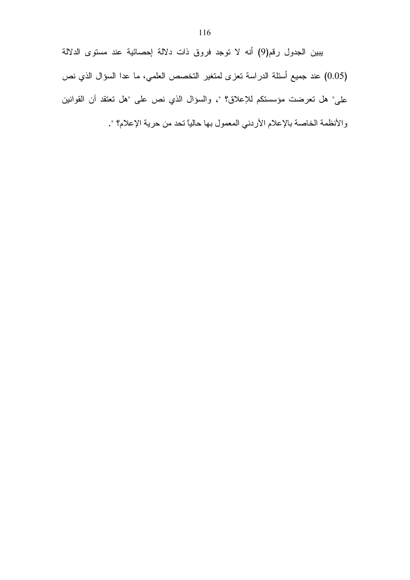يبين الجدول رقم(9) أنه لا نوجد فروق ذات دلالة إحصائية عند مستوى الدلالة (0.05) عند جميع أسئلة الدراسة تعزى لمتغير التخصص العلمي، ما عدا السؤال الذي نص على" هل تعرضت مؤسستكم للإعلاق؟ "، والسؤال الذي نص على "هل تعتقد أن القوانين والأنظمة الخاصة بالإعلام الأردني المعمول بها حالياً تحد من حرية الإعلام؟ ".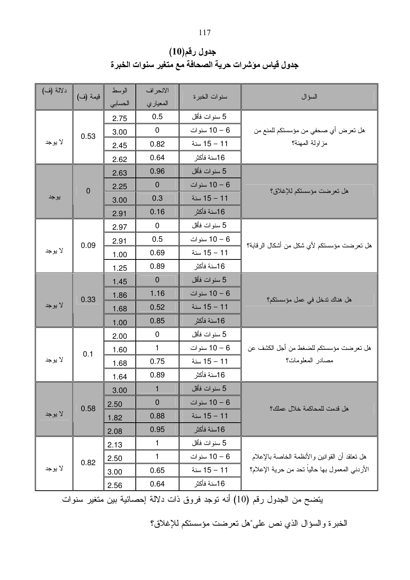جدول رقم(10) جدول قياس موشرات حرية الصحافة مع متغير سنوات الخبرة

| دلالة (ف) | قيمة (ف)       | الوسط<br>الحسابي | الانحراف<br>المعياري | سنوات الخبرة | السؤال                                         |
|-----------|----------------|------------------|----------------------|--------------|------------------------------------------------|
|           |                | 2.75             | 0.5                  | 5 سنوات فأقل |                                                |
| 0.53      |                | 3.00             | $\mathbf 0$          | 6 – 10 سنوات | هل تعرض أي صحفي من مؤسستكم للمنع من            |
| لا يوجد   |                | 2.45             | 0.82                 | 11 – 15 سنة  | مز اولة المهنة؟                                |
|           |                | 2.62             | 0.64                 | 16سنة فأكثر  |                                                |
|           |                | 2.63             | 0.96                 | 5 سنوات فأقل |                                                |
|           | $\overline{0}$ | 2.25             | $\mathbf 0$          | 6 – 10 سنوات | هل تعرضت مؤسستكم للإغلاق؟                      |
| يوجد      |                | 3.00             | 0.3                  | 11 – 15 سنة  |                                                |
|           |                | 2.91             | 0.16                 | 16سنة فأكثر  |                                                |
|           |                | 2.97             | $\mathbf 0$          | 5 سنوات فأقل |                                                |
|           | 0.09           | 2.91             | 0.5                  | 6 – 10 سنوات | هل تعرضت مؤسستكم لأي شكل من أشكال الرقابة؟     |
| لا بوجد   |                | 1.00             | 0.69                 | 11 – 15 سنة  |                                                |
|           |                | 1.25             | 0.89                 | 16سنة فأكثر  |                                                |
|           |                | 1.45             | $\mathbf 0$          | 5 سنوات فأقل |                                                |
| لا يوجد   | 0.33           | 1.86             | 1.16                 | 6 – 10 سنوات | هل هناك ندخل في عمل مؤسستكم؟                   |
|           |                | 1.68             | 0.52                 | 11 - 15 سنة  |                                                |
|           |                | 1.00             | 0.85                 | 16سنة فأكثر  |                                                |
|           |                | 2.00             | 0                    | 5 سنوات فأقل |                                                |
|           | 0.1            | 1.60             | $\mathbf{1}$         | 6 – 10 سنوات | هل تعرضت مؤسستكم للضغط من أجل الكشف عن         |
| لا يوجد   |                | 1.68             | 0.75                 | 11 – 15 سنة  | مصادر المعلومات؟                               |
|           |                | 1.64             | 0.89                 | 16سنة فأكثر  |                                                |
|           |                | 3.00             | $\mathbf{1}$         | 5 سنوات فأقل |                                                |
|           | 0.58           | 2.50             | $\mathbf 0$          | 6 – 10 سنوات | هل قدمت للمحاكمة خلال عملك؟                    |
| لا يوجد   |                | 1.82             | 0.88                 | 11 – 15 سنة  |                                                |
|           |                | 2.08             | 0.95                 | 16سنة فأكثر  |                                                |
|           |                | 2.13             | 1                    | 5 سنوات فأقل |                                                |
|           | 0.82           | 2.50             | 1                    | 10 – 6 سنوات | هل نعتقد أن القوانين والأنظمة الخاصة بالإعلام  |
| لا بوجد   |                | 3.00             | 0.65                 | 11 – 15 سنة  | الأردني المعمول بها حاليا نحد من حرية الإعلام؟ |
|           |                | 2.56             | 0.64                 | 16سنة فأكثر  |                                                |

يتضح من الجدول رقم (10) أنه توجد فروق ذات دلالة إحصائية بين متغير سنوات

الخبرة والسؤال الذي نص على"هل تعرضت مؤسستكم للإغلاق؟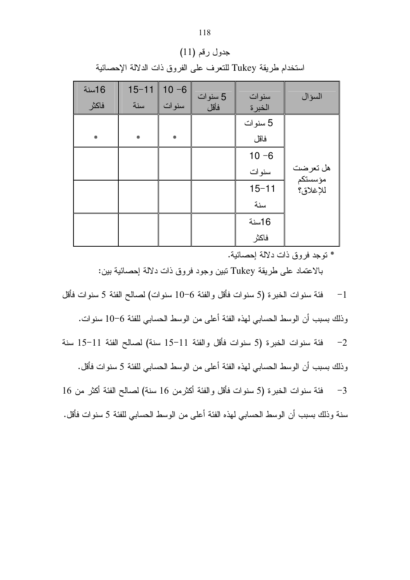| 16سنة  | $15 - 11$ | $10 - 6$ | 5 سنوات | سنوات     | السؤال                          |
|--------|-----------|----------|---------|-----------|---------------------------------|
| فاكثر  | سنة       | سنوات    | فأقل    | الخبرة    |                                 |
|        |           |          |         | 5 سنوات   |                                 |
| $\ast$ | $\ast$    | ₩        |         | فاقل      |                                 |
|        |           |          |         | $10 - 6$  |                                 |
|        |           |          |         | سنوات     | هل تعرضت<br>مؤسستكم<br>للإغلاق؟ |
|        |           |          |         | $15 - 11$ |                                 |
|        |           |          |         | سنة       |                                 |
|        |           |          |         | 16سنة     |                                 |
|        |           |          |         | فاكثر     |                                 |

جدول رقم (11) استخدام طريقة Tukey للنعرف على الفروق ذات الدلالة الإحصائية

\* توجد فروق ذات دلالة إحصائية.

بالاعتماد على طريقة Tukey نبين وجود فروق ذات دلالة إحصائية ببن:

فئة سنوات الخبرة (5 سنوات فأقل والفئة 6–10 سنوات) لصالح الفئة 5 سنوات فأقل  $-1$ 

وذلك بسبب أن الوسط الحسابي لهذه الفئة أعلى من الوسط الحسابي للفئة 6–10 سنوات.

فئة سنوات الخبرة (5 سنوات فأقل والفئة 11-15 سنة) لصالح الفئة 11-15 سنة  $-2$ وذلك بسبب أن الوسط الحسابي لهذه الفئة أعلى من الوسط الحسابي للفئة 5 سنوات فأقل.

فئة سنوات الخبرة (5 سنوات فأقل والفئة أكثرمن 16 سنة) لصالح الفئة أكثر من 16  $-3$ 

سنة وذلك بسبب أن الوسط الحسابي لهذه الفئة أعلى من الوسط الحسابي للفئة 5 سنوات فأقل.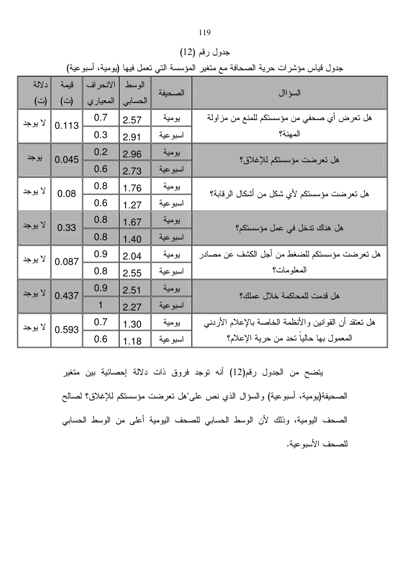|  |  |  | دول قياس مؤشرات حرية الصحافة مع متغير المؤسسة التي تعمل فيها (يومية، أسبو عية) |  |  |
|--|--|--|--------------------------------------------------------------------------------|--|--|
|  |  |  |                                                                                |  |  |

جدول رقم (12)

|                  | جدول قياس مؤشرات حرية الصحافة مع متغير المؤسسة التي تعمل فيها (يومية، اسبو عية) |          |         |                             |                                                        |  |  |  |  |
|------------------|---------------------------------------------------------------------------------|----------|---------|-----------------------------|--------------------------------------------------------|--|--|--|--|
| دلالة            | قبمة                                                                            | الانحراف | الوسط   | الصحيفة                     | السؤاال                                                |  |  |  |  |
| (宀)              | (؎)                                                                             | المعياري | الحسابي |                             |                                                        |  |  |  |  |
| لا يوجد          | 0.113                                                                           | 0.7      | 2.57    | يومية                       | هل تعرض أي صحفي من مؤسستكم للمنع من مزاولة             |  |  |  |  |
|                  |                                                                                 | 0.3      | 2.91    | اسبوعية                     | المهنة؟                                                |  |  |  |  |
| يوجد             | 0.045                                                                           | 0.2      | 2.96    | يومية                       | هل تعرضت مؤسستكم للإغلاق؟                              |  |  |  |  |
|                  |                                                                                 | 0.6      | 2.73    | اسبوعية                     |                                                        |  |  |  |  |
| لا يوجد          | 0.08                                                                            | 0.8      | 1.76    | يومية                       | هل تعرضت مؤسستكم لأي شكل من أشكال الرقابة؟             |  |  |  |  |
|                  |                                                                                 | 0.6      | 1.27    | اسبوعية                     |                                                        |  |  |  |  |
| لا يوجد          | 0.33                                                                            | 0.8      | 1.67    | يومية                       | هل هناك ندخل في عمل مؤسستكم؟                           |  |  |  |  |
|                  |                                                                                 | 0.8      | 1.40    | اسبو عية                    |                                                        |  |  |  |  |
| لا يوجد          | 0.087                                                                           | 0.9      | 2.04    | يومية                       | هل تعرضت مؤسستكم للضغط من أجل الكشف عن مصادر           |  |  |  |  |
|                  |                                                                                 | 0.8      | 2.55    | اسبو عية                    | المعلومات؟                                             |  |  |  |  |
| لا يوجد<br>0.437 | 0.9                                                                             | 2.51     | يومية   | هل قدمت للمحاكمة خلال عملك؟ |                                                        |  |  |  |  |
|                  |                                                                                 | 1        | 2.27    | اسبو عية                    |                                                        |  |  |  |  |
| لا يوجد          |                                                                                 | 0.7      | 1.30    | يومية                       | هل تعتقد أن القوانين والأنظمة الخاصة بالإعلام الأردنبي |  |  |  |  |
| 0.593            |                                                                                 | 0.6      | 1.18    | اسبوعية                     | المعمول بها حاليا نحد من حرية الإعلام؟                 |  |  |  |  |

يتضح من الجدول رقم(12) أنه توجد فروق ذات دلالة إحصائية بين متغير الصحيفة(يومية، أسبوعية) والسؤال الذي نص على"هل تعرضت مؤسستكم للإغلاق؟ لصالح الصحف اليومية، وذلك لأن الوسط الحسابي للصحف اليومية أعلى من الوسط الحسابي للصحف الأسبوعية.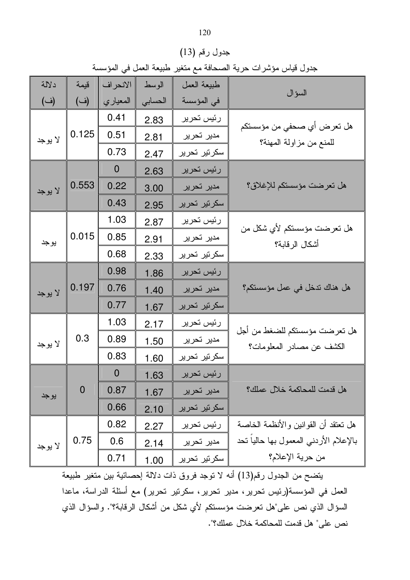|         | جدول قياس مؤشرات حرية الصحافة مع متغير طبيعة العمل في المؤسسة |                |         |              |                                                            |  |  |  |  |
|---------|---------------------------------------------------------------|----------------|---------|--------------|------------------------------------------------------------|--|--|--|--|
| دلالة   | قيمة                                                          | الانحراف       | الوسط   | طبيعة العمل  |                                                            |  |  |  |  |
| (ف)     | (ف)                                                           | المعياري       | الحسابي | في المؤسسة   | السؤال                                                     |  |  |  |  |
|         |                                                               | 0.41           | 2.83    | رئيس تحرير   |                                                            |  |  |  |  |
| لا يوجد | 0.125                                                         | 0.51           | 2.81    | مدير تحرير   | هل تعرض أي صحفي من مؤسستكم<br>للمنع من مزاولة المهنة؟      |  |  |  |  |
|         |                                                               | 0.73           | 2.47    | سكرتير تحرير |                                                            |  |  |  |  |
|         |                                                               | $\mathbf{0}$   | 2.63    | رئيس تحرير   |                                                            |  |  |  |  |
| لا يوجد | 0.553                                                         | 0.22           | 3.00    | مدبر تحرير   | هل تعرضت مؤسستكم للإغلاق؟                                  |  |  |  |  |
|         |                                                               | 0.43           | 2.95    | سكرتير تحرير |                                                            |  |  |  |  |
|         |                                                               | 1.03           | 2.87    | رئيس تحرير   |                                                            |  |  |  |  |
| يو جد   | 0.015                                                         | 0.85           | 2.91    | مدير تحرير   | هل تعرضت مؤسستكم لأي شكل من<br>أشكال الرقابة؟              |  |  |  |  |
|         |                                                               | 0.68           | 2.33    | سكرتير تحرير |                                                            |  |  |  |  |
|         |                                                               | 0.98           | 1.86    | رئيس تحرير   |                                                            |  |  |  |  |
| لا يوجد | 0.197                                                         | 0.76           | 1.40    | مدير تحرير   | هل هناك ندخل في عمل مؤسستكم؟                               |  |  |  |  |
|         |                                                               | 0.77           | 1.67    | سكرتير تحرير |                                                            |  |  |  |  |
|         |                                                               | 1.03           | 2.17    | رئيس تحرير   |                                                            |  |  |  |  |
| لا يوجد | 0.3                                                           | 0.89           | 1.50    | مدير تحرير   | هل تعرضت مؤسستكم للضغط من أجل<br>الكشف عن مصادر المعلومات؟ |  |  |  |  |
|         |                                                               | 0.83           | 1.60    | سكرتير تحرير |                                                            |  |  |  |  |
|         |                                                               | $\overline{0}$ | 1.63    | رئيس تحرير   |                                                            |  |  |  |  |
| يو جد   | $\boldsymbol{0}$                                              | 0.87           | 1.67    | مدير تحرير   | هل قدمت للمحاكمة خلال عملك؟                                |  |  |  |  |
|         |                                                               | 0.66           | 2.10    | سکرتیر تحریر |                                                            |  |  |  |  |
|         |                                                               | 0.82           | 2.27    | رئيس تحرير   | هل تعتقد أن القوانين والأنظمة الخاصة                       |  |  |  |  |
| لا يوجد | 0.75                                                          | 0.6            | 2.14    | مدير تحرير   | بالإعلام الأردني المعمول بها حاليا نحد                     |  |  |  |  |
|         |                                                               | 0.71           | 1.00    | سكرتير تحرير | من حرية الإعلام؟                                           |  |  |  |  |

جدول رقم (13)

يتضح من الجدول رقم(13) أنه لا توجد فروق ذات دلالة إحصائية بين متغير طبيعة العمل في المؤسسة(رئيس تحرير ، مدير تحرير ، سكرتير تحرير) مع أسئلة الدراسة، ماعدا السؤال الذي نص على"هل تعرضت مؤسستكم لأي شكل من أشكال الرقابة؟". والسؤال الذي نص على" هل قدمت للمحاكمة خلال عملك؟".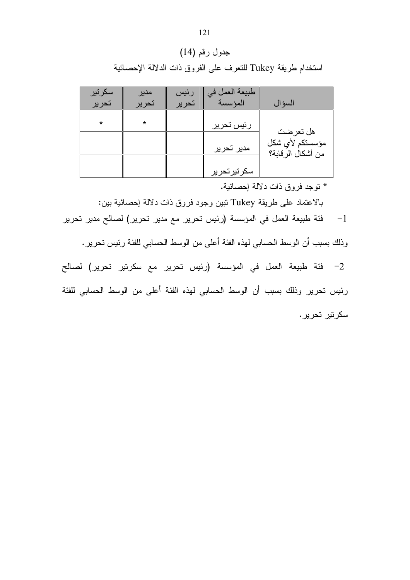## جدول رقم (14)

استخدام طريقة Tukey للنعرف على الفروق ذات الدلالة الإحصائية

| سكرتير<br>تحرير | مدير<br>تحرير | رئيس<br>تحرير | طبيعة العمل في<br>المؤسسة | السؤال                               |
|-----------------|---------------|---------------|---------------------------|--------------------------------------|
|                 |               |               |                           |                                      |
| *               | *             |               | رئيس تحرير                |                                      |
|                 |               |               |                           | هل تعرضت                             |
|                 |               |               | مدير تحرير                | مؤسستكم لأي شكل<br>من أشكال الرقابة؟ |
|                 |               |               |                           |                                      |
|                 |               |               | سكرتيرتحرير               |                                      |

\* نوجد فروق ذات دلالة إحصائية.

بالاعتماد على طريقة Tukey تبين وجود فروق ذات دلالة إحصائية بين:

فئة طبيعة العمل في المؤسسة (رئيس تحرير مع مدير تحرير) لصالح مدير تحرير  $-1$ 

وذلك بسبب أن الوسط الحسابي لهذه الفئة أعلى من الوسط الحسابي للفئة رئيس تحرير .

2– فئة طبيعة العمل في المؤسسة (رئيس تحرير مع سكرنير تحرير) لصالح رئيس تحرير وذلك بسبب أن الوسط الحسابي لهذه الفئة أعلى من الوسط الحسابي للفئة سکر تیں تحریں .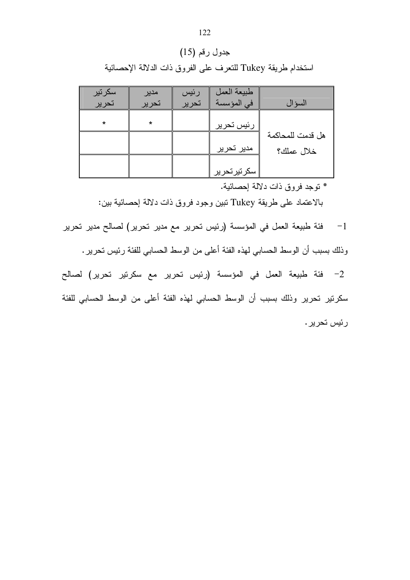## جدول رقم (15)

استخدام طريقة Tukey للنعرف على الفروق ذات الدلالة الإحصائية

| سكرتير  | مدير    | رئيس  | طبيعة العمل |                  |
|---------|---------|-------|-------------|------------------|
| تحرير   | تحرير   | تحرير | في المؤسسة  | السؤال           |
|         |         |       |             |                  |
| $\star$ | $\star$ |       | رئيس تحرير  |                  |
|         |         |       |             | هل قدمت للمحاكمة |
|         |         |       | مدير تحرير  | خلال عملك؟       |
|         |         |       |             |                  |
|         |         |       | سكرتيرتحرير |                  |

\* توجد فروق ذات دلالة إحصائية.

بالاعتماد على طريقة Tukey تبين وجود فروق ذات دلالة إحصائية ببين:

فئة طبيعة العمل في المؤسسة (رئيس تحرير مع مدير تحرير) لصالح مدير تحرير  $-1$ 

وذلك بسبب أن الوسط الحسابي لهذه الفئة أعلى من الوسط الحسابي للفئة رئيس تحرير .

2- فئة طبيعة العمل في المؤسسة (رئيس تحرير مع سكرتير تحرير) لصالح سكرتير تحرير وذلك بسبب أن الوسط الحسابي لهذه الفئة أعلى من الوسط الحسابي للفئة ر ئېس تحرير .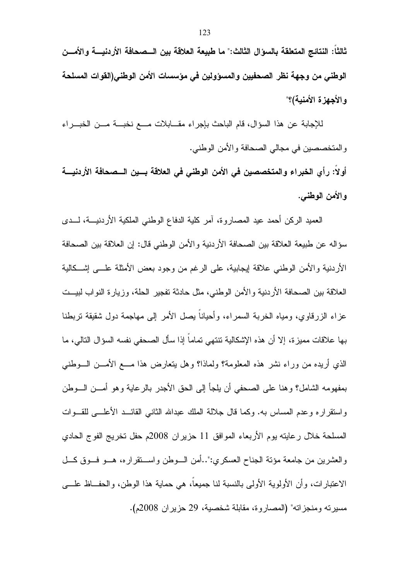ثالثا: النتائج المتعلقة بالسوَال الثالث:" ما طبيعة العلاقة بين الـــصحافة الأردنيــــة والأمـــن الوطني من وجهة نظر الصحفيين والمسؤولين في مؤسسات الأمن الوطني(القوات المسلحة و الأجهز ة الأمنية)؟"

للإجابة عن هذا السؤال، قام الباحث بإجراء مقــابلات مـــع نخبـــة مـــن الخبـــراء والمتخصصين في مجالي الصحافة والأمن الوطني. أولا: رأي الخبراء والمتخصصين في الأمن الوطني في العلاقة بسين السصحافة الأردنيسة

و الأمن الوطني.

العميد الركن أحمد عيد المصاروة، أمر كلية الدفاع الوطني الملكية الأردنيـــة، لـــدى سؤاله عن طبيعة العلاقة بين الصحافة الأردنية والأمن الوطني قال: إن العلاقة بين الصحافة الأردنية والأمن الوطنبي علاقة إيجابية، على الرغم من وجود بعض الأمثلة علـــي إشـــكالية العلاقة بين الصحافة الأردنية والأمن الوطني، مثل حادثة تفجير الحلة، وزيارة النواب لبيــت عز اء الزرقاوي، ومياه الخربة السمر اء، وأحيانا بصل الأمر إلى مهاجمة دول شقيقة تربطنا بها علاقات مميزة، إلا أن هذه الإشكالية تتتهي تماماً إذا سأل الصحفي نفسه السؤال التالي، ما الذي أريده من وراء نشر هذه المعلومة؟ ولماذا؟ وهل بتعارض هذا مـــع الأمـــن الـــوطنـي بمفهومه الشامل؟ وهنا على الصحفي أن يلجأ إلى الحق الأجدر بالرعاية وهو أمـــن الـــوطن واستقراره وعدم المساس به. وكما قال جلالة الملك عبدالله الثانبي القائـــد الأعلــــي للقـــوات المسلحة خلال رعايته يوم الأربعاء الموافق 11 حزيران 2008م حفل تخريج الفوج الحادي والعشرين من جامعة مؤنة الجناح العسكري:"..أمن السوطن واستقراره، هــو فــوق كــل الاعتبارات، وأن الأولوية الأولى بالنسبة لنا جميعاً، هي حماية هذا الوطن، والحفــاظ علـــي مسبر ته ومنجز اته" (المصار و ة، مقابلة شخصبة، 29 حز بر ان 2008م).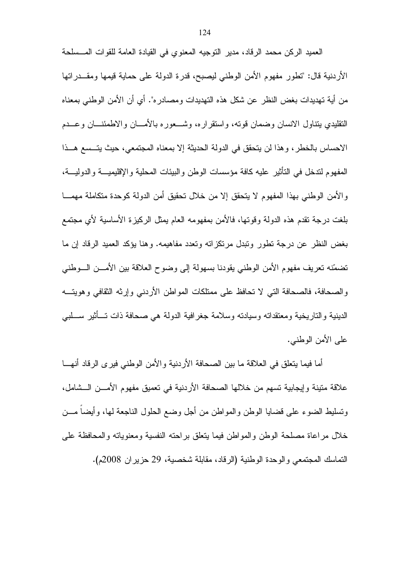العميد الركن محمد الرقاد، مدير النوجيه المعنوى في القيادة العامة للقوات المــسلحة الأردنية قال: "تطور مفهوم الأمن الوطنبي ليصبح، قدرة الدولة على حماية قيمها ومقـــدراتها من أية تهديدات بغض النظر ٍ عن شكل هذه التهديدات ومصـادر ه". أي أن الأمن الوطنبي بمعنـاه التقليدي بتناول الانسان وضمان قوته، واستقراره، وشـــعوره بالأمـــان والاطمئنـــان وعـــدم الاحساس بالخطر ، و هذا لن يتحقق في الدولة الحديثة إلا بمعناه المجتمعي، حيث يتــسع هــذا المفهوم لندخل في النأنير عليه كافة مؤسسات الوطن والبيئات المحلية والإقليميـــة والدوليـــة، والأمن الوطني بهذا المفهوم لا يتحقق إلا من خلال نحقيق أمن الدولة كوحدة متكاملة مهمـــا بلغت درجة نقدم هذه الدولة وقونها، فالأمن بمفهومه العام بمثل الركيزة الأساسية لأي مجتمع بغض النظر عن درجة نطور ونبدل مرتكزاته وتعدد مفاهيمه. وهنا يؤكد العميد الرقاد إن ما تضمّنه تعريف مفهوم الأمن الوطني يقودنا بسهولة إلى وضوح العلاقة بين الأمـــن الـــوطني والصحافة، فالصحافة التبي لا تحافظ على ممتلكات المواطن الأردنبي وإرثه الثقافي وهويتــه الدينية والتاريخية ومعتقداته وسيادته وسلامة جغرافية الدولة هي صحافة ذات تـــأثير ســـلبي على الأمن الوطنبي.

أما فيما يتعلَّق في العلاقة ما بين الصحافة الأردنية والأمن الوطني فيرى الرقاد أنهـــا علاقة متبنة وإبجابية تسهم من خلالها الصحافة الأردنية في تعميق مفهوم الأمـــن الـــشامل، ونسليط الضوء على فضايا الوطن والمواطن من أجل وضع الحلول الناجعة لها، وأيضاً مـــن خلال مراعاة مصلحة الوطن والمواطن فيما يتعلق براحته النفسية ومعنوياته والمحافظة على التماسك المجتمعي والوحدة الوطنية (الرقاد، مقابلة شخصية، 29 حزير ان 2008م).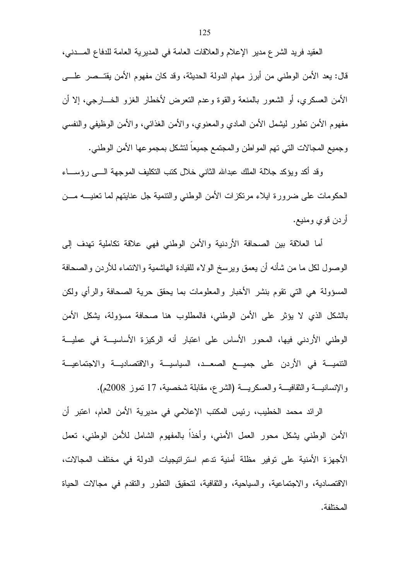العقيد فريد الشرع مدير الإعلام والعلاقات العامة في المديرية العامة للدفاع المــــدني، قال: يعد الأمن الوطنبي من أبرز مهام الدولة الحديثة، وقد كان مفهوم الأمن يقتــصر علــــي الأمن العسكري، أو الشعور بالمنعة والقوة وعدم النعرض لأخطار الغزو الخـــارجي، إلا أن مفهوم الأمن نطور ليشمل الأمن المادي والمعنوي، والأمن الغذائبي، والأمن الوظيفي والنفسي وجميع المجالات النبي نهم المواطن والمجتمع جميعا لنشكل بمجموعها الأمن الوطنبي.

وقد أكد ويؤكد جلالة الملك عبدالله الثانبي خلال كتب التكليف الموجهة الــــى رؤســــاء الحكومات على ضرورة ايلاء مرتكزات الأمن الوطنبي والنتمية جل عنايتهم لما تعنيـــه مـــن أردن قوى ومنيع.

أما العلاقة بين الصحافة الأردنية والأمن الوطني فهي علاقة نكاملية تهدف إلى الوصول لكل ما من شأنه أن يعمق ويرسخ الولاء للقيادة الهاشمية والانتماء للأردن والصحافة المسؤولة هي التي نقوم بنشر الأخبار والمعلومات بما يحقق حرية الصحافة والرأي ولكن بالشكل الذي لا يؤثر على الأمن الوطني، فالمطلوب هنا صحافة مسؤولة، يشكل الأمن الوطني الأردني فيها، المحور الأساس على اعتبار أنه الركبزة الأساسيـــة في عمليـــة النتميـــة في الأردن على جميـــع الصعـــد، السياسيـــة والاقتصاديـــة والاجتماعيـــة والإنسانيـــة والثقافيـــة والعسكريـــة (الشرع، مقابلة شخصية، 17 نموز 2008م).

الرائد محمد الخطيب، رئيس المكتب الإعلامي في مديرية الأمن العام، اعتبر أن الأمن الوطني بشكل محور العمل الأمنى، وأخذاً بالمفهوم الشامل للأمن الوطني، نعمل الأجهزة الأمنية على توفير مظلة أمنية تدعم استراتيجيات الدولة في مختلف المجالات، الاقتصادية، والاجتماعية، والسياحية، والثقافية، لتحقيق التطور والتقدم في مجالات الحياة المختلفة.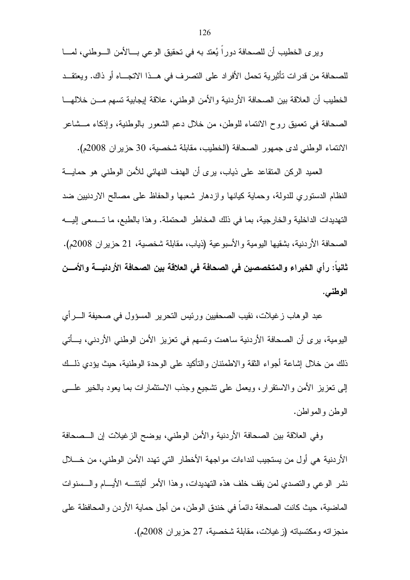ويرى الخطيب أن للصحافة دورا يُعتد به في تحقيق الوعي بـــالأمن الـــوطني، لمــــا للصحافة من قدرات تأثيرية تحمل الأفراد على التصرف في هــذا الاتجـــاه أو ذاك. ويعتقــد الخطيب أن العلاقة بين الصحافة الأردنية والأمن الوطني، علاقة إيجابية نسهم مـــن خلالهــــا الصحافة في تعميق روح الانتماء للوطن، من خلال دعم الشعور بالوطنية، وإذكاء مـــشاعر الانتماء الوطني لدى جمهور الصحافة (الخطيب، مقابلة شخصية، 30 حزير ان 2008م).

العميد الركن المتقاعد على ذياب، يرى أن الهدف النهائي للأمن الوطني هو حمايـــة النظام الدستوري للدولة، وحماية كيانها وازدهار شعبها والحفاظ على مصالح الاردنبين ضد التهديدات الداخلية والخارجية، بما في ذلك المخاطر المحتملة. وهذا بالطبع، ما تــسعى إليـــه الصحافة الأردنية، بشقيها اليومية والأسبوعية (ذياب، مقابلة شخصية، 21 حزير ان 2008م). ثانيا: رأى الخبراء والمتخصصين في الصحافة في العلاقة بين الصحافة الأردنيــــة والأمــــن الوطني.

عبد الوهاب زغيلات، نقيب الصحفيين ورئيس التحرير المسؤول في صحيفة الــــرأي اليومية، يرى أن الصحافة الأردنية ساهمت وتسهم في نعزيز الأمن الوطني الأردني، يـــأتـي ذلك من خلال إشاعة أجواء الثقة والاطمئنان والتأكيد على الوحدة الوطنية، حيث يؤدي ذلـــك إلىي تعزيز الأمن والاستقرار، ويعمل على نشجيع وجذب الاستثمارات بما يعود بالخير علسي الوطن والمواطن.

وفي العلاقة بين الصحافة الأردنية والأمن الوطنبي، يوضح الزغيلات إن الــصحافة الأردنية هي أول من يستجيب لنداءات مواجهة الأخطار التي تهدد الأمن الوطني، من خــــلال نشر الوعي والتصدي لمن يقف خلف هذه التهديدات، وهذا الأمر أثبتتـــه الأيــــام والـــسنوات الماضية، حيث كانت الصحافة دائما في خندق الوطن، من أجل حماية الأر دن و المحافظة على منجزاته ومكتسباته (زغيلات، مقابلة شخصية، 27 حزيران 2008م).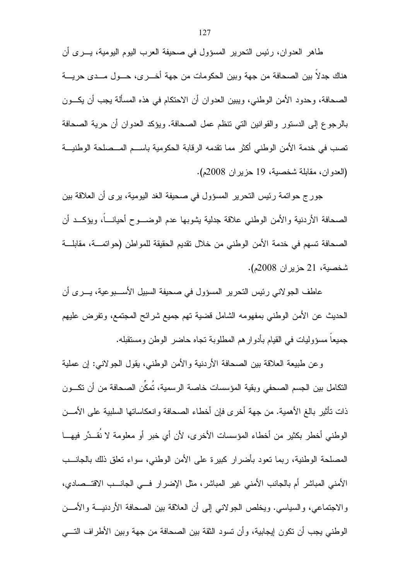طاهر العدوان، رئيس التحرير المسؤول في صحيفة العرب اليوم اليومية، يـــرى أن هناك جدلا بين الصحافة من جهة وبين الحكومات من جهة أخـــرى، حـــول مـــدى حريــــة الصحافة، وحدود الأمن الوطني، ويبين العدوان أن الاحتكام في هذه المسألة يجب أن يكـــون بالرجوع إلى الدستور ، القوانين التي تنظم عمل الصحافة. ويؤكد العدوان أن حرية الصحافة تصب في خدمة الأمن الوطني أكثر مما نقدمه الرقابة الحكومية باسم المسصلحة الوطنيــة (العدوان، مقابلة شخصية، 19 حزيران 2008م).

جورج حواتمة رئيس النحرير المسؤول في صحيفة الغد اليومية، يرى أن العلاقة بين الصحافة الأردنية والأمن الوطنبي علاقة جدلية بشوبها عدم الوضـــوح أحيانــــاً، ويؤكـــد أن الصحافة تسهم في خدمة الأمن الوطني من خلال نقديم الحقيقة للمواطن (حواتمـــة، مقابلـــة شخصية، 21 حزير ان 2008م).

عاطف الجو لاني رئيس التحرير المسؤول في صحيفة السبيل الأســـبوعية، يـــرى أن الحديث عن الأمن الوطني بمفهومه الشامل قضية نهم جميع شرائح المجتمع، وتفرض عليهم جميعا مسؤوليات في القيام بأدوار هم المطلوبة نجاه حاضر الوطن ومستقبله.

وعن طبيعة العلاقة بين الصحافة الأردنية والأمن الوطنبي، يقول الجولانبي: إن عملية النكامل بين الجسم الصحفي وبقبة المؤسسات خاصة الرسمية، تمكن الصحافة من أن تكــون ذات نأثير بالغ الأهمية. من جهة أخرى فإن أخطاء الصحافة وانعكاساتها السلبية على الأمـــن الوطني أخطر بكثير من أخطاء المؤسسات الأخرى، لأن أي خبر أو معلومة لا نُقــدِّر فيهـــا المصلحة الوطنية، ربما نعود بأضرار كبيرة على الأمن الوطني، سواء نعلق ذلك بالجانـــب الأمني المباشر أم بالجانب الأمني غير المباشر، مثل الإضرار فـــي الجانـــب الاقتـــصـادي، والاجتماعي، والسياسي. ويخلص الجولاني إلى أن العلاقة بين الصحافة الأردنيـــة والأمـــن الوطني يجب أن تكون إيجابية، وأن تسود الثقة بين الصحافة من جهة وبين الأطراف التسي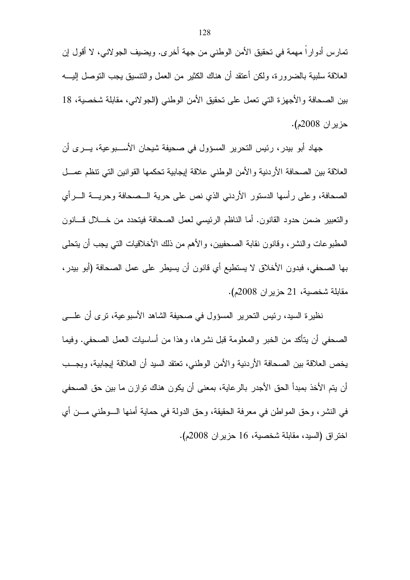تمارس أدواراً مهمة في تحقيق الأمن الوطني من جهة أخرى. ويضيف الجولاني، لا أقول إن العلاقة سلبية بالضرورة، ولكن أعتقد أن هناك الكثير من العمل والنتسيق يجب النوصل إليــــه بين الصحافة والأجهزة التي تعمل على تحقيق الأمن الوطني (الجولاني، مقابلة شخصية، 18 **حزير ان 2008م).** 

جهاد أبو بيدر، رئيس التحرير المسؤول في صحيفة شيحان الأســـبوعية، يـــر ي أن العلاقة بين الصحافة الأردنية والأمن الوطني علاقة إيجابية تحكمها القوانين التي تنظم عمسل الصحافة، وعلى رأسها الدستور الأردني الذي نص على حرية الــصحافة وحريـــة الــــرأي والنعبير ضمن حدود القانون. أما الناظم الرئيسي لعمل الصحافة فيتحدد من خــــلال قــــانون المطبوعات والنشر، وفانون نقابة الصحفيين، والأهم من ذلك الأخلاقيات التي يجب أن يتحلَّى بها الصـحفي، فبدون الأخلاق لا يستطيع أي قانون أن يسيطر ِ على عمل الصـحافة (أبو بيدر ، مقابلة شخصية، 21 حزير ان 2008م).

نظيرة السيد، رئيس النحرير المسؤول في صحيفة الشاهد الأسبوعية، نرى أن علـــي الصحفي أن يتأكد من الخبر والمعلومة قبل نشرها، وهذا من أساسيات العمل الصحفي. وفيما يخص العلاقة بين الصحافة الأردنية والأمن الوطني، تعتقد السيد أن العلاقة إيجابية، ويجــب أن يتم الأخذ بمبدأ الحق الأجدر بالرعاية، بمعنى أن يكون هناك توازن ما بين حق الصحفي في النشر، وحق المواطن في معرفة الحقيقة، وحق الدولة في حماية أمنها الـــوطني مـــن أي اختراق (السيد، مقابلة شخصية، 16 حزير ان 2008م).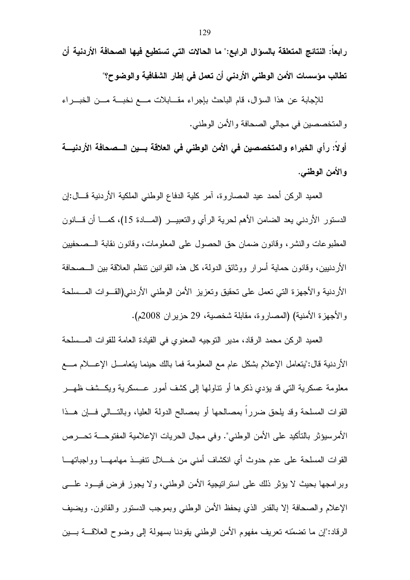رابعاً: النتائج المتعلقة بالسؤال الرابع:" ما الحالات التي تستطيع فيها الصحافة الأردنية أن تطالب مؤسسات الأمن الوطني الأردني أن تعمل في إطار الشفافية والوضوح؟"

للإجابة عن هذا السؤال، قام الباحث بإجراء مقـــابلات مـــع نخبـــة مـــن الخبـــراء والمتخصصين في مجالي الصحافة والأمن الوطني.

أولاً: رأى الخبراء والمتخصصين في الأمن الوطني في العلاقة بسين السصحافة الأردنيسة والأمن الوطني.

العميد الركن أحمد عيد المصاروة، آمر كلية الدفاع الوطني الملكية الأردنية قـــال:إن الدستور الأردنبي يعد الضامن الأهم لحرية الرأى والتعبيـــر (المــــادة 15)، كمــــا أن قــــانون المطبوعات والنشر ، وقانون ضمان حق الحصول على المعلومات، وقانون نقابة الـــصـحفيين الأردنبين، وقانون حماية أسرار ووثائق الدولة، كل هذه القوانين نتظم العلاقة بين الـــصحافة الأردنية والأجهزة التي تعمل على تحقيق وتعزيز الأمن الوطني الأردني(القــوات المــسلحة والأجهزة الأمنية) (المصاروة، مقابلة شخصية، 29 حزيران 2008م).

العميد الركن محمد الرقاد، مدير النوجيه المعنوى في القيادة العامة للقوات المــسلحة الأردنية قال:"يتعامل الإعلام بشكل عام مع المعلومة فما بالك حينما يتعامـــل الإعــــلام مــــع معلومة عسكرية التي قد بؤدي ذكرها أو نتاولها إلى كشف أمور عـــسكرية ويكـــشف ظهـــر القوات المسلحة وقد يلحق ضرراً بمصالحها أو بمصالح الدولة العليا، وبالتسالمي فسإن هسذا الأمرسيؤثر بالتأكيد على الأمن الوطني". وفي مجال الحريات الإعلامية المفتوحــــة تحــــرص القوات المسلحة على عدم حدوث أي انكشاف أمنى من خــــلال نتفيـــذ مهامهــــا وواجباتهـــا وبرامجها بحيث لا يؤثر ذلك على استراتيجية الأمن الوطنبي، ولا يجوز فرض قيـــود علــــي الإعلام والصحافة إلا بالقدر الذي يحفظ الأمن الوطنبي وبموجب الدستور والقانون. ويضيف الرقاد:"إن ما نضمّنه نعريف مفهوم الأمن الوطني يقودنا بسهولة إلى وضوح العلاقـــة بـــين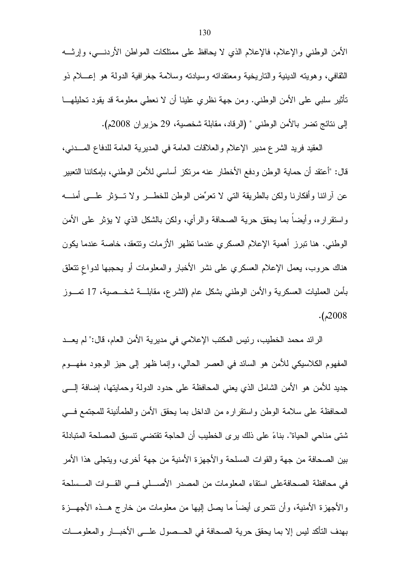الأمن الوطني والإعلام، فالإعلام الذي لا يحافظ على ممتلكات المواطن الأردنــــي، وإرثــــه النقافي، وهويته الدينية والتاريخية ومعتقداته وسيادته وسلامة جغرافية الدولة هو إعـــلام ذو تأثير سلبي على الأمن الوطني. ومن جهة نظري علينا أن لا نعطي معلومة قد يقود تحليلهـــا إلى نتائج تضر بالأمن الوطني " (الرقاد، مقابلة شخصية، 29 حزير ان 2008م).

العقيد فريد الشرع مدير الإعلام والعلاقات العامة في المديرية العامة للدفاع المسدني، قال: "أعتقد أن حماية الوطن ودفع الأخطار عنه مرتكز أساسي للأمن الوطني، بإمكاننا التعبير عن أرائنا وأفكارنا ولكن بالطريقة التبي لا نعرِّض الوطن للخطــــر ولا تــــؤثر علـــــي أمنـــــه واستقراره، وأيضا بما يحقق حرية الصحافة والرأي، ولكن بالشكل الذي لا يؤثر على الأمن الوطني. هنا نبرز أهمية الإعلام العسكري عندما نظهر الأزمات ونتعقد، خاصة عندما يكون هناك حروب، يعمل الإعلام العسكري على نشر الأخبار والمعلومات أو يحجبها لدواع تتعلق بِأمن العمليات العسكرية والأمن الوطنبي بشكل عام (الشرع، مقابلــــة شخـــصية، 17 نَمـــوز  $. (2008$ 

الرائد محمد الخطيب، رئيس المكتب الإعلامي في مديرية الأمن العام، قال:" لم يعـــد المفهوم الكلاسيكي للأمن هو السائد في العصر الحالبي، وإنما ظهر إلى حيز الوجود مفهـــوم جديد للأمن هو الأمن الشامل الذي يعني المحافظة على حدود الدولة وحمايتها، إضافة إلــــي المحافظة على سلامة الوطن واستقراره من الداخل بما يحقق الأمن والطمأنينة للمجتمع فسي شتى مناحي الحياة". بناءً على ذلك يرى الخطيب أن الحاجة تقتضي نتسيق المصلحة المتبادلة بين الصحافة من جهة والقوات المسلحة والأجهزة الأمنية من جهة أخرى، ويتجلى هذا الأمر في محافظة الصحافةعلى استقاء المعلومات من المصدر الأصـــلي فـــي القــوات المــسلحة والأجهزة الأمنية، وأن نتحرى أيضا ما يصل إليها من معلومات من خارج هــذه الأجهـــزة بهدف النأكد ليس إلا بما يحقق حرية الصحافة في الحـــصول علـــي الأخبـــار والمعلومـــات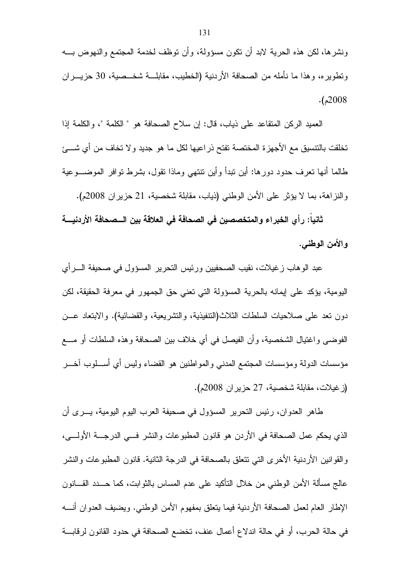ونشرها، لكن هذه الحرية لابد أن نكون مسؤولة، وأن نوظف لخدمة المجتمع والنهوض بـــه ونطويره، وهذا ما نأمله من الصحافة الأردنية (الخطيب، مقابلـــة شخـــصية، 30 حزيــــران  $. (2008$ 

العميد الركن المنقاعد على ذياب، قال: إن سلاح الصحافة هو " الكلمة "، والكلمة إذا تخلقت بالتتسيق مع الأجهزة المختصة تفتح ذراعيها لكل ما هو جديد و لا تخاف من أي شـــئ طالما أنها نعرف حدود دورها: أين نبدأ وأين نتنهى وماذا نقول، بشرط نوافر الموضـــوعية والنزاهة، بما لا يؤثِّر على الأمن الوطني (ذياب، مقابلة شخصية، 21 حزيران 2008م).

ثانياً: رأي الخبراء والمتخصصين في الصحافة في العلاقة بين الـــصحافة الأردنيــــة والأمن الوطنبي.

عبد الوهاب زغيلات، نقيب الصحفيين ورئيس التحرير المسؤول في صحيفة الــــرأي اليومية، يؤكد على إيمانه بالحرية المسؤولة التي تعني حق الجمهور في معرفة الحقيقة، لكن دون نعد على صلاحيات السلطات الثلاث(التنفيذية، والتشريعية، والقضائية). والابتعاد عـــن الفوضي واغتيال الشخصية، وأن الفيصل في أي خلاف بين الصحافة وهذه السلطات أو مــــع مؤسسات الدولة ومؤسسات المجتمع المدنبي والمواطنين هو القضاء وليس أي أســـلوب آخــــر (زغيلات، مقابلة شخصية، 27 حزير ان 2008م).

طاهر العدوان، رئيس النحرير المسؤول في صحيفة العرب اليوم اليومية، يـــرى أن الذي يحكم عمل الصحافة في الأردن هو قانون المطبوعات والنشر فـــي الدرجـــة الأولــــي، والقوانين الأردنية الأخرى التي تتعلق بالصحافة في الدرجة الثانية. قانون المطبوعات والنشر عالج مسألة الأمن الوطني من خلال النأكيد على عدم المساس بالثوابت، كما حـــدد القــــانون الإطار العام لعمل الصحافة الأردنية فيما يتعلق بمفهوم الأمن الوطني. ويضيف العدوان أنسه في حالة الحرب، أو في حالة اندلاع أعمال عنف، تخضع الصحافة في حدود القانون لرقابـــة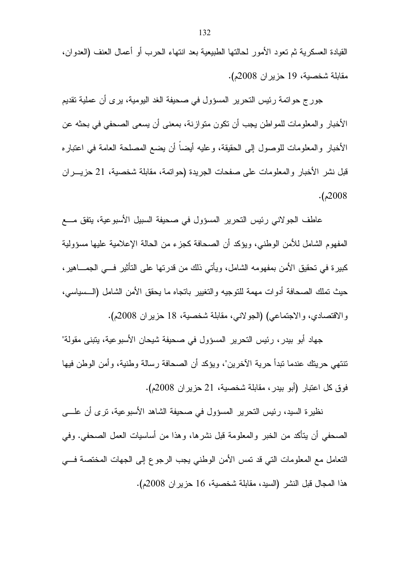القيادة العسكرية ثم تعود الأمور لحالتها الطبيعية بعد انتهاء الحرب أو أعمال العنف (العدوان، مقابلة شخصية، 19 حزير ان 2008م).

جور ج حواتمة رئيس التحرير المسؤول في صحيفة الغد اليومية، يرى أن عملية تقديم الأخبار و المعلومات للمواطن يجب أن تكون متوازنة، بمعنى أن يسعى الصحفى في بحثه عن الأخبار والمعلومات للوصول إلى الحقيقة، وعليه أيضاً أن يضع المصلحة العامة في اعتبار ه قبل نشر الأخبار والمعلومات على صفحات الجريدة (حواتمة، مقابلة شخصية، 21 حزيـــران  $. (2008$ 

عاطف الجولاني رئيس النحرير المسؤول في صحيفة السبيل الأسبوعية، يتفق مـــع المفهوم الشامل للأمن الوطني، ويؤكد أن الصحافة كجزء من الحالة الإعلامية عليها مسؤولية كبير ة في تحقيق الأمن بمفهومه الشامل، ويأتي ذلك من قدرتها على التأثير فـــي الجمــــاهير ، حيث نملك الصحافة أدوات مهمة للنوجيه والنغيير بانجاه ما يحقق الأمن الشامل (الـــسياسي، والاقتصادي، والاجتماعي) (الجولانبي، مقابلة شخصية، 18 حزيران 2008م).

جهاد أبو بيدر ، رئيس التحرير المسؤول في صحيفة شيحان الأسبوعية، يتبنى مقولة" تنتهي حريتك عندما تبدأ حرية الآخرين"، ويؤكد أن الصحافة رسالة وطنية، وأمن الوطن فيها فوق كل اعتبار (أبو بيدر ، مقابلة شخصية، 21 حزير ان 2008م).

نظيرة السيد، رئيس النحرير المسؤول في صحيفة الشاهد الأسبوعية، نرى أن علـــي الصحفي أن يتأكد من الخبر والمعلومة قبل نشرها، وهذا من أساسيات العمل الصحفي. وفي التعامل مع المعلومات التي قد تمس الأمن الوطني يجب الرجوع إلى الجهات المختصة فسي هذا المجال قبل النشر (السيد، مقابلة شخصية، 16 حزير ان 2008م).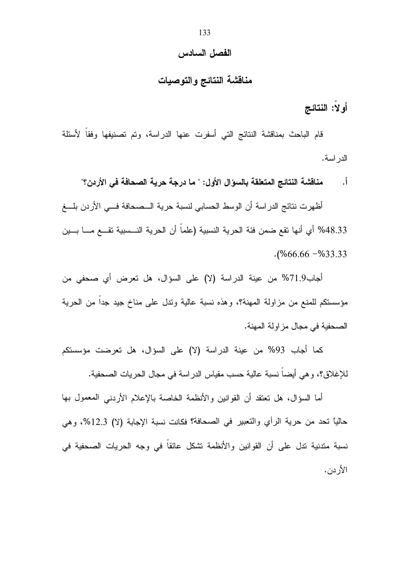#### الفصل السادس

### مناقشة النتائج والتوصيات

أولاً: النتائج

قام الباحث بمناقشة النتائج التي أسفرت عنها الدراسة، وتم تصنيفها وفقاً لأسئلة الدر اسة.

مناقشة النتائج المتعلقة بالسوّال الأول: " ما درجة حرية الصحافة في الأردن؟"  $\cdot$ ,

أظهرت نتائج الدراسة أن الوسط الحسابي لنسبة حرية الـــصحافة فـــي الأردن بلــــغ 48.33% أي أنها تقع ضمن فئة الحرية النسبية (علما أن الحرية النـــسبية تقـــع مــــا بـــين  $. (%66.66 - %33.33)$ 

أجاب9.19% من عينة الدراسة (لا) على السؤال، هل تعرض أي صحفي من مؤسستكم للمنع من مزاولة المهنة؟، وهذه نسبة عالية وندل على مناخ جيد جداً من الحرية الصحفية في مجال مزاولة المهنة.

كما أجاب 93% من عينة الدراسة (لا) على السؤال، هل تعرضت مؤسستكم للإغلاق؟، و هي أيضاً نسبة عالية حسب مقياس الدر اسة في مجال الحريات الصحفية.

أما السؤال، هل تعتقد أن القوانين والأنظمة الخاصة بالإعلام الأردنبي المعمول بها حاليًا تحد من حرية الرأي والتعبير في الصحافة؟ فكانت نسبة الإجابة (لا) 12.3%، وهي نسبة متدنية تدل على أن القوانين والأنظمة نشكل عائقاً في وجه الحريات الصحفية في الأر دن.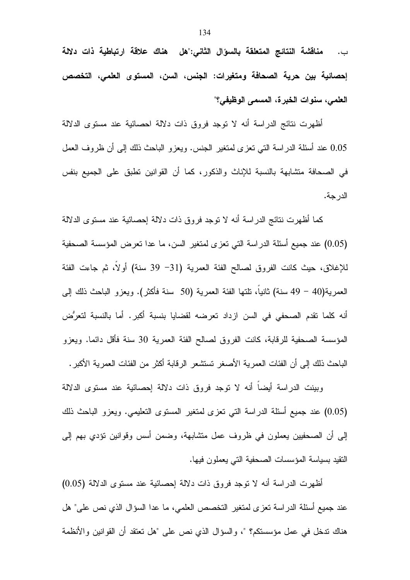مناقشة النتائج المتعلقة بالسوال الثاني:"هل هناك علاقة ارتباطية ذات دلالة  $\overline{\phantom{a}}$  .  $\overline{\phantom{a}}$ إحصائية بين حرية الصحافة ومتغيرات: الجنس، السن، المستوى العلمي، التخصص العلمي، سنوات الخبرة، المسمى الوظيفي؟"

أظهرت نتائج الدراسة أنه لا نوجد فروق ذات دلالة احصائية عند مستوى الدلالة 0.05 عند أسئلة الدراسة النبي نعزى لمنغير الجنس. ويعزو الباحث ذلك إلىي أن ظروف العمل في الصحافة منشابهة بالنسبة للإناث والذكور، كما أن القوانين نطبق على الجميع بنفس الدر جة.

كما أظهرت نتائج الدراسة أنه لا نوجد فروق ذات دلالة إحصائية عند مستوى الدلالة (0.05) عند جميع أسئلة الدراسة التي تعزى لمتغير السن، ما عدا تعرض المؤسسة الصحفية للإغلاق، حيث كانت الفروق لصـالح الفئة العمرية (31– 39 سنة) أولا، ثم جاءت الفئة العمرية(40 – 49 سنة) ثانيا، تلتها الفئة العمرية (50 سنة فأكثر). ويعزو الباحث ذلك إلى أنه كلما نقدم الصحفي في السن ازداد تعرضه لقضايا بنسبة أكبر. أما بالنسبة لتعرُّض المؤسسة الصحفية للرقابة، كانت الفروق لصالح الفئة العمرية 30 سنة فأقل دائما. ويعزو الباحث ذلك إلى أن الفئات العمرية الأصغر تستشعر الرقابة أكثر من الفئات العمرية الأكبر .

وبينت الدراسة أيضاً أنه لا نوجد فروق ذات دلالة إحصائية عند مستوى الدلالة (0.05) عند جميع أسئلة الدراسة التي تعزى لمتغير المستوى التعليمي. ويعزو الباحث ذلك إلىي أن الصحفيين يعملون في ظروف عمل متشابهة، وضمن أسس وقوانين نؤدي بهم إلىي النقيد بسياسة المؤسسات الصحفية التي يعملون فيها.

أظهرت الدراسة أنه لا نوجد فروق ذات دلالة إحصائية عند مستوى الدلالة (0.05) عند جميع أسئلة الدراسة نعز ي لمنغير النخصص العلمي، ما عدا السؤال الذي نص على" هل هناك ندخل في عمل مؤسستكم؟ "، والسؤال الذي نص على "هل تعتقد أن القوانين والأنظمة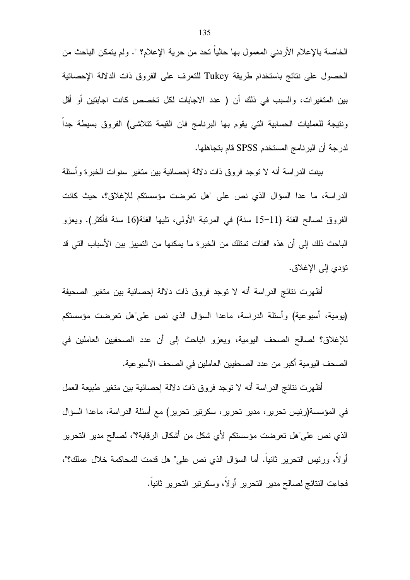الخاصة بالإعلام الأردنـي المعمول بـها حالياً تـحد من حرية الإعلام؟ ". ولم يتمكن الباحث من الحصول على نتائج باستخدام طريقة Tukey للتعرف على الفروق ذات الدلالة الإحصائية بين المنغيرات، والسبب في ذلك أن ( عدد الاجابات لكل تخصص كانت اجابنين أو أقل ونتيجة للعمليات الحسابية التي يقوم بها البرنامج فان القيمة تتلاشى) الفروق بسيطة جدا لدرجة أن البرنامج المستخدم SPSS قام بتجاهلها.

بينت الدر اسة أنه لا توجد فروق ذات دلالة إحصائية بين متغير سنوات الخبر ة وأسئلة الدراسة، ما عدا السؤال الذي نص على "هل تعرضت مؤسستكم للإغلاق؟، حيث كانت الفروق لصـالح الفئة (11–15 سنة) في المرنبة الأولى، تليها الفئة(16 سنة فأكثر). ويعزو الباحث ذلك إلى أن هذه الفئات تمتلك من الخبر ة ما يمكنها من التمييز بين الأسباب التي قد نؤدي إلى الإغلاق.

أظهرت نتائج الدراسة أنه لا توجد فروق ذات دلالة إحصائية بين متغير الصحيفة (يومية، أسبوعية) وأسئلة الدراسة، ماعدا السؤال الذي نص على"هل تعرضت مؤسستكم للإغلاق؟ لصالح الصحف اليومية، ويعزو الباحث إلى أن عدد الصحفيين العاملين في الصـحف اليومية أكبر من عدد الصـحفيين الـعاملين في الصـحف الأسبو عية.

أظهرت نتائج الدراسة أنه لا نوجد فروق ذات دلالة إحصائية بين متغير طبيعة العمل في المؤسسة(رئيس تحرير ، مدير تحرير ، سكرتير تحرير) مع أسئلة الدراسة، ماعدا السؤال الذي نص على"هل تعرضت مؤسستكم لأي شكل من أشكال الرفابة؟"، لصالح مدير التحرير أولا، ورئيس النحرير ثانيا. أما السؤال الذي نص على" هل قدمت للمحاكمة خلال عملك؟"، فجاءت النتائج لصالح مدير التحرير أولاً، وسكرتير التحرير ثانياً.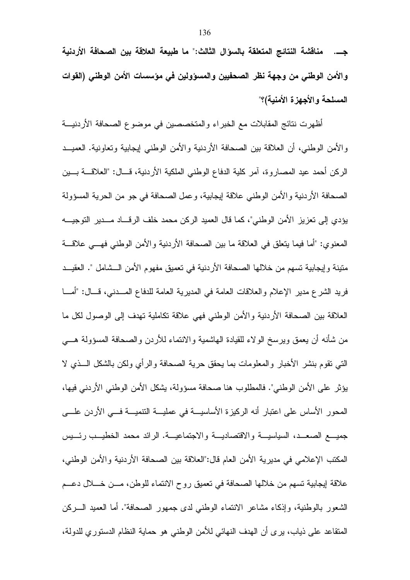جـــ. مناقشة النتائج المتعلقة بـالسوَال الثالث:" ما طبيعة العلاقة بين الصحافة الأر دنية والأمن الوطني من وجهة نظر الصحفيين والمسؤولين في مؤسسات الأمن الوطني (القوات المسلحة والأجهزة الأمنية)؟"

أظهرت نتائج المقابلات مع الخبراء والمتخصصين في موضوع الصحافة الأردنيـــة والأمن الوطني، أن العلاقة بين الصحافة الأردنية والأمن الوطني إيجابية وتعاونية. العميــد الركن أحمد عيد المصاروة، آمر كلية الدفاع الوطني الملكية الأردنية، قـــال: "العلاقـــة بـــين الصحافة الأردنية والأمن الوطني علاقة إيجابية، وعمل الصحافة في جو من الحرية المسؤولة يؤدي إلى تعزيز الأمن الوطني"، كما قال العميد الركن محمد خلف الرقـــاد مـــدير التوجيـــه المعنوى: "أما فيما يتعلَّق في العلاقة ما بين الصحافة الأردنية والأمن الوطني فهـــي علاقـــة متينة وإيجابية تسهم من خلالها الصحافة الأردنية في تعميق مفهوم الأمن الـــشامل ". العقيـــد فريد الشرع مدير الإعلام والعلاقات العامة في المديرية العامة للدفاع المـــدني، قـــال: "أمــــا العلاقة بين الصحافة الأردنية والأمن الوطني فهي علاقة تكاملية تهدف إلى الوصول لكل ما من شأنه أن يعمق ويرسخ الولاء للقيادة الهاشمية والانتماء للأردن والصحافة المسؤولة هـــي التبي نقوم بنشر الأخبار والمعلومات بما يحقق حرية الصحافة والرأى ولكن بالشكل السذى لا يؤثِّر على الأمن الوطني". فالمطلوب هنا صحافة مسؤولة، يشكل الأمن الوطني الأردني فيها، المحور الأساس على اعتبار أنه الركيزة الأساسيـــة في عمليـــة النتميـــة فـــي الأردن علـــي جميـــع الصعـــد، السياسيـــة والاقتصاديـــة والاجتماعيـــة. الرائد محمد الخطيـــب رئـــيس المكتب الإعلامي في مديرية الأمن العام قال:"العلاقة بين الصحافة الأردنية والأمن الوطني، علاقة إيجابية تسهم من خلالها الصحافة في تعميق روح الانتماء للوطن، مـــن خــــلال دعـــم الشعور بالوطنية، وإذكاء مشاعر الانتماء الوطني لدى جمهور الصحافة". أما العميد الــــركن المتقاعد على ذياب، يرى أن الهدف النهائي للأمن الوطني هو حماية النظام الدستوري للدولة،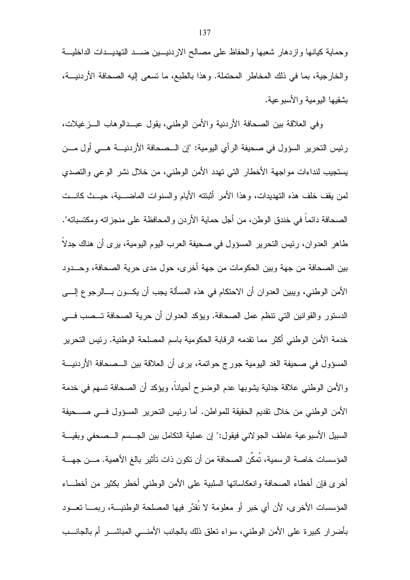وحماية كيانها وازدهار شعبها والحفاظ على مصالح الاردنيسين ضسد التهديسدات الداخلية والخارجية، بما في ذلك المخاطر المحتملة. وهذا بالطبع، ما تسعى إليه الصحافة الأردنيـــة، بشقيها اليومية والأسبوعية.

وفي العلاقة بين الصحافة الأردنية والأمن الوطني، يقول عبــدالوهاب الـــزغيلات، رئيس التحرير السؤول في صحيفة الرأي اليومية: "إن الــصحافة الأردنيـــة هـــي أول مـــن يستجيب لنداءات مواجهة الأخطار التي تهدد الأمن الوطني، من خلال نشر الوعي والتصدي لمن يقف خلف هذه التهديدات، وهذا الأمر أثبتته الأيام والسنوات الماضــــبة، حيـــث كانـــت الصحافة دائماً في خندق الوطن، من أجل حماية الأردن والمحافظة على منجزاته ومكتسباته". طاهر العدوان، رئيس التحرير المسؤول في صحيفة العرب اليوم اليومية، يرى أن هناك جدلا بين الصحافة من جهة وبين الحكومات من جهة أخرى، حول مدى حرية الصحافة، وحـــدود الأمن الوطني، ويبين العدوان أن الاحتكام في هذه المسألة يجب أن يكـــون بــــالرجو ع إلــــي الدستور والقوانين التي تنظم عمل الصحافة. ويؤكد العدوان أن حرية الصحافة تـــصب فـــي خدمة الأمن الوطني أكثر مما نقدمه الرقابة الحكومية باسم المصلحة الوطنية. رئيس التحرير المسؤول في صحيفة الغد اليومية جورج حواتمة، يرى أن العلاقة بين الــصحافة الأردنيـــة والأمن الوطني علاقة جدلية يشوبها عدم الوضوح أحيانا، ويؤكد أن الصحافة تسهم في خدمة الأمن الوطني من خلال نقديم الحقيقة للمواطن. أما رئيس التحرير المسؤول فسي صـــحيفة السبيل الأسبو عية عاطف الجو لانبي فيقول:" إن عملية النكامل بين الجسم السصحفي وبقيسة المؤسسات خاصــة الرسمية، تُمكِّن الصـحافة من أن تكون ذات تأثير بـالـغ الأهمية. مـــن جهـــة أخرى فإن أخطاء الصحافة وانعكاساتها السلببة على الأمن الوطنبي أخطر بكثير من أخطـــاء المؤسسات الأخرى، لأن أي خبرٍ أو معلومة لا نُقدِّر فيها المصلحة الوطنيـــة، ربمــــا تعـــود بأضرار كبيرة على الأمن الوطني، سواء نعلق ذلك بالجانب الأمنـــي المباشـــر أم بالجانـــب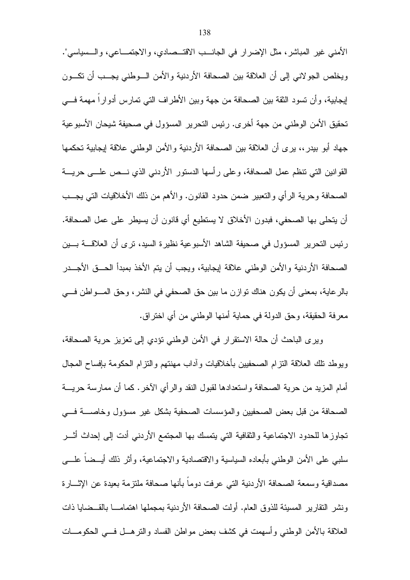الأمني غير المباشر، مثل الإضرار في الجانـــب الاقتـــصـادي، والاجتمـــاعي، والـــسياسي". ويخلص الجولاني إلىي أن العلاقة بين الصحافة الأردنية والأمن السوطني يجسب أن تكسون إيجابية، وأن نسود الثقة بين الصحافة من جهة وبين الأطراف التي نمارس أدوارا مهمة فسي تحقيق الأمن الوطني من جهة أخر ي. رئيس التحرير المسؤول في صحيفة شيحان الأسبو عية جهاد أبو بيدر ،، يرى أن العلاقة بين الصحافة الأردنية والأمن الوطني علاقة إيجابية تحكمها القوانين التي نتظم عمل الصحافة، وعلى رأسها الدستور الأردني الذي نـــص علـــي حريــــة الصحافة وحرية الرأي والنعبير ضمن حدود القانون. والأهم من ذلك الأخلاقيات التبي يجـــب أن يتحلَّى بها الصحفي، فبدون الأخلاق لا يستطيع أي قانون أن يسيطر على عمل الصحافة. رئيس التحرير المسؤول في صحيفة الشاهد الأسبوعية نظيرة السيد، نرى أن العلاقــــة بــــين الصحافة الأردنية والأمن الوطني علاقة إيجابية، ويجب أن يتم الأخذ بمبدأ الحـــق الأجـــدر

بالرعاية، بمعنى أن يكون هناك توازن ما بين حق الصحفى في النشر ، وحق المـــواطن فـــي معرفة الحقيقة، وحق الدولة في حماية أمنها الوطني من أي اختراق.

وير ي الباحث أن حالة الاستقرار في الأمن الوطني نؤدي إلى تعزيز حرية الصحافة، ويوطد نلك العلاقة النزام الصحفيين بأخلاقيات وأداب مهنتهم والنزام الحكومة بإفساح المجال أمام المزيد من حرية الصحافة واستعدادها لقبول النقد والرأى الآخر . كما أن ممارسة حريسة الصحافة من قبل بعض الصحفيين والمؤسسات الصحفية بشكل غير مسؤول وخاصــــة فــــى تجاوزها للحدود الاجتماعية والثقافية التي يتمسك بها المجتمع الأردنبي أدت إلىي إحداث أثـــر سلبي على الأمن الوطنبي بأبعاده السياسية والاقتصادية والاجتماعية، وأثر ذلك أيــضا علــــّ ٍ مصداقية وسمعة الصحافة الأردنية التي عرفت دوما بأنها صحافة ملتزمة بعيدة عن الإثـــارة ونشر النقارير المسيئة للذوق العام. أولت الصحافة الأردنية بمجملها اهتمامـــا بالقـــضايا ذات العلاقة بالأمن الوطنبي وأسهمت في كشف بعض مواطن الفساد والنرهـــل فـــي الحكومــــات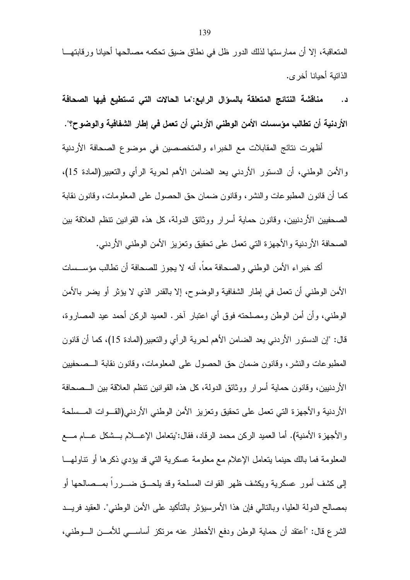المتعاقبة، إلا أن ممارستها لذلك الدور ظل في نطاق ضبق تحكمه مصالحها أحيانا ورقابتهـــا الذاتية أحيانا أخر ي.

مناقشة النتائج المتعلقة بالسؤال الرابع:"ما الحالات التي تستطيع فيها الصحافة د . الأردنية أن تطالب مؤسسات الأمن الوطني الأردني أن تعمل في إطار الشفافية والوضوح؟".

أظهرت نتائج المقابلات مع الخبراء والمتخصصين في موضوع الصحافة الأردنية والأمن الوطني، أن الدستور الأردنبي يعد الضامن الأهم لحرية الرأي والتعبير(المادة 15)، كما أن قانون المطبوعات والنشر، وقانون ضمان حق الحصول على المعلومات، وقانون نقابة الصحفيين الأردنيين، وقانون حماية أسرار ووثائق الدولة، كل هذه القوانين ننظم العلاقة بين الصحافة الأردنية والأجهزة التي تعمل على نحقيق وتعزيز الأمن الوطني الأردنبي.

أكد خبراء الأمن الوطني والصحافة معاً، أنه لا يجوز للصحافة أن تطالب مؤســسات الأمن الوطنبي أن نعمل في إطار الشفافية والوضوح، إلا بالقدر الذي لا يؤثر أو يضر بالأمن الوطني، وأن أمن الوطن ومصلحته فوق أي اعتبار آخر. العميد الركن أحمد عيد المصـاروة، قال: "إن الدستور الأردنبي يعد الضامن الأهم لحرية الرأي والتعبير(المادة 15)، كما أن قانون المطبوعات والنشر، وقانون ضمان حق الحصول على المعلومات، وقانون نقابة الـــصحفيين الأردنبيين، وقانون حماية أسرار ووثائق الدولة، كل هذه القوانين نتظم العلاقة بين الـــصحافة الأردنية والأجهزة التي تعمل على تحقيق وتعزيز الأمن الوطني الأردني(القــوات المــسلحة والأجهزة الأمنية). أما العميد الركن محمد الرقاد، فقال:"يتعامل الإعــــلام بـــشكل عــــام مــــع المعلومة فما بالك حينما يتعامل الإعلام مع معلومة عسكرية التي قد يؤدي ذكرها أو نتاولهـــا إلى كشف أمور عسكرية ويكشف ظهر القوات المسلحة وقد بلحـــق ضــــررا بمـــصـالحها أو بمصـالح الدولـة العليا، وبـالنـّالـي فـإن هذا الأمر سيؤثر بـالنـأكيد علـي الأمن الوطنـي". العقيد فر يـــد الشرع قال: "أعتقد أن حماية الوطن ودفع الأخطار عنه مرتكز أساسبي للأمــن الــوطني،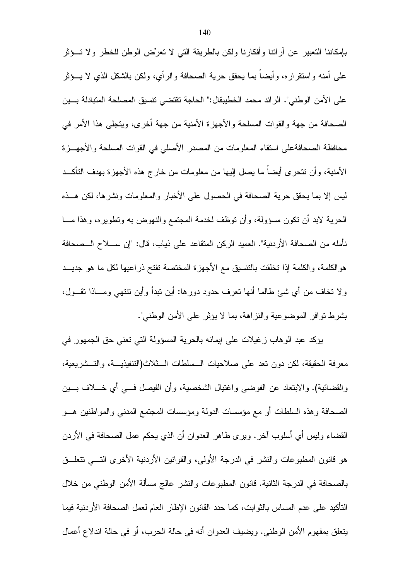بإمكاننا التعبير عن أرائنا وأفكارنا ولكن بالطريقة التي لا تعرِّض الوطن للخطر ولا تسؤثر علَّمي أمنه واستقراره، وأيضا بما يحقق حرية الصحافة والرأي، ولكن بالشكل الذي لا يـــؤثر على الأمن الوطني". الرائد محمد الخطيبقال:" الحاجة تقتضي نتسبق المصلحة المتبادلة بسين الصحافة من جهة والقوات المسلحة والأجهزة الأمنية من جهة أخرى، ويتجلَّى هذا الأمر في محافظة الصحافةعلى استقاء المعلومات من المصدر الأصلي في القوات المسلحة والأجهـــز ة الأمنية، وأن نتحرى أيضاً ما يصل إليها من معلومات من خارج هذه الأجهزة بهدف التأكــد ليس إلا بما يحقق حرية الصحافة في الحصول على الأخبار والمعلومات ونشرها، لكن هــذه الحرية لابد أن نكون مسؤولة، وأن نوظف لخدمة المجتمع والنهوض به ونطويره، وهذا مـــا نأمله من الصحافة الأردنية". العميد الركن المتقاعد على ذياب، قال: "إن ســــلاح الـــصحافة هو الكلمة، و الكلمة إذا تخلقت بالتنسيق مع الأجهز ة المختصة تفتح ذر اعيها لكل ما هو جديــد ولا نخاف من أي شئ طالما أنها نعرف حدود دورها: أين نبدأ وأين نتنهى ومـــاذا نقـــول، بشرط نوافر الموضوعية والنزاهة، بما لا يؤثر على الأمن الوطني".

بِؤكد عبد الوهاب زغيلات على إيمانه بالحرية المسؤولة التي تعني حق الجمهور في معرفة الحقيقة، لكن دون نعد على صلاحيات الــسلطات الـــثلاث(التتفيذيـــة، والتـــشريعية، والقضائية). والابنعاد عن الفوضي واغتيال الشخصية، وأن الفيصل فـــي أي خــــلاف بـــين الصحافة وهذه السلطات أو مع مؤسسات الدولة ومؤسسات المجتمع المدني والمواطنين هــو القضاء وليس أي أسلوب آخر . ويرى طاهر العدوان أن الذي يحكم عمل الصحافة في الأردن هو قانون المطبوعات والنشر في الدرجة الأولى، والقوانين الأردنية الأخرى التسى نتعلَّــق بالصحافة في الدرجة الثانية. قانون المطبوعات والنشر عالج مسألة الأمن الوطنبي من خلال التأكيد على عدم المساس بالثوابت، كما حدد القانون الإطار العام لعمل الصحافة الأردنية فيما يتعلَّق بمفهوم الأمن الوطني. ويضيف العدوان أنه في حالة الحرب، أو في حالة اندلاع أعمال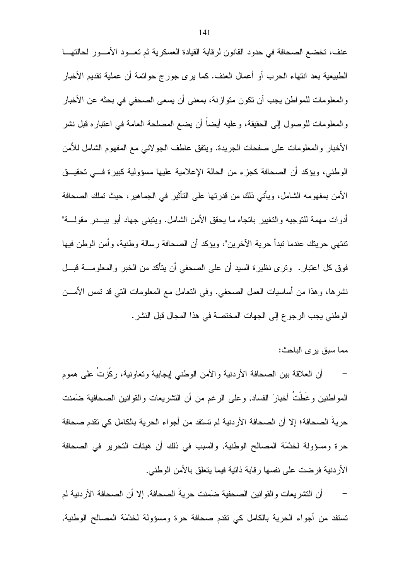عنف، تخضع الصحافة في حدود القانون لرقابة القيادة العسكرية ثم تعسود الأمسور لحالتهـــا الطبيعية بعد انتهاء الحرب أو أعمال العنف. كما يرى جورج حواتمة أن عملية تقديم الأخبار والمعلومات للمواطن يجب أن تكون متوازنة، بمعنى أن يسعى الصحفي في بحثه عن الأخبار و المعلومات للوصول إلى الحقيقة، وعليه أيضا أن يضع المصلحة العامة في اعتبار ه قبل نشر الأخبار والمعلومات على صفحات الجريدة. ويتفق عاطف الجولاني مع المفهوم الشامل للأمن الوطني، ويؤكد أن الصحافة كجزء من الحالة الإعلامية عليها مسؤولية كبيرة فـــى تحقيــق الأمن بمفهومه الشامل، ويأتي ذلك من قدرتها على التأثير في الجماهير، حيث تملك الصحافة أدوات مهمة للنوجيه والتغيير باتجاه ما يحقق الأمن الشامل. ويتبنى جهاد أبو بيـــدر مقولــــة" نتنهي حرينك عندما نبدأ حرية الأخرين"، ويؤكد أن الصحافة رسالة وطنية، وأمن الوطن فيها فوق كل اعتبار . وترى نظير ة السيد أن على الصحفي أن يتأكد من الخبر و المعلومــــة قبـــل نشرها، وهذا من أساسيات العمل الصحفي. وفي النعامل مع المعلومات التبي قد نمس الأمــــن الوطني يجب الرجوع إلى الجهات المختصة في هذا المجال قبل النشر .

مما سبق يرى الباحث:

أن العلاقة بين الصحافة الأردنية والأمن الوطنبي إيجابية ونعاونية، ركَّزتُ على هموم المواطنين وغَطَّتْ أخبارَ الفساد, وعلى الرغم من أن النتثىريعات والقوانين الصحافية ضَمَنت حريةُ الصحافة؛ إلا أن الصحافة الأردنية لم تستفد من أجواء الحرية بالكامل كي تقدم صحافة حرة ومسؤولة لخدْمَة المصالح الوطنية, والسبب في ذلك أن هيئات التحرير في الصحافة الأردنية فرضت على نفسها رقابة ذاتية فيما يتعلق بالأمن الوطني.

أن التشريعات والقوانين الصحفية ضَمَنت حريةَ الصحافة, إلا أن الصحافة الأردنية لم  $\overline{\phantom{0}}$ تستفد من أجواء الحرية بالكامل كي نقدم صحافة حرة ومسؤولة لخدْمَة المصالح الوطنية,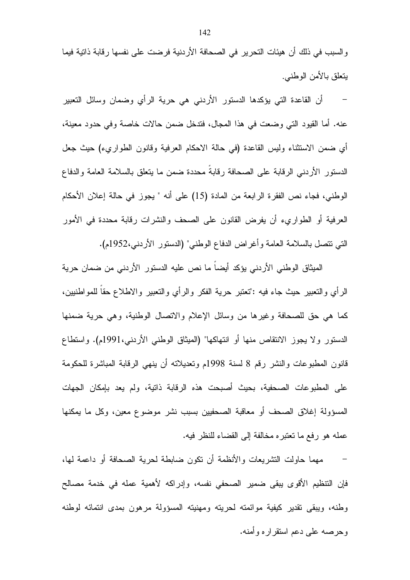والسبب في ذلك أن هيئات التحرير في الصحافة الأردنية فرضت على نفسها رقابة ذاتية فيما يتعلق بالأمن الوطنبي.

أن القاعدة التي يؤكدها الدستور الأردنبي هي حرية الرأي وضمان وسائل التعبير عنه. أما القيود التي وضعت في هذا المجال، فتدخل ضمن حالات خاصة وفي حدود معينة، أي ضمن الاستثناء وليس القاعدة (في حالة الاحكام العرفية وقانون الطواريء) حيث جعل الدستور الأردني الرقابة على الصحافة رقابةً محددة ضمن ما يتعلق بالسلامة العامة والدفاع الوطني، فجاء نص الفقرة الرابعة من المادة (15) على أنه " يجوز في حالة إعلان الأحكام العرفية أو الطواريء أن يفرض القانون على الصحف والنشرات رقابة محددة في الأمور التي نتصل بالسلامة العامة وأغراض الدفاع الوطني" (الدستور الأردني،1952م).

الميثاق الوطني الأردني يؤكد أيضاً ما نص عليه الدستور الأردني من ضمان حرية الرأي والنعبير حيث جاء فيه :"نعتبر حرية الفكر والرأي والنعبير والاطلاع حقا للمواطنيين، كما هي حق للصحافة وغيرها من وسائل الإعلام والانصال الوطنية، وهي حرية ضمنها الدستور ولا يجوز الانتقاص منها أو انتهاكها" (الميثاق الوطنبي الأردنبي،1991م). واستطاع قانون المطبوعات والنشر رقم 8 لسنة 1998م وتعديلاته أن ينهى الرقابة المباشرة للحكومة على المطبوعات الصحفية، بحبث أصبحت هذه الرقابة ذاتبة، ولم بعد بإمكان الجهات المسؤولة إغلاق الصحف أو معاقبة الصحفيين بسبب نشر موضوع معين، وكل ما يمكنها عمله هو رفع ما تعتبر ه مخالفة إلى القضاء للنظر فيه.

مهما حاولت النشريعات والأنظمة أن نكون ضابطة لحرية الصحافة أو داعمة لها، فإن النتظيم الأقوى يبقى ضمير الصحفى نفسه، وإدراكه لأهمية عمله في خدمة مصالح وطنه، ويبقى تقدير كيفية موائمته لحريته ومهنيته المسؤولة مرهون بمدى انتمائه لوطنه و حر صبه علي دعم استقر ار ه و أمنه.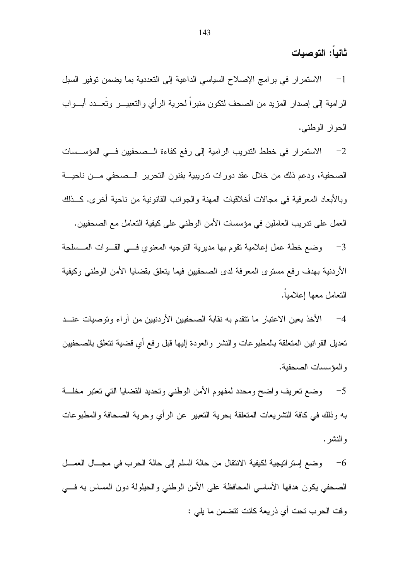## ثانياً: التوصيات

الاستمرار في برامج الإصلاح السياسي الداعية إلى التعددية بما يضمن نوفير السبل  $-1$ الرامية إلى إصدار المزيد من الصحف لنكون منبراً لحرية الرأي والنعبيـــر ونُعـــدد أبـــواب الحوار الوطني.

2– الاستمرار في خطط التدريب الرامية إلى رفع كفاءة المصحفيين فـي المؤسـسات الصحفية، ودعم ذلك من خلال عقد دورات ندريبية بفنون النحرير الــصحفى مـــن ناحيــــة وبالأبعاد المعرفية في مجالات أخلاقيات المهنة والجوانب القانونية من ناحية أخرى. كـــذلك العمل على ندريب العاملين في مؤسسات الأمن الوطني على كيفية التعامل مع الصحفيين. 3- وضع خطة عمل إعلامية نقوم بها مديرية التوجيه المعنوي فسي القـوات المــسلحة الأردنية بهدف رفع مستوى المعرفة لدى الصحفيين فيما يتعلق بقضايا الأمن الوطني وكيفية التعامل معها اعلامبا.

4– الأخذ بعين الاعتبار ما نتقدم به نقابة الصحفيين الأردنيين من آر اء وتوصيات عنـــد تعديل القوانين المتعلقة بالمطبو عات والنشر والعودة إليها قبل رفع أي قضية تتعلق بالصحفيين و المؤسسات الصحفية.

وضع نعريف واضح ومحدد لمفهوم الأمن الوطنبي ونحديد القضايا التبي نعتبر مخلسة  $-5$ به وذلك في كافة التشريعات المتعلقة بحرية التعبير عن الرأي وحرية الصحافة والمطبوعات و النشر .

وضع إستراتيجية لكيفية الانتقال من حالة السلم إلى حالة الحرب في مجــال العمــل  $\hphantom{a}$ الصحفي يكون هدفها الأساسي المحافظة على الأمن الوطني والحيلولة دون المساس به فسي وفت الحرب نحت أي ذريعة كانت نتضمن ما يلي :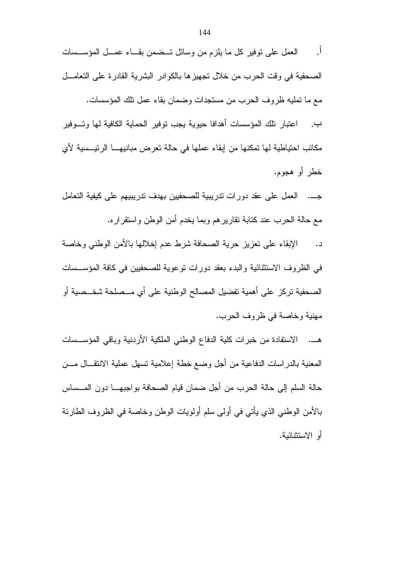مكاتب احتياطية لها تمكنها من إبقاء عملها في حالة تعرض مبانيهـــا الرئيـــسية لأي خطر أو هجوم.

جـــ. العمل على عقد دورات تدريبية للصحفيين بهدف تدريبيهم على كيفية التعامل مع حالة الحرب عند كتابة نقاريرهم وبما يخدم أمن الوطن واستقراره.

الإبقاء على تعزيز حرية الصحافة شرط عدم إخلالها بالأمن الوطني وخاصة  $\overline{\phantom{a}}$ في الظر وف الاستثنائية والبدء بعقد دورات توعوية للصحفيين في كافة المؤسسات الصحفية تركز على أهمية تفضيل المصالح الوطنية على أي مــصلحة شخــصية أو مهنية وخاصة في ظروف الحرب.

هــ. الاستفادة من خبرات كلية الدفاع الوطني الملكية الأردنية وباقى المؤســسات المعنية بالدراسات الدفاعية من أجل وضع خطة إعلامية تسهل عملية الانتقـــال مـــن حالة السلم إلى حالة الحرب من أجل ضمان قيام الصحافة بواجبهــا دون المــساس بـالأمن الوطنـي الذي يأتـي فـي أولـي سلم أولويات الوطن وخاصـة فـي الظروف الطـارئة أو الاستثنائية.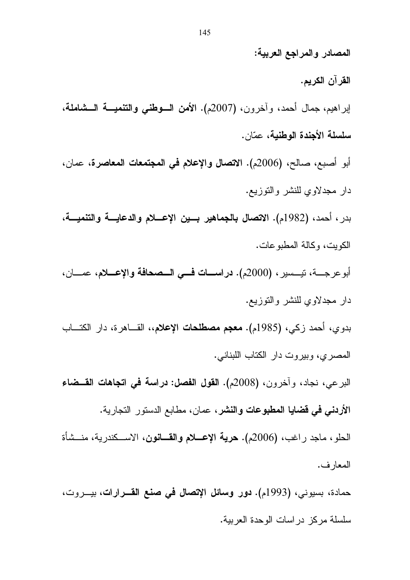القرآن الكريم. إبراهيم، جمال أحمد، وأخرون، (2007م). الأمن السوطني والتنميــة الـــشاملة، سلسلة الأجندة الوطنية، عمّان. أبو أصبع، صالح، (2006م). الاتصال والإعلام في المجتمعات المعاصرة، عمان، دار مجدلاوي للنشر والنوزيع. بدر ، أحمد، (1982م). الاتصال بالجماهير بسين الإعسلام والدعايسة والتنميسة، الكوبت، وكالة المطبو عات. أبو عرجــــة، نيــــسير ، (2000م). دراســــات فــــى الــــصحافة والإعــــلام، عمــــان، دار مجدلاوي للنشر والنوزيع. بدوي، أحمد زكي، (1985م). **معجم مصطلحات الإعلام**،، القـــاهرة، دار الكتـــاب المصرى، وبيروت دار الكتاب اللبناني. البرعي، نجاد، وآخرون، (2008م). القول الفصل: دراسة في اتجاهات القــضاء **الأردني في قضايا المطبوعات والنشر ،** عمان، مطابع الدستور التجارية. الحلو ، ماجد راغب، (2006م). **حرية الإعـــلام والقـــانون**، الاســـكندرية، منــشأة المعار ف. حمادة، بسيوني، (1993م). **دور وسائل الإتصال في صنع القـــرارات**، بيـــروت،

سلسلة مركز در اسات الوحدة العربية.

المصادر والمراجع العربية: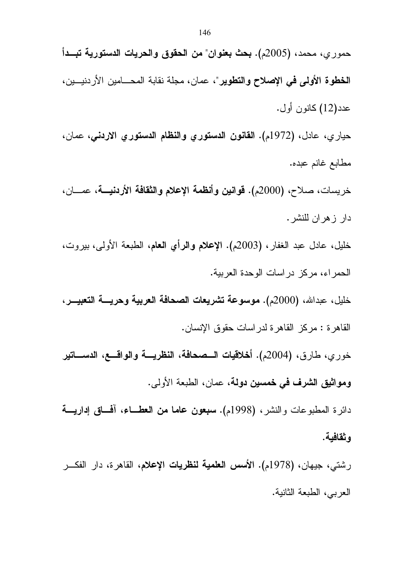| حموري، محمد، (2005م). بحث بعنوان" من الحقوق والحريات الدستورية تبــدأ                        |
|----------------------------------------------------------------------------------------------|
| الخطوة الأولى في الإصلاح والتطوير"، عمان، مجلة نقابة المحـــامين الأردنيـــين،               |
| عدد(12) كانون أول.                                                                           |
| حياري، عادل، (1972م). ا <b>لقانون الدستوري والنظام الدستوري الاردني</b> ، عمان،              |
| مطابع غانم عبده.                                                                             |
| خريسات، صلاح، (2000م). قوانين وأنظمة الإعلام والثقافة الأردنيـــة، عمــــان،                 |
| دار زهران للنشر.                                                                             |
| خليل، عادل عبد الغفار، (2003م). الإعلام والرأي العام، الطبعة الأولى، بيروت،                  |
| الحمراء، مركز دراسات الوحدة العربية.                                                         |
| خليل، عبدالله، (2000م). موسوعة تشريعات الصحافة العربية وحريسة التعبيـــر،                    |
| القاهرة : مركز القاهرة لدراسات حقوق الإنسان.                                                 |
| خوري، طارق، (2004م). أخلاقيات الــصحافة، النظريـــة والواقـــع، الدســـاتير                  |
| ومواثيق الشرف في خمسين دولة، عمان، الطبعة الأولى.                                            |
| دائرة المطبوعات والنشر، (1998م). <b>سبعون عاما من العطـــاء</b> ، أفحــاق إ <b>داريــــة</b> |
| وثقافية.                                                                                     |
| رشتي، جيهان، (1978م). الأ <b>سس العلمية لنظريات الإعلام</b> ، القاهرة، دار الفكـــر          |

العربي، الطبعة الثانية.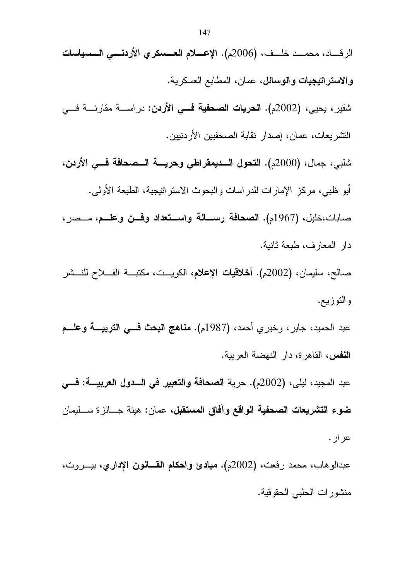الرقــــاد، محمــــد خلـــف، (2006م). الإعــــلام العــــمىكري الأردنــــي الــــمىياسات والا**ستراتيجيات والوسائل،** عما*ن*، المطابع العسكرية. شقير ، يحيى، (2002م). ا**لحريات الصحفية فـــى الأردن**: در اســــة مقارنــــة فــــى التشريعات، عمان، إصدار نقابة الصحفيين الأردنيين. شلبي، جمال، (2000م). التحول السديمقراطي وحريسة السصحافة فسي الأردن، أبو ظبي، مركز الإمار ات للدر اسات و البحوث الاستر انيجية، الطبعة الأولى. صابات،خليل، (1967م). الصحافة رســـالـة واســـتعداد وفـــن وعلـــم، مـــصر ، دار المعارف، طبعة ثانية. صالح، سليمان، (2002م). أ**خلاقيات الإعلام**، الكويــت، مكتبــة الفـــلاح للنـــشر والنوزيع. عبد الحميد، جابر ، وخير ي أحمد، (1987م). **مناهج البحث فـــي التربيــــة وعلـــم** النفس، القاهرة، دار النهضة العربية. عبد المجيد، ليلي، (2002م). حرية الصحافة والتعبير في السدول العربيسة: فسي **ضوع التشريعات الصحفية الواقع وآفاق المستقبل،** عمان: هيئة جـــائز ة ســـليمان عر ار . عبدالو هاب، محمد رفعت، (2002م). م**بادئ واحكام القـــانون الإداري،** بيـــروت،

منشورات الحلبي الحقوقية.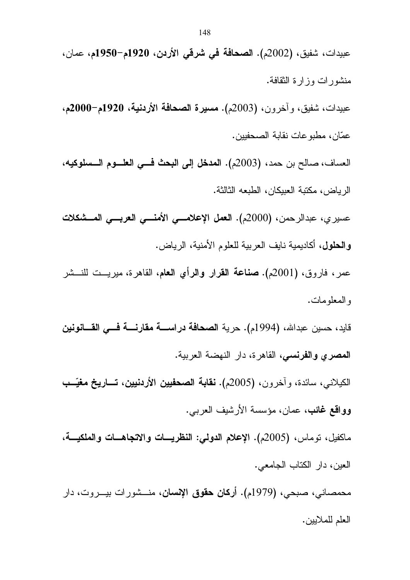منشورات وزارة النقافة. عبيدات، شفيق، وأخرون، (2003م). مسيرة الصحافة الأردنية، 1920م-2000م، عمّان، مطبو عات نقابة الصحفيين. العساف، صـالح بن حمد، (2003م). المدخل إلى البحث فـــى العلـــوم الـــسلوكيه، الر باض، مكتبة العبيكان، الطبعه الثالثة. عسيري، عبدالرحمن، (2000م). العمل الإعلامسي الأمنسي العربسي المسشكلات والحلول، أكاديمية نايف العربية للعلوم الأمنية، الرياض. عمر، فاروق، (2001م). **صناعة القرار والرأي الـعام**، القاهرة، ميريـــت للنـــشر و المعلو مات. قايد، حسين عبدالله، (1994م). حرية ا**لصحافة دراســـة مقارنــــة فــــى القــــانونين** المصرى والفرنسي، القاهرة، دار النهضة العربية. الكيلاني، سائدة، وآخرون، (2005م). **نقابة الصحفيين الأردنيين، تـــاريخ مغيّــب** وواقع غائب، عمان، مؤسسة الأرشيف العربي. ماكفيل، نوماس، (2005م). الإعلام الدولمي: النظريسات والاتجاهسات والملكيسة، العين، دار الكتاب الجامعي. محمصاني، صبحي، (1979م). أ**ركان حقوق الإنسان**، منـــشورات بيـــروت، دار العلم للملايين.

عبيدات، شفيق، (2002م). ا**لصحافة في شرقي الأردن، 1920م–1950م،** عمان،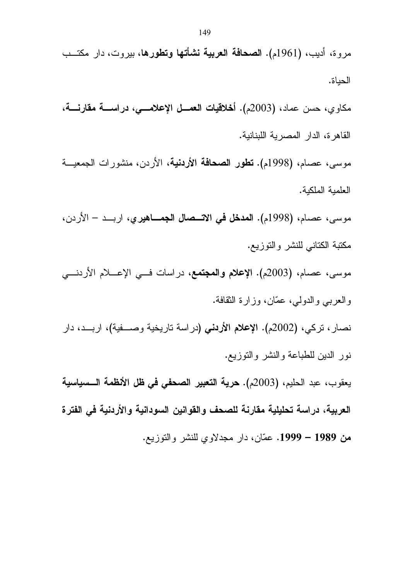مروة، أديب، (1961م). ا**لصحافة العربية نشأتها وتطورها**، بيروت، دار مكتــب الحياة.

مكاوي، حسن عماد، (2003م). أ**خلاقيات العمــل الإعلامـــي، دراســـة مقارنــــة،** القاهر ة، الدار المصرية اللبنانية.

موسى، عصام، (1998م). **تطور الصحافة الأردنية**، الأردن، منشورات الجمعيـــة العلمية الملكية.

موسى، عصـام، (1998م). ا**لمدخل في الاتـــصال الجمــــاهيري**، اربـــد – الأردن، مكتبة الكتاني للنشر والتوزيع.

موسى، عصام، (2003م). الإعلام والمجتمع، دراسات فــي الإعــــلام الأردنـــي والعربي والدولي، عمّان، وزارة الثقافة.

نصار، نركي، (2002م). الإعلام الأر**دني** (دراسة ناريخية وصــــفية)، اربـــد، دار نور الدين للطباعة والنشر والنوزيع.

يعقوب، عبد الحليم، (2003م). **حرية التعبير الصحفي في ظل الأنظمة الـــسياسية** العربية، دراسة تحليلية مقارنة للصحف والقوانين السودانية والأردنية في الفترة من 1989 – 1999. عمّان، دار مجدلاوي للنشر والتوزيع.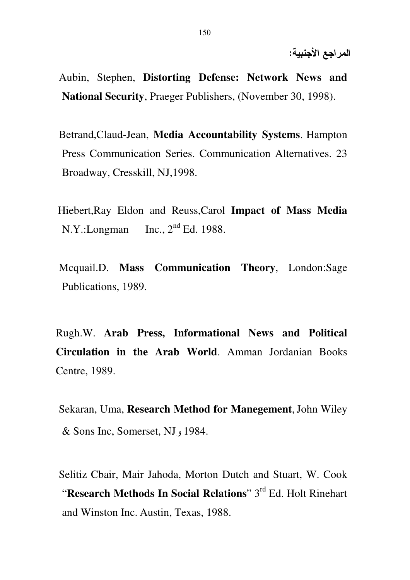- Aubin, Stephen, **Distorting Defense: Network News and National Security**, Praeger Publishers, (November 30, 1998).
- Betrand,Claud-Jean, **Media Accountability Systems**. Hampton Press Communication Series. Communication Alternatives. 23 Broadway, Cresskill, NJ,1998.
- Hiebert,Ray Eldon and Reuss,Carol **Impact of Mass Media**  N.Y.:Longman Inc.,  $2<sup>nd</sup> Ed.$  1988.
- Mcquail.D. **Mass Communication Theory**, London:Sage Publications, 1989.

Rugh.W. **Arab Press, Informational News and Political Circulation in the Arab World**. Amman Jordanian Books Centre, 1989.

Sekaran, Uma, **Research Method for Manegement**,John Wiley & Sons Inc, Somerset, NJ, 1984.

Selitiz Cbair, Mair Jahoda, Morton Dutch and Stuart, W. Cook "**Research Methods In Social Relations**" 3rd Ed. Holt Rinehart and Winston Inc. Austin, Texas, 1988.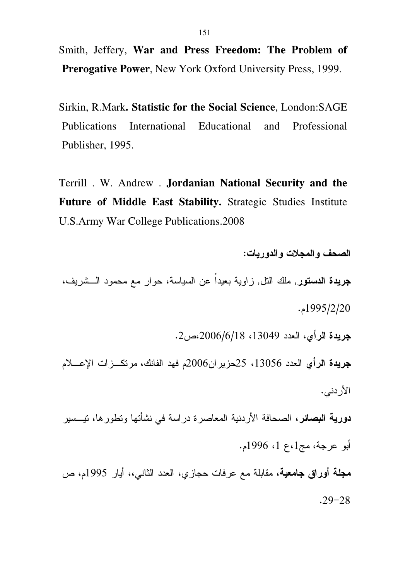Smith, Jeffery, War and Press Freedom: The Problem of **Prerogative Power, New York Oxford University Press, 1999.** 

Sirkin, R.Mark. Statistic for the Social Science, London: SAGE **Publications** International Educational and Professional Publisher, 1995.

Terrill . W. Andrew . Jordanian National Security and the Future of Middle East Stability. Strategic Studies Institute **U.S.Army War College Publications.2008** 

الصحف والمجلات والدوريات:

**جريدة الدستور**, ملك النل, زاوية بعيداً عن السياسة، حوار مع محمود الــشريف،  $.1995/2/20$ 

جريدة الرأى، العدد 13049، 2006/6/18،ص2.

جريدة الرأى العدد 13056، 25حزير ان2006م فهد الفانك، مرتكـــزات الإعــــلام الأر دنے .

**دورية البصائر**، الصحافة الأردنية المعاصرة دراسة في نشأتها وتطورها، تيـــسير أبو عرجة، مج1،ع 1، 1996م.

مجلة أوراق جامعية، مقابلة مع عرفات حجازي، العدد الثاني،، أيار 1995م، ص  $.29 - 28$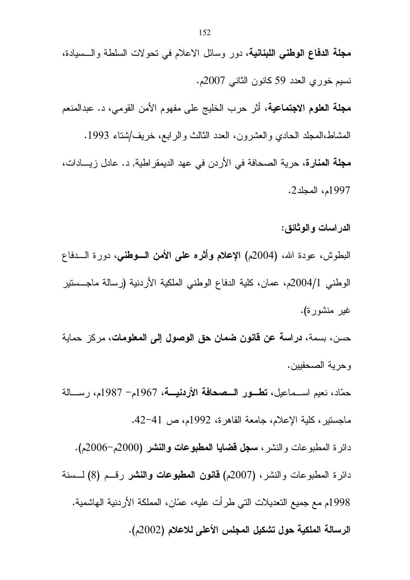**مجلة الدفاع الوطني اللبنانية،** دور وسائل الاعلام في تحولات السلطة والـــسيادة، نسيم خوري العدد 59 كانون الثاني 2007م. **مجلة العلوم الاجتماعية،** أثر حرب الخليج على مفهوم الأمن القومي، د. عبدالمنعم المشاط،المجلد الحادي والعشرون، العدد الثالث والرابع، خريف/شتاء 1993. **مجلة المنارة،** حرية الصحافة في الأردن في عهد الديمقر اطية, د. عادل زيسادات، 1997م، المجلد2.

الدر اسات و الوثائق :

البطوش، عودة الله، (2004م) الإعلام وأثره على الأمن السوطني، دورة السدفاع الوطني 2004/1م، عمان، كلية الدفاع الوطني الملكية الأردنية (رسالة ماجـــستير غير منشورة).

حسن، بسمة، **دراسة عن قانون ضمان حق الوصول إلى المعلومات**، مركز حماية وحرية الصحفيين.

حمّاد، نعيم اســماعيل، تطــور الــصحافة الأردنيـــة، 1967م- 1987م، رســـالـة ماجستير، كلية الإعلام، جامعة القاهرة، 1992م، ص 41–42.

دائرة المطبوعات والنشر، **سجل قضايا المطبوعات والنشر (**2000م-2006م). دائرة المطبوعات والنشر، (2007م) **قانون المطبوعات والنشر** رقــم (8) لـــسنة 1998م مع جميع التعديلات التي طر أت عليه، عمّان، المملكة الأردنية الهاشمية. الرسالة الملكية حول تشكيل المجلس الأعلى للاعلام (2002م).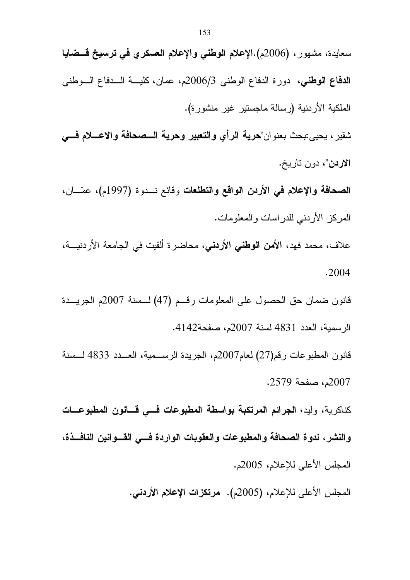سعايدة، مشهور ، (2006م).الإعلام الوطني والإعلام العسكري في ترسيخ قـــضايا

الدفاع الوطني، دورة الدفاع الوطني 2006/3م، عمان، كليـــة الـــدفاع الـــوطني الملكية الأردنية (رسالة ماجستير غير منشورة). شقير ، يحيى:بحث بعنوان"هرية الرأي والتعبير وهرية السصحافة والاعسلام فسي الاردن"، دون تاريخ. الصحافة والإعلام في الأردن الواقع والتطلعات وقائع نسدوة (1997م)، عمّـــان، المركز الأردني للدراسات والمعلومات. علاف، محمد فهد، **الأمن الوطني الأردني**، محاضرة ألقيت في الجامعة الأردنيـــة،

.2004

قانون ضمان حق الحصول على المعلومات رقــم (47) لــسنة 2007م الجريـــدة الرسمية، العدد 4831 لسنة 2007م، صفحة4142.

قانون المطبوعات رقم(27) لعام2007م، الجريدة الرســمية، العــدد 4833 لــسنة 2007م، صفحة 2579.

كناكر بـة، وليد، الجرائم المرتكبة بواسطة المطبوعات فــــى قـــانون المطبوعـــات والنشر ، ندوة الصحافة والمطبوعات والعقوبات الواردة فسى القسوانين النافسذة، المجلس الأعلى للإعلام، 2005م.

المجلس الأعلى للإعلام، (2005م). مرتكزات الإعلام الأردنى.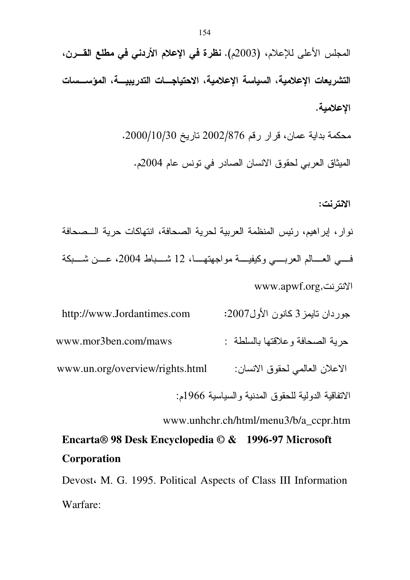محكمة بداية عمان، قرار رقم 876/2002 تاريخ 2000/10/30.

الميثاق العربي لحقوق الانسان الصبادر في تونس عام 2004م.

### الانترنت:

نوار، إبراهيم، رئيس المنظمة العربية لحرية الصحافة، انتهاكات حرية الــصحافة في العسالم العربيبي وكيفيسة مواجهتهـا، 12 شسباط 2004، عسن شسبكة www.apwf.org,دنت بن

http://www.Jordantimes.com جوردان نايمز 3 كانون الأول2007: حرية الصحافة وعلاقتها بالسلطة : www.mor3ben.com/maws الإعلان العالمي لحقوق الانسان: www.un.org/overview/rights.html الاتفاقية الدولية للحقوق المدنية والسياسية 1966م:

www.unhchr.ch/html/menu3/b/a ccpr.htm

# Encarta® 98 Desk Encyclopedia © & 1996-97 Microsoft Corporation

Devost M. G. 1995. Political Aspects of Class III Information Warfare: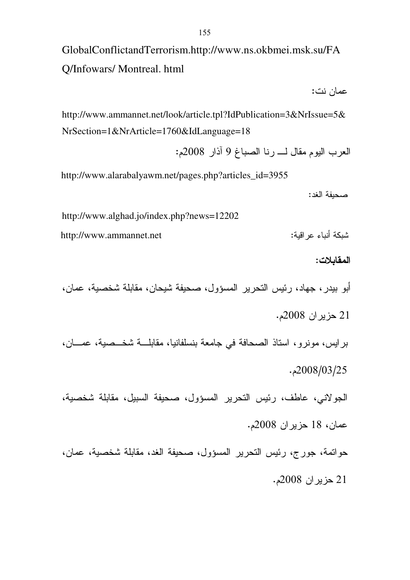GlobalConflictandTerrorism.http://www.ns.okbmei.msk.su/FA Q/Infowars/ Montreal. html

عمان نت:

http://www.ammannet.net/look/article.tpl?IdPublication=3&NrIssue=5& NrSection=1&NrArticle=1760&IdLanguage=18

العرب اليوم مقال لــــ رنـا الصبـاغ 9 آذار 2008م:

http://www.alarabalyawm.net/pages.php?articles\_id=3955

صحيفة الغد:

http://www.alghad.jo/index.php?news=12202

http://www.ammannet.net

### المقابلات:

شبكة أنباء عراقه

أبو بيدر ، جهاد، رئيس التحرير المسؤول، صحيفة شيحان، مقابلة شخصية، عمان، 21 حزير ان 2008م.

برايس، مونرو، استاذ الصحافة في جامعة بنسلفانيا، مقابلــــة شخـــصية، عمــــان، . 2008/03/25

الجولاني، عاطف، رئيس التحرير المسؤول، صحيفة السبيل، مقابلة شخصية، عمان، 18 حزيران 2008م.

حواتمة، جورج، رئيس التحرير المسؤول، صحيفة الغد، مقابلة شخصية، عمان، 21 حزير ان 2008م.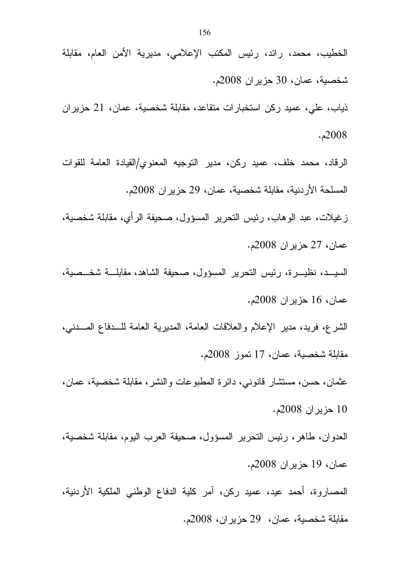ذياب، علي، عميد ركن استخبارات منقاعد، مقابلة شخصية، عمان، 21 حزيران . 2008

الرقاد، محمد خلف، عميد ركن، مدير التوجيه المعنوي/القيادة العامة للقوات المسلحة الأردنية، مقابلة شخصية، عمان، 29 حزير ان 2008م.

ز غيلات، عبد الوهاب، رئيس النحرير المسؤول، صحيفة الرأي، مقابلة شخصية، عمان، 27 حزيران 2008م.

السيـــد، نظيــــرة، رئيس النحرير المسؤول، صحيفة الشاهد، مقابلــــة شخـــصية، عمان، 16 حزيران 2008م.

الشرع، فريد، مدير الإعلام والعلاقات العامة، المديرية العامة للـــدفاع المــــدني، مقابلة شخصية، عمان، 17 نموز 2008م.

عثمان، حسن، مستشار قانوني، دائرة المطبوعات والنشر ، مقابلة شخصية، عمان، 10 حزير ان 2008م.

العدوان، طاهر ، رئيس التحرير المسؤول، صحيفة العرب اليوم، مقابلة شخصية، عمان، 19 حزيران 2008م.

المصاروة، أحمد عيد، عميد ركن، امر كلية الدفاع الوطني الملكية الأردنية، مقابلة شخصية، عمان، 29 حزير ان، 2008م.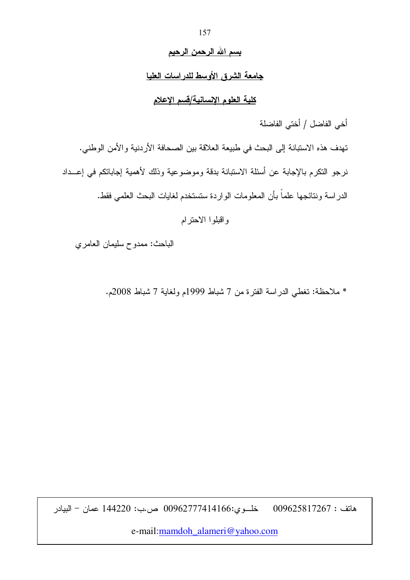### <u>بسم الله الرحمن الرحيم</u>

### جامعة الشرق الأوسط للدراسات العليا

## كلية العلوم الإنسانية/قسم الإعلام

أخي الفاضل / أختي الفاضلة

تهدف هذه الاستبانة إلى البحث في طبيعة العلاقة بين الصحافة الأردنية والأمن الوطني. نرجو النكرم بالإجابة عن أسئلة الاستبانة بدقة وموضوعية وذلك لأهمية إجاباتكم في إعـــداد الدراسة ونتائجها علماً بأن المعلومات الواردة ستستخدم لغايات البحث العلمى فقط.

واقبلوا الاحترام

الباحث: ممدوح سليمان العامري

\* ملاحظة: تغطي الدراسة الفترة من 7 شباط 1999م ولغاية 7 شباط 2008م.

خلـــوي:00962777414166 ص.ب: 144220 عمان – البيادر  $009625817267$  : هاتف

e-mail:mamdoh\_alameri@yahoo.com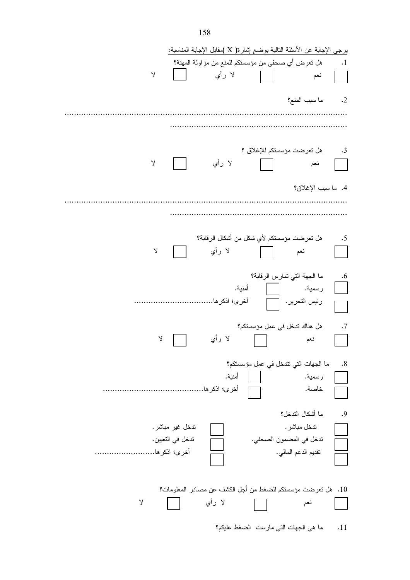|               |                  | برجي الإجابة عن الأسئلة التالية بوضع إشارة( X )مقابل الإجابة المناسبة: |                                      |                                      |               |
|---------------|------------------|------------------------------------------------------------------------|--------------------------------------|--------------------------------------|---------------|
|               |                  | هل نعرض أي صحفي من مؤسستكم للمنع من مزاولة المهنة؟                     |                                      |                                      | $\ddots$      |
| $\mathsf{Y}$  |                  | لا رأي                                                                 |                                      | نعم                                  |               |
|               |                  |                                                                        |                                      | ما سبب المنع؟                        | $\cdot$ .2    |
|               |                  |                                                                        |                                      |                                      |               |
|               |                  |                                                                        |                                      |                                      |               |
| $\mathsf{Y}$  |                  | لا رأي                                                                 |                                      | هل تعرضت مؤسستكم للإغلاق ؟<br>نعم    | $\cdot$ 3     |
|               |                  |                                                                        |                                      | 4. ما سبب الإغلاق؟                   |               |
|               |                  |                                                                        |                                      |                                      |               |
|               |                  |                                                                        |                                      |                                      |               |
| γ             |                  | هل نعرضت مؤسستكم لأي شكل من أشكال الرقابة؟<br>لا رأي                   |                                      | نعم                                  | .5            |
|               |                  |                                                                        |                                      | ما الجهة التي تمارس الرقابة؟         | .6            |
|               |                  | أخرى؛ اذكر ها                                                          | أمنية.                               | رسمية.<br>رئيس التحرير . $\Box$      | $\mathcal{L}$ |
|               |                  |                                                                        | هل هناك ندخل في عمل مؤسستكم؟         |                                      | .7            |
| λ             |                  | لا رأي                                                                 |                                      | نعم                                  |               |
|               |                  |                                                                        |                                      | ما الجهات التي تتدخل في عمل مؤسستكم؟ | .8            |
|               |                  | أمنية.                                                                 |                                      | رسمية.                               |               |
|               |                  | أخرى؛ اذكر ها                                                          |                                      | خاصة.                                |               |
|               |                  |                                                                        |                                      | ما أشكال التدخل؟                     | .9            |
|               | ندخل غير مباشر.  |                                                                        |                                      | تدخل مباشر .                         |               |
|               | ندخل في التعيين. |                                                                        |                                      | تدخل في المضمون الصحفي.              |               |
| أخرى؛ انكر ها |                  |                                                                        |                                      | نقديم الدعم المالي.                  |               |
|               |                  | 10.  هل تعرضت مؤسستكم للضغط من أجل الكشف عن مصادر المعلومات؟           |                                      |                                      |               |
| $\mathsf{Y}$  |                  | لا رأي                                                                 |                                      | نعم                                  |               |
|               |                  |                                                                        | ما هي الجهات التي مارست الضغط عليكم؟ |                                      | .11           |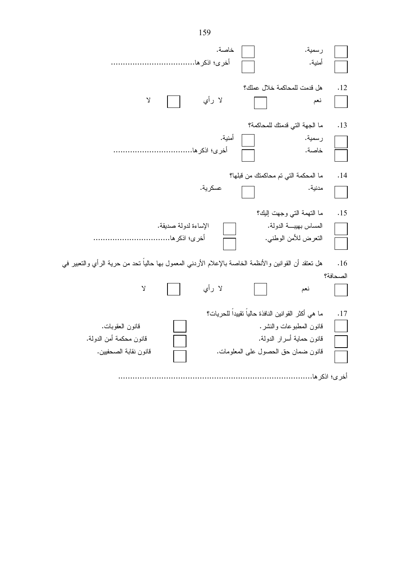| خاصة.<br>رسمية.<br>أخرى؛ اذكر ها<br>أمنية.                                                                                                                                                                                                  |                 |
|---------------------------------------------------------------------------------------------------------------------------------------------------------------------------------------------------------------------------------------------|-----------------|
| هل قدمت للمحاكمة خلال عملك؟<br>لا رأي<br>Y<br>نعم                                                                                                                                                                                           | .12             |
| ما الجهة التي قدمنك للمحاكمة؟<br>أمنية.<br>رسمية.<br>أخرى؛ اذكر ها<br>خاصة.                                                                                                                                                                 | .13             |
| ما المحكمة التي تم محاكمتك من قبلها؟<br>عسكرية.<br>مدنية.                                                                                                                                                                                   | .14             |
| ما النهمة التي وجهت إليك؟<br>المساس بهيبة الدولة.<br>الإساءة لدولة صديقة.<br>أخرى؛ اذكر ها<br>النعرض للأمن الوطنبي.                                                                                                                         | .15             |
| هل تعتقد أن القوانين والأنظمة الخاصة بالإعلام الأردنـي المعمول بـها حاليا نـحد من حرية الرأي والتعبير فـي<br>لا رأي<br>$\mathsf{Y}$<br>نعم                                                                                                  | .16<br>الصحافة؟ |
| ما هي أكثر القوانين النافذة حالياً تقييداً للحريات؟<br>قانون المطبوعات والنشر.<br>قانون العقوبات.<br>قانون محكمة أمن الدولة.<br>قانون حماية أسرار الدولة.<br>قانون نقابة الصحفيين.<br>قانون ضمان حق الحصول على المعلومات.<br>أخر ي؛ اذكر ها | .17             |

159